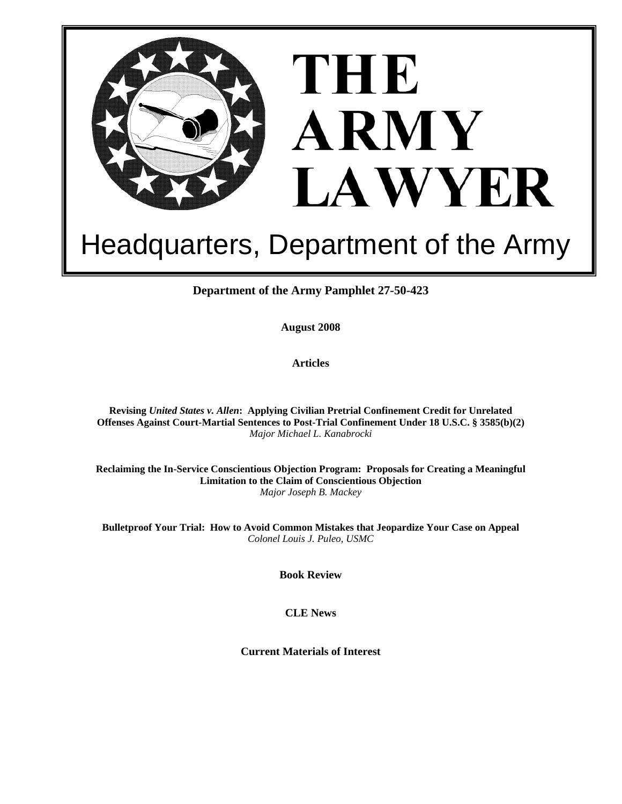

# Headquarters, Department of the Army

**Department of the Army Pamphlet 27-50-423** 

**August 2008** 

**Articles** 

**Revising** *United States v. Allen***: Applying Civilian Pretrial Confinement Credit for Unrelated Offenses Against Court-Martial Sentences to Post-Trial Confinement Under 18 U.S.C. § 3585(b)(2)**  *Major Michael L. Kanabrocki* 

**Reclaiming the In-Service Conscientious Objection Program: Proposals for Creating a Meaningful Limitation to the Claim of Conscientious Objection**  *Major Joseph B. Mackey*

**Bulletproof Your Trial: How to Avoid Common Mistakes that Jeopardize Your Case on Appeal**  *Colonel Louis J. Puleo, USMC* 

**Book Review** 

**CLE News** 

**Current Materials of Interest**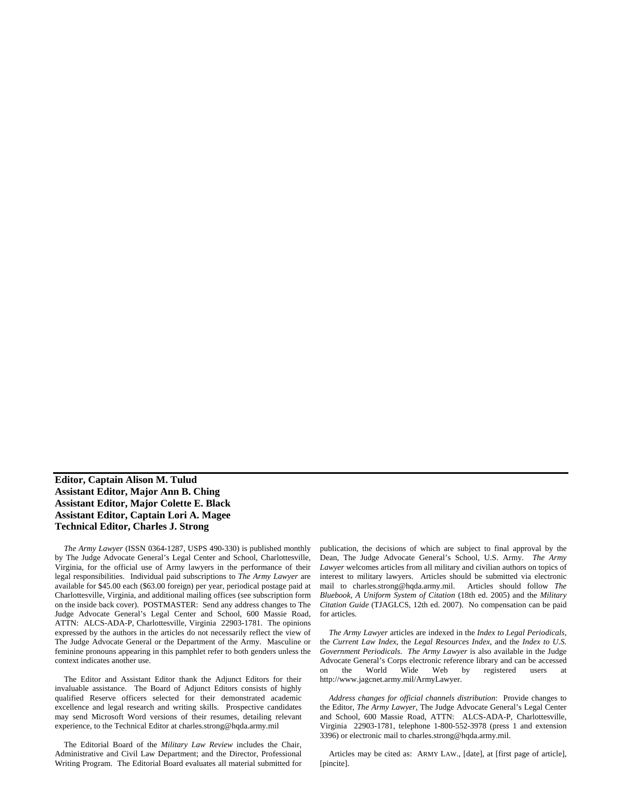# **Editor, Captain Alison M. Tulud Assistant Editor, Major Ann B. Ching Assistant Editor, Major Colette E. Black Assistant Editor, Captain Lori A. Magee Technical Editor, Charles J. Strong**

*The Army Lawyer* (ISSN 0364-1287, USPS 490-330) is published monthly by The Judge Advocate General's Legal Center and School, Charlottesville, Virginia, for the official use of Army lawyers in the performance of their legal responsibilities. Individual paid subscriptions to *The Army Lawyer* are available for \$45.00 each (\$63.00 foreign) per year, periodical postage paid at Charlottesville, Virginia, and additional mailing offices (see subscription form on the inside back cover). POSTMASTER: Send any address changes to The Judge Advocate General's Legal Center and School, 600 Massie Road, ATTN: ALCS-ADA-P, Charlottesville, Virginia 22903-1781. The opinions expressed by the authors in the articles do not necessarily reflect the view of The Judge Advocate General or the Department of the Army. Masculine or feminine pronouns appearing in this pamphlet refer to both genders unless the context indicates another use.

The Editor and Assistant Editor thank the Adjunct Editors for their invaluable assistance. The Board of Adjunct Editors consists of highly qualified Reserve officers selected for their demonstrated academic excellence and legal research and writing skills. Prospective candidates may send Microsoft Word versions of their resumes, detailing relevant experience, to the Technical Editor at charles.strong@hqda.army.mil

The Editorial Board of the *Military Law Review* includes the Chair, Administrative and Civil Law Department; and the Director, Professional Writing Program. The Editorial Board evaluates all material submitted for

publication, the decisions of which are subject to final approval by the Dean, The Judge Advocate General's School, U.S. Army. *The Army Lawyer* welcomes articles from all military and civilian authors on topics of interest to military lawyers. Articles should be submitted via electronic mail to charles.strong@hqda.army.mil. Articles should follow *The Bluebook, A Uniform System of Citation* (18th ed. 2005) and the *Military Citation Guide* (TJAGLCS, 12th ed. 2007). No compensation can be paid for articles.

*The Army Lawyer* articles are indexed in the *Index to Legal Periodicals*, the *Current Law Index*, the *Legal Resources Index*, and the *Index to U.S. Government Periodicals*. *The Army Lawyer* is also available in the Judge Advocate General's Corps electronic reference library and can be accessed on the World Wide Web by registered users at http://www.jagcnet.army.mil/ArmyLawyer.

*Address changes for official channels distribution*: Provide changes to the Editor, *The Army Lawyer*, The Judge Advocate General's Legal Center and School, 600 Massie Road, ATTN: ALCS-ADA-P, Charlottesville, Virginia 22903-1781, telephone 1-800-552-3978 (press 1 and extension 3396) or electronic mail to charles.strong@hqda.army.mil.

Articles may be cited as: ARMY LAW., [date], at [first page of article], [pincite].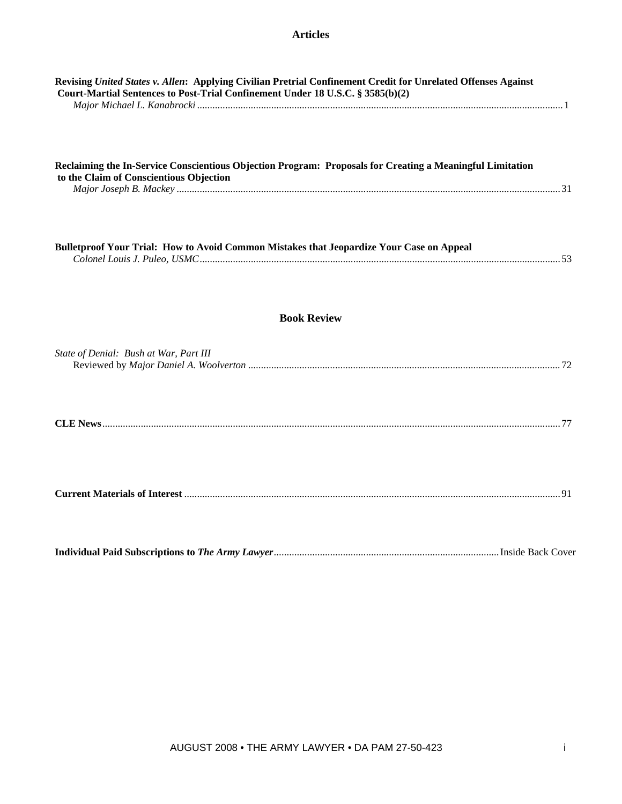| Revising United States v. Allen: Applying Civilian Pretrial Confinement Credit for Unrelated Offenses Against<br>Court-Martial Sentences to Post-Trial Confinement Under 18 U.S.C. § 3585(b)(2) |  |
|-------------------------------------------------------------------------------------------------------------------------------------------------------------------------------------------------|--|
| Reclaiming the In-Service Conscientious Objection Program: Proposals for Creating a Meaningful Limitation<br>to the Claim of Conscientious Objection                                            |  |
| Bulletproof Your Trial: How to Avoid Common Mistakes that Jeopardize Your Case on Appeal                                                                                                        |  |
| <b>Book Review</b>                                                                                                                                                                              |  |
| State of Denial: Bush at War, Part III                                                                                                                                                          |  |
|                                                                                                                                                                                                 |  |
|                                                                                                                                                                                                 |  |
|                                                                                                                                                                                                 |  |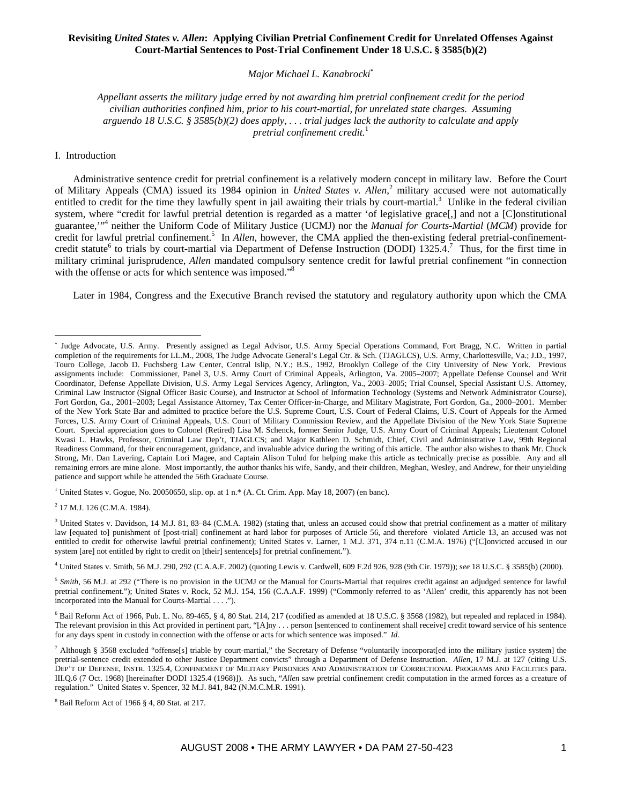# **Revisiting** *United States v. Allen***: Applying Civilian Pretrial Confinement Credit for Unrelated Offenses Against Court-Martial Sentences to Post-Trial Confinement Under 18 U.S.C. § 3585(b)(2)**

*Major Michael L. Kanabrocki*<sup>∗</sup>

*Appellant asserts the military judge erred by not awarding him pretrial confinement credit for the period civilian authorities confined him, prior to his court-martial, for unrelated state charges. Assuming arguendo 18 U.S.C. § 3585(b)(2) does apply, . . . trial judges lack the authority to calculate and apply pretrial confinement credit.*<sup>1</sup>

## I. Introduction

 $\overline{a}$ 

Administrative sentence credit for pretrial confinement is a relatively modern concept in military law. Before the Court of Military Appeals (CMA) issued its 1984 opinion in *United States v. Allen*<sup>2</sup> military accused were not automatically entitled to credit for the time they lawfully spent in jail awaiting their trials by court-martial.<sup>3</sup> Unlike in the federal civilian system, where "credit for lawful pretrial detention is regarded as a matter 'of legislative grace[,] and not a [C]onstitutional guarantee,"<sup>4</sup> neither the Uniform Code of Military Justice (UCMJ) nor the *Manual for Courts-Martial* (*MCM*) provide for credit for lawful pretrial confinement.<sup>5</sup> In *Allen*, however, the CMA applied the then-existing federal pretrial-confinementcredit statute<sup>6</sup> to trials by court-martial via Department of Defense Instruction (DODI) 1325.4.<sup>7</sup> Thus, for the first time in military criminal jurisprudence, *Allen* mandated compulsory sentence credit for lawful pretrial confinement "in connection with the offense or acts for which sentence was imposed."<sup>8</sup>

Later in 1984, Congress and the Executive Branch revised the statutory and regulatory authority upon which the CMA

<sup>1</sup> United States v. Gogue, No. 20050650, slip. op. at 1 n.\* (A. Ct. Crim. App. May 18, 2007) (en banc).

<sup>2</sup> 17 M.J. 126 (C.M.A. 1984).

<sup>3</sup> United States v. Davidson, 14 M.J. 81, 83-84 (C.M.A. 1982) (stating that, unless an accused could show that pretrial confinement as a matter of military law [equated to] punishment of [post-trial] confinement at hard labor for purposes of Article 56, and therefore violated Article 13, an accused was not entitled to credit for otherwise lawful pretrial confinement); United States v. Larner, 1 M.J. 371, 374 n.11 (C.M.A. 1976) ("[C]onvicted accused in our system [are] not entitled by right to credit on [their] sentence[s] for pretrial confinement.").

4 United States v. Smith, 56 M.J. 290, 292 (C.A.A.F. 2002) (quoting Lewis v. Cardwell, 609 F.2d 926, 928 (9th Cir. 1979)); *see* 18 U.S.C. § 3585(b) (2000).

<sup>5</sup> Smith, 56 M.J. at 292 ("There is no provision in the UCMJ or the Manual for Courts-Martial that requires credit against an adjudged sentence for lawful pretrial confinement."); United States v. Rock, 52 M.J. 154, 156 (C.A.A.F. 1999) ("Commonly referred to as 'Allen' credit, this apparently has not been incorporated into the Manual for Courts-Martial . . . .").

 $6$  Bail Reform Act of 1966, Pub. L. No. 89-465, § 4, 80 Stat. 214, 217 (codified as amended at 18 U.S.C. § 3568 (1982), but repealed and replaced in 1984). The relevant provision in this Act provided in pertinent part, "[A]ny . . . person [sentenced to confinement shall receive] credit toward service of his sentence for any days spent in custody in connection with the offense or acts for which sentence was imposed." *Id.*

<sup>∗</sup> Judge Advocate, U.S. Army. Presently assigned as Legal Advisor, U.S. Army Special Operations Command, Fort Bragg, N.C. Written in partial completion of the requirements for LL.M., 2008, The Judge Advocate General's Legal Ctr. & Sch. (TJAGLCS), U.S. Army, Charlottesville, Va.; J.D., 1997, Touro College, Jacob D. Fuchsberg Law Center, Central Islip, N.Y.; B.S., 1992, Brooklyn College of the City University of New York. Previous assignments include: Commissioner, Panel 3, U.S. Army Court of Criminal Appeals, Arlington, Va. 2005–2007; Appellate Defense Counsel and Writ Coordinator, Defense Appellate Division, U.S. Army Legal Services Agency, Arlington, Va., 2003–2005; Trial Counsel, Special Assistant U.S. Attorney, Criminal Law Instructor (Signal Officer Basic Course), and Instructor at School of Information Technology (Systems and Network Administrator Course), Fort Gordon, Ga., 2001–2003; Legal Assistance Attorney, Tax Center Officer-in-Charge, and Military Magistrate, Fort Gordon, Ga., 2000–2001. Member of the New York State Bar and admitted to practice before the U.S. Supreme Court, U.S. Court of Federal Claims, U.S. Court of Appeals for the Armed Forces, U.S. Army Court of Criminal Appeals, U.S. Court of Military Commission Review, and the Appellate Division of the New York State Supreme Court. Special appreciation goes to Colonel (Retired) Lisa M. Schenck, former Senior Judge, U.S. Army Court of Criminal Appeals; Lieutenant Colonel Kwasi L. Hawks, Professor, Criminal Law Dep't, TJAGLCS; and Major Kathleen D. Schmidt, Chief, Civil and Administrative Law, 99th Regional Readiness Command, for their encouragement, guidance, and invaluable advice during the writing of this article. The author also wishes to thank Mr. Chuck Strong, Mr. Dan Lavering, Captain Lori Magee, and Captain Alison Tulud for helping make this article as technically precise as possible. Any and all remaining errors are mine alone. Most importantly, the author thanks his wife, Sandy, and their children, Meghan, Wesley, and Andrew, for their unyielding patience and support while he attended the 56th Graduate Course.

Although § 3568 excluded "offense[s] triable by court-martial," the Secretary of Defense "voluntarily incorporat[ed into the military justice system] the pretrial-sentence credit extended to other Justice Department convicts" through a Department of Defense Instruction. *Allen*, 17 M.J. at 127 (citing U.S. DEP'T OF DEFENSE, INSTR. 1325.4, CONFINEMENT OF MILITARY PRISONERS AND ADMINISTRATION OF CORRECTIONAL PROGRAMS AND FACILITIES para. III.Q.6 (7 Oct. 1968) [hereinafter DODI 1325.4 (1968)]). As such, "*Allen* saw pretrial confinement credit computation in the armed forces as a creature of regulation." United States v. Spencer, 32 M.J. 841, 842 (N.M.C.M.R. 1991).

 $8$  Bail Reform Act of 1966  $§$  4, 80 Stat. at 217.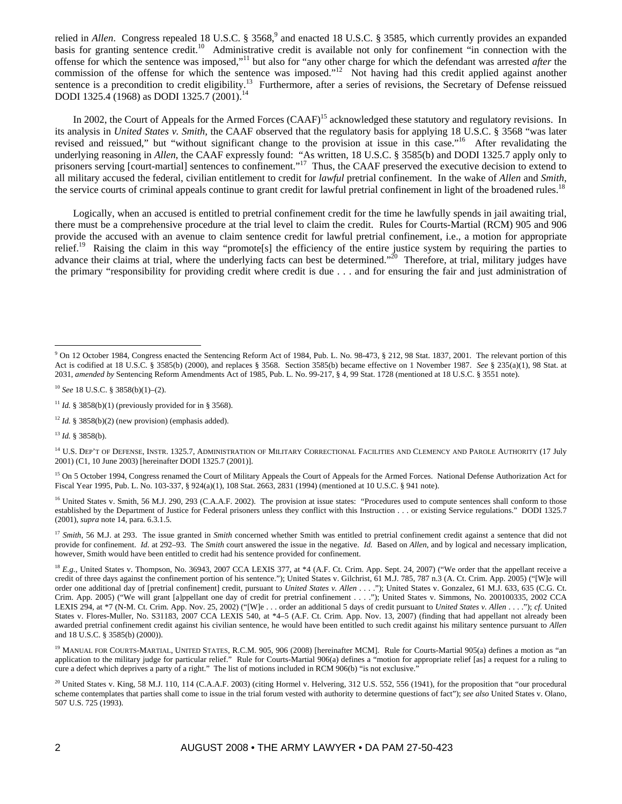relied in *Allen*. Congress repealed 18 U.S.C. § 3568,<sup>9</sup> and enacted 18 U.S.C. § 3585, which currently provides an expanded basis for granting sentence credit.<sup>10</sup> Administrative credit is available not only for confinement "in connection with the offense for which the sentence was imposed,"11 but also for "any other charge for which the defendant was arrested *after* the commission of the offense for which the sentence was imposed."<sup>12</sup> Not having had this credit applied against another sentence is a precondition to credit eligibility.<sup>13</sup> Furthermore, after a series of revisions, the Secretary of Defense reissued<br>DODI 1325 4 (1068) as DODI 1325 7 (2001).<sup>14</sup> DODI 1325.4 (1968) as DODI 1325.7 (2001).

In 2002, the Court of Appeals for the Armed Forces (CAAF)<sup>15</sup> acknowledged these statutory and regulatory revisions. In its analysis in *United States v. Smith*, the CAAF observed that the regulatory basis for applying 18 U.S.C. § 3568 "was later revised and reissued," but "without significant change to the provision at issue in this case."<sup>16</sup> After revalidating the underlying reasoning in *Allen*, the CAAF expressly found: "As written, 18 U.S.C. § 3585(b) and DODI 1325.7 apply only to prisoners serving [court-martial] sentences to confinement."<sup>17</sup> Thus, the CAAF preserved the executive decision to extend to all military accused the federal, civilian entitlement to credit for *lawful* pretrial confinement. In the wake of *Allen* and *Smith*, the service courts of criminal appeals continue to grant credit for lawful pretrial confinement in light of the broadened rules.<sup>18</sup>

Logically, when an accused is entitled to pretrial confinement credit for the time he lawfully spends in jail awaiting trial, there must be a comprehensive procedure at the trial level to claim the credit. Rules for Courts-Martial (RCM) 905 and 906 provide the accused with an avenue to claim sentence credit for lawful pretrial confinement, i.e., a motion for appropriate relief.<sup>19</sup> Raising the claim in this way "promote[s] the efficiency of the entire justice system by requiring the parties to advance their claims at trial, where the underlying facts can best be determined."<sup>20</sup> Therefore, at trial, military judges have the primary "responsibility for providing credit where credit is due . . . and for ensuring the fair and just administration of

 $\overline{a}$ 

 $9$  On 12 October 1984, Congress enacted the Sentencing Reform Act of 1984, Pub. L. No. 98-473, § 212, 98 Stat. 1837, 2001. The relevant portion of this Act is codified at 18 U.S.C. § 3585(b) (2000), and replaces § 3568. Section 3585(b) became effective on 1 November 1987. *See* § 235(a)(1), 98 Stat. at 2031, *amended by* Sentencing Reform Amendments Act of 1985, Pub. L. No. 99-217, § 4, 99 Stat. 1728 (mentioned at 18 U.S.C. § 3551 note).

<sup>10</sup> *See* 18 U.S.C. § 3858(b)(1)–(2).

<sup>&</sup>lt;sup>11</sup> *Id.* § 3858(b)(1) (previously provided for in § 3568).

 $12$  *Id.* § 3858(b)(2) (new provision) (emphasis added).

<sup>13</sup> *Id.* § 3858(b).

<sup>&</sup>lt;sup>14</sup> U.S. DEP'T OF DEFENSE, INSTR. 1325.7, ADMINISTRATION OF MILITARY CORRECTIONAL FACILITIES AND CLEMENCY AND PAROLE AUTHORITY (17 July 2001) (C1, 10 June 2003) [hereinafter DODI 1325.7 (2001)].

<sup>&</sup>lt;sup>15</sup> On 5 October 1994, Congress renamed the Court of Military Appeals the Court of Appeals for the Armed Forces. National Defense Authorization Act for Fiscal Year 1995, Pub. L. No. 103-337, § 924(a)(1), 108 Stat. 2663, 2831 (1994) (mentioned at 10 U.S.C. § 941 note).

<sup>&</sup>lt;sup>16</sup> United States v. Smith, 56 M.J. 290, 293 (C.A.A.F. 2002). The provision at issue states: "Procedures used to compute sentences shall conform to those established by the Department of Justice for Federal prisoners unless they conflict with this Instruction . . . or existing Service regulations." DODI 1325.7 (2001), *supra* note 14, para. 6.3.1.5.

<sup>&</sup>lt;sup>17</sup> *Smith*, 56 M.J. at 293. The issue granted in *Smith* concerned whether Smith was entitled to pretrial confinement credit against a sentence that did not provide for confinement. *Id.* at 292–93. The *Smith* court answered the issue in the negative. *Id.* Based on *Allen*, and by logical and necessary implication, however, Smith would have been entitled to credit had his sentence provided for confinement.

 ${}^{18}E.g.,$  United States v. Thompson, No. 36943, 2007 CCA LEXIS 377, at  $*4$  (A.F. Ct. Crim. App. Sept. 24, 2007) ("We order that the appellant receive a credit of three days against the confinement portion of his sentence."); United States v. Gilchrist, 61 M.J. 785, 787 n.3 (A. Ct. Crim. App. 2005) ("[W]e will order one additional day of [pretrial confinement] credit, pursuant to *United States v. Allen* . . . ."); United States v. Gonzalez, 61 M.J. 633, 635 (C.G. Ct. Crim. App. 2005) ("We will grant [a]ppellant one day of credit for pretrial confinement . . . ."); United States v. Simmons, No. 200100335, 2002 CCA LEXIS 294, at \*7 (N-M. Ct. Crim. App. Nov. 25, 2002) ("[W]e . . . order an additional 5 days of credit pursuant to *United States v. Allen* . . . ."); *cf.* United States v. Flores-Muller, No. S31183, 2007 CCA LEXIS 540, at \*4–5 (A.F. Ct. Crim. App. Nov. 13, 2007) (finding that had appellant not already been awarded pretrial confinement credit against his civilian sentence, he would have been entitled to such credit against his military sentence pursuant to *Allen* and 18 U.S.C. § 3585(b) (2000)).

<sup>&</sup>lt;sup>19</sup> MANUAL FOR COURTS-MARTIAL, UNITED STATES, R.C.M. 905, 906 (2008) [hereinafter MCM]. Rule for Courts-Martial 905(a) defines a motion as "an application to the military judge for particular relief." Rule for Courts-Martial 906(a) defines a "motion for appropriate relief [as] a request for a ruling to cure a defect which deprives a party of a right." The list of motions included in RCM 906(b) "is not exclusive."

<sup>&</sup>lt;sup>20</sup> United States v. King, 58 M.J. 110, 114 (C.A.A.F. 2003) (citing Hormel v. Helvering, 312 U.S. 552, 556 (1941), for the proposition that "our procedural scheme contemplates that parties shall come to issue in the trial forum vested with authority to determine questions of fact"); *see also* United States v. Olano, 507 U.S. 725 (1993).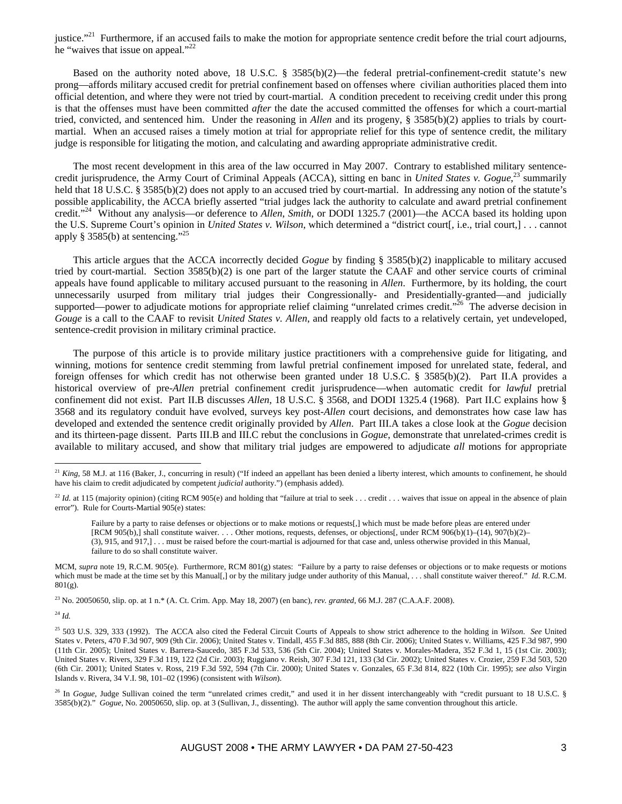justice."<sup>21</sup> Furthermore, if an accused fails to make the motion for appropriate sentence credit before the trial court adjourns, he "waives that issue on appeal."<sup>22</sup>

Based on the authority noted above, 18 U.S.C. § 3585(b)(2)—the federal pretrial-confinement-credit statute's new prong—affords military accused credit for pretrial confinement based on offenses where civilian authorities placed them into official detention, and where they were not tried by court-martial. A condition precedent to receiving credit under this prong is that the offenses must have been committed *after* the date the accused committed the offenses for which a court-martial tried, convicted, and sentenced him. Under the reasoning in *Allen* and its progeny, § 3585(b)(2) applies to trials by courtmartial. When an accused raises a timely motion at trial for appropriate relief for this type of sentence credit, the military judge is responsible for litigating the motion, and calculating and awarding appropriate administrative credit.

The most recent development in this area of the law occurred in May 2007. Contrary to established military sentencecredit jurisprudence, the Army Court of Criminal Appeals (ACCA), sitting en banc in *United States v. Gogue*,<sup>23</sup> summarily held that 18 U.S.C. § 3585(b)(2) does not apply to an accused tried by court-martial. In addressing any notion of the statute's possible applicability, the ACCA briefly asserted "trial judges lack the authority to calculate and award pretrial confinement credit."24 Without any analysis—or deference to *Allen*, *Smith*, or DODI 1325.7 (2001)—the ACCA based its holding upon the U.S. Supreme Court's opinion in *United States v. Wilson*, which determined a "district court[, i.e., trial court,] . . . cannot apply  $\S 3585(b)$  at sentencing."<sup>25</sup>

This article argues that the ACCA incorrectly decided *Gogue* by finding § 3585(b)(2) inapplicable to military accused tried by court-martial. Section 3585(b)(2) is one part of the larger statute the CAAF and other service courts of criminal appeals have found applicable to military accused pursuant to the reasoning in *Allen*. Furthermore, by its holding, the court unnecessarily usurped from military trial judges their Congressionally- and Presidentially-granted—and judicially supported—power to adjudicate motions for appropriate relief claiming "unrelated crimes credit."<sup>26</sup> The adverse decision in *Gouge* is a call to the CAAF to revisit *United States v. Allen*, and reapply old facts to a relatively certain, yet undeveloped, sentence-credit provision in military criminal practice.

The purpose of this article is to provide military justice practitioners with a comprehensive guide for litigating, and winning, motions for sentence credit stemming from lawful pretrial confinement imposed for unrelated state, federal, and foreign offenses for which credit has not otherwise been granted under 18 U.S.C. § 3585(b)(2). Part II.A provides a historical overview of pre-*Allen* pretrial confinement credit jurisprudence—when automatic credit for *lawful* pretrial confinement did not exist. Part II.B discusses *Allen*, 18 U.S.C. § 3568, and DODI 1325.4 (1968). Part II.C explains how § 3568 and its regulatory conduit have evolved, surveys key post-*Allen* court decisions, and demonstrates how case law has developed and extended the sentence credit originally provided by *Allen*. Part III.A takes a close look at the *Gogue* decision and its thirteen-page dissent. Parts III.B and III.C rebut the conclusions in *Gogue*, demonstrate that unrelated-crimes credit is available to military accused, and show that military trial judges are empowered to adjudicate *all* motions for appropriate

23 No. 20050650, slip. op. at 1 n.\* (A. Ct. Crim. App. May 18, 2007) (en banc), *rev. granted*, 66 M.J. 287 (C.A.A.F. 2008).

<sup>24</sup> *Id.*

 $\overline{a}$ 

<sup>&</sup>lt;sup>21</sup> *King*, 58 M.J. at 116 (Baker, J., concurring in result) ("If indeed an appellant has been denied a liberty interest, which amounts to confinement, he should have his claim to credit adjudicated by competent *judicial* authority.") (emphasis added).

<sup>&</sup>lt;sup>22</sup> *Id.* at 115 (majority opinion) (citing RCM 905(e) and holding that "failure at trial to seek . . . credit . . . waives that issue on appeal in the absence of plain error"). Rule for Courts-Martial 905(e) states:

Failure by a party to raise defenses or objections or to make motions or requests[,] which must be made before pleas are entered under [RCM 905(b),] shall constitute waiver. . . . Other motions, requests, defenses, or objections[, under RCM 906(b)(1)–(14), 907(b)(2)– (3), 915, and 917,] . . . must be raised before the court-martial is adjourned for that case and, unless otherwise provided in this Manual, failure to do so shall constitute waiver.

MCM, *supra* note 19, R.C.M. 905(e). Furthermore, RCM 801(g) states: "Failure by a party to raise defenses or objections or to make requests or motions which must be made at the time set by this Manual[,] or by the military judge under authority of this Manual, . . . shall constitute waiver thereof." *Id.* R.C.M. 801(g).

<sup>25 503</sup> U.S. 329, 333 (1992). The ACCA also cited the Federal Circuit Courts of Appeals to show strict adherence to the holding in *Wilson*. *See* United States v. Peters, 470 F.3d 907, 909 (9th Cir. 2006); United States v. Tindall, 455 F.3d 885, 888 (8th Cir. 2006); United States v. Williams, 425 F.3d 987, 990 (11th Cir. 2005); United States v. Barrera-Saucedo, 385 F.3d 533, 536 (5th Cir. 2004); United States v. Morales-Madera, 352 F.3d 1, 15 (1st Cir. 2003); United States v. Rivers, 329 F.3d 119, 122 (2d Cir. 2003); Ruggiano v. Reish, 307 F.3d 121, 133 (3d Cir. 2002); United States v. Crozier, 259 F.3d 503, 520 (6th Cir. 2001); United States v. Ross, 219 F.3d 592, 594 (7th Cir. 2000); United States v. Gonzales, 65 F.3d 814, 822 (10th Cir. 1995); *see also* Virgin Islands v. Rivera, 34 V.I. 98, 101–02 (1996) (consistent with *Wilson*).

<sup>&</sup>lt;sup>26</sup> In *Gogue*, Judge Sullivan coined the term "unrelated crimes credit," and used it in her dissent interchangeably with "credit pursuant to 18 U.S.C. § 3585(b)(2)." *Gogue*, No. 20050650, slip. op. at 3 (Sullivan, J., dissenting). The author will apply the same convention throughout this article.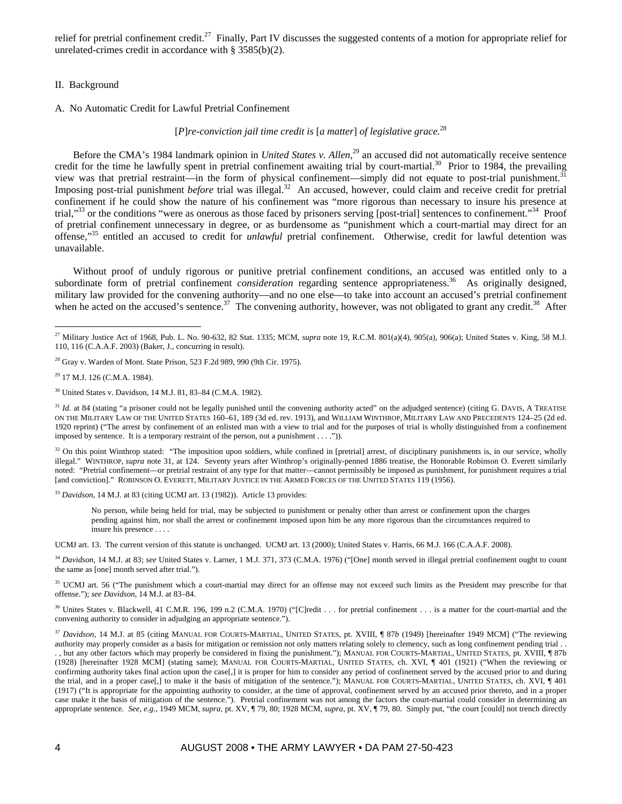relief for pretrial confinement credit.<sup>27</sup> Finally, Part IV discusses the suggested contents of a motion for appropriate relief for unrelated-crimes credit in accordance with § 3585(b)(2).

## II. Background

## A. No Automatic Credit for Lawful Pretrial Confinement

[*P*]*re-conviction jail time credit is* [*a matter*] *of legislative grace.*<sup>28</sup>

Before the CMA's 1984 landmark opinion in *United States v. Allen*, 29 an accused did not automatically receive sentence credit for the time he lawfully spent in pretrial confinement awaiting trial by court-martial.<sup>30</sup> Prior to 1984, the prevailing view was that pretrial restraint—in the form of physical confinement—simply did not equate to post-trial punishment.<sup>3</sup> Imposing post-trial punishment *before* trial was illegal.<sup>32</sup> An accused, however, could claim and receive credit for pretrial confinement if he could show the nature of his confinement was "more rigorous than necessary to insure his presence at trial,"<sup>33</sup> or the conditions "were as onerous as those faced by prisoners serving [post-trial] sentences to confinement."<sup>34</sup> Proof of pretrial confinement unnecessary in degree, or as burdensome as "punishment which a court-martial may direct for an offense,"35 entitled an accused to credit for *unlawful* pretrial confinement. Otherwise, credit for lawful detention was unavailable.

Without proof of unduly rigorous or punitive pretrial confinement conditions, an accused was entitled only to a subordinate form of pretrial confinement *consideration* regarding sentence appropriateness.36 As originally designed, military law provided for the convening authority—and no one else—to take into account an accused's pretrial confinement when he acted on the accused's sentence.<sup>37</sup> The convening authority, however, was not obligated to grant any credit.<sup>38</sup> After

 $\overline{a}$ 

<sup>32</sup> On this point Winthrop stated: "The imposition upon soldiers, while confined in [pretrial] arrest, of disciplinary punishments is, in our service, wholly illegal." WINTHROP, *supra* note 31, at 124. Seventy years after Winthrop's originally-penned 1886 treatise, the Honorable Robinson O. Everett similarly noted: "Pretrial confinement—or pretrial restraint of any type for that matter—cannot permissibly be imposed as punishment, for punishment requires a trial [and conviction]." ROBINSON O. EVERETT, MILITARY JUSTICE IN THE ARMED FORCES OF THE UNITED STATES 119 (1956).

<sup>33</sup> Davidson, 14 M.J. at 83 (citing UCMJ art. 13 (1982)). Article 13 provides:

No person, while being held for trial, may be subjected to punishment or penalty other than arrest or confinement upon the charges pending against him, nor shall the arrest or confinement imposed upon him be any more rigorous than the circumstances required to insure his presence . . . .

UCMJ art. 13. The current version of this statute is unchanged. UCMJ art. 13 (2000); United States v. Harris, 66 M.J. 166 (C.A.A.F. 2008).

<sup>34</sup> Davidson, 14 M.J. at 83; see United States v. Larner, 1 M.J. 371, 373 (C.M.A. 1976) ("[One] month served in illegal pretrial confinement ought to count the same as [one] month served after trial.").

<sup>35</sup> UCMJ art. 56 ("The punishment which a court-martial may direct for an offense may not exceed such limits as the President may prescribe for that offense."); *see Davidson*, 14 M.J. at 83–84.

<sup>36</sup> Unites States v. Blackwell, 41 C.M.R. 196, 199 n.2 (C.M.A. 1970) ("[C]redit . . . for pretrial confinement . . . is a matter for the court-martial and the convening authority to consider in adjudging an appropriate sentence.").

<sup>37</sup> *Davidson*, 14 M.J. at 85 (citing MANUAL FOR COURTS-MARTIAL, UNITED STATES, pt. XVIII, ¶ 87*b* (1949) [hereinafter 1949 MCM] ("The reviewing authority may properly consider as a basis for mitigation or remission not only matters relating solely to clemency, such as long confinement pending trial. . , but any other factors which may properly be considered in fixing the punishment."); MANUAL FOR COURTS-MARTIAL, UNITED STATES, pt. XVIII, ¶ 87b (1928) [hereinafter 1928 MCM] (stating same); MANUAL FOR COURTS-MARTIAL, UNITED STATES, ch. XVI, ¶ 401 (1921) ("When the reviewing or confirming authority takes final action upon the case[,] it is proper for him to consider any period of confinement served by the accused prior to and during the trial, and in a proper case[,] to make it the basis of mitigation of the sentence."); MANUAL FOR COURTS-MARTIAL, UNITED STATES, ch. XVI, ¶ 401 (1917) ("It is appropriate for the appointing authority to consider, at the time of approval, confinement served by an accused prior thereto, and in a proper case make it the basis of mitigation of the sentence."). Pretrial confinement was not among the factors the court-martial could consider in determining an appropriate sentence. *See, e.g.*, 1949 MCM, *supra*, pt. XV, ¶ 79, 80; 1928 MCM, *supra*, pt. XV, ¶ 79, 80. Simply put, "the court [could] not trench directly

<sup>27</sup> Military Justice Act of 1968, Pub. L. No. 90-632, 82 Stat. 1335; MCM, *supra* note 19, R.C.M. 801(a)(4), 905(a), 906(a); United States v. King, 58 M.J. 110, 116 (C.A.A.F. 2003) (Baker, J., concurring in result).

 $^{28}$  Gray v. Warden of Mont. State Prison, 523 F.2d 989, 990 (9th Cir. 1975).

<sup>29 17</sup> M.J. 126 (C.M.A. 1984).

<sup>30</sup> United States v. Davidson, 14 M.J. 81, 83–84 (C.M.A. 1982).

<sup>&</sup>lt;sup>31</sup> *Id.* at 84 (stating "a prisoner could not be legally punished until the convening authority acted" on the adjudged sentence) (citing G. DAVIS, A TREATISE ON THE MILITARY LAW OF THE UNITED STATES 160–61, 189 (3d ed. rev. 1913), and WILLIAM WINTHROP, MILITARY LAW AND PRECEDENTS 124–25 (2d ed. 1920 reprint) ("The arrest by confinement of an enlisted man with a view to trial and for the purposes of trial is wholly distinguished from a confinement imposed by sentence. It is a temporary restraint of the person, not a punishment . . . .")).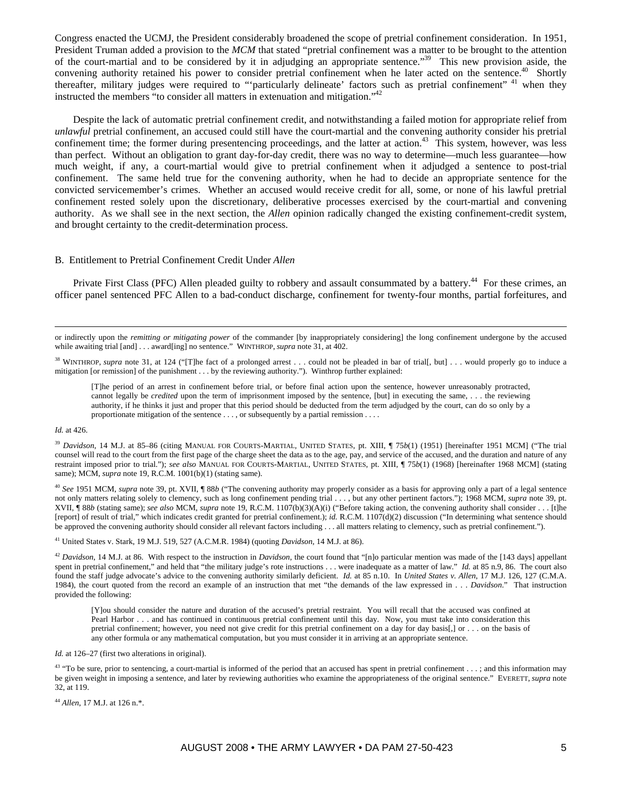Congress enacted the UCMJ, the President considerably broadened the scope of pretrial confinement consideration. In 1951, President Truman added a provision to the MCM that stated "pretrial confinement was a matter to be brought to the attention of the court-martial and to be considered by it in adjudging an appropriate sentence."39 This new provision aside, the convening authority retained his power to consider pretrial confinement when he later acted on the sentence.<sup>40</sup> Shortly thereafter, military judges were required to "'particularly delineate' factors such as pretrial confinement" <sup>41</sup> when they instructed the members "to consider all matters in extenuation and mitigation."42

Despite the lack of automatic pretrial confinement credit, and notwithstanding a failed motion for appropriate relief from *unlawful* pretrial confinement, an accused could still have the court-martial and the convening authority consider his pretrial confinement time; the former during presentencing proceedings, and the latter at action.<sup>43</sup> This system, however, was less than perfect. Without an obligation to grant day-for-day credit, there was no way to determine—much less guarantee—how much weight, if any, a court-martial would give to pretrial confinement when it adjudged a sentence to post-trial confinement. The same held true for the convening authority, when he had to decide an appropriate sentence for the convicted servicemember's crimes. Whether an accused would receive credit for all, some, or none of his lawful pretrial confinement rested solely upon the discretionary, deliberative processes exercised by the court-martial and convening authority. As we shall see in the next section, the *Allen* opinion radically changed the existing confinement-credit system, and brought certainty to the credit-determination process.

#### B. Entitlement to Pretrial Confinement Credit Under *Allen*

Private First Class (PFC) Allen pleaded guilty to robbery and assault consummated by a battery.<sup>44</sup> For these crimes, an officer panel sentenced PFC Allen to a bad-conduct discharge, confinement for twenty-four months, partial forfeitures, and

 or indirectly upon the *remitting or mitigating power* of the commander [by inappropriately considering] the long confinement undergone by the accused while awaiting trial [and] . . . award[ing] no sentence." WINTHROP, *supra* note 31, at 402.

<sup>38</sup> WINTHROP, *supra* note 31, at 124 ("[T]he fact of a prolonged arrest . . . could not be pleaded in bar of trial[, but] . . . would properly go to induce a mitigation [or remission] of the punishment . . . by the reviewing authority."). Winthrop further explained:

[T]he period of an arrest in confinement before trial, or before final action upon the sentence, however unreasonably protracted, cannot legally be *credited* upon the term of imprisonment imposed by the sentence, [but] in executing the same, . . . the reviewing authority, if he thinks it just and proper that this period should be deducted from the term adjudged by the court, can do so only by a proportionate mitigation of the sentence . . . , or subsequently by a partial remission . . . .

#### *Id.* at 426.

<sup>39</sup> Davidson, 14 M.J. at 85-86 (citing MANUAL FOR COURTS-MARTIAL, UNITED STATES, pt. XIII, ¶ 75*b*(1) (1951) [hereinafter 1951 MCM] ("The trial counsel will read to the court from the first page of the charge sheet the data as to the age, pay, and service of the accused, and the duration and nature of any restraint imposed prior to trial."); *see also* MANUAL FOR COURTS-MARTIAL, UNITED STATES, pt. XIII, ¶ 75*b*(1) (1968) [hereinafter 1968 MCM] (stating same); MCM, *supra* note 19, R.C.M. 1001(b)(1) (stating same).

<sup>40</sup> *See* 1951 MCM, *supra* note 39, pt. XVII, ¶ 88*b* ("The convening authority may properly consider as a basis for approving only a part of a legal sentence not only matters relating solely to clemency, such as long confinement pending trial . . . , but any other pertinent factors."); 1968 MCM, *supra* note 39, pt. XVII, ¶ 88*b* (stating same); *see also* MCM, *supra* note 19, R.C.M. 1107(b)(3)(A)(i) ("Before taking action, the convening authority shall consider . . . [t]he [report] of result of trial," which indicates credit granted for pretrial confinement.); *id.* R.C.M. 1107(d)(2) discussion ("In determining what sentence should be approved the convening authority should consider all relevant factors including . . . all matters relating to clemency, such as pretrial confinement.").

41 United States v. Stark, 19 M.J. 519, 527 (A.C.M.R. 1984) (quoting *Davidson*, 14 M.J. at 86).

<sup>42</sup> *Davidson*, 14 M.J. at 86. With respect to the instruction in *Davidson*, the court found that "[n]o particular mention was made of the [143 days] appellant spent in pretrial confinement," and held that "the military judge's rote instructions . . . were inadequate as a matter of law." *Id.* at 85 n.9, 86. The court also found the staff judge advocate's advice to the convening authority similarly deficient. *Id.* at 85 n.10. In *United States v. Allen*, 17 M.J. 126, 127 (C.M.A. 1984), the court quoted from the record an example of an instruction that met "the demands of the law expressed in . . . *Davidson*." That instruction provided the following:

[Y]ou should consider the nature and duration of the accused's pretrial restraint. You will recall that the accused was confined at Pearl Harbor . . . and has continued in continuous pretrial confinement until this day. Now, you must take into consideration this pretrial confinement; however, you need not give credit for this pretrial confinement on a day for day basis[,] or . . . on the basis of any other formula or any mathematical computation, but you must consider it in arriving at an appropriate sentence.

*Id.* at 126–27 (first two alterations in original).

<sup>43</sup> "To be sure, prior to sentencing, a court-martial is informed of the period that an accused has spent in pretrial confinement . . . ; and this information may be given weight in imposing a sentence, and later by reviewing authorities who examine the appropriateness of the original sentence." EVERETT, *supra* note 32, at 119.

<sup>44</sup> *Allen*, 17 M.J. at 126 n.\*.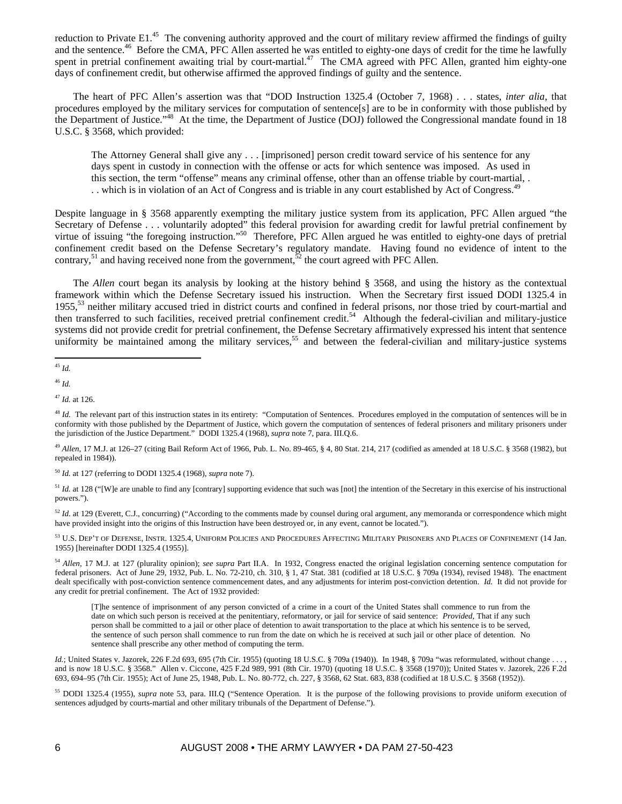reduction to Private E1.<sup>45</sup> The convening authority approved and the court of military review affirmed the findings of guilty and the sentence.<sup>46</sup> Before the CMA, PFC Allen asserted he was entitled to eighty-one days of credit for the time he lawfully spent in pretrial confinement awaiting trial by court-martial.<sup>47</sup> The CMA agreed with PFC Allen, granted him eighty-one days of confinement credit, but otherwise affirmed the approved findings of guilty and the sentence.

The heart of PFC Allen's assertion was that "DOD Instruction 1325.4 (October 7, 1968) . . . states, *inter alia*, that procedures employed by the military services for computation of sentence[s] are to be in conformity with those published by the Department of Justice."<sup>48</sup> At the time, the Department of Justice (DOJ) followed the Congressional mandate found in 18 U.S.C. § 3568, which provided:

The Attorney General shall give any . . . [imprisoned] person credit toward service of his sentence for any days spent in custody in connection with the offense or acts for which sentence was imposed. As used in this section, the term "offense" means any criminal offense, other than an offense triable by court-martial, . . which is in violation of an Act of Congress and is triable in any court established by Act of Congress.<sup>49</sup>

Despite language in § 3568 apparently exempting the military justice system from its application, PFC Allen argued "the Secretary of Defense . . . voluntarily adopted" this federal provision for awarding credit for lawful pretrial confinement by virtue of issuing "the foregoing instruction."<sup>50</sup> Therefore, PFC Allen argued he was entitled to eighty-one days of pretrial confinement credit based on the Defense Secretary's regulatory mandate. Having found no evidence of intent to the contrary,<sup>51</sup> and having received none from the government,<sup>52</sup> the court agreed with PFC Allen.

The *Allen* court began its analysis by looking at the history behind § 3568, and using the history as the contextual framework within which the Defense Secretary issued his instruction. When the Secretary first issued DODI 1325.4 in 1955,<sup>53</sup> neither military accused tried in district courts and confined in federal prisons, nor those tried by court-martial and then transferred to such facilities, received pretrial confinement credit.<sup>54</sup> Although the federal-civilian and military-justice systems did not provide credit for pretrial confinement, the Defense Secretary affirmatively expressed his intent that sentence uniformity be maintained among the military services,<sup>55</sup> and between the federal-civilian and military-justice systems

<sup>52</sup> *Id.* at 129 (Everett, C.J., concurring) ("According to the comments made by counsel during oral argument, any memoranda or correspondence which might have provided insight into the origins of this Instruction have been destroyed or, in any event, cannot be located.").

53 U.S. DEP'T OF DEFENSE, INSTR. 1325.4, UNIFORM POLICIES AND PROCEDURES AFFECTING MILITARY PRISONERS AND PLACES OF CONFINEMENT (14 Jan. 1955) [hereinafter DODI 1325.4 (1955)].

<sup>54</sup> *Allen*, 17 M.J. at 127 (plurality opinion); *see supra* Part II.A. In 1932, Congress enacted the original legislation concerning sentence computation for federal prisoners. Act of June 29, 1932, Pub. L. No. 72-210, ch. 310, § 1, 47 Stat. 381 (codified at 18 U.S.C. § 709a (1934), revised 1948). The enactment dealt specifically with post-conviction sentence commencement dates, and any adjustments for interim post-conviction detention. *Id.* It did not provide for any credit for pretrial confinement. The Act of 1932 provided:

[T]he sentence of imprisonment of any person convicted of a crime in a court of the United States shall commence to run from the date on which such person is received at the penitentiary, reformatory, or jail for service of said sentence: *Provided*, That if any such person shall be committed to a jail or other place of detention to await transportation to the place at which his sentence is to be served, the sentence of such person shall commence to run from the date on which he is received at such jail or other place of detention. No sentence shall prescribe any other method of computing the term.

*Id.*; United States v. Jazorek, 226 F.2d 693, 695 (7th Cir. 1955) (quoting 18 U.S.C. § 709a (1940)). In 1948, § 709a "was reformulated, without change . . . , and is now 18 U.S.C. § 3568." Allen v. Ciccone, 425 F.2d 989, 991 (8th Cir. 1970) (quoting 18 U.S.C. § 3568 (1970)); United States v. Jazorek, 226 F.2d 693, 694–95 (7th Cir. 1955); Act of June 25, 1948, Pub. L. No. 80-772, ch. 227, § 3568, 62 Stat. 683, 838 (codified at 18 U.S.C. § 3568 (1952)).

55 DODI 1325.4 (1955), *supra* note 53, para. III.Q ("Sentence Operation. It is the purpose of the following provisions to provide uniform execution of sentences adjudged by courts-martial and other military tribunals of the Department of Defense.").

 $\overline{a}$ <sup>45</sup> *Id.*

<sup>46</sup> *Id.*

<sup>47</sup> *Id.* at 126.

<sup>&</sup>lt;sup>48</sup> *Id.* The relevant part of this instruction states in its entirety: "Computation of Sentences. Procedures employed in the computation of sentences will be in conformity with those published by the Department of Justice, which govern the computation of sentences of federal prisoners and military prisoners under the jurisdiction of the Justice Department." DODI 1325.4 (1968), *supra* note 7, para. III.Q.6.

<sup>49</sup> *Allen*, 17 M.J. at 126–27 (citing Bail Reform Act of 1966, Pub. L. No. 89-465, § 4, 80 Stat. 214, 217 (codified as amended at 18 U.S.C. § 3568 (1982), but repealed in 1984)).

<sup>50</sup> *Id.* at 127 (referring to DODI 1325.4 (1968), *supra* note 7).

 $51$  *Id.* at 128 ("[W]e are unable to find any [contrary] supporting evidence that such was [not] the intention of the Secretary in this exercise of his instructional powers.").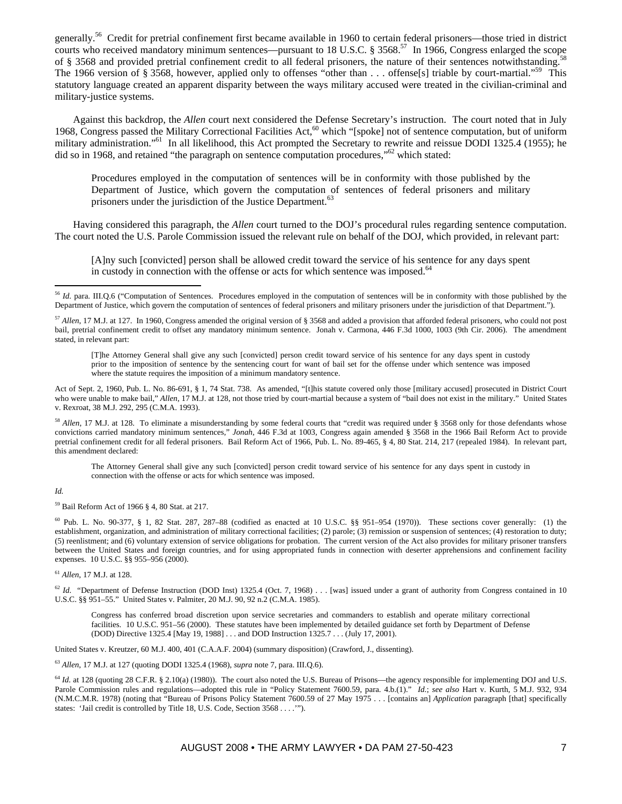generally.56 Credit for pretrial confinement first became available in 1960 to certain federal prisoners—those tried in district courts who received mandatory minimum sentences—pursuant to 18 U.S.C. § 3568.<sup>57</sup> In 1966, Congress enlarged the scope of § 3568 and provided pretrial confinement credit to all federal prisoners, the nature of their sentences notwithstanding.<sup>5</sup> The 1966 version of § 3568, however, applied only to offenses "other than . . . offense[s] triable by court-martial."<sup>59</sup> This statutory language created an apparent disparity between the ways military accused were treated in the civilian-criminal and military-justice systems.

Against this backdrop, the *Allen* court next considered the Defense Secretary's instruction. The court noted that in July 1968, Congress passed the Military Correctional Facilities Act,<sup>60</sup> which "[spoke] not of sentence computation, but of uniform military administration."<sup>61</sup> In all likelihood, this Act prompted the Secretary to rewrite and reissue DODI 1325.4 (1955); he did so in 1968, and retained "the paragraph on sentence computation procedures,"<sup>62</sup> which stated:

Procedures employed in the computation of sentences will be in conformity with those published by the Department of Justice, which govern the computation of sentences of federal prisoners and military prisoners under the jurisdiction of the Justice Department.<sup>63</sup>

Having considered this paragraph, the *Allen* court turned to the DOJ's procedural rules regarding sentence computation. The court noted the U.S. Parole Commission issued the relevant rule on behalf of the DOJ, which provided, in relevant part:

[A]ny such [convicted] person shall be allowed credit toward the service of his sentence for any days spent in custody in connection with the offense or acts for which sentence was imposed.<sup>64</sup>

[T]he Attorney General shall give any such [convicted] person credit toward service of his sentence for any days spent in custody prior to the imposition of sentence by the sentencing court for want of bail set for the offense under which sentence was imposed where the statute requires the imposition of a minimum mandatory sentence.

Act of Sept. 2, 1960, Pub. L. No. 86-691, § 1, 74 Stat. 738. As amended, "[t]his statute covered only those [military accused] prosecuted in District Court who were unable to make bail," *Allen*, 17 M.J. at 128, not those tried by court-martial because a system of "bail does not exist in the military." United States v. Rexroat, 38 M.J. 292, 295 (C.M.A. 1993).

<sup>58</sup> Allen, 17 M.J. at 128. To eliminate a misunderstanding by some federal courts that "credit was required under § 3568 only for those defendants whose convictions carried mandatory minimum sentences," *Jonah*, 446 F.3d at 1003, Congress again amended § 3568 in the 1966 Bail Reform Act to provide pretrial confinement credit for all federal prisoners. Bail Reform Act of 1966, Pub. L. No. 89-465, § 4, 80 Stat. 214, 217 (repealed 1984). In relevant part, this amendment declared:

The Attorney General shall give any such [convicted] person credit toward service of his sentence for any days spent in custody in connection with the offense or acts for which sentence was imposed.

#### *Id.*

 $\overline{a}$ 

59 Bail Reform Act of 1966 § 4, 80 Stat. at 217.

<sup>60</sup> Pub. L. No. 90-377, § 1, 82 Stat. 287, 287–88 (codified as enacted at 10 U.S.C. §§ 951–954 (1970)). These sections cover generally: (1) the establishment, organization, and administration of military correctional facilities; (2) parole; (3) remission or suspension of sentences; (4) restoration to duty; (5) reenlistment; and (6) voluntary extension of service obligations for probation. The current version of the Act also provides for military prisoner transfers between the United States and foreign countries, and for using appropriated funds in connection with deserter apprehensions and confinement facility expenses. 10 U.S.C. §§ 955–956 (2000).

<sup>61</sup> *Allen*, 17 M.J. at 128.

 $^{62}$  *Id.* "Department of Defense Instruction (DOD Inst) 1325.4 (Oct. 7, 1968) . . . [was] issued under a grant of authority from Congress contained in 10 U.S.C. §§ 951–55." United States v. Palmiter, 20 M.J. 90, 92 n.2 (C.M.A. 1985).

Congress has conferred broad discretion upon service secretaries and commanders to establish and operate military correctional facilities. 10 U.S.C. 951–56 (2000). These statutes have been implemented by detailed guidance set forth by Department of Defense (DOD) Directive 1325.4 [May 19, 1988] . . . and DOD Instruction 1325.7 . . . (July 17, 2001).

United States v. Kreutzer, 60 M.J. 400, 401 (C.A.A.F. 2004) (summary disposition) (Crawford, J., dissenting).

<sup>63</sup> *Allen*, 17 M.J. at 127 (quoting DODI 1325.4 (1968), *supra* note 7, para. III.Q.6).

<sup>64</sup> *Id.* at 128 (quoting 28 C.F.R. § 2.10(a) (1980)). The court also noted the U.S. Bureau of Prisons—the agency responsible for implementing DOJ and U.S. Parole Commission rules and regulations—adopted this rule in "Policy Statement 7600.59, para. 4.b.(1)." *Id.*; *see also* Hart v. Kurth, 5 M.J. 932, 934 (N.M.C.M.R. 1978) (noting that "Bureau of Prisons Policy Statement 7600.59 of 27 May 1975 . . . [contains an] *Application* paragraph [that] specifically states: 'Jail credit is controlled by Title 18, U.S. Code, Section 3568 . . . .'").

<sup>&</sup>lt;sup>56</sup> *Id.* para. III.Q.6 ("Computation of Sentences. Procedures employed in the computation of sentences will be in conformity with those published by the Department of Justice, which govern the computation of sentences of federal prisoners and military prisoners under the jurisdiction of that Department.").

<sup>57</sup> *Allen*, 17 M.J. at 127. In 1960, Congress amended the original version of § 3568 and added a provision that afforded federal prisoners, who could not post bail, pretrial confinement credit to offset any mandatory minimum sentence. Jonah v. Carmona, 446 F.3d 1000, 1003 (9th Cir. 2006). The amendment stated, in relevant part: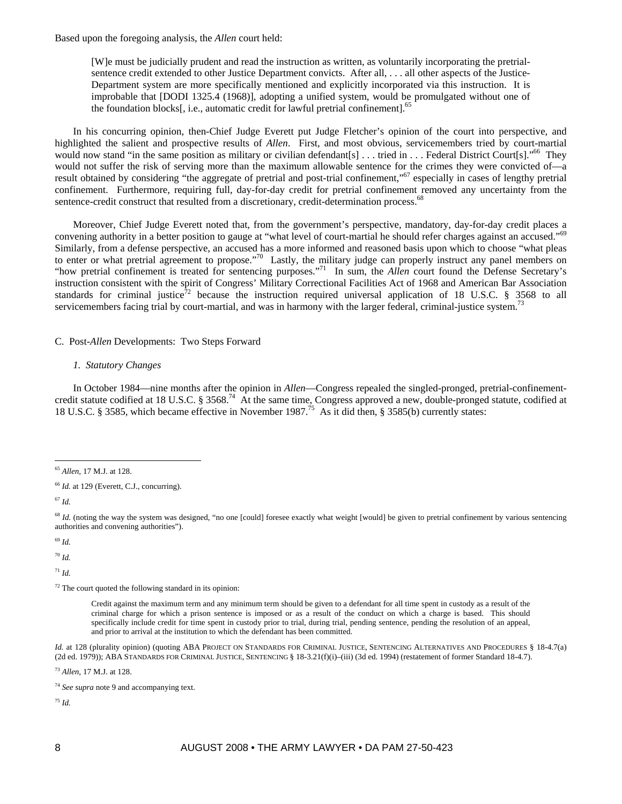Based upon the foregoing analysis, the *Allen* court held:

[W]e must be judicially prudent and read the instruction as written, as voluntarily incorporating the pretrialsentence credit extended to other Justice Department convicts. After all, ... all other aspects of the Justice-Department system are more specifically mentioned and explicitly incorporated via this instruction. It is improbable that [DODI 1325.4 (1968)], adopting a unified system, would be promulgated without one of the foundation blocks[, i.e., automatic credit for lawful pretrial confinement].<sup>6</sup>

In his concurring opinion, then-Chief Judge Everett put Judge Fletcher's opinion of the court into perspective, and highlighted the salient and prospective results of *Allen*. First, and most obvious, servicemembers tried by court-martial would now stand "in the same position as military or civilian defendant[s]  $\dots$  tried in  $\dots$  Federal District Court[s]."<sup>66</sup> They would not suffer the risk of serving more than the maximum allowable sentence for the crimes they were convicted of—a result obtained by considering "the aggregate of pretrial and post-trial confinement,"67 especially in cases of lengthy pretrial confinement. Furthermore, requiring full, day-for-day credit for pretrial confinement removed any uncertainty from the sentence-credit construct that resulted from a discretionary, credit-determination process.<sup>68</sup>

Moreover, Chief Judge Everett noted that, from the government's perspective, mandatory, day-for-day credit places a convening authority in a better position to gauge at "what level of court-martial he should refer charges against an accused."<sup>69</sup> Similarly, from a defense perspective, an accused has a more informed and reasoned basis upon which to choose "what pleas to enter or what pretrial agreement to propose."<sup>70</sup> Lastly, the military judge can properly instruct any panel members on "how pretrial confinement is treated for sentencing purposes."<sup>71</sup> In sum, the *Allen* court found the Defense Secretary's instruction consistent with the spirit of Congress' Military Correctional Facilities Act of 1968 and American Bar Association standards for criminal justice<sup>72</sup> because the instruction required universal application of 18 U.S.C. § 3568 to all servicemembers facing trial by court-martial, and was in harmony with the larger federal, criminal-justice system.<sup>7</sup>

# C. Post-*Allen* Developments: Two Steps Forward

# *1. Statutory Changes*

In October 1984—nine months after the opinion in *Allen*—Congress repealed the singled-pronged, pretrial-confinementcredit statute codified at 18 U.S.C.  $\S 3568$ .<sup>74</sup> At the same time, Congress approved a new, double-pronged statute, codified at 18 U.S.C. § 3585, which became effective in November 1987.75 As it did then, § 3585(b) currently states:

<sup>67</sup> *Id.*

<sup>69</sup> *Id.*

<sup>70</sup> *Id.*

<sup>71</sup> *Id.*

 $72$  The court quoted the following standard in its opinion:

Credit against the maximum term and any minimum term should be given to a defendant for all time spent in custody as a result of the criminal charge for which a prison sentence is imposed or as a result of the conduct on which a charge is based. This should specifically include credit for time spent in custody prior to trial, during trial, pending sentence, pending the resolution of an appeal, and prior to arrival at the institution to which the defendant has been committed.

*Id.* at 128 (plurality opinion) (quoting ABA PROJECT ON STANDARDS FOR CRIMINAL JUSTICE, SENTENCING ALTERNATIVES AND PROCEDURES § 18-4.7(a) (2d ed. 1979)); ABA STANDARDS FOR CRIMINAL JUSTICE, SENTENCING § 18-3.21(f)(i)–(iii) (3d ed. 1994) (restatement of former Standard 18-4.7).

<sup>73</sup> *Allen*, 17 M.J. at 128.

<sup>75</sup> *Id.*

 $\overline{a}$ <sup>65</sup> *Allen*, 17 M.J. at 128.

<sup>&</sup>lt;sup>66</sup> *Id.* at 129 (Everett, C.J., concurring).

 $68$  *Id.* (noting the way the system was designed, "no one [could] foresee exactly what weight [would] be given to pretrial confinement by various sentencing authorities and convening authorities").

<sup>74</sup> *See supra* note 9 and accompanying text.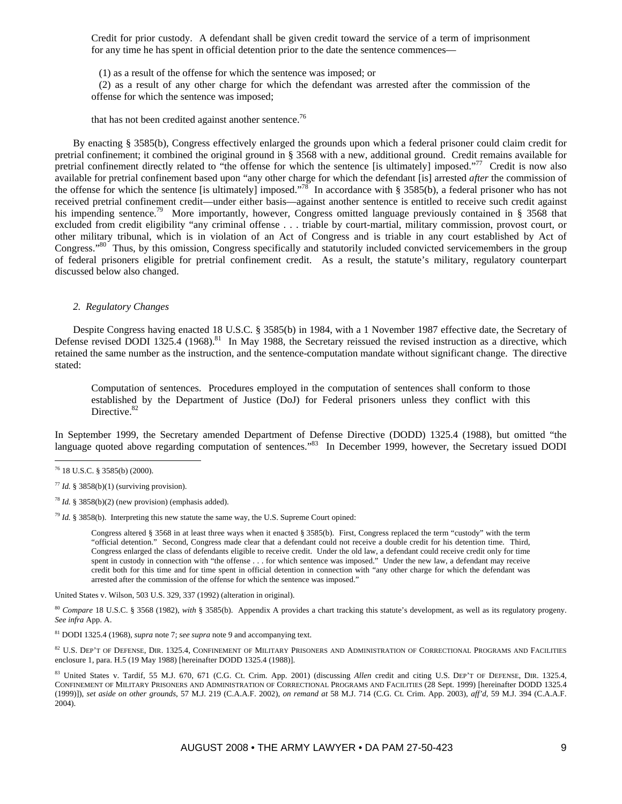Credit for prior custody. A defendant shall be given credit toward the service of a term of imprisonment for any time he has spent in official detention prior to the date the sentence commences—

(1) as a result of the offense for which the sentence was imposed; or

 (2) as a result of any other charge for which the defendant was arrested after the commission of the offense for which the sentence was imposed;

that has not been credited against another sentence.<sup>76</sup>

By enacting § 3585(b), Congress effectively enlarged the grounds upon which a federal prisoner could claim credit for pretrial confinement; it combined the original ground in § 3568 with a new, additional ground. Credit remains available for pretrial confinement directly related to "the offense for which the sentence [is ultimately] imposed."<sup>77</sup> Credit is now also available for pretrial confinement based upon "any other charge for which the defendant [is] arrested *after* the commission of the offense for which the sentence [is ultimately] imposed."<sup>78</sup> In accordance with § 3585(b), a federal prisoner who has not received pretrial confinement credit—under either basis—against another sentence is entitled to receive such credit against his impending sentence.<sup>79</sup> More importantly, however, Congress omitted language previously contained in § 3568 that excluded from credit eligibility "any criminal offense . . . triable by court-martial, military commission, provost court, or other military tribunal, which is in violation of an Act of Congress and is triable in any court established by Act of Congress."80 Thus, by this omission, Congress specifically and statutorily included convicted servicemembers in the group of federal prisoners eligible for pretrial confinement credit. As a result, the statute's military, regulatory counterpart discussed below also changed.

# *2. Regulatory Changes*

Despite Congress having enacted 18 U.S.C. § 3585(b) in 1984, with a 1 November 1987 effective date, the Secretary of Defense revised DODI 1325.4 (1968).<sup>81</sup> In May 1988, the Secretary reissued the revised instruction as a directive, which retained the same number as the instruction, and the sentence-computation mandate without significant change. The directive stated:

Computation of sentences. Procedures employed in the computation of sentences shall conform to those established by the Department of Justice (DoJ) for Federal prisoners unless they conflict with this Directive.<sup>82</sup>

In September 1999, the Secretary amended Department of Defense Directive (DODD) 1325.4 (1988), but omitted "the language quoted above regarding computation of sentences."<sup>83</sup> In December 1999, however, the Secretary issued DODI

 $\overline{a}$ 

<sup>79</sup> *Id.* § 3858(b). Interpreting this new statute the same way, the U.S. Supreme Court opined:

Congress altered § 3568 in at least three ways when it enacted § 3585(b). First, Congress replaced the term "custody" with the term "official detention." Second, Congress made clear that a defendant could not receive a double credit for his detention time. Third, Congress enlarged the class of defendants eligible to receive credit. Under the old law, a defendant could receive credit only for time spent in custody in connection with "the offense . . . for which sentence was imposed." Under the new law, a defendant may receive credit both for this time and for time spent in official detention in connection with "any other charge for which the defendant was arrested after the commission of the offense for which the sentence was imposed."

United States v. Wilson, 503 U.S. 329, 337 (1992) (alteration in original).

<sup>80</sup> *Compare* 18 U.S.C. § 3568 (1982), *with* § 3585(b). Appendix A provides a chart tracking this statute's development, as well as its regulatory progeny. *See infra* App. A.

81 DODI 1325.4 (1968), *supra* note 7; *see supra* note 9 and accompanying text.

82 U.S. DEP'T OF DEFENSE, DIR. 1325.4, CONFINEMENT OF MILITARY PRISONERS AND ADMINISTRATION OF CORRECTIONAL PROGRAMS AND FACILITIES enclosure 1, para. H.5 (19 May 1988) [hereinafter DODD 1325.4 (1988)].

 $^{76}$  18 U.S.C. § 3585(b) (2000).

<sup>77</sup> *Id.* § 3858(b)(1) (surviving provision).

<sup>&</sup>lt;sup>78</sup> *Id.* § 3858(b)(2) (new provision) (emphasis added).

<sup>83</sup> United States v. Tardif, 55 M.J. 670, 671 (C.G. Ct. Crim. App. 2001) (discussing *Allen* credit and citing U.S. DEP'T OF DEFENSE, DIR. 1325.4, CONFINEMENT OF MILITARY PRISONERS AND ADMINISTRATION OF CORRECTIONAL PROGRAMS AND FACILITIES (28 Sept. 1999) [hereinafter DODD 1325.4 (1999)]), *set aside on other grounds*, 57 M.J. 219 (C.A.A.F. 2002), *on remand at* 58 M.J. 714 (C.G. Ct. Crim. App. 2003), *aff'd*, 59 M.J. 394 (C.A.A.F. 2004).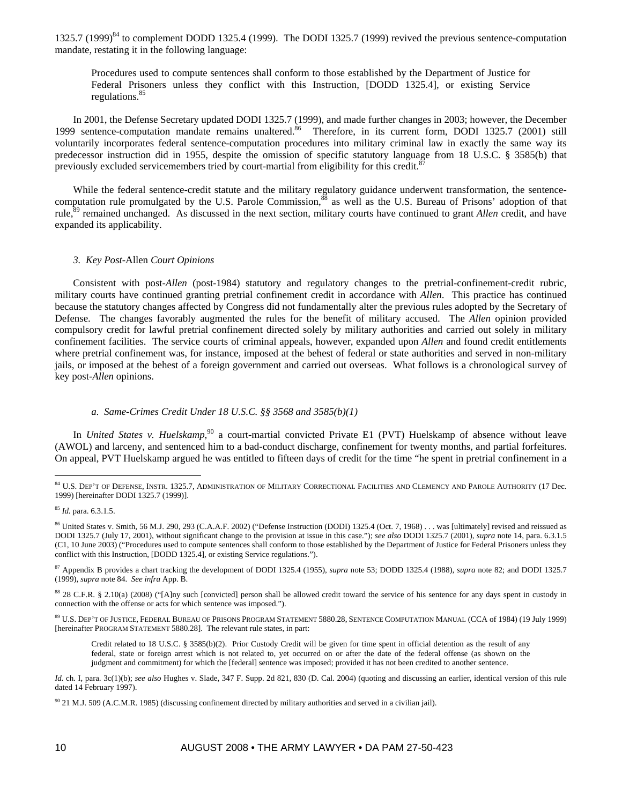1325.7 (1999)<sup>84</sup> to complement DODD 1325.4 (1999). The DODI 1325.7 (1999) revived the previous sentence-computation mandate, restating it in the following language:

Procedures used to compute sentences shall conform to those established by the Department of Justice for Federal Prisoners unless they conflict with this Instruction, [DODD 1325.4], or existing Service regulations.<sup>85</sup>

In 2001, the Defense Secretary updated DODI 1325.7 (1999), and made further changes in 2003; however, the December 1999 sentence-computation mandate remains unaltered.<sup>86</sup> Therefore, in its current form, DODI 1325.7 (2001) still voluntarily incorporates federal sentence-computation procedures into military criminal law in exactly the same way its predecessor instruction did in 1955, despite the omission of specific statutory language from 18 U.S.C. § 3585(b) that previously excluded servicemembers tried by court-martial from eligibility for this credit.<sup>8</sup>

While the federal sentence-credit statute and the military regulatory guidance underwent transformation, the sentencecomputation rule promulgated by the U.S. Parole Commission,<sup>88</sup> as well as the U.S. Bureau of Prisons' adoption of that rule,<sup>89</sup> remained unchanged. As discussed in the next section, military courts have continued to grant *Allen* credit, and have expanded its applicability.

# *3. Key Post-*Allen *Court Opinions*

Consistent with post-*Allen* (post-1984) statutory and regulatory changes to the pretrial-confinement-credit rubric, military courts have continued granting pretrial confinement credit in accordance with *Allen*. This practice has continued because the statutory changes affected by Congress did not fundamentally alter the previous rules adopted by the Secretary of Defense. The changes favorably augmented the rules for the benefit of military accused. The *Allen* opinion provided compulsory credit for lawful pretrial confinement directed solely by military authorities and carried out solely in military confinement facilities. The service courts of criminal appeals, however, expanded upon *Allen* and found credit entitlements where pretrial confinement was, for instance, imposed at the behest of federal or state authorities and served in non-military jails, or imposed at the behest of a foreign government and carried out overseas. What follows is a chronological survey of key post-*Allen* opinions.

## *a. Same-Crimes Credit Under 18 U.S.C. §§ 3568 and 3585(b)(1)*

In *United States v. Huelskamp*,<sup>90</sup> a court-martial convicted Private E1 (PVT) Huelskamp of absence without leave (AWOL) and larceny, and sentenced him to a bad-conduct discharge, confinement for twenty months, and partial forfeitures. On appeal, PVT Huelskamp argued he was entitled to fifteen days of credit for the time "he spent in pretrial confinement in a

 $\overline{a}$ 

87 Appendix B provides a chart tracking the development of DODI 1325.4 (1955), *supra* note 53; DODD 1325.4 (1988), *supra* note 82; and DODI 1325.7 (1999), *supra* note 84. *See infra* App. B.

88 28 C.F.R. § 2.10(a) (2008) ("[A]ny such [convicted] person shall be allowed credit toward the service of his sentence for any days spent in custody in connection with the offense or acts for which sentence was imposed.").

89 U.S. DEP'T OF JUSTICE, FEDERAL BUREAU OF PRISONS PROGRAM STATEMENT 5880.28, SENTENCE COMPUTATION MANUAL (CCA of 1984) (19 July 1999) [hereinafter PROGRAM STATEMENT 5880.28]. The relevant rule states, in part:

Credit related to 18 U.S.C. § 3585(b)(2). Prior Custody Credit will be given for time spent in official detention as the result of any federal, state or foreign arrest which is not related to, yet occurred on or after the date of the federal offense (as shown on the judgment and commitment) for which the [federal] sentence was imposed; provided it has not been credited to another sentence.

*Id.* ch. I, para. 3c(1)(b); *see also* Hughes v. Slade, 347 F. Supp. 2d 821, 830 (D. Cal. 2004) (quoting and discussing an earlier, identical version of this rule dated 14 February 1997).

<sup>84</sup> U.S. DEP'T OF DEFENSE, INSTR. 1325.7, ADMINISTRATION OF MILITARY CORRECTIONAL FACILITIES AND CLEMENCY AND PAROLE AUTHORITY (17 Dec. 1999) [hereinafter DODI 1325.7 (1999)].

<sup>85</sup> *Id.* para. 6.3.1.5.

<sup>86</sup> United States v. Smith, 56 M.J. 290, 293 (C.A.A.F. 2002) ("Defense Instruction (DODI) 1325.4 (Oct. 7, 1968) . . . was [ultimately] revised and reissued as DODI 1325.7 (July 17, 2001), without significant change to the provision at issue in this case."); *see also* DODI 1325.7 (2001), *supra* note 14, para. 6.3.1.5 (C1, 10 June 2003) ("Procedures used to compute sentences shall conform to those established by the Department of Justice for Federal Prisoners unless they conflict with this Instruction, [DODD 1325.4], or existing Service regulations.").

<sup>90 21</sup> M.J. 509 (A.C.M.R. 1985) (discussing confinement directed by military authorities and served in a civilian jail).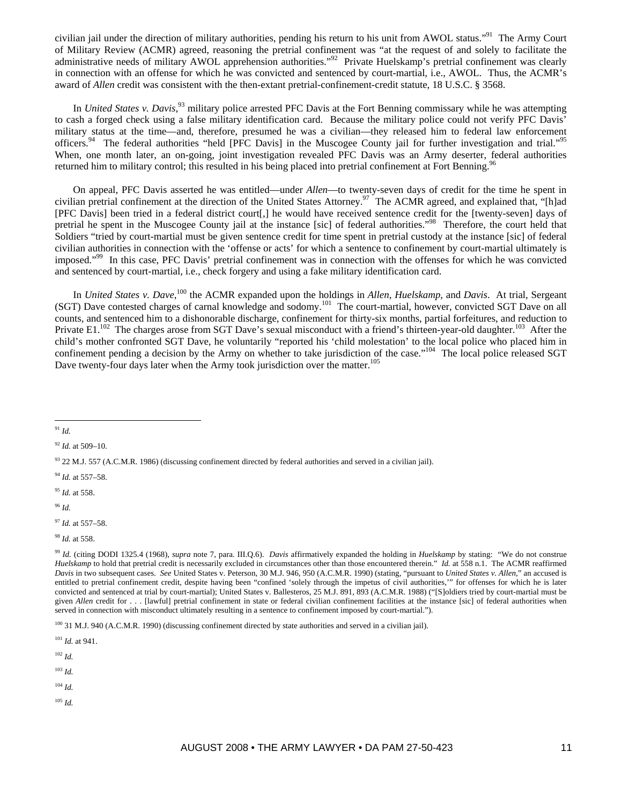civilian jail under the direction of military authorities, pending his return to his unit from AWOL status."91 The Army Court of Military Review (ACMR) agreed, reasoning the pretrial confinement was "at the request of and solely to facilitate the administrative needs of military AWOL apprehension authorities."92 Private Huelskamp's pretrial confinement was clearly in connection with an offense for which he was convicted and sentenced by court-martial, i.e., AWOL. Thus, the ACMR's award of *Allen* credit was consistent with the then-extant pretrial-confinement-credit statute, 18 U.S.C. § 3568.

In *United States v. Davis*, 93 military police arrested PFC Davis at the Fort Benning commissary while he was attempting to cash a forged check using a false military identification card. Because the military police could not verify PFC Davis' military status at the time—and, therefore, presumed he was a civilian—they released him to federal law enforcement officers.<sup>94</sup> The federal authorities "held [PFC Davis] in the Muscogee County jail for further investigation and trial."<sup>95</sup> When, one month later, an on-going, joint investigation revealed PFC Davis was an Army deserter, federal authorities returned him to military control; this resulted in his being placed into pretrial confinement at Fort Benning.

On appeal, PFC Davis asserted he was entitled—under *Allen*—to twenty-seven days of credit for the time he spent in civilian pretrial confinement at the direction of the United States Attorney.<sup>97</sup> The ACMR agreed, and explained that, "[h]ad [PFC Davis] been tried in a federal district court[,] he would have received sentence credit for the [twenty-seven] days of pretrial he spent in the Muscogee County jail at the instance [sic] of federal authorities."98 Therefore, the court held that Soldiers "tried by court-martial must be given sentence credit for time spent in pretrial custody at the instance [sic] of federal civilian authorities in connection with the 'offense or acts' for which a sentence to confinement by court-martial ultimately is imposed."99 In this case, PFC Davis' pretrial confinement was in connection with the offenses for which he was convicted and sentenced by court-martial, i.e., check forgery and using a fake military identification card.

In *United States v. Dave*, 100 the ACMR expanded upon the holdings in *Allen*, *Huelskamp*, and *Davis*. At trial, Sergeant (SGT) Dave contested charges of carnal knowledge and sodomy.<sup>101</sup> The court-martial, however, convicted SGT Dave on all counts, and sentenced him to a dishonorable discharge, confinement for thirty-six months, partial forfeitures, and reduction to Private E1.<sup>102</sup> The charges arose from SGT Dave's sexual misconduct with a friend's thirteen-year-old daughter.<sup>103</sup> After the child's mother confronted SGT Dave, he voluntarily "reported his 'child molestation' to the local police who placed him in confinement pending a decision by the Army on whether to take jurisdiction of the case."<sup>104</sup> The local police released SGT Dave twenty-four days later when the Army took jurisdiction over the matter.<sup>105</sup>

- <sup>94</sup> *Id.* at 557–58.
- <sup>95</sup> *Id.* at 558.

<sup>96</sup> *Id.*

<sup>101</sup> *Id.* at 941.

<sup>102</sup> *Id.*

- <sup>103</sup> *Id.*
- <sup>104</sup> *Id.*
- <sup>105</sup> *Id.*

 $\overline{a}$ <sup>91</sup> *Id.*

<sup>92</sup> *Id.* at 509–10.

<sup>93 22</sup> M.J. 557 (A.C.M.R. 1986) (discussing confinement directed by federal authorities and served in a civilian jail).

<sup>97</sup> *Id.* at 557–58.

<sup>98</sup> *Id.* at 558.

<sup>99</sup> *Id.* (citing DODI 1325.4 (1968), *supra* note 7, para. III.Q.6). *Davis* affirmatively expanded the holding in *Huelskamp* by stating: "We do not construe *Huelskamp* to hold that pretrial credit is necessarily excluded in circumstances other than those encountered therein." *Id.* at 558 n.1. The ACMR reaffirmed *Davis* in two subsequent cases. *See* United States v. Peterson, 30 M.J. 946, 950 (A.C.M.R. 1990) (stating, "pursuant to *United States v. Allen*," an accused is entitled to pretrial confinement credit, despite having been "confined 'solely through the impetus of civil authorities,'" for offenses for which he is later convicted and sentenced at trial by court-martial); United States v. Ballesteros, 25 M.J. 891, 893 (A.C.M.R. 1988) ("[S]oldiers tried by court-martial must be given *Allen* credit for . . . [lawful] pretrial confinement in state or federal civilian confinement facilities at the instance [sic] of federal authorities when served in connection with misconduct ultimately resulting in a sentence to confinement imposed by court-martial.").

<sup>&</sup>lt;sup>100</sup> 31 M.J. 940 (A.C.M.R. 1990) (discussing confinement directed by state authorities and served in a civilian jail).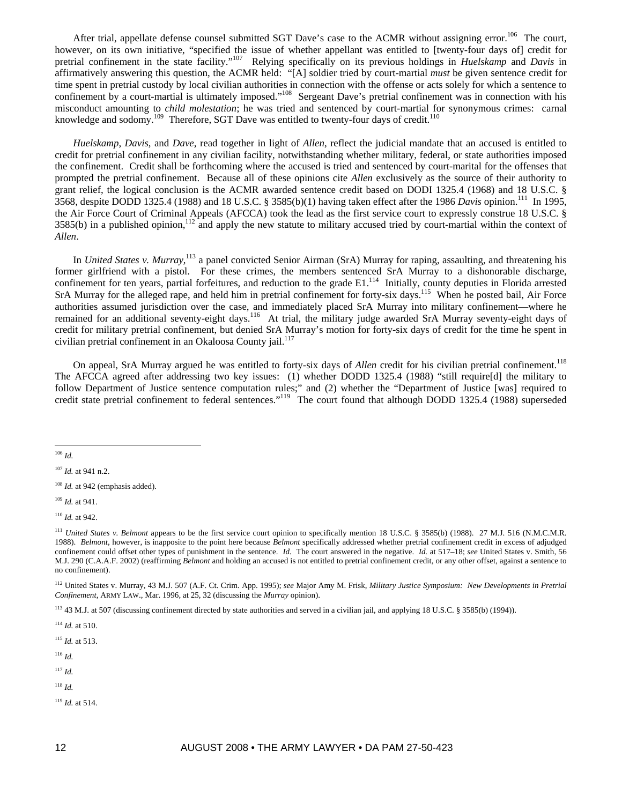After trial, appellate defense counsel submitted SGT Dave's case to the ACMR without assigning error.<sup>106</sup> The court, however, on its own initiative, "specified the issue of whether appellant was entitled to [twenty-four days of] credit for pretrial confinement in the state facility."107 Relying specifically on its previous holdings in *Huelskamp* and *Davis* in affirmatively answering this question, the ACMR held: "[A] soldier tried by court-martial *must* be given sentence credit for time spent in pretrial custody by local civilian authorities in connection with the offense or acts solely for which a sentence to confinement by a court-martial is ultimately imposed."<sup>108</sup> Sergeant Dave's pretrial confinement was in connection with his misconduct amounting to *child molestation*; he was tried and sentenced by court-martial for synonymous crimes: carnal knowledge and sodomy.<sup>109</sup> Therefore, SGT Dave was entitled to twenty-four days of credit.<sup>110</sup>

*Huelskamp*, *Davis*, and *Dave*, read together in light of *Allen*, reflect the judicial mandate that an accused is entitled to credit for pretrial confinement in any civilian facility, notwithstanding whether military, federal, or state authorities imposed the confinement. Credit shall be forthcoming where the accused is tried and sentenced by court-marital for the offenses that prompted the pretrial confinement. Because all of these opinions cite *Allen* exclusively as the source of their authority to grant relief, the logical conclusion is the ACMR awarded sentence credit based on DODI 1325.4 (1968) and 18 U.S.C. § 3568, despite DODD 1325.4 (1988) and 18 U.S.C. § 3585(b)(1) having taken effect after the 1986 *Davis* opinion.111 In 1995, the Air Force Court of Criminal Appeals (AFCCA) took the lead as the first service court to expressly construe 18 U.S.C. §  $3585(b)$  in a published opinion,<sup>112</sup> and apply the new statute to military accused tried by court-martial within the context of *Allen*.

In *United States v. Murray*,<sup>113</sup> a panel convicted Senior Airman (SrA) Murray for raping, assaulting, and threatening his former girlfriend with a pistol. For these crimes, the members sentenced SrA Murray to a dishonorable discharge, confinement for ten years, partial forfeitures, and reduction to the grade E1.<sup>114</sup> Initially, county deputies in Florida arrested SrA Murray for the alleged rape, and held him in pretrial confinement for forty-six days.<sup>115</sup> When he posted bail, Air Force authorities assumed jurisdiction over the case, and immediately placed SrA Murray into military confinement—where he remained for an additional seventy-eight days.<sup>116</sup> At trial, the military judge awarded SrA Murray seventy-eight days of credit for military pretrial confinement, but denied SrA Murray's motion for forty-six days of credit for the time he spent in civilian pretrial confinement in an Okaloosa County jail. $117$ 

On appeal, SrA Murray argued he was entitled to forty-six days of *Allen* credit for his civilian pretrial confinement.<sup>118</sup> The AFCCA agreed after addressing two key issues: (1) whether DODD 1325.4 (1988) "still require[d] the military to follow Department of Justice sentence computation rules;" and (2) whether the "Department of Justice [was] required to credit state pretrial confinement to federal sentences."119 The court found that although DODD 1325.4 (1988) superseded

<sup>109</sup> *Id.* at 941.

<sup>114</sup> *Id.* at 510.

<sup>115</sup> *Id.* at 513.

<sup>116</sup> *Id.*

<sup>117</sup> *Id.*

<sup>118</sup> *Id.*

<sup>119</sup> *Id.* at 514.

 $\overline{a}$ <sup>106</sup> *Id.*

<sup>107</sup> *Id.* at 941 n.2.

<sup>&</sup>lt;sup>108</sup> *Id.* at 942 (emphasis added).

<sup>110</sup> *Id.* at 942.

<sup>&</sup>lt;sup>111</sup> *United States v. Belmont* appears to be the first service court opinion to specifically mention 18 U.S.C. § 3585(b) (1988). 27 M.J. 516 (N.M.C.M.R. 1988). *Belmont*, however, is inapposite to the point here because *Belmont* specifically addressed whether pretrial confinement credit in excess of adjudged confinement could offset other types of punishment in the sentence. *Id.* The court answered in the negative. *Id.* at 517–18; *see* United States v. Smith, 56 M.J. 290 (C.A.A.F. 2002) (reaffirming *Belmont* and holding an accused is not entitled to pretrial confinement credit, or any other offset, against a sentence to no confinement).

<sup>112</sup> United States v. Murray, 43 M.J. 507 (A.F. Ct. Crim. App. 1995); *see* Major Amy M. Frisk, *Military Justice Symposium: New Developments in Pretrial Confinement*, ARMY LAW., Mar. 1996, at 25, 32 (discussing the *Murray* opinion).

<sup>&</sup>lt;sup>113</sup> 43 M.J. at 507 (discussing confinement directed by state authorities and served in a civilian jail, and applying 18 U.S.C. § 3585(b) (1994)).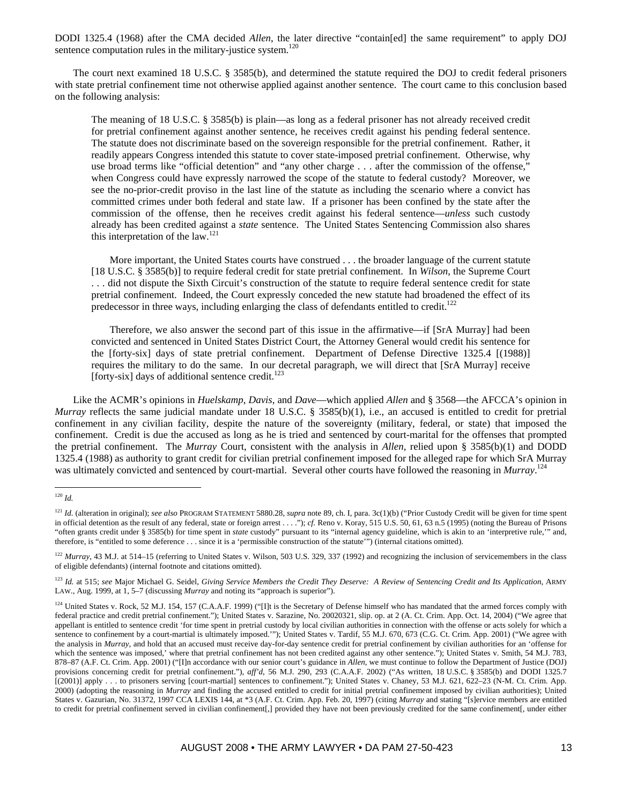DODI 1325.4 (1968) after the CMA decided *Allen*, the later directive "contain[ed] the same requirement" to apply DOJ sentence computation rules in the military-justice system.<sup>120</sup>

The court next examined 18 U.S.C. § 3585(b), and determined the statute required the DOJ to credit federal prisoners with state pretrial confinement time not otherwise applied against another sentence. The court came to this conclusion based on the following analysis:

The meaning of 18 U.S.C. § 3585(b) is plain—as long as a federal prisoner has not already received credit for pretrial confinement against another sentence, he receives credit against his pending federal sentence. The statute does not discriminate based on the sovereign responsible for the pretrial confinement. Rather, it readily appears Congress intended this statute to cover state-imposed pretrial confinement. Otherwise, why use broad terms like "official detention" and "any other charge . . . after the commission of the offense," when Congress could have expressly narrowed the scope of the statute to federal custody? Moreover, we see the no-prior-credit proviso in the last line of the statute as including the scenario where a convict has committed crimes under both federal and state law. If a prisoner has been confined by the state after the commission of the offense, then he receives credit against his federal sentence—*unless* such custody already has been credited against a *state* sentence. The United States Sentencing Commission also shares this interpretation of the law.121

More important, the United States courts have construed . . . the broader language of the current statute [18 U.S.C. § 3585(b)] to require federal credit for state pretrial confinement. In *Wilson*, the Supreme Court . . . did not dispute the Sixth Circuit's construction of the statute to require federal sentence credit for state pretrial confinement. Indeed, the Court expressly conceded the new statute had broadened the effect of its predecessor in three ways, including enlarging the class of defendants entitled to credit.<sup>122</sup>

Therefore, we also answer the second part of this issue in the affirmative—if [SrA Murray] had been convicted and sentenced in United States District Court, the Attorney General would credit his sentence for the [forty-six] days of state pretrial confinement. Department of Defense Directive 1325.4 [(1988)] requires the military to do the same. In our decretal paragraph, we will direct that [SrA Murray] receive [forty-six] days of additional sentence credit. $^{123}$ ]

Like the ACMR's opinions in *Huelskamp*, *Davis*, and *Dave*—which applied *Allen* and § 3568—the AFCCA's opinion in *Murray* reflects the same judicial mandate under 18 U.S.C. § 3585(b)(1), i.e., an accused is entitled to credit for pretrial confinement in any civilian facility, despite the nature of the sovereignty (military, federal, or state) that imposed the confinement. Credit is due the accused as long as he is tried and sentenced by court-marital for the offenses that prompted the pretrial confinement. The *Murray* Court, consistent with the analysis in *Allen*, relied upon § 3585(b)(1) and DODD 1325.4 (1988) as authority to grant credit for civilian pretrial confinement imposed for the alleged rape for which SrA Murray was ultimately convicted and sentenced by court-martial. Several other courts have followed the reasoning in *Murray*. 124

 $\overline{a}$ <sup>120</sup> *Id.*

<sup>&</sup>lt;sup>121</sup> *Id.* (alteration in original); see also PROGRAM STATEMENT 5880.28, supra note 89, ch. I, para. 3c(1)(b) ("Prior Custody Credit will be given for time spent in official detention as the result of any federal, state or foreign arrest . . . ."); *cf.* Reno v. Koray, 515 U.S. 50, 61, 63 n.5 (1995) (noting the Bureau of Prisons "often grants credit under § 3585(b) for time spent in *state* custody" pursuant to its "internal agency guideline, which is akin to an 'interpretive rule,'" and, therefore, is "entitled to some deference . . . since it is a 'permissible construction of the statute'") (internal citations omitted).

<sup>&</sup>lt;sup>122</sup> *Murray*, 43 M.J. at 514–15 (referring to United States v. Wilson, 503 U.S. 329, 337 (1992) and recognizing the inclusion of servicemembers in the class of eligible defendants) (internal footnote and citations omitted).

<sup>123</sup> *Id.* at 515; *see* Major Michael G. Seidel, *Giving Service Members the Credit They Deserve: A Review of Sentencing Credit and Its Application*, ARMY LAW., Aug. 1999, at 1, 5–7 (discussing *Murray* and noting its "approach is superior").

<sup>&</sup>lt;sup>124</sup> United States v. Rock, 52 M.J. 154, 157 (C.A.A.F. 1999) ("[I]t is the Secretary of Defense himself who has mandated that the armed forces comply with federal practice and credit pretrial confinement."); United States v. Sarazine, No. 20020321, slip. op. at 2 (A. Ct. Crim. App. Oct. 14, 2004) ("We agree that appellant is entitled to sentence credit 'for time spent in pretrial custody by local civilian authorities in connection with the offense or acts solely for which a sentence to confinement by a court-martial is ultimately imposed.""); United States v. Tardif, 55 M.J. 670, 673 (C.G. Ct. Crim. App. 2001) ("We agree with the analysis in *Murray*, and hold that an accused must receive day-for-day sentence credit for pretrial confinement by civilian authorities for an 'offense for which the sentence was imposed,' where that pretrial confinement has not been credited against any other sentence."); United States v. Smith, 54 M.J. 783, 878–87 (A.F. Ct. Crim. App. 2001) ("[I]n accordance with our senior court's guidance in *Allen*, we must continue to follow the Department of Justice (DOJ) provisions concerning credit for pretrial confinement."), *aff'd*, 56 M.J. 290, 293 (C.A.A.F. 2002) ("As written, 18 U.S.C. § 3585(b) and DODI 1325.7 [(2001)] apply . . . to prisoners serving [court-martial] sentences to confinement."); United States v. Chaney, 53 M.J. 621, 622–23 (N-M. Ct. Crim. App. 2000) (adopting the reasoning in *Murray* and finding the accused entitled to credit for initial pretrial confinement imposed by civilian authorities); United States v. Gazurian, No. 31372, 1997 CCA LEXIS 144, at \*3 (A.F. Ct. Crim. App. Feb. 20, 1997) (citing *Murray* and stating "[s]ervice members are entitled to credit for pretrial confinement served in civilian confinement[,] provided they have not been previously credited for the same confinement[, under either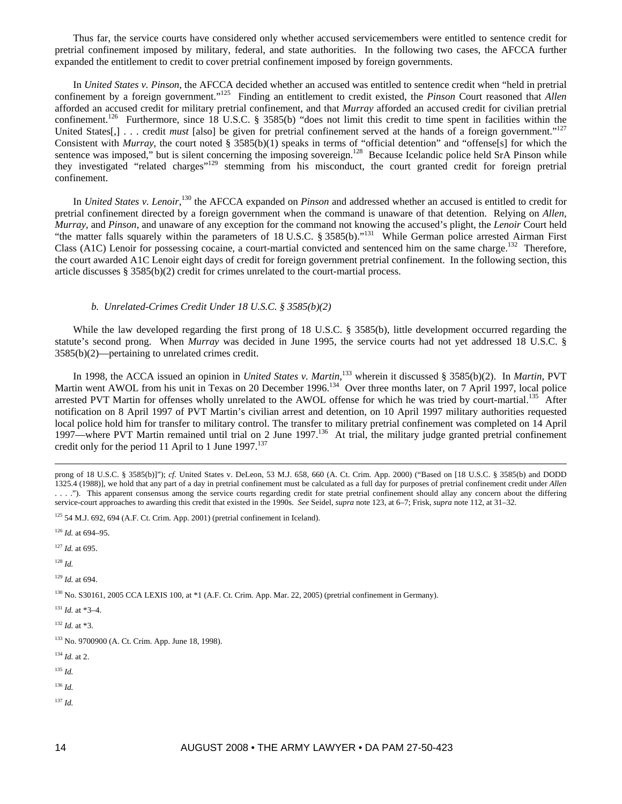Thus far, the service courts have considered only whether accused servicemembers were entitled to sentence credit for pretrial confinement imposed by military, federal, and state authorities. In the following two cases, the AFCCA further expanded the entitlement to credit to cover pretrial confinement imposed by foreign governments.

In *United States v. Pinson*, the AFCCA decided whether an accused was entitled to sentence credit when "held in pretrial confinement by a foreign government."125 Finding an entitlement to credit existed, the *Pinson* Court reasoned that *Allen* afforded an accused credit for military pretrial confinement, and that *Murray* afforded an accused credit for civilian pretrial confinement.<sup>126</sup> Furthermore, since 18 U.S.C. § 3585(b) "does not limit this credit to time spent in facilities within the United States<sup>[1]</sup>... credit *must* [also] be given for pretrial confinement served at the hands of a foreign government."<sup>127</sup> Consistent with *Murray*, the court noted § 3585(b)(1) speaks in terms of "official detention" and "offense[s] for which the sentence was imposed," but is silent concerning the imposing sovereign.<sup>128</sup> Because Icelandic police held SrA Pinson while they investigated "related charges"<sup>129</sup> stemming from his misconduct, the court granted credit for foreign pretrial confinement.

In *United States v. Lenoir*,<sup>130</sup> the AFCCA expanded on *Pinson* and addressed whether an accused is entitled to credit for pretrial confinement directed by a foreign government when the command is unaware of that detention. Relying on *Allen*, *Murray*, and *Pinson*, and unaware of any exception for the command not knowing the accused's plight, the *Lenoir* Court held "the matter falls squarely within the parameters of 18 U.S.C. § 3585(b)."<sup>131</sup> While German police arrested Airman First Class (A1C) Lenoir for possessing cocaine, a court-martial convicted and sentenced him on the same charge.<sup>132</sup> Therefore, the court awarded A1C Lenoir eight days of credit for foreign government pretrial confinement. In the following section, this article discusses  $\S 3585(b)(2)$  credit for crimes unrelated to the court-martial process.

## *b. Unrelated-Crimes Credit Under 18 U.S.C. § 3585(b)(2)*

While the law developed regarding the first prong of 18 U.S.C. § 3585(b), little development occurred regarding the statute's second prong. When *Murray* was decided in June 1995, the service courts had not yet addressed 18 U.S.C. § 3585(b)(2)—pertaining to unrelated crimes credit.

In 1998, the ACCA issued an opinion in *United States v. Martin*, 133 wherein it discussed § 3585(b)(2). In *Martin*, PVT Martin went AWOL from his unit in Texas on 20 December 1996.<sup>134</sup> Over three months later, on 7 April 1997, local police arrested PVT Martin for offenses wholly unrelated to the AWOL offense for which he was tried by court-martial.<sup>135</sup> After notification on 8 April 1997 of PVT Martin's civilian arrest and detention, on 10 April 1997 military authorities requested local police hold him for transfer to military control. The transfer to military pretrial confinement was completed on 14 April 1997—where PVT Martin remained until trial on 2 June 1997.<sup>136</sup> At trial, the military judge granted pretrial confinement credit only for the period 11 April to 1 June  $1997$ <sup>137</sup>

<sup>126</sup> *Id.* at 694–95.

<sup>127</sup> *Id.* at 695.

<sup>128</sup> *Id.*

<sup>129</sup> *Id.* at 694.

130 No. S30161, 2005 CCA LEXIS 100, at \*1 (A.F. Ct. Crim. App. Mar. 22, 2005) (pretrial confinement in Germany).

 $131$  *Id.* at \*3-4.

<sup>132</sup> *Id.* at \*3.

133 No. 9700900 (A. Ct. Crim. App. June 18, 1998).

<sup>134</sup> *Id.* at 2.

<sup>135</sup> *Id.*

- <sup>136</sup> *Id.*
- <sup>137</sup> *Id.*

prong of 18 U.S.C. § 3585(b)]"); *cf.* United States v. DeLeon, 53 M.J. 658, 660 (A. Ct. Crim. App. 2000) ("Based on [18 U.S.C. § 3585(b) and DODD 1325.4 (1988)], we hold that any part of a day in pretrial confinement must be calculated as a full day for purposes of pretrial confinement credit under *Allen* . . . ."). This apparent consensus among the service courts regarding credit for state pretrial confinement should allay any concern about the differing service-court approaches to awarding this credit that existed in the 1990s. *See* Seidel, *supra* note 123, at 6–7; Frisk, *supra* note 112, at 31–32.

 $125$  54 M.J. 692, 694 (A.F. Ct. Crim. App. 2001) (pretrial confinement in Iceland).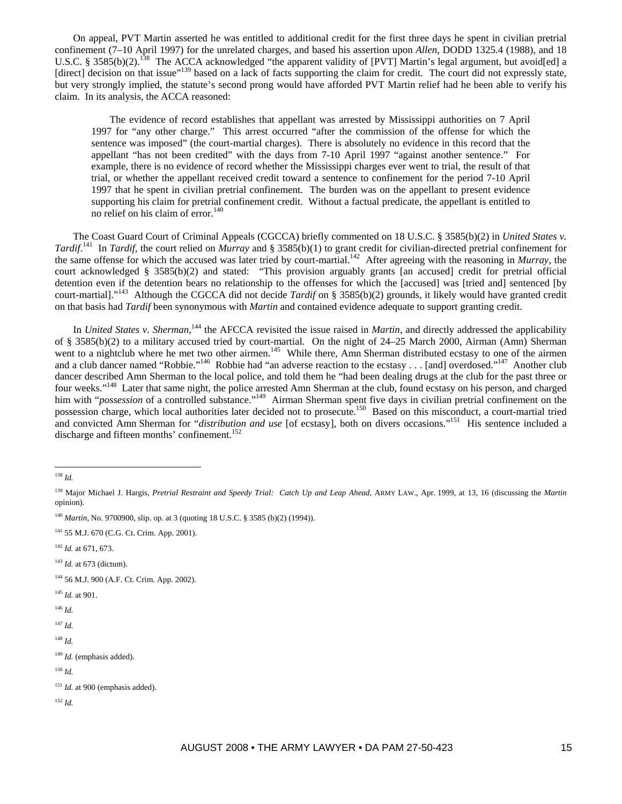On appeal, PVT Martin asserted he was entitled to additional credit for the first three days he spent in civilian pretrial confinement (7–10 April 1997) for the unrelated charges, and based his assertion upon *Allen*, DODD 1325.4 (1988), and 18 U.S.C. § 3585(b)(2).<sup>138</sup> The ACCA acknowledged "the apparent validity of [PVT] Martin's legal argument, but avoid[ed] a [direct] decision on that issue"<sup>139</sup> based on a lack of facts supporting the claim for credit. The court did not expressly state, but very strongly implied, the statute's second prong would have afforded PVT Martin relief had he been able to verify his claim. In its analysis, the ACCA reasoned:

The evidence of record establishes that appellant was arrested by Mississippi authorities on 7 April 1997 for "any other charge." This arrest occurred "after the commission of the offense for which the sentence was imposed" (the court-martial charges). There is absolutely no evidence in this record that the appellant "has not been credited" with the days from 7-10 April 1997 "against another sentence." For example, there is no evidence of record whether the Mississippi charges ever went to trial, the result of that trial, or whether the appellant received credit toward a sentence to confinement for the period 7-10 April 1997 that he spent in civilian pretrial confinement. The burden was on the appellant to present evidence supporting his claim for pretrial confinement credit. Without a factual predicate, the appellant is entitled to no relief on his claim of error. $140$ 

The Coast Guard Court of Criminal Appeals (CGCCA) briefly commented on 18 U.S.C. § 3585(b)(2) in *United States v. Tardif*.<sup>141</sup> In *Tardif*, the court relied on *Murray* and § 3585(b)(1) to grant credit for civilian-directed pretrial confinement for the same offense for which the accused was later tried by court-martial.<sup>142</sup> After agreeing with the reasoning in *Murray*, the court acknowledged § 3585(b)(2) and stated: "This provision arguably grants [an accused] credit for pretrial official detention even if the detention bears no relationship to the offenses for which the [accused] was [tried and] sentenced [by court-martial]."143 Although the CGCCA did not decide *Tardif* on § 3585(b)(2) grounds, it likely would have granted credit on that basis had *Tardif* been synonymous with *Martin* and contained evidence adequate to support granting credit.

In *United States v. Sherman*,<sup>144</sup> the AFCCA revisited the issue raised in *Martin*, and directly addressed the applicability of § 3585(b)(2) to a military accused tried by court-martial. On the night of 24–25 March 2000, Airman (Amn) Sherman went to a nightclub where he met two other airmen.<sup>145</sup> While there, Amn Sherman distributed ecstasy to one of the airmen and a club dancer named "Robbie."<sup>146</sup> Robbie had "an adverse reaction to the ecstasy . . . [and] overdosed."<sup>147</sup> Another club dancer described Amn Sherman to the local police, and told them he "had been dealing drugs at the club for the past three or four weeks."<sup>148</sup> Later that same night, the police arrested Amn Sherman at the club, found ecstasy on his person, and charged him with "*possession* of a controlled substance."<sup>149</sup> Airman Sherman spent five days in civilian pretrial confinement on the possession charge, which local authorities later decided not to prosecute.150 Based on this misconduct, a court-martial tried and convicted Amn Sherman for "*distribution and use* [of ecstasy], both on divers occasions."151 His sentence included a discharge and fifteen months' confinement.<sup>152</sup>

 $\overline{a}$ 

- 144 56 M.J. 900 (A.F. Ct. Crim. App. 2002).
- <sup>145</sup> *Id.* at 901.
- <sup>146</sup> *Id.*

<sup>147</sup> *Id.*

<sup>148</sup> *Id.*

<sup>138</sup> *Id.*

<sup>139</sup> Major Michael J. Hargis, *Pretrial Restraint and Speedy Trial: Catch Up and Leap Ahead*, ARMY LAW., Apr. 1999, at 13, 16 (discussing the *Martin*  opinion).

<sup>140</sup> *Martin*, No. 9700900, slip. op. at 3 (quoting 18 U.S.C. § 3585 (b)(2) (1994)).

<sup>141 55</sup> M.J. 670 (C.G. Ct. Crim. App. 2001).

<sup>142</sup> *Id.* at 671, 673.

<sup>143</sup> *Id.* at 673 (dictum).

<sup>&</sup>lt;sup>149</sup> *Id.* (emphasis added).

<sup>150</sup> *Id.*

<sup>&</sup>lt;sup>151</sup> *Id.* at 900 (emphasis added).

<sup>152</sup> *Id.*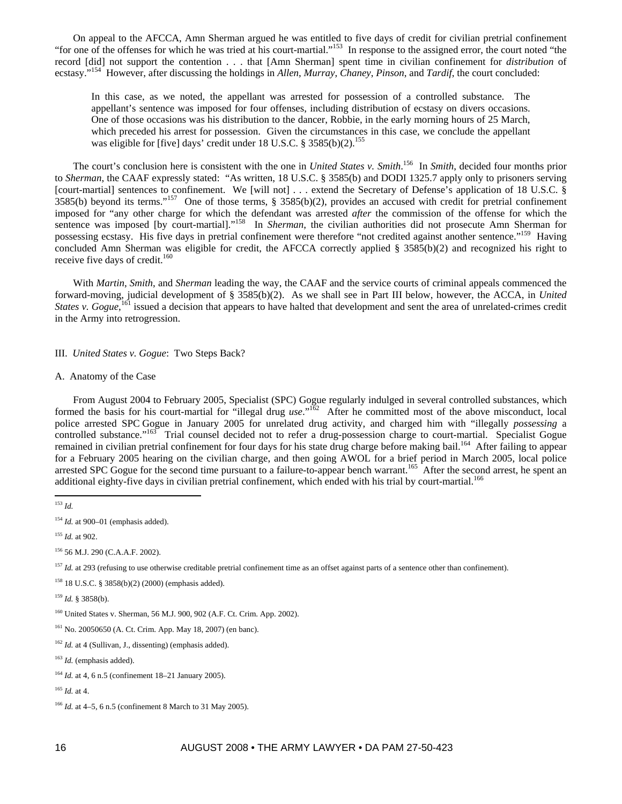On appeal to the AFCCA, Amn Sherman argued he was entitled to five days of credit for civilian pretrial confinement "for one of the offenses for which he was tried at his court-martial."<sup>153</sup> In response to the assigned error, the court noted "the record [did] not support the contention . . . that [Amn Sherman] spent time in civilian confinement for *distribution* of ecstasy."154 However, after discussing the holdings in *Allen*, *Murray*, *Chaney*, *Pinson*, and *Tardif*, the court concluded:

In this case, as we noted, the appellant was arrested for possession of a controlled substance. The appellant's sentence was imposed for four offenses, including distribution of ecstasy on divers occasions. One of those occasions was his distribution to the dancer, Robbie, in the early morning hours of 25 March, which preceded his arrest for possession. Given the circumstances in this case, we conclude the appellant was eligible for [five] days' credit under 18 U.S.C. § 3585(b)(2).<sup>155</sup>

The court's conclusion here is consistent with the one in *United States v. Smith*. 156 In *Smith*, decided four months prior to *Sherman*, the CAAF expressly stated: "As written, 18 U.S.C. § 3585(b) and DODI 1325.7 apply only to prisoners serving [court-martial] sentences to confinement. We [will not] . . . extend the Secretary of Defense's application of 18 U.S.C. § 3585(b) beyond its terms."157 One of those terms, § 3585(b)(2), provides an accused with credit for pretrial confinement imposed for "any other charge for which the defendant was arrested *after* the commission of the offense for which the sentence was imposed [by court-martial]."<sup>158</sup> In *Sherman*, the civilian authorities did not prosecute Amn Sherman for possessing ecstasy. His five days in pretrial confinement were therefore "not credited against another sentence."159 Having concluded Amn Sherman was eligible for credit, the AFCCA correctly applied § 3585(b)(2) and recognized his right to receive five days of credit. $160$ 

With *Martin*, *Smith*, and *Sherman* leading the way, the CAAF and the service courts of criminal appeals commenced the forward-moving, judicial development of § 3585(b)(2). As we shall see in Part III below, however, the ACCA, in *United States v. Gogue*,<sup>161</sup> issued a decision that appears to have halted that development and sent the area of unrelated-crimes credit in the Army into retrogression.

III. *United States v. Gogue*: Two Steps Back?

## A. Anatomy of the Case

From August 2004 to February 2005, Specialist (SPC) Gogue regularly indulged in several controlled substances, which formed the basis for his court-martial for "illegal drug *use*."162 After he committed most of the above misconduct, local police arrested SPC Gogue in January 2005 for unrelated drug activity, and charged him with "illegally *possessing* a controlled substance."<sup>163</sup> Trial counsel decided not to refer a drug-possession charge to court-martial. Specialist Gogue remained in civilian pretrial confinement for four days for his state drug charge before making bail.<sup>164</sup> After failing to appear for a February 2005 hearing on the civilian charge, and then going AWOL for a brief period in March 2005, local police arrested SPC Gogue for the second time pursuant to a failure-to-appear bench warrant.<sup>165</sup> After the second arrest, he spent an additional eighty-five days in civilian pretrial confinement, which ended with his trial by court-martial.<sup>166</sup>

 $\overline{a}$ 

<sup>155</sup> *Id.* at 902.

<sup>157</sup> *Id.* at 293 (refusing to use otherwise creditable pretrial confinement time as an offset against parts of a sentence other than confinement).

158 18 U.S.C. § 3858(b)(2) (2000) (emphasis added).

<sup>159</sup> *Id.* § 3858(b).

160 United States v. Sherman, 56 M.J. 900, 902 (A.F. Ct. Crim. App. 2002).

161 No. 20050650 (A. Ct. Crim. App. May 18, 2007) (en banc).

<sup>162</sup> *Id.* at 4 (Sullivan, J., dissenting) (emphasis added).

<sup>153</sup> *Id.*

<sup>&</sup>lt;sup>154</sup> *Id.* at 900–01 (emphasis added).

<sup>156 56</sup> M.J. 290 (C.A.A.F. 2002).

<sup>163</sup> *Id.* (emphasis added).

<sup>164</sup> *Id.* at 4, 6 n.5 (confinement 18–21 January 2005).

<sup>165</sup> *Id.* at 4.

<sup>166</sup> *Id.* at 4–5, 6 n.5 (confinement 8 March to 31 May 2005).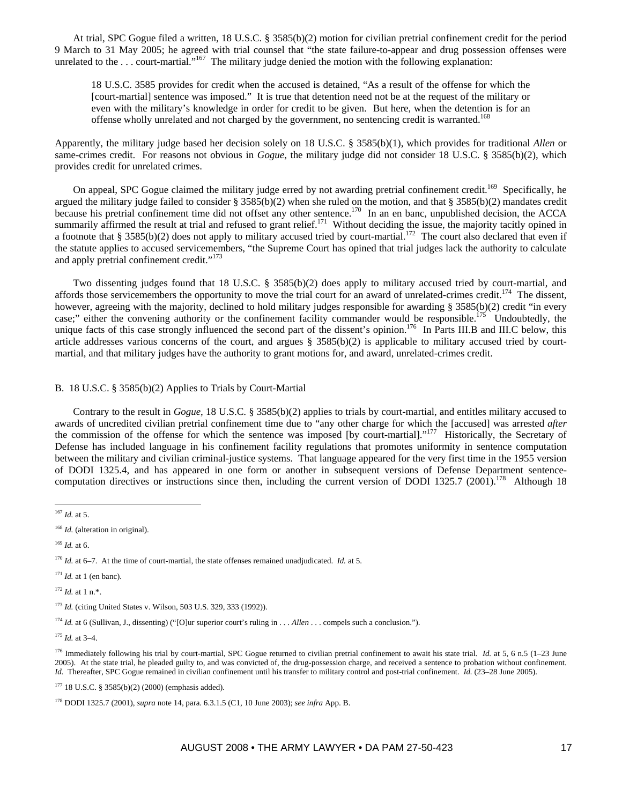At trial, SPC Gogue filed a written, 18 U.S.C. § 3585(b)(2) motion for civilian pretrial confinement credit for the period 9 March to 31 May 2005; he agreed with trial counsel that "the state failure-to-appear and drug possession offenses were unrelated to the . . . court-martial."<sup>167</sup> The military judge denied the motion with the following explanation:

18 U.S.C. 3585 provides for credit when the accused is detained, "As a result of the offense for which the [court-martial] sentence was imposed." It is true that detention need not be at the request of the military or even with the military's knowledge in order for credit to be given. But here, when the detention is for an offense wholly unrelated and not charged by the government, no sentencing credit is warranted.<sup>168</sup>

Apparently, the military judge based her decision solely on 18 U.S.C. § 3585(b)(1), which provides for traditional *Allen* or same-crimes credit. For reasons not obvious in *Gogue*, the military judge did not consider 18 U.S.C. § 3585(b)(2), which provides credit for unrelated crimes.

On appeal, SPC Gogue claimed the military judge erred by not awarding pretrial confinement credit.<sup>169</sup> Specifically, he argued the military judge failed to consider § 3585(b)(2) when she ruled on the motion, and that § 3585(b)(2) mandates credit because his pretrial confinement time did not offset any other sentence.<sup>170</sup> In an en banc, unpublished decision, the ACCA summarily affirmed the result at trial and refused to grant relief.<sup>171</sup> Without deciding the issue, the majority tacitly opined in a footnote that § 3585(b)(2) does not apply to military accused tried by court-martial.<sup>172</sup> The court also declared that even if the statute applies to accused servicemembers, "the Supreme Court has opined that trial judges lack the authority to calculate and apply pretrial confinement credit."<sup>173</sup>

Two dissenting judges found that 18 U.S.C. § 3585(b)(2) does apply to military accused tried by court-martial, and affords those servicemembers the opportunity to move the trial court for an award of unrelated-crimes credit.<sup>174</sup> The dissent, however, agreeing with the majority, declined to hold military judges responsible for awarding § 3585(b)(2) credit "in every case;" either the convening authority or the confinement facility commander would be responsible.<sup>175</sup> Undoubtedly, the unique facts of this case strongly influenced the second part of the dissent's opinion.<sup>176</sup> In Parts III.B and III.C below, this article addresses various concerns of the court, and argues  $\S$  3585(b)(2) is applicable to military accused tried by courtmartial, and that military judges have the authority to grant motions for, and award, unrelated-crimes credit.

## B. 18 U.S.C. § 3585(b)(2) Applies to Trials by Court-Martial

Contrary to the result in *Gogue*, 18 U.S.C. § 3585(b)(2) applies to trials by court-martial, and entitles military accused to awards of uncredited civilian pretrial confinement time due to "any other charge for which the [accused] was arrested *after* the commission of the offense for which the sentence was imposed [by court-martial]."<sup>177</sup> Historically, the Secretary of Defense has included language in his confinement facility regulations that promotes uniformity in sentence computation between the military and civilian criminal-justice systems. That language appeared for the very first time in the 1955 version of DODI 1325.4, and has appeared in one form or another in subsequent versions of Defense Department sentencecomputation directives or instructions since then, including the current version of DODI 1325.7 (2001).<sup>178</sup> Although 18

 $\overline{a}$ 

 $170$  *Id.* at 6–7. At the time of court-martial, the state offenses remained unadjudicated. *Id.* at 5.

 $171$  *Id.* at 1 (en banc).

<sup>172</sup> *Id.* at 1 n.\*.

177 18 U.S.C. § 3585(b)(2) (2000) (emphasis added).

<sup>167</sup> *Id.* at 5.

<sup>&</sup>lt;sup>168</sup> *Id.* (alteration in original).

 $169$  *Id.* at 6.

<sup>173</sup> *Id.* (citing United States v. Wilson, 503 U.S. 329, 333 (1992)).

<sup>174</sup> *Id.* at 6 (Sullivan, J., dissenting) ("[O]ur superior court's ruling in . . . *Allen* . . . compels such a conclusion.").

<sup>175</sup> *Id.* at 3–4.

<sup>&</sup>lt;sup>176</sup> Immediately following his trial by court-martial, SPC Gogue returned to civilian pretrial confinement to await his state trial. *Id.* at 5, 6 n.5 (1-23 June 2005). At the state trial, he pleaded guilty to, and was convicted of, the drug-possession charge, and received a sentence to probation without confinement. *Id.* Thereafter, SPC Gogue remained in civilian confinement until his transfer to military control and post-trial confinement. *Id.* (23–28 June 2005).

<sup>178</sup> DODI 1325.7 (2001), *supra* note 14, para. 6.3.1.5 (C1, 10 June 2003); *see infra* App. B.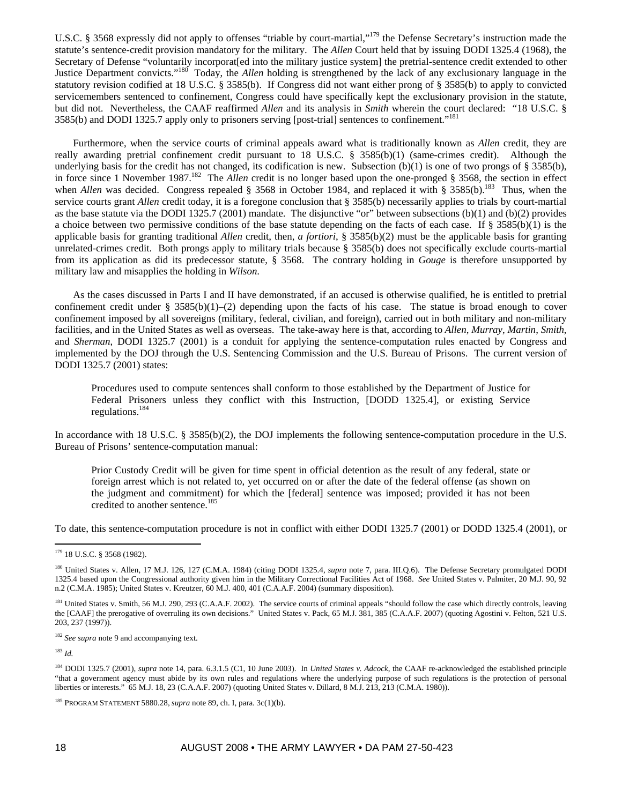U.S.C. § 3568 expressly did not apply to offenses "triable by court-martial,"179 the Defense Secretary's instruction made the statute's sentence-credit provision mandatory for the military. The *Allen* Court held that by issuing DODI 1325.4 (1968), the Secretary of Defense "voluntarily incorporat[ed into the military justice system] the pretrial-sentence credit extended to other Justice Department convicts."180 Today, the *Allen* holding is strengthened by the lack of any exclusionary language in the statutory revision codified at 18 U.S.C. § 3585(b). If Congress did not want either prong of § 3585(b) to apply to convicted servicemembers sentenced to confinement, Congress could have specifically kept the exclusionary provision in the statute, but did not. Nevertheless, the CAAF reaffirmed *Allen* and its analysis in *Smith* wherein the court declared: "18 U.S.C. § 3585(b) and DODI 1325.7 apply only to prisoners serving [post-trial] sentences to confinement."181

Furthermore, when the service courts of criminal appeals award what is traditionally known as *Allen* credit, they are really awarding pretrial confinement credit pursuant to 18 U.S.C. § 3585(b)(1) (same-crimes credit). Although the underlying basis for the credit has not changed, its codification is new. Subsection  $(b)(1)$  is one of two prongs of § 3585(b), in force since 1 November 1987.182 The *Allen* credit is no longer based upon the one-pronged § 3568, the section in effect when *Allen* was decided. Congress repealed § 3568 in October 1984, and replaced it with § 3585(b).<sup>183</sup> Thus, when the service courts grant *Allen* credit today, it is a foregone conclusion that § 3585(b) necessarily applies to trials by court-martial as the base statute via the DODI 1325.7 (2001) mandate. The disjunctive "or" between subsections (b)(1) and (b)(2) provides a choice between two permissive conditions of the base statute depending on the facts of each case. If § 3585(b)(1) is the applicable basis for granting traditional *Allen* credit, then, *a fortiori*, § 3585(b)(2) must be the applicable basis for granting unrelated-crimes credit. Both prongs apply to military trials because § 3585(b) does not specifically exclude courts-martial from its application as did its predecessor statute, § 3568. The contrary holding in *Gouge* is therefore unsupported by military law and misapplies the holding in *Wilson*.

As the cases discussed in Parts I and II have demonstrated, if an accused is otherwise qualified, he is entitled to pretrial confinement credit under § 3585(b)(1)–(2) depending upon the facts of his case. The statue is broad enough to cover confinement imposed by all sovereigns (military, federal, civilian, and foreign), carried out in both military and non-military facilities, and in the United States as well as overseas. The take-away here is that, according to *Allen*, *Murray*, *Martin*, *Smith*, and *Sherman*, DODI 1325.7 (2001) is a conduit for applying the sentence-computation rules enacted by Congress and implemented by the DOJ through the U.S. Sentencing Commission and the U.S. Bureau of Prisons. The current version of DODI 1325.7 (2001) states:

Procedures used to compute sentences shall conform to those established by the Department of Justice for Federal Prisoners unless they conflict with this Instruction, [DODD 1325.4], or existing Service regulations.184

In accordance with 18 U.S.C. § 3585(b)(2), the DOJ implements the following sentence-computation procedure in the U.S. Bureau of Prisons' sentence-computation manual:

Prior Custody Credit will be given for time spent in official detention as the result of any federal, state or foreign arrest which is not related to, yet occurred on or after the date of the federal offense (as shown on the judgment and commitment) for which the [federal] sentence was imposed; provided it has not been credited to another sentence.<sup>185</sup>

To date, this sentence-computation procedure is not in conflict with either DODI 1325.7 (2001) or DODD 1325.4 (2001), or

<sup>183</sup> *Id.*

 $\overline{a}$ 

<sup>179 18</sup> U.S.C. § 3568 (1982).

<sup>&</sup>lt;sup>180</sup> United States v. Allen, 17 M.J. 126, 127 (C.M.A. 1984) (citing DODI 1325.4, *supra* note 7, para. III.Q.6). The Defense Secretary promulgated DODI 1325.4 based upon the Congressional authority given him in the Military Correctional Facilities Act of 1968. *See* United States v. Palmiter, 20 M.J. 90, 92 n.2 (C.M.A. 1985); United States v. Kreutzer, 60 M.J. 400, 401 (C.A.A.F. 2004) (summary disposition).

<sup>&</sup>lt;sup>181</sup> United States v. Smith, 56 M.J. 290, 293 (C.A.A.F. 2002). The service courts of criminal appeals "should follow the case which directly controls, leaving the [CAAF] the prerogative of overruling its own decisions." United States v. Pack, 65 M.J. 381, 385 (C.A.A.F. 2007) (quoting Agostini v. Felton, 521 U.S. 203, 237 (1997)).

<sup>&</sup>lt;sup>182</sup> See supra note 9 and accompanying text.

<sup>184</sup> DODI 1325.7 (2001), *supra* note 14, para. 6.3.1.5 (C1, 10 June 2003). In *United States v. Adcock*, the CAAF re-acknowledged the established principle "that a government agency must abide by its own rules and regulations where the underlying purpose of such regulations is the protection of personal liberties or interests." 65 M.J. 18, 23 (C.A.A.F. 2007) (quoting United States v. Dillard, 8 M.J. 213, 213 (C.M.A. 1980)).

<sup>&</sup>lt;sup>185</sup> PROGRAM STATEMENT 5880.28, *supra* note 89, ch. I, para. 3c(1)(b).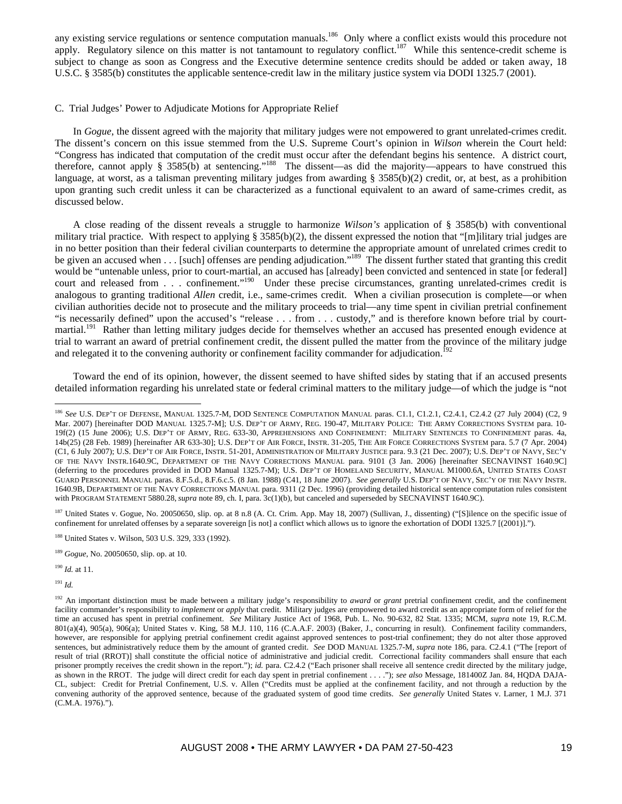any existing service regulations or sentence computation manuals.<sup>186</sup> Only where a conflict exists would this procedure not apply. Regulatory silence on this matter is not tantamount to regulatory conflict.<sup>187</sup> While this sentence-credit scheme is subject to change as soon as Congress and the Executive determine sentence credits should be added or taken away, 18 U.S.C. § 3585(b) constitutes the applicable sentence-credit law in the military justice system via DODI 1325.7 (2001).

## C. Trial Judges' Power to Adjudicate Motions for Appropriate Relief

In *Gogue*, the dissent agreed with the majority that military judges were not empowered to grant unrelated-crimes credit. The dissent's concern on this issue stemmed from the U.S. Supreme Court's opinion in *Wilson* wherein the Court held: "Congress has indicated that computation of the credit must occur after the defendant begins his sentence. A district court, therefore, cannot apply § 3585(b) at sentencing."188 The dissent—as did the majority—appears to have construed this language, at worst, as a talisman preventing military judges from awarding § 3585(b)(2) credit, or, at best, as a prohibition upon granting such credit unless it can be characterized as a functional equivalent to an award of same-crimes credit, as discussed below.

A close reading of the dissent reveals a struggle to harmonize *Wilson's* application of § 3585(b) with conventional military trial practice. With respect to applying § 3585(b)(2), the dissent expressed the notion that "[m]ilitary trial judges are in no better position than their federal civilian counterparts to determine the appropriate amount of unrelated crimes credit to be given an accused when . . . [such] offenses are pending adjudication."<sup>189</sup> The dissent further stated that granting this credit would be "untenable unless, prior to court-martial, an accused has [already] been convicted and sentenced in state [or federal] court and released from . . . confinement."<sup>190</sup> Under these precise circumstances, granting unrelated-crimes credit is analogous to granting traditional *Allen* credit, i.e., same-crimes credit. When a civilian prosecution is complete—or when civilian authorities decide not to prosecute and the military proceeds to trial—any time spent in civilian pretrial confinement "is necessarily defined" upon the accused's "release . . . from . . . custody," and is therefore known before trial by courtmartial.<sup>191</sup> Rather than letting military judges decide for themselves whether an accused has presented enough evidence at trial to warrant an award of pretrial confinement credit, the dissent pulled the matter from the province of the military judge and relegated it to the convening authority or confinement facility commander for adjudication.<sup>192</sup>

Toward the end of its opinion, however, the dissent seemed to have shifted sides by stating that if an accused presents detailed information regarding his unrelated state or federal criminal matters to the military judge—of which the judge is "not

<sup>187</sup> United States v. Gogue, No. 20050650, slip. op. at 8 n.8 (A. Ct. Crim. App. May 18, 2007) (Sullivan, J., dissenting) ("[S]ilence on the specific issue of confinement for unrelated offenses by a separate sovereign [is not] a conflict which allows us to ignore the exhortation of DODI 1325.7 [(2001)].").

<sup>190</sup> *Id.* at 11.

<sup>191</sup> *Id.*

 $\overline{a}$ 

<sup>&</sup>lt;sup>186</sup> See U.S. DEP'T OF DEFENSE, MANUAL 1325.7-M, DOD SENTENCE COMPUTATION MANUAL paras. C1.1, C1.2.1, C2.4.1, C2.4.2 (27 July 2004) (C2, 9 Mar. 2007) [hereinafter DOD MANUAL 1325.7-M]; U.S. DEP'T OF ARMY, REG. 190-47, MILITARY POLICE: THE ARMY CORRECTIONS SYSTEM para. 10- 19f(2) (15 June 2006); U.S. DEP'T OF ARMY, REG. 633-30, APPREHENSIONS AND CONFINEMENT: MILITARY SENTENCES TO CONFINEMENT paras. 4a, 14b(25) (28 Feb. 1989) [hereinafter AR 633-30]; U.S. DEP'T OF AIR FORCE, INSTR. 31-205, THE AIR FORCE CORRECTIONS SYSTEM para. 5.7 (7 Apr. 2004) (C1, 6 July 2007); U.S. DEP'T OF AIR FORCE, INSTR. 51-201, ADMINISTRATION OF MILITARY JUSTICE para. 9.3 (21 Dec. 2007); U.S. DEP'T OF NAVY, SEC'Y OF THE NAVY INSTR.1640.9C, DEPARTMENT OF THE NAVY CORRECTIONS MANUAL para. 9101 (3 Jan. 2006) [hereinafter SECNAVINST 1640.9C] (deferring to the procedures provided in DOD Manual 1325.7-M); U.S. DEP'T OF HOMELAND SECURITY, MANUAL M1000.6A, UNITED STATES COAST GUARD PERSONNEL MANUAL paras. 8.F.5.d., 8.F.6.c.5. (8 Jan. 1988) (C41, 18 June 2007). *See generally* U.S. DEP'T OF NAVY, SEC'Y OF THE NAVY INSTR. 1640.9B, DEPARTMENT OF THE NAVY CORRECTIONS MANUAL para. 9311 (2 Dec. 1996) (providing detailed historical sentence computation rules consistent with PROGRAM STATEMENT 5880.28,*supra* note 89, ch. I, para. 3c(1)(b), but canceled and superseded by SECNAVINST 1640.9C).

<sup>&</sup>lt;sup>188</sup> United States v. Wilson, 503 U.S. 329, 333 (1992).

<sup>189</sup> *Gogue*, No. 20050650, slip. op. at 10.

<sup>&</sup>lt;sup>192</sup> An important distinction must be made between a military judge's responsibility to *award* or *grant* pretrial confinement credit, and the confinement facility commander's responsibility to *implement* or *apply* that credit. Military judges are empowered to award credit as an appropriate form of relief for the time an accused has spent in pretrial confinement. *See* Military Justice Act of 1968, Pub. L. No. 90-632, 82 Stat. 1335; MCM, *supra* note 19, R.C.M. 801(a)(4), 905(a), 906(a); United States v. King, 58 M.J. 110, 116 (C.A.A.F. 2003) (Baker, J., concurring in result). Confinement facility commanders, however, are responsible for applying pretrial confinement credit against approved sentences to post-trial confinement; they do not alter those approved sentences, but administratively reduce them by the amount of granted credit. *See* DOD MANUAL 1325.7-M, *supra* note 186, para. C2.4.1 ("The [report of result of trial (RROT)] shall constitute the official notice of administrative and judicial credit. Correctional facility commanders shall ensure that each prisoner promptly receives the credit shown in the report."); *id.* para. C2.4.2 ("Each prisoner shall receive all sentence credit directed by the military judge, as shown in the RROT. The judge will direct credit for each day spent in pretrial confinement . . . ."); *see also* Message, 181400Z Jan. 84, HQDA DAJA-CL, subject: Credit for Pretrial Confinement, U.S. v. Allen ("Credits must be applied at the confinement facility, and not through a reduction by the convening authority of the approved sentence, because of the graduated system of good time credits. *See generally* United States v. Larner, 1 M.J. 371 (C.M.A. 1976).").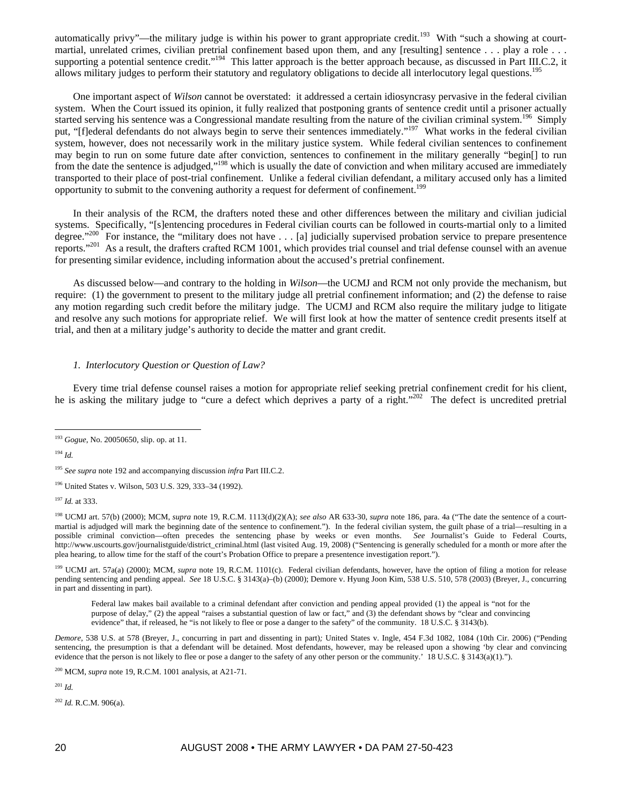automatically privy"—the military judge is within his power to grant appropriate credit.<sup>193</sup> With "such a showing at courtmartial, unrelated crimes, civilian pretrial confinement based upon them, and any [resulting] sentence . . . play a role . . . supporting a potential sentence credit."<sup>194</sup> This latter approach is the better approach because, as discussed in Part III.C.2, it allows military judges to perform their statutory and regulatory obligations to decide all interlocutory legal questions.<sup>195</sup>

One important aspect of *Wilson* cannot be overstated: it addressed a certain idiosyncrasy pervasive in the federal civilian system. When the Court issued its opinion, it fully realized that postponing grants of sentence credit until a prisoner actually started serving his sentence was a Congressional mandate resulting from the nature of the civilian criminal system.<sup>196</sup> Simply put, "[flederal defendants do not always begin to serve their sentences immediately."<sup>197</sup> What works in the federal civilian system, however, does not necessarily work in the military justice system. While federal civilian sentences to confinement may begin to run on some future date after conviction, sentences to confinement in the military generally "begin[] to run from the date the sentence is adjudged,"<sup>198</sup> which is usually the date of conviction and when military accused are immediately transported to their place of post-trial confinement. Unlike a federal civilian defendant, a military accused only has a limited opportunity to submit to the convening authority a request for deferment of confinement.<sup>199</sup>

In their analysis of the RCM, the drafters noted these and other differences between the military and civilian judicial systems. Specifically, "[s]entencing procedures in Federal civilian courts can be followed in courts-martial only to a limited degree."<sup>200</sup> For instance, the "military does not have . . . [a] judicially supervised probat For instance, the "military does not have  $\dots$  [a] judicially supervised probation service to prepare presentence reports."<sup>201</sup> As a result, the drafters crafted RCM 1001, which provides trial counsel and trial defense counsel with an avenue for presenting similar evidence, including information about the accused's pretrial confinement.

As discussed below—and contrary to the holding in *Wilson*—the UCMJ and RCM not only provide the mechanism, but require: (1) the government to present to the military judge all pretrial confinement information; and (2) the defense to raise any motion regarding such credit before the military judge. The UCMJ and RCM also require the military judge to litigate and resolve any such motions for appropriate relief. We will first look at how the matter of sentence credit presents itself at trial, and then at a military judge's authority to decide the matter and grant credit.

# *1. Interlocutory Question or Question of Law?*

Every time trial defense counsel raises a motion for appropriate relief seeking pretrial confinement credit for his client, he is asking the military judge to "cure a defect which deprives a party of a right."<sup>202</sup> The defect is uncredited pretrial

<sup>194</sup> *Id.*

<sup>197</sup> *Id.* at 333.

198 UCMJ art. 57(b) (2000); MCM, *supra* note 19, R.C.M. 1113(d)(2)(A); *see also* AR 633-30, *supra* note 186, para. 4a ("The date the sentence of a courtmartial is adjudged will mark the beginning date of the sentence to confinement."). In the federal civilian system, the guilt phase of a trial—resulting in a possible criminal conviction—often precedes the sentencing phase by weeks or even months. *See* Journalist's Guide to Federal Courts, http://www.uscourts.gov/journalistguide/district\_criminal.html (last visited Aug. 19, 2008) ("Sentencing is generally scheduled for a month or more after the plea hearing, to allow time for the staff of the court's Probation Office to prepare a presentence investigation report.").

<sup>199</sup> UCMJ art. 57a(a) (2000); MCM, *supra* note 19, R.C.M. 1101(c). Federal civilian defendants, however, have the option of filing a motion for release pending sentencing and pending appeal. *See* 18 U.S.C. § 3143(a)–(b) (2000); Demore v. Hyung Joon Kim, 538 U.S. 510, 578 (2003) (Breyer, J., concurring in part and dissenting in part).

Federal law makes bail available to a criminal defendant after conviction and pending appeal provided (1) the appeal is "not for the purpose of delay," (2) the appeal "raises a substantial question of law or fact," and (3) the defendant shows by "clear and convincing evidence" that, if released, he "is not likely to flee or pose a danger to the safety" of the community. 18 U.S.C. § 3143(b).

*Demore*, 538 U.S. at 578 (Breyer, J., concurring in part and dissenting in part)*;* United States v. Ingle, 454 F.3d 1082, 1084 (10th Cir. 2006) ("Pending sentencing, the presumption is that a defendant will be detained. Most defendants, however, may be released upon a showing 'by clear and convincing evidence that the person is not likely to flee or pose a danger to the safety of any other person or the community.' 18 U.S.C. § 3143(a)(1).").

<sup>201</sup> *Id.*

<sup>202</sup> *Id.* R.C.M. 906(a).

 $\overline{a}$ <sup>193</sup> *Gogue*, No. 20050650, slip. op. at 11.

<sup>195</sup> *See supra* note 192 and accompanying discussion *infra* Part III.C.2.

<sup>196</sup> United States v. Wilson, 503 U.S. 329, 333–34 (1992).

<sup>200</sup> MCM, *supra* note 19, R.C.M. 1001 analysis, at A21-71.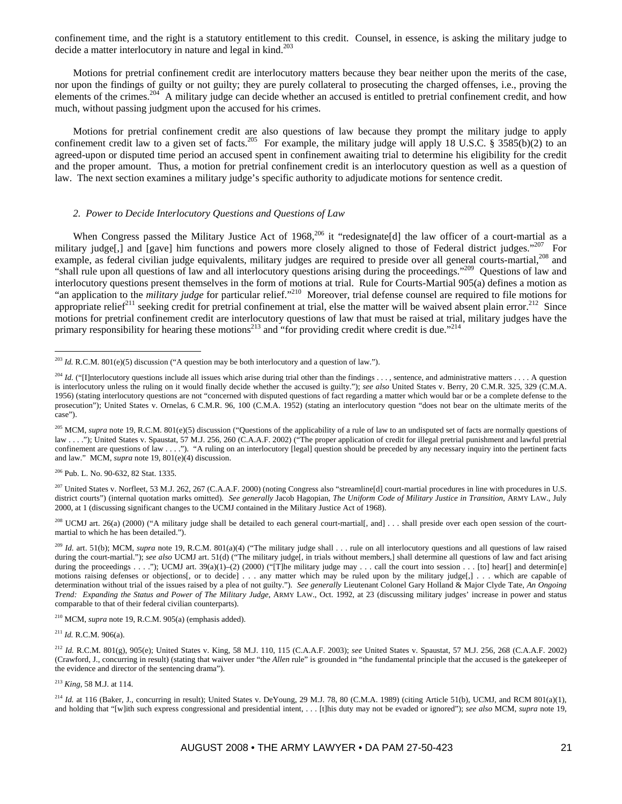confinement time, and the right is a statutory entitlement to this credit. Counsel, in essence, is asking the military judge to decide a matter interlocutory in nature and legal in kind.<sup>203</sup>

Motions for pretrial confinement credit are interlocutory matters because they bear neither upon the merits of the case, nor upon the findings of guilty or not guilty; they are purely collateral to prosecuting the charged offenses, i.e., proving the elements of the crimes.<sup>204</sup> A military judge can decide whether an accused is entitled to pretrial confinement credit, and how much, without passing judgment upon the accused for his crimes.

Motions for pretrial confinement credit are also questions of law because they prompt the military judge to apply confinement credit law to a given set of facts.<sup>205</sup> For example, the military judge will apply 18 U.S.C. § 3585(b)(2) to an agreed-upon or disputed time period an accused spent in confinement awaiting trial to determine his eligibility for the credit and the proper amount. Thus, a motion for pretrial confinement credit is an interlocutory question as well as a question of law. The next section examines a military judge's specific authority to adjudicate motions for sentence credit.

# *2. Power to Decide Interlocutory Questions and Questions of Law*

When Congress passed the Military Justice Act of 1968,<sup>206</sup> it "redesignate[d] the law officer of a court-martial as a military judge[,] and [gave] him functions and powers more closely aligned to those of Federal district judges."<sup>207</sup> For example, as federal civilian judge equivalents, military judges are required to preside over all general courts-martial,<sup>208</sup> and "shall rule upon all questions of law and all interlocutory questions arising during the proceedings."<sup>209</sup> Questions of law and interlocutory questions present themselves in the form of motions at trial. Rule for Courts-Martial 905(a) defines a motion as "an application to the *military judge* for particular relief."<sup>210</sup> Moreover, trial defense counsel are required to file motions for appropriate relief<sup>211</sup> seeking credit for pretrial confinement at trial, else the matter will be waived absent plain error.<sup>212</sup> Since motions for pretrial confinement credit are interlocutory questions of law that must be raised at trial, military judges have the primary responsibility for hearing these motions<sup>213</sup> and "for providing credit where credit is due."<sup>214</sup>

206 Pub. L. No. 90-632, 82 Stat. 1335.

 $\overline{a}$ 

<sup>207</sup> United States v. Norfleet, 53 M.J. 262, 267 (C.A.A.F. 2000) (noting Congress also "streamline[d] court-martial procedures in line with procedures in U.S. district courts") (internal quotation marks omitted). *See generally* Jacob Hagopian, *The Uniform Code of Military Justice in Transition*, ARMY LAW., July 2000, at 1 (discussing significant changes to the UCMJ contained in the Military Justice Act of 1968).

<sup>208</sup> UCMJ art. 26(a) (2000) ("A military judge shall be detailed to each general court-martial[, and] . . . shall preside over each open session of the courtmartial to which he has been detailed.").

<sup>209</sup> *Id.* art. 51(b); MCM, *supra* note 19, R.C.M. 801(a)(4) ("The military judge shall . . . rule on all interlocutory questions and all questions of law raised during the court-martial."); *see also* UCMJ art. 51(d) ("The military judge[, in trials without members,] shall determine all questions of law and fact arising during the proceedings . . . ."); UCMJ art. 39(a)(1)-(2) (2000) ("[T]he military judge may . . . call the court into session . . . [to] hear[] and determin[e] motions raising defenses or objections[, or to decide] . . . any matter which may be ruled upon by the military judge[,] . . . which are capable of determination without trial of the issues raised by a plea of not guilty."). *See generally* Lieutenant Colonel Gary Holland & Major Clyde Tate, *An Ongoing Trend: Expanding the Status and Power of The Military Judge*, ARMY LAW., Oct. 1992, at 23 (discussing military judges' increase in power and status comparable to that of their federal civilian counterparts).

210 MCM, *supra* note 19, R.C.M. 905(a) (emphasis added).

<sup>211</sup> *Id.* R.C.M. 906(a).

<sup>213</sup> *King*, 58 M.J. at 114.

 $^{214}$  *Id.* at 116 (Baker, J., concurring in result); United States v. DeYoung, 29 M.J. 78, 80 (C.M.A. 1989) (citing Article 51(b), UCMJ, and RCM 801(a)(1), and holding that "[w]ith such express congressional and presidential intent, . . . [t]his duty may not be evaded or ignored"); *see also* MCM, *supra* note 19,

<sup>&</sup>lt;sup>203</sup> *Id.* R.C.M. 801(e)(5) discussion ("A question may be both interlocutory and a question of law.").

<sup>&</sup>lt;sup>204</sup> *Id.* ("[I]nterlocutory questions include all issues which arise during trial other than the findings . . . , sentence, and administrative matters . . . . A question is interlocutory unless the ruling on it would finally decide whether the accused is guilty."); *see also* United States v. Berry, 20 C.M.R. 325, 329 (C.M.A. 1956) (stating interlocutory questions are not "concerned with disputed questions of fact regarding a matter which would bar or be a complete defense to the prosecution"); United States v. Ornelas, 6 C.M.R. 96, 100 (C.M.A. 1952) (stating an interlocutory question "does not bear on the ultimate merits of the case").

<sup>&</sup>lt;sup>205</sup> MCM, *supra* note 19, R.C.M. 801(e)(5) discussion ("Questions of the applicability of a rule of law to an undisputed set of facts are normally questions of law . . . ."); United States v. Spaustat, 57 M.J. 256, 260 (C.A.A.F. 2002) ("The proper application of credit for illegal pretrial punishment and lawful pretrial confinement are questions of law . . . ."). "A ruling on an interlocutory [legal] question should be preceded by any necessary inquiry into the pertinent facts and law." MCM, *supra* note 19, 801(e)(4) discussion.

<sup>212</sup> *Id.* R.C.M. 801(g), 905(e); United States v. King, 58 M.J. 110, 115 (C.A.A.F. 2003); *see* United States v. Spaustat, 57 M.J. 256, 268 (C.A.A.F. 2002) (Crawford, J., concurring in result) (stating that waiver under "the *Allen* rule" is grounded in "the fundamental principle that the accused is the gatekeeper of the evidence and director of the sentencing drama").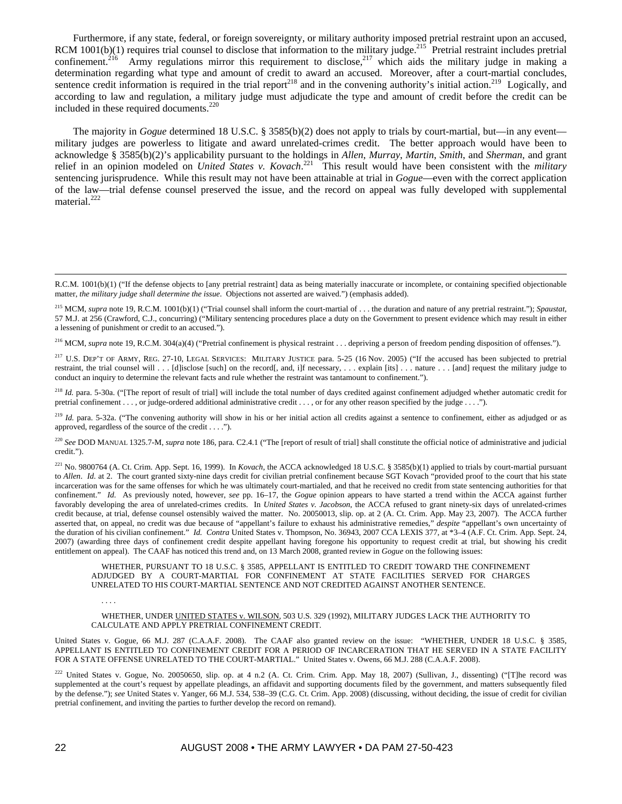Furthermore, if any state, federal, or foreign sovereignty, or military authority imposed pretrial restraint upon an accused, RCM 1001(b)(1) requires trial counsel to disclose that information to the military judge.<sup>215</sup> Pretrial restraint includes pretrial confinement.<sup>216</sup> Army regulations mirror this requirement to disclose,<sup>217</sup> which aids the military judge in making a determination regarding what type and amount of credit to award an accused. Moreover, after a court-martial concludes, sentence credit information is required in the trial report<sup>218</sup> and in the convening authority's initial action.<sup>219</sup> Logically, and according to law and regulation, a military judge must adjudicate the type and amount of credit before the credit can be included in these required documents.<sup>220</sup>

The majority in *Gogue* determined 18 U.S.C. § 3585(b)(2) does not apply to trials by court-martial, but—in any event military judges are powerless to litigate and award unrelated-crimes credit. The better approach would have been to acknowledge § 3585(b)(2)'s applicability pursuant to the holdings in *Allen*, *Murray*, *Martin*, *Smith*, and *Sherman*, and grant relief in an opinion modeled on *United States v. Kovach*. 221 This result would have been consistent with the *military* sentencing jurisprudence. While this result may not have been attainable at trial in *Gogue*—even with the correct application of the law—trial defense counsel preserved the issue, and the record on appeal was fully developed with supplemental material.<sup>222</sup>

<sup>216</sup> MCM, *supra* note 19, R.C.M. 304(a)(4) ("Pretrial confinement is physical restraint . . . depriving a person of freedom pending disposition of offenses.").

<sup>217</sup> U.S. DEP'T OF ARMY, REG. 27-10, LEGAL SERVICES: MILITARY JUSTICE para. 5-25 (16 Nov. 2005) ("If the accused has been subjected to pretrial restraint, the trial counsel will . . . [d]isclose [such] on the record[, and, i]f necessary, . . . explain [its] . . . nature . . . [and] request the military judge to conduct an inquiry to determine the relevant facts and rule whether the restraint was tantamount to confinement.").

<sup>218</sup> *Id.* para. 5-30a. ("[The report of result of trial] will include the total number of days credited against confinement adjudged whether automatic credit for pretrial confinement . . . , or judge-ordered additional administrative credit . . . , or for any other reason specified by the judge . . . .").

<sup>219</sup> *Id.* para. 5-32a. ("The convening authority will show in his or her initial action all credits against a sentence to confinement, either as adjudged or as approved, regardless of the source of the credit . . . .").

<sup>220</sup> See DOD MANUAL 1325.7-M, *supra* note 186, para. C2.4.1 ("The [report of result of trial] shall constitute the official notice of administrative and judicial credit.").

221 No. 9800764 (A. Ct. Crim. App. Sept. 16, 1999). In *Kovach*, the ACCA acknowledged 18 U.S.C. § 3585(b)(1) applied to trials by court-martial pursuant to *Allen. Id.* at 2. The court granted sixty-nine days credit for civilian pretrial confinement because SGT Kovach "provided proof to the court that his state incarceration was for the same offenses for which he was ultimately court-martialed, and that he received no credit from state sentencing authorities for that confinement." *Id.* As previously noted, however, *see* pp. 16–17, the *Gogue* opinion appears to have started a trend within the ACCA against further favorably developing the area of unrelated-crimes credits. In *United States v. Jacobson*, the ACCA refused to grant ninety-six days of unrelated-crimes credit because, at trial, defense counsel ostensibly waived the matter. No. 20050013, slip. op. at 2 (A. Ct. Crim. App. May 23, 2007). The ACCA further asserted that, on appeal, no credit was due because of "appellant's failure to exhaust his administrative remedies," *despite* "appellant's own uncertainty of the duration of his civilian confinement." *Id. Contra* United States v. Thompson, No. 36943, 2007 CCA LEXIS 377, at \*3–4 (A.F. Ct. Crim. App. Sept. 24, 2007) (awarding three days of confinement credit despite appellant having foregone his opportunity to request credit at trial, but showing his credit entitlement on appeal). The CAAF has noticed this trend and, on 13 March 2008, granted review in *Gogue* on the following issues:

#### WHETHER, PURSUANT TO 18 U.S.C. § 3585, APPELLANT IS ENTITLED TO CREDIT TOWARD THE CONFINEMENT ADJUDGED BY A COURT-MARTIAL FOR CONFINEMENT AT STATE FACILITIES SERVED FOR CHARGES UNRELATED TO HIS COURT-MARTIAL SENTENCE AND NOT CREDITED AGAINST ANOTHER SENTENCE.

#### WHETHER, UNDER UNITED STATES v. WILSON, 503 U.S. 329 (1992), MILITARY JUDGES LACK THE AUTHORITY TO CALCULATE AND APPLY PRETRIAL CONFINEMENT CREDIT.

United States v. Gogue, 66 M.J. 287 (C.A.A.F. 2008). The CAAF also granted review on the issue: "WHETHER, UNDER 18 U.S.C. § 3585, APPELLANT IS ENTITLED TO CONFINEMENT CREDIT FOR A PERIOD OF INCARCERATION THAT HE SERVED IN A STATE FACILITY FOR A STATE OFFENSE UNRELATED TO THE COURT-MARTIAL." United States v. Owens, 66 M.J. 288 (C.A.A.F. 2008).

222 United States v. Gogue, No. 20050650, slip. op. at 4 n.2 (A. Ct. Crim. Crim. App. May 18, 2007) (Sullivan, J., dissenting) ("[T]he record was supplemented at the court's request by appellate pleadings, an affidavit and supporting documents filed by the government, and matters subsequently filed by the defense."); *see* United States v. Yanger, 66 M.J. 534, 538–39 (C.G. Ct. Crim. App. 2008) (discussing, without deciding, the issue of credit for civilian pretrial confinement, and inviting the parties to further develop the record on remand).

. . . .

R.C.M. 1001(b)(1) ("If the defense objects to [any pretrial restraint] data as being materially inaccurate or incomplete, or containing specified objectionable matter, *the military judge shall determine the issue*. Objections not asserted are waived.") (emphasis added).

<sup>215</sup> MCM, *supra* note 19, R.C.M. 1001(b)(1) ("Trial counsel shall inform the court-martial of . . . the duration and nature of any pretrial restraint."); *Spaustat*, 57 M.J. at 256 (Crawford, C.J., concurring) ("Military sentencing procedures place a duty on the Government to present evidence which may result in either a lessening of punishment or credit to an accused.").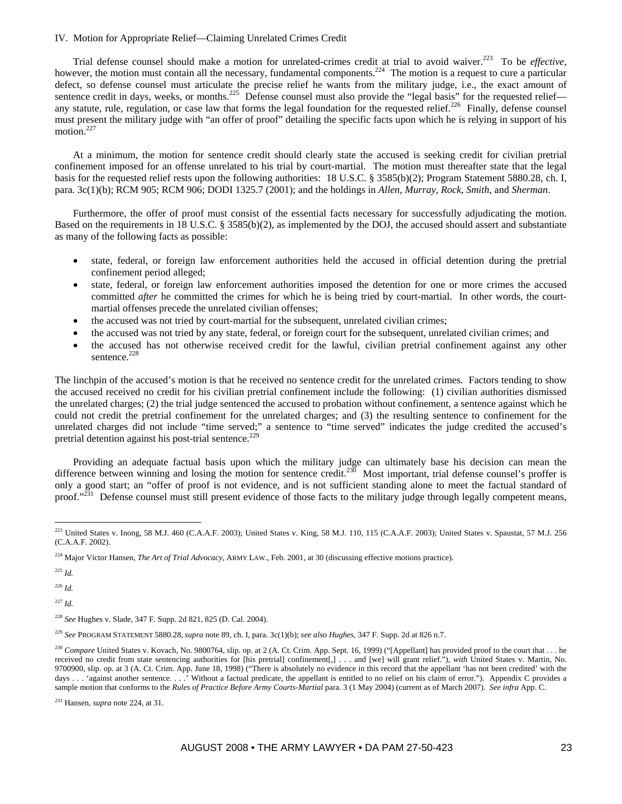## IV. Motion for Appropriate Relief—Claiming Unrelated Crimes Credit

Trial defense counsel should make a motion for unrelated-crimes credit at trial to avoid waiver.223 To be *effective*, however, the motion must contain all the necessary, fundamental components.<sup>224</sup> The motion is a request to cure a particular defect, so defense counsel must articulate the precise relief he wants from the military judge, i.e., the exact amount of sentence credit in days, weeks, or months.<sup>225</sup> Defense counsel must also provide the "legal basis" for the requested relief any statute, rule, regulation, or case law that forms the legal foundation for the requested relief.<sup>226</sup> Finally, defense counsel must present the military judge with "an offer of proof" detailing the specific facts upon which he is relying in support of his motion.<sup>227</sup>

At a minimum, the motion for sentence credit should clearly state the accused is seeking credit for civilian pretrial confinement imposed for an offense unrelated to his trial by court-martial. The motion must thereafter state that the legal basis for the requested relief rests upon the following authorities: 18 U.S.C. § 3585(b)(2); Program Statement 5880.28, ch. I, para. 3c(1)(b); RCM 905; RCM 906; DODI 1325.7 (2001); and the holdings in *Allen*, *Murray*, *Rock*, *Smith*, and *Sherman*.

Furthermore, the offer of proof must consist of the essential facts necessary for successfully adjudicating the motion. Based on the requirements in 18 U.S.C. § 3585(b)(2), as implemented by the DOJ, the accused should assert and substantiate as many of the following facts as possible:

- state, federal, or foreign law enforcement authorities held the accused in official detention during the pretrial confinement period alleged;
- state, federal, or foreign law enforcement authorities imposed the detention for one or more crimes the accused committed *after* he committed the crimes for which he is being tried by court-martial. In other words, the courtmartial offenses precede the unrelated civilian offenses;
- the accused was not tried by court-martial for the subsequent, unrelated civilian crimes;
- the accused was not tried by any state, federal, or foreign court for the subsequent, unrelated civilian crimes; and
- the accused has not otherwise received credit for the lawful, civilian pretrial confinement against any other sentence.<sup>228</sup>

The linchpin of the accused's motion is that he received no sentence credit for the unrelated crimes. Factors tending to show the accused received no credit for his civilian pretrial confinement include the following: (1) civilian authorities dismissed the unrelated charges; (2) the trial judge sentenced the accused to probation without confinement, a sentence against which he could not credit the pretrial confinement for the unrelated charges; and (3) the resulting sentence to confinement for the unrelated charges did not include "time served;" a sentence to "time served" indicates the judge credited the accused's pretrial detention against his post-trial sentence.<sup>229</sup>

Providing an adequate factual basis upon which the military judge can ultimately base his decision can mean the difference between winning and losing the motion for sentence credit.<sup>230</sup> Most important, trial defense counsel's proffer is only a good start; an "offer of proof is not evidence, and is not sufficient standing alone to meet the factual standard of proof."<sup>231</sup> Defense counsel must still present evidence of those facts to the military judge through legally competent means,

<sup>225</sup> *Id.*

<sup>226</sup> *Id.*

<sup>227</sup> *Id.*

 $\overline{a}$ 223 United States v. Inong, 58 M.J. 460 (C.A.A.F. 2003); United States v. King, 58 M.J. 110, 115 (C.A.A.F. 2003); United States v. Spaustat, 57 M.J. 256 (C.A.A.F. 2002).

<sup>224</sup> Major Victor Hansen, *The Art of Trial Advocacy*, ARMY LAW., Feb. 2001, at 30 (discussing effective motions practice).

<sup>228</sup> *See* Hughes v. Slade, 347 F. Supp. 2d 821, 825 (D. Cal. 2004).

<sup>229</sup> *See* PROGRAM STATEMENT 5880.28,*supra* note 89, ch. I, para. 3c(1)(b); *see also Hughes*, 347 F. Supp. 2d at 826 n.7.

<sup>&</sup>lt;sup>230</sup> Compare United States v. Kovach, No. 9800764, slip. op. at 2 (A. Ct. Crim. App. Sept. 16, 1999) ("[Appellant] has provided proof to the court that . . . he received no credit from state sentencing authorities for [his pretrial] confinement[,] . . . and [we] will grant relief."), *with* United States v. Martin, No. 9700900, slip. op. at 3 (A. Ct. Crim. App. June 18, 1998) ("There is absolutely no evidence in this record that the appellant 'has not been credited' with the days . . . 'against another sentence. . . . ' Without a factual predicate, the appellant is entitled to no relief on his claim of error."). Appendix C provides a sample motion that conforms to the *Rules of Practice Before Army Courts-Martial* para. 3 (1 May 2004) (current as of March 2007). *See infra* App. C.

<sup>231</sup> Hansen, *supra* note 224, at 31.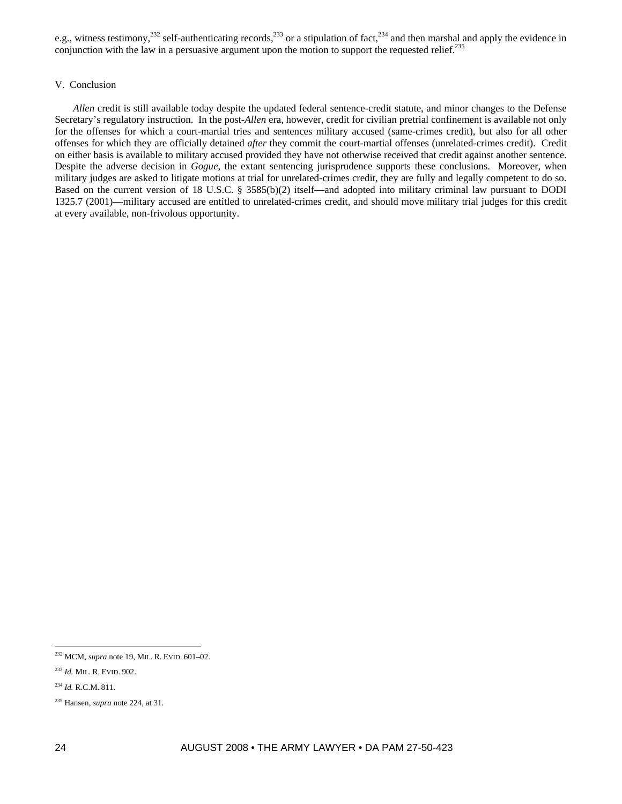e.g., witness testimony,<sup>232</sup> self-authenticating records,<sup>233</sup> or a stipulation of fact,<sup>234</sup> and then marshal and apply the evidence in conjunction with the law in a persuasive argument upon the motion to support the requested relief.<sup>235</sup>

## V. Conclusion

*Allen* credit is still available today despite the updated federal sentence-credit statute, and minor changes to the Defense Secretary's regulatory instruction. In the post-*Allen* era, however, credit for civilian pretrial confinement is available not only for the offenses for which a court-martial tries and sentences military accused (same-crimes credit), but also for all other offenses for which they are officially detained *after* they commit the court-martial offenses (unrelated-crimes credit). Credit on either basis is available to military accused provided they have not otherwise received that credit against another sentence. Despite the adverse decision in *Gogue*, the extant sentencing jurisprudence supports these conclusions. Moreover, when military judges are asked to litigate motions at trial for unrelated-crimes credit, they are fully and legally competent to do so. Based on the current version of 18 U.S.C. § 3585(b)(2) itself—and adopted into military criminal law pursuant to DODI 1325.7 (2001)—military accused are entitled to unrelated-crimes credit, and should move military trial judges for this credit at every available, non-frivolous opportunity.

 $\overline{a}$ 

<sup>232</sup> MCM, *supra* note 19, MIL. R. EVID. 601–02.

<sup>233</sup> *Id.* MIL. R. EVID. 902.

<sup>234</sup> *Id.* R.C.M. 811.

<sup>235</sup> Hansen, *supra* note 224, at 31.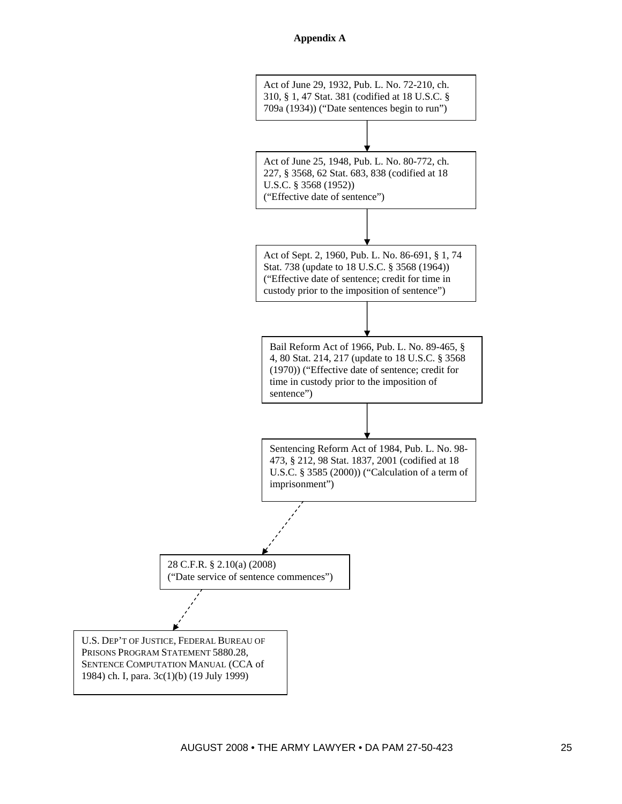

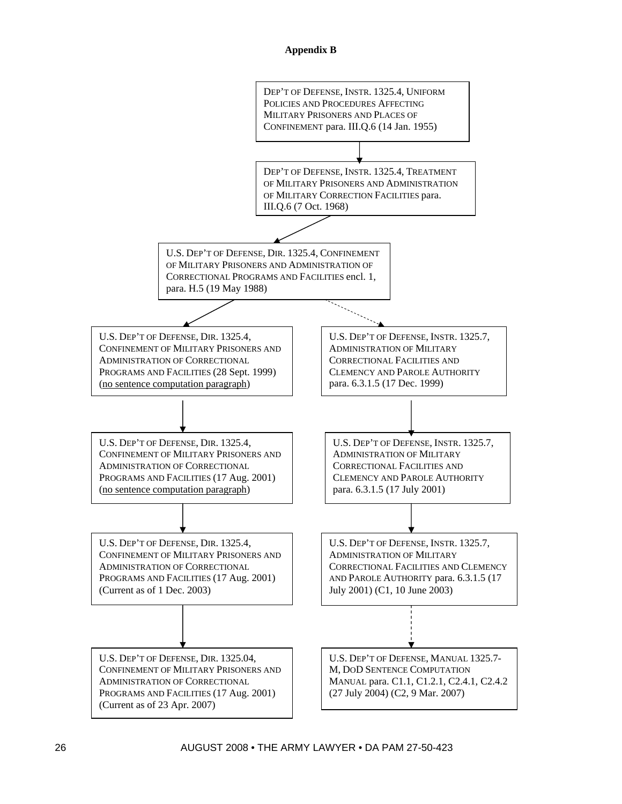# **Appendix B**

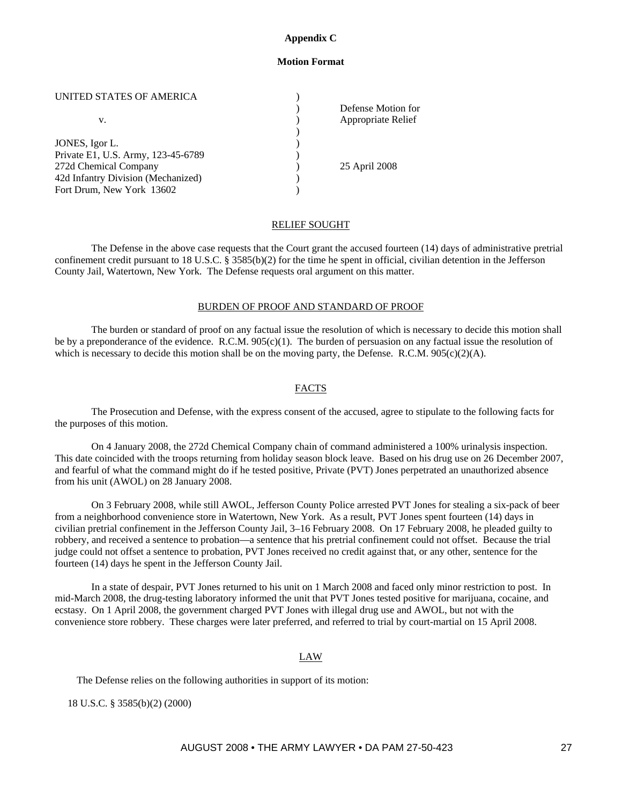# **Appendix C**

# **Motion Format**

## UNITED STATES OF AMERICA  $($

|                                    | Defense Motion for |
|------------------------------------|--------------------|
| v.                                 | Appropriate Relief |
|                                    |                    |
| JONES, Igor L.                     |                    |
| Private E1, U.S. Army, 123-45-6789 |                    |
| 272d Chemical Company              | 25 April 2008      |
| 42d Infantry Division (Mechanized) |                    |
| Fort Drum, New York 13602          |                    |

# RELIEF SOUGHT

The Defense in the above case requests that the Court grant the accused fourteen (14) days of administrative pretrial confinement credit pursuant to 18 U.S.C. § 3585(b)(2) for the time he spent in official, civilian detention in the Jefferson County Jail, Watertown, New York. The Defense requests oral argument on this matter.

# BURDEN OF PROOF AND STANDARD OF PROOF

The burden or standard of proof on any factual issue the resolution of which is necessary to decide this motion shall be by a preponderance of the evidence. R.C.M. 905(c)(1). The burden of persuasion on any factual issue the resolution of which is necessary to decide this motion shall be on the moving party, the Defense. R.C.M.  $905(c)(2)(A)$ .

# FACTS

The Prosecution and Defense, with the express consent of the accused, agree to stipulate to the following facts for the purposes of this motion.

On 4 January 2008, the 272d Chemical Company chain of command administered a 100% urinalysis inspection. This date coincided with the troops returning from holiday season block leave. Based on his drug use on 26 December 2007, and fearful of what the command might do if he tested positive, Private (PVT) Jones perpetrated an unauthorized absence from his unit (AWOL) on 28 January 2008.

On 3 February 2008, while still AWOL, Jefferson County Police arrested PVT Jones for stealing a six-pack of beer from a neighborhood convenience store in Watertown, New York. As a result, PVT Jones spent fourteen (14) days in civilian pretrial confinement in the Jefferson County Jail, 3–16 February 2008. On 17 February 2008, he pleaded guilty to robbery, and received a sentence to probation—a sentence that his pretrial confinement could not offset. Because the trial judge could not offset a sentence to probation, PVT Jones received no credit against that, or any other, sentence for the fourteen (14) days he spent in the Jefferson County Jail.

In a state of despair, PVT Jones returned to his unit on 1 March 2008 and faced only minor restriction to post. In mid-March 2008, the drug-testing laboratory informed the unit that PVT Jones tested positive for marijuana, cocaine, and ecstasy. On 1 April 2008, the government charged PVT Jones with illegal drug use and AWOL, but not with the convenience store robbery. These charges were later preferred, and referred to trial by court-martial on 15 April 2008.

# LAW

The Defense relies on the following authorities in support of its motion:

18 U.S.C. § 3585(b)(2) (2000)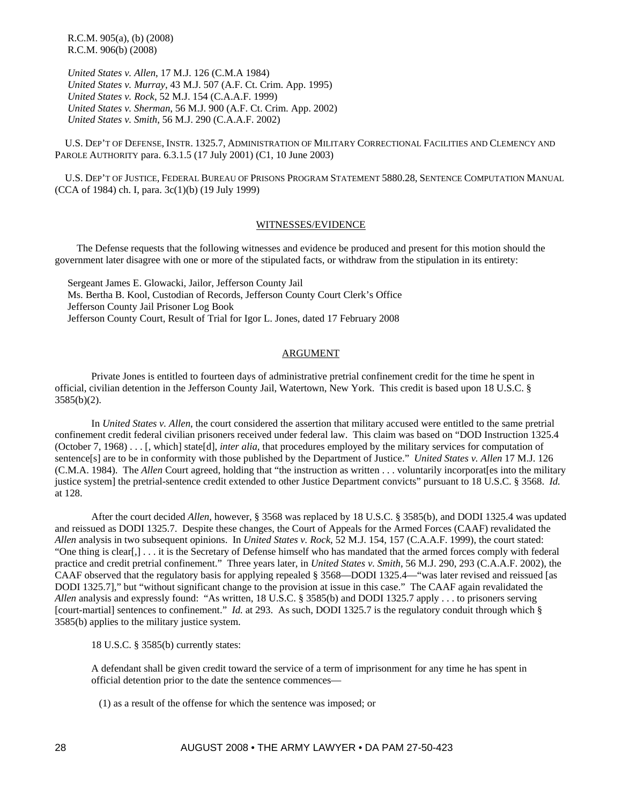R.C.M. 905(a), (b) (2008) R.C.M. 906(b) (2008)

 *United States v. Allen*, 17 M.J. 126 (C.M.A 1984)  *United States v. Murray*, 43 M.J. 507 (A.F. Ct. Crim. App. 1995)  *United States v. Rock*, 52 M.J. 154 (C.A.A.F. 1999)  *United States v. Sherman*, 56 M.J. 900 (A.F. Ct. Crim. App. 2002)  *United States v. Smith*, 56 M.J. 290 (C.A.A.F. 2002)

 U.S. DEP'T OF DEFENSE, INSTR. 1325.7, ADMINISTRATION OF MILITARY CORRECTIONAL FACILITIES AND CLEMENCY AND PAROLE AUTHORITY para. 6.3.1.5 (17 July 2001) (C1, 10 June 2003)

 U.S. DEP'T OF JUSTICE, FEDERAL BUREAU OF PRISONS PROGRAM STATEMENT 5880.28, SENTENCE COMPUTATION MANUAL (CCA of 1984) ch. I, para. 3c(1)(b) (19 July 1999)

## WITNESSES/EVIDENCE

 The Defense requests that the following witnesses and evidence be produced and present for this motion should the government later disagree with one or more of the stipulated facts, or withdraw from the stipulation in its entirety:

 Sergeant James E. Glowacki, Jailor, Jefferson County Jail Ms. Bertha B. Kool, Custodian of Records, Jefferson County Court Clerk's Office Jefferson County Jail Prisoner Log Book Jefferson County Court, Result of Trial for Igor L. Jones, dated 17 February 2008

# ARGUMENT

Private Jones is entitled to fourteen days of administrative pretrial confinement credit for the time he spent in official, civilian detention in the Jefferson County Jail, Watertown, New York. This credit is based upon 18 U.S.C. §  $3585(b)(2)$ .

In *United States v. Allen*, the court considered the assertion that military accused were entitled to the same pretrial confinement credit federal civilian prisoners received under federal law. This claim was based on "DOD Instruction 1325.4 (October 7, 1968) . . . [, which] state[d], *inter alia*, that procedures employed by the military services for computation of sentence[s] are to be in conformity with those published by the Department of Justice." *United States v. Allen* 17 M.J. 126 (C.M.A. 1984). The *Allen* Court agreed, holding that "the instruction as written . . . voluntarily incorporat[es into the military justice system] the pretrial-sentence credit extended to other Justice Department convicts" pursuant to 18 U.S.C. § 3568. *Id.* at 128.

After the court decided *Allen*, however, § 3568 was replaced by 18 U.S.C. § 3585(b), and DODI 1325.4 was updated and reissued as DODI 1325.7. Despite these changes, the Court of Appeals for the Armed Forces (CAAF) revalidated the *Allen* analysis in two subsequent opinions. In *United States v. Rock*, 52 M.J. 154, 157 (C.A.A.F. 1999), the court stated: "One thing is clear[,] . . . it is the Secretary of Defense himself who has mandated that the armed forces comply with federal practice and credit pretrial confinement." Three years later, in *United States v. Smith*, 56 M.J. 290, 293 (C.A.A.F. 2002), the CAAF observed that the regulatory basis for applying repealed § 3568—DODI 1325.4—"was later revised and reissued [as DODI 1325.7]," but "without significant change to the provision at issue in this case." The CAAF again revalidated the *Allen* analysis and expressly found: "As written, 18 U.S.C. § 3585(b) and DODI 1325.7 apply . . . to prisoners serving [court-martial] sentences to confinement." *Id.* at 293. As such, DODI 1325.7 is the regulatory conduit through which § 3585(b) applies to the military justice system.

18 U.S.C. § 3585(b) currently states:

A defendant shall be given credit toward the service of a term of imprisonment for any time he has spent in official detention prior to the date the sentence commences—

(1) as a result of the offense for which the sentence was imposed; or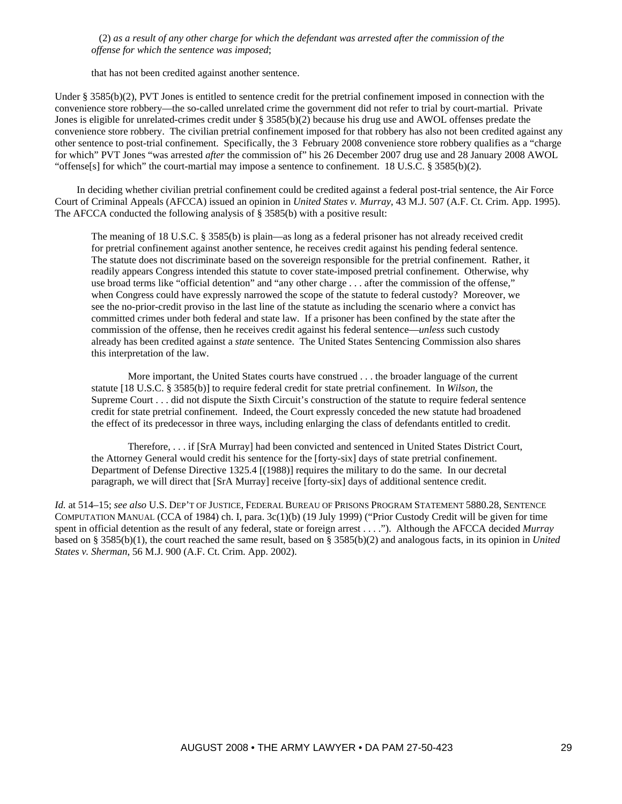(2) *as a result of any other charge for which the defendant was arrested after the commission of the offense for which the sentence was imposed*;

that has not been credited against another sentence.

Under § 3585(b)(2), PVT Jones is entitled to sentence credit for the pretrial confinement imposed in connection with the convenience store robbery—the so-called unrelated crime the government did not refer to trial by court-martial. Private Jones is eligible for unrelated-crimes credit under § 3585(b)(2) because his drug use and AWOL offenses predate the convenience store robbery. The civilian pretrial confinement imposed for that robbery has also not been credited against any other sentence to post-trial confinement. Specifically, the 3 February 2008 convenience store robbery qualifies as a "charge for which" PVT Jones "was arrested *after* the commission of" his 26 December 2007 drug use and 28 January 2008 AWOL "offense[s] for which" the court-martial may impose a sentence to confinement. 18 U.S.C. § 3585(b)(2).

 In deciding whether civilian pretrial confinement could be credited against a federal post-trial sentence, the Air Force Court of Criminal Appeals (AFCCA) issued an opinion in *United States v. Murray*, 43 M.J. 507 (A.F. Ct. Crim. App. 1995). The AFCCA conducted the following analysis of § 3585(b) with a positive result:

The meaning of 18 U.S.C. § 3585(b) is plain—as long as a federal prisoner has not already received credit for pretrial confinement against another sentence, he receives credit against his pending federal sentence. The statute does not discriminate based on the sovereign responsible for the pretrial confinement. Rather, it readily appears Congress intended this statute to cover state-imposed pretrial confinement. Otherwise, why use broad terms like "official detention" and "any other charge . . . after the commission of the offense," when Congress could have expressly narrowed the scope of the statute to federal custody? Moreover, we see the no-prior-credit proviso in the last line of the statute as including the scenario where a convict has committed crimes under both federal and state law. If a prisoner has been confined by the state after the commission of the offense, then he receives credit against his federal sentence—*unless* such custody already has been credited against a *state* sentence. The United States Sentencing Commission also shares this interpretation of the law.

More important, the United States courts have construed . . . the broader language of the current statute [18 U.S.C. § 3585(b)] to require federal credit for state pretrial confinement. In *Wilson*, the Supreme Court . . . did not dispute the Sixth Circuit's construction of the statute to require federal sentence credit for state pretrial confinement. Indeed, the Court expressly conceded the new statute had broadened the effect of its predecessor in three ways, including enlarging the class of defendants entitled to credit.

Therefore, . . . if [SrA Murray] had been convicted and sentenced in United States District Court, the Attorney General would credit his sentence for the [forty-six] days of state pretrial confinement. Department of Defense Directive 1325.4 [(1988)] requires the military to do the same. In our decretal paragraph, we will direct that [SrA Murray] receive [forty-six] days of additional sentence credit.

*Id.* at 514–15; *see also* U.S. DEP'T OF JUSTICE, FEDERAL BUREAU OF PRISONS PROGRAM STATEMENT 5880.28, SENTENCE COMPUTATION MANUAL (CCA of 1984) ch. I, para. 3c(1)(b) (19 July 1999) ("Prior Custody Credit will be given for time spent in official detention as the result of any federal, state or foreign arrest . . . ."). Although the AFCCA decided *Murray* based on § 3585(b)(1), the court reached the same result, based on § 3585(b)(2) and analogous facts, in its opinion in *United States v. Sherman*, 56 M.J. 900 (A.F. Ct. Crim. App. 2002).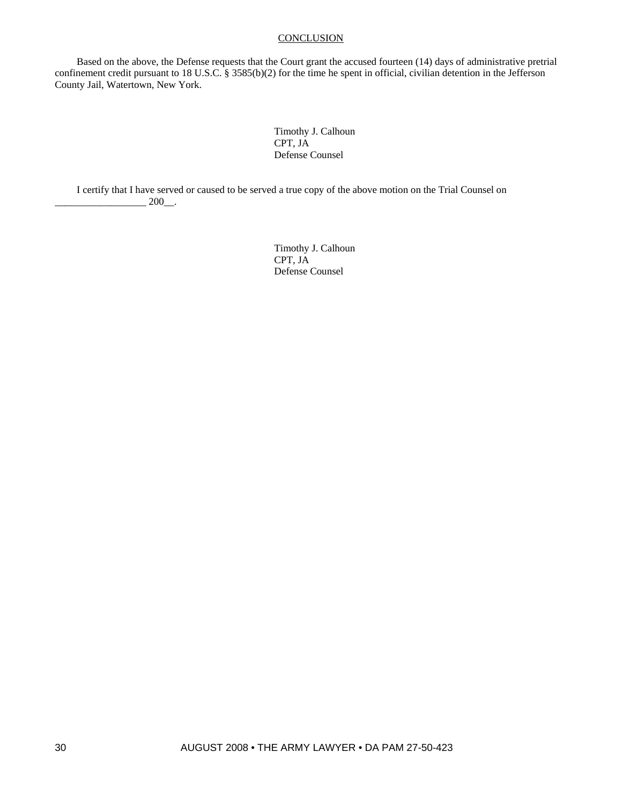# **CONCLUSION**

 Based on the above, the Defense requests that the Court grant the accused fourteen (14) days of administrative pretrial confinement credit pursuant to 18 U.S.C. § 3585(b)(2) for the time he spent in official, civilian detention in the Jefferson County Jail, Watertown, New York.

> Timothy J. Calhoun CPT, JA Defense Counsel

 I certify that I have served or caused to be served a true copy of the above motion on the Trial Counsel on  $\frac{200}{\ldots}$ .

> Timothy J. Calhoun CPT, JA Defense Counsel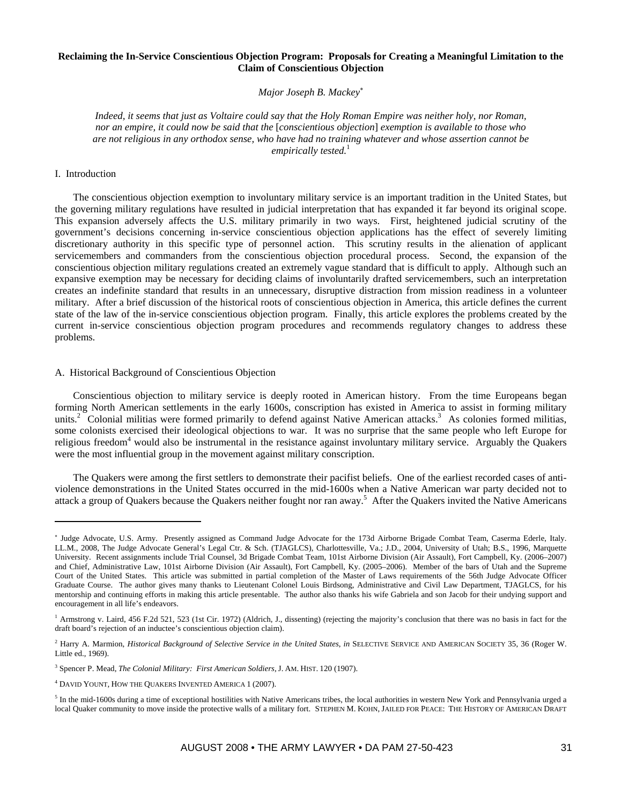## **Reclaiming the In-Service Conscientious Objection Program: Proposals for Creating a Meaningful Limitation to the Claim of Conscientious Objection**

*Major Joseph B. Mackey*<sup>∗</sup>

*Indeed, it seems that just as Voltaire could say that the Holy Roman Empire was neither holy, nor Roman, nor an empire, it could now be said that the* [*conscientious objection*] *exemption is available to those who are not religious in any orthodox sense, who have had no training whatever and whose assertion cannot be empirically tested.*<sup>1</sup>

## I. Introduction

 $\overline{a}$ 

The conscientious objection exemption to involuntary military service is an important tradition in the United States, but the governing military regulations have resulted in judicial interpretation that has expanded it far beyond its original scope. This expansion adversely affects the U.S. military primarily in two ways. First, heightened judicial scrutiny of the government's decisions concerning in-service conscientious objection applications has the effect of severely limiting discretionary authority in this specific type of personnel action. This scrutiny results in the alienation of applicant servicemembers and commanders from the conscientious objection procedural process. Second, the expansion of the conscientious objection military regulations created an extremely vague standard that is difficult to apply. Although such an expansive exemption may be necessary for deciding claims of involuntarily drafted servicemembers, such an interpretation creates an indefinite standard that results in an unnecessary, disruptive distraction from mission readiness in a volunteer military. After a brief discussion of the historical roots of conscientious objection in America, this article defines the current state of the law of the in-service conscientious objection program. Finally, this article explores the problems created by the current in-service conscientious objection program procedures and recommends regulatory changes to address these problems.

## A. Historical Background of Conscientious Objection

Conscientious objection to military service is deeply rooted in American history. From the time Europeans began forming North American settlements in the early 1600s, conscription has existed in America to assist in forming military units.<sup>2</sup> Colonial militias were formed primarily to defend against Native American attacks.<sup>3</sup> As colonies formed militias, some colonists exercised their ideological objections to war. It was no surprise that the same people who left Europe for religious freedom<sup>4</sup> would also be instrumental in the resistance against involuntary military service. Arguably the Quakers were the most influential group in the movement against military conscription.

The Quakers were among the first settlers to demonstrate their pacifist beliefs. One of the earliest recorded cases of antiviolence demonstrations in the United States occurred in the mid-1600s when a Native American war party decided not to attack a group of Quakers because the Quakers neither fought nor ran away.<sup>5</sup> After the Quakers invited the Native Americans

<sup>∗</sup> Judge Advocate, U.S. Army. Presently assigned as Command Judge Advocate for the 173d Airborne Brigade Combat Team, Caserma Ederle, Italy. LL.M., 2008, The Judge Advocate General's Legal Ctr. & Sch. (TJAGLCS), Charlottesville, Va.; J.D., 2004, University of Utah; B.S., 1996, Marquette University. Recent assignments include Trial Counsel, 3d Brigade Combat Team, 101st Airborne Division (Air Assault), Fort Campbell, Ky. (2006–2007) and Chief, Administrative Law, 101st Airborne Division (Air Assault), Fort Campbell, Ky. (2005–2006). Member of the bars of Utah and the Supreme Court of the United States. This article was submitted in partial completion of the Master of Laws requirements of the 56th Judge Advocate Officer Graduate Course. The author gives many thanks to Lieutenant Colonel Louis Birdsong, Administrative and Civil Law Department, TJAGLCS, for his mentorship and continuing efforts in making this article presentable. The author also thanks his wife Gabriela and son Jacob for their undying support and encouragement in all life's endeavors.

<sup>&</sup>lt;sup>1</sup> Armstrong v. Laird, 456 F.2d 521, 523 (1st Cir. 1972) (Aldrich, J., dissenting) (rejecting the majority's conclusion that there was no basis in fact for the draft board's rejection of an inductee's conscientious objection claim).

<sup>2</sup> Harry A. Marmion, *Historical Background of Selective Service in the United States*, *in* SELECTIVE SERVICE AND AMERICAN SOCIETY 35, 36 (Roger W. Little ed., 1969).

<sup>3</sup> Spencer P. Mead, *The Colonial Military: First American Soldiers,* J. AM. HIST. 120 (1907).

<sup>4</sup> DAVID YOUNT, HOW THE QUAKERS INVENTED AMERICA 1 (2007).

 $<sup>5</sup>$  In the mid-1600s during a time of exceptional hostilities with Native Americans tribes, the local authorities in western New York and Pennsylvania urged a</sup> local Quaker community to move inside the protective walls of a military fort. STEPHEN M. KOHN, JAILED FOR PEACE: THE HISTORY OF AMERICAN DRAFT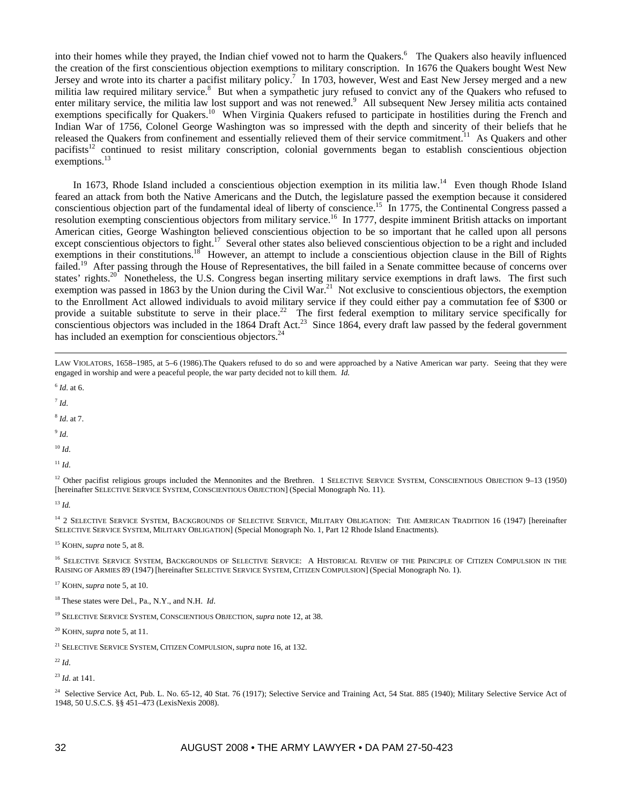into their homes while they prayed, the Indian chief vowed not to harm the Quakers.<sup>6</sup> The Quakers also heavily influenced the creation of the first conscientious objection exemptions to military conscription. In 1676 the Quakers bought West New Jersey and wrote into its charter a pacifist military policy.<sup>7</sup> In 1703, however, West and East New Jersey merged and a new militia law required military service.<sup>8</sup> But when a sympathetic jury refused to convict any of the Quakers who refused to enter military service, the militia law lost support and was not renewed.<sup>9</sup> All subsequent New Jersey militia acts contained exemptions specifically for Quakers.<sup>10</sup> When Virginia Quakers refused to participate in hostilities during the French and Indian War of 1756, Colonel George Washington was so impressed with the depth and sincerity of their beliefs that he released the Quakers from confinement and essentially relieved them of their service commitment.<sup>11</sup> As Quakers and other pacifists<sup>12</sup> continued to resist military conscription, colonial governments began to establish conscientious objection exemptions.<sup>13</sup>

In 1673, Rhode Island included a conscientious objection exemption in its militia law.<sup>14</sup> Even though Rhode Island feared an attack from both the Native Americans and the Dutch, the legislature passed the exemption because it considered conscientious objection part of the fundamental ideal of liberty of conscience.15 In 1775, the Continental Congress passed a resolution exempting conscientious objectors from military service.<sup>16</sup> In 1777, despite imminent British attacks on important American cities, George Washington believed conscientious objection to be so important that he called upon all persons except conscientious objectors to fight.<sup>17</sup> Several other states also believed conscientious objection to be a right and included exemptions in their constitutions.<sup>18</sup> However, an attempt to include a conscientious objection clause in the Bill of Rights failed.<sup>19</sup> After passing through the House of Representatives, the bill failed in a Senate committee because of concerns over states' rights.<sup>20</sup> Nonetheless, the U.S. Congress began inserting military service exemptions in draft laws. The first such exemption was passed in 1863 by the Union during the Civil War.<sup>21</sup> Not exclusive to conscientious objectors, the exemption to the Enrollment Act allowed individuals to avoid military service if they could either pay a commutation fee of \$300 or provide a suitable substitute to serve in their place.<sup>22</sup> The first federal exemption to military service specifically for conscientious objectors was included in the 1864 Draft Act.<sup>23</sup> Since 1864, every draft law passed by the federal government has included an exemption for conscientious objectors.<sup>24</sup>

 LAW VIOLATORS, 1658–1985, at 5–6 (1986).The Quakers refused to do so and were approached by a Native American war party. Seeing that they were engaged in worship and were a peaceful people, the war party decided not to kill them. *Id.* 

<sup>6</sup> *Id*. at 6.

 $^7$  *Id.* 

<sup>8</sup> *Id*. at 7.

 $9$  *Id.* 

<sup>10</sup> *Id*.

 $11$  *Id.* 

<sup>12</sup> Other pacifist religious groups included the Mennonites and the Brethren. 1 SELECTIVE SERVICE SYSTEM, CONSCIENTIOUS OBJECTION 9-13 (1950) [hereinafter SELECTIVE SERVICE SYSTEM, CONSCIENTIOUS OBJECTION] (Special Monograph No. 11).

<sup>13</sup> *Id.*

<sup>14</sup> 2 SELECTIVE SERVICE SYSTEM, BACKGROUNDS OF SELECTIVE SERVICE, MILITARY OBLIGATION: THE AMERICAN TRADITION 16 (1947) [hereinafter SELECTIVE SERVICE SYSTEM, MILITARY OBLIGATION] (Special Monograph No. 1, Part 12 Rhode Island Enactments).

15 KOHN, *supra* note 5, at 8.

<sup>16</sup> SELECTIVE SERVICE SYSTEM, BACKGROUNDS OF SELECTIVE SERVICE: A HISTORICAL REVIEW OF THE PRINCIPLE OF CITIZEN COMPULSION IN THE RAISING OF ARMIES 89 (1947) [hereinafter SELECTIVE SERVICE SYSTEM, CITIZEN COMPULSION] (Special Monograph No. 1).

17 KOHN, *supra* note 5, at 10.

18 These states were Del., Pa., N.Y., and N.H. *Id*.

19 SELECTIVE SERVICE SYSTEM, CONSCIENTIOUS OBJECTION, *supra* note 12, at 38.

20 KOHN, *supra* note 5, at 11.

21 SELECTIVE SERVICE SYSTEM, CITIZEN COMPULSION, *supra* note 16, at 132.

 $22$  *Id.* 

<sup>23</sup> *Id*. at 141.

<sup>24</sup> Selective Service Act, Pub. L. No. 65-12, 40 Stat. 76 (1917); Selective Service and Training Act, 54 Stat. 885 (1940); Military Selective Service Act of 1948, 50 U.S.C.S. §§ 451–473 (LexisNexis 2008).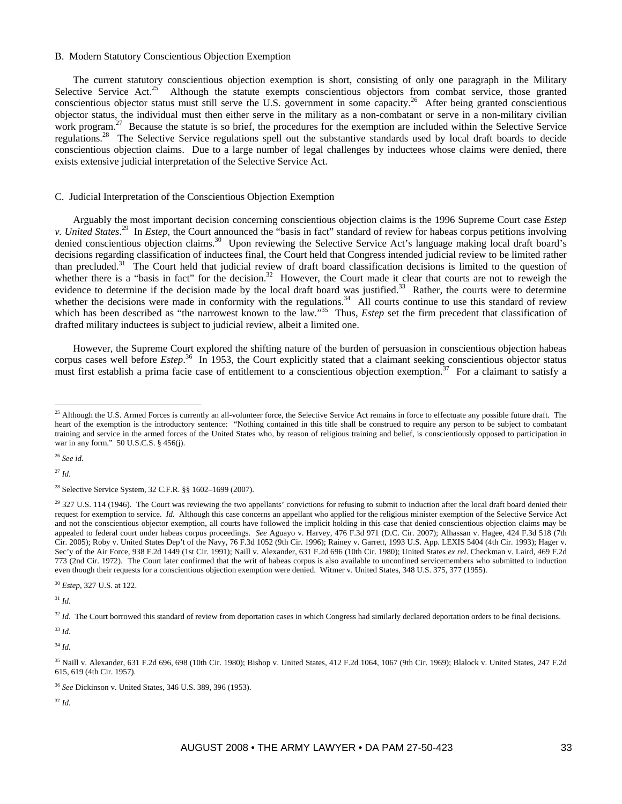#### B. Modern Statutory Conscientious Objection Exemption

The current statutory conscientious objection exemption is short, consisting of only one paragraph in the Military Selective Service Act.<sup>25</sup> Although the statute exempts conscientious objectors from combat service, those granted conscientious objector status must still serve the U.S. government in some capacity.<sup>26</sup> After being granted conscientious objector status, the individual must then either serve in the military as a non-combatant or serve in a non-military civilian work program.<sup>27</sup> Because the statute is so brief, the procedures for the exemption are included within the Selective Service regulations.<sup>28</sup> The Selective Service regulations spell out the substantive standards used by local draft boards to decide conscientious objection claims. Due to a large number of legal challenges by inductees whose claims were denied, there exists extensive judicial interpretation of the Selective Service Act.

#### C. Judicial Interpretation of the Conscientious Objection Exemption

Arguably the most important decision concerning conscientious objection claims is the 1996 Supreme Court case *Estep v. United States*. 29 In *Estep*, the Court announced the "basis in fact" standard of review for habeas corpus petitions involving denied conscientious objection claims.<sup>30</sup> Upon reviewing the Selective Service Act's language making local draft board's decisions regarding classification of inductees final, the Court held that Congress intended judicial review to be limited rather than precluded.<sup>31</sup> The Court held that judicial review of draft board classification decisions is limited to the question of whether there is a "basis in fact" for the decision.<sup>32</sup> However, the Court made it clear that courts are not to reweigh the evidence to determine if the decision made by the local draft board was justified.<sup>33</sup> Rather, the courts were to determine whether the decisions were made in conformity with the regulations.<sup>34</sup> All courts continue to use this standard of review which has been described as "the narrowest known to the law."<sup>35</sup> Thus, *Estep* set the firm precedent that classification of drafted military inductees is subject to judicial review, albeit a limited one.

However, the Supreme Court explored the shifting nature of the burden of persuasion in conscientious objection habeas corpus cases well before *Estep*.<sup>36</sup> In 1953, the Court explicitly stated that a claimant seeking conscientious objector status must first establish a prima facie case of entitlement to a conscientious objection exemption.<sup>37</sup> For a claimant to satisfy a

<sup>26</sup> *See id*.

<sup>27</sup> *Id*.

 $\overline{a}$ 

<sup>30</sup> *Estep*, 327 U.S. at 122.

<sup>31</sup> *Id*.

<sup>32</sup> *Id.* The Court borrowed this standard of review from deportation cases in which Congress had similarly declared deportation orders to be final decisions.

<sup>34</sup> *Id.*

<sup>37</sup> *Id*.

 $^{25}$  Although the U.S. Armed Forces is currently an all-volunteer force, the Selective Service Act remains in force to effectuate any possible future draft. The heart of the exemption is the introductory sentence: "Nothing contained in this title shall be construed to require any person to be subject to combatant training and service in the armed forces of the United States who, by reason of religious training and belief, is conscientiously opposed to participation in war in any form." 50 U.S.C.S. § 456(j).

<sup>28</sup> Selective Service System, 32 C.F.R. §§ 1602–1699 (2007).

 $29$  327 U.S. 114 (1946). The Court was reviewing the two appellants' convictions for refusing to submit to induction after the local draft board denied their request for exemption to service. *Id.* Although this case concerns an appellant who applied for the religious minister exemption of the Selective Service Act and not the conscientious objector exemption, all courts have followed the implicit holding in this case that denied conscientious objection claims may be appealed to federal court under habeas corpus proceedings. *See* Aguayo v. Harvey, 476 F.3d 971 (D.C. Cir. 2007); Alhassan v. Hagee, 424 F.3d 518 (7th Cir. 2005); Roby v. United States Dep't of the Navy, 76 F.3d 1052 (9th Cir. 1996); Rainey v. Garrett, 1993 U.S. App. LEXIS 5404 (4th Cir. 1993); Hager v. Sec'y of the Air Force, 938 F.2d 1449 (1st Cir. 1991); Naill v. Alexander, 631 F.2d 696 (10th Cir. 1980); United States *ex rel*. Checkman v. Laird, 469 F.2d 773 (2nd Cir. 1972). The Court later confirmed that the writ of habeas corpus is also available to unconfined servicemembers who submitted to induction even though their requests for a conscientious objection exemption were denied. Witmer v. United States, 348 U.S. 375, 377 (1955).

<sup>33</sup> *Id*.

<sup>35</sup> Naill v. Alexander, 631 F.2d 696, 698 (10th Cir. 1980); Bishop v. United States, 412 F.2d 1064, 1067 (9th Cir. 1969); Blalock v. United States, 247 F.2d 615, 619 (4th Cir. 1957).

<sup>36</sup> *See* Dickinson v. United States, 346 U.S. 389, 396 (1953).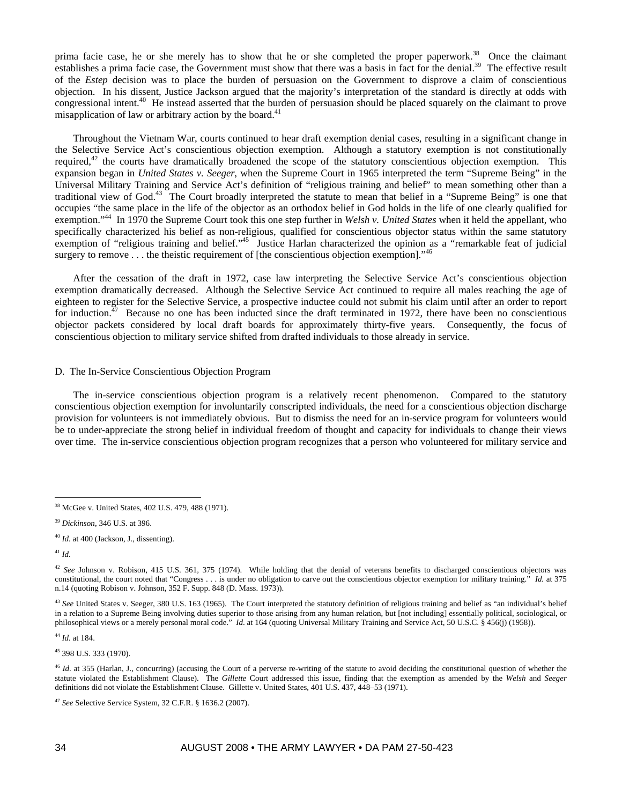prima facie case, he or she merely has to show that he or she completed the proper paperwork.<sup>38</sup> Once the claimant establishes a prima facie case, the Government must show that there was a basis in fact for the denial.<sup>39</sup> The effective result of the *Estep* decision was to place the burden of persuasion on the Government to disprove a claim of conscientious objection. In his dissent, Justice Jackson argued that the majority's interpretation of the standard is directly at odds with congressional intent.<sup>40</sup> He instead asserted that the burden of persuasion should be placed squarely on the claimant to prove misapplication of law or arbitrary action by the board.<sup>41</sup>

Throughout the Vietnam War, courts continued to hear draft exemption denial cases, resulting in a significant change in the Selective Service Act's conscientious objection exemption. Although a statutory exemption is not constitutionally required,<sup>42</sup> the courts have dramatically broadened the scope of the statutory conscientious objection exemption. This expansion began in *United States v. Seeger*, when the Supreme Court in 1965 interpreted the term "Supreme Being" in the Universal Military Training and Service Act's definition of "religious training and belief" to mean something other than a traditional view of God.43 The Court broadly interpreted the statute to mean that belief in a "Supreme Being" is one that occupies "the same place in the life of the objector as an orthodox belief in God holds in the life of one clearly qualified for exemption."44 In 1970 the Supreme Court took this one step further in *Welsh v. United States* when it held the appellant, who specifically characterized his belief as non-religious, qualified for conscientious objector status within the same statutory exemption of "religious training and belief."<sup>45</sup> Justice Harlan characterized the opinion as a "remarkable feat of judicial surgery to remove  $\dots$  the theistic requirement of [the conscientious objection exemption]."<sup>46</sup>

After the cessation of the draft in 1972, case law interpreting the Selective Service Act's conscientious objection exemption dramatically decreased. Although the Selective Service Act continued to require all males reaching the age of eighteen to register for the Selective Service, a prospective inductee could not submit his claim until after an order to report for induction.<sup>47</sup> Because no one has been inducted since the draft terminated in 1972, there have been no conscientious objector packets considered by local draft boards for approximately thirty-five years. Consequently, the focus of conscientious objection to military service shifted from drafted individuals to those already in service.

### D. The In-Service Conscientious Objection Program

The in-service conscientious objection program is a relatively recent phenomenon. Compared to the statutory conscientious objection exemption for involuntarily conscripted individuals, the need for a conscientious objection discharge provision for volunteers is not immediately obvious. But to dismiss the need for an in-service program for volunteers would be to under-appreciate the strong belief in individual freedom of thought and capacity for individuals to change their views over time. The in-service conscientious objection program recognizes that a person who volunteered for military service and

 $\overline{a}$ 

<sup>43</sup> See United States v. Seeger, 380 U.S. 163 (1965). The Court interpreted the statutory definition of religious training and belief as "an individual's belief in a relation to a Supreme Being involving duties superior to those arising from any human relation, but [not including] essentially political, sociological, or philosophical views or a merely personal moral code." *Id*. at 164 (quoting Universal Military Training and Service Act, 50 U.S.C. § 456(j) (1958)).

<sup>44</sup> *Id*. at 184.

45 398 U.S. 333 (1970).

<sup>46</sup> *Id.* at 355 (Harlan, J., concurring) (accusing the Court of a perverse re-writing of the statute to avoid deciding the constitutional question of whether the statute violated the Establishment Clause). The *Gillette* Court addressed this issue, finding that the exemption as amended by the *Welsh* and *Seeger* definitions did not violate the Establishment Clause. Gillette v. United States, 401 U.S. 437, 448–53 (1971).

<sup>38</sup> McGee v. United States, 402 U.S. 479, 488 (1971).

<sup>39</sup> *Dickinson*, 346 U.S. at 396.

<sup>40</sup> *Id*. at 400 (Jackson, J., dissenting).

<sup>41</sup> *Id*.

<sup>&</sup>lt;sup>42</sup> See Johnson v. Robison, 415 U.S. 361, 375 (1974). While holding that the denial of veterans benefits to discharged conscientious objectors was constitutional, the court noted that "Congress . . . is under no obligation to carve out the conscientious objector exemption for military training." *Id.* at 375 n.14 (quoting Robison v. Johnson, 352 F. Supp. 848 (D. Mass. 1973)).

<sup>47</sup> *See* Selective Service System, 32 C.F.R. § 1636.2 (2007).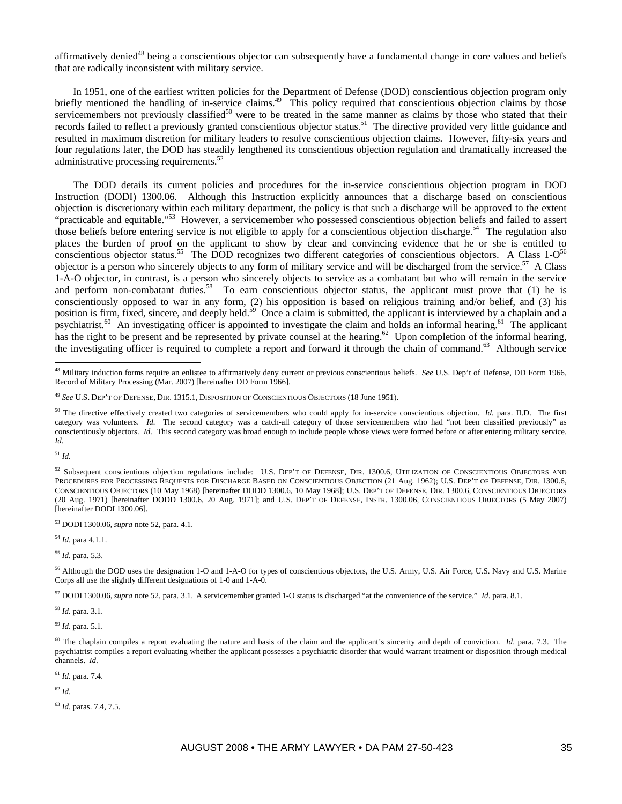affirmatively denied<sup>48</sup> being a conscientious objector can subsequently have a fundamental change in core values and beliefs that are radically inconsistent with military service.

In 1951, one of the earliest written policies for the Department of Defense (DOD) conscientious objection program only briefly mentioned the handling of in-service claims.<sup>49</sup> This policy required that conscientious objection claims by those servicemembers not previously classified<sup>50</sup> were to be treated in the same manner as claims by those who stated that their records failed to reflect a previously granted conscientious objector status.<sup>51</sup> The directive provided very little guidance and resulted in maximum discretion for military leaders to resolve conscientious objection claims. However, fifty-six years and four regulations later, the DOD has steadily lengthened its conscientious objection regulation and dramatically increased the administrative processing requirements.<sup>52</sup>

The DOD details its current policies and procedures for the in-service conscientious objection program in DOD Instruction (DODI) 1300.06. Although this Instruction explicitly announces that a discharge based on conscientious objection is discretionary within each military department, the policy is that such a discharge will be approved to the extent "practicable and equitable."53 However, a servicemember who possessed conscientious objection beliefs and failed to assert those beliefs before entering service is not eligible to apply for a conscientious objection discharge.<sup>54</sup> The regulation also places the burden of proof on the applicant to show by clear and convincing evidence that he or she is entitled to conscientious objector status.<sup>55</sup> The DOD recognizes two different categories of conscientious objectors. A Class  $1-O<sup>56</sup>$ objector is a person who sincerely objects to any form of military service and will be discharged from the service.<sup>57</sup> A Class 1-A-O objector, in contrast, is a person who sincerely objects to service as a combatant but who will remain in the service and perform non-combatant duties.<sup>58</sup> To earn conscientious objector status, the applicant must prove that (1) he is conscientiously opposed to war in any form, (2) his opposition is based on religious training and/or belief, and (3) his position is firm, fixed, sincere, and deeply held.<sup>59</sup> Once a claim is submitted, the applicant is interviewed by a chaplain and a psychiatrist.<sup>60</sup> An investigating officer is appointed to investigate the claim and holds an informal hearing.<sup>61</sup> The applicant has the right to be present and be represented by private counsel at the hearing.<sup>62</sup> Upon completion of the informal hearing, the investigating officer is required to complete a report and forward it through the chain of command.63 Although service

<sup>51</sup> *Id*.

 $\overline{a}$ 

53 DODI 1300.06, *supra* note 52, para. 4.1.

<sup>54</sup> *Id*. para 4.1.1.

<sup>55</sup> *Id*. para. 5.3.

<sup>56</sup> Although the DOD uses the designation 1-O and 1-A-O for types of conscientious objectors, the U.S. Army, U.S. Air Force, U.S. Navy and U.S. Marine Corps all use the slightly different designations of 1-0 and 1-A-0.

57 DODI 1300.06, *supra* note 52, para. 3.1. A servicemember granted 1-O status is discharged "at the convenience of the service." *Id*. para. 8.1.

<sup>58</sup> *Id*. para. 3.1.

<sup>59</sup> *Id*. para. 5.1.

<sup>61</sup> *Id*. para. 7.4.

<sup>62</sup> *Id*.

<sup>63</sup> *Id*. paras. 7.4, 7.5.

<sup>48</sup> Military induction forms require an enlistee to affirmatively deny current or previous conscientious beliefs. *See* U.S. Dep't of Defense, DD Form 1966, Record of Military Processing (Mar. 2007) [hereinafter DD Form 1966].

<sup>49</sup> *See* U.S. DEP'T OF DEFENSE, DIR. 1315.1, DISPOSITION OF CONSCIENTIOUS OBJECTORS (18 June 1951).

<sup>&</sup>lt;sup>50</sup> The directive effectively created two categories of servicemembers who could apply for in-service conscientious objection. *Id.* para. II.D. The first category was volunteers. *Id.* The second category was a catch-all category of those servicemembers who had "not been classified previously" as conscientiously objectors. *Id.* This second category was broad enough to include people whose views were formed before or after entering military service. *Id.* 

<sup>52</sup> Subsequent conscientious objection regulations include: U.S. DEP'T OF DEFENSE, DIR. 1300.6, UTILIZATION OF CONSCIENTIOUS OBJECTORS AND PROCEDURES FOR PROCESSING REQUESTS FOR DISCHARGE BASED ON CONSCIENTIOUS OBJECTION (21 Aug. 1962); U.S. DEP'T OF DEFENSE, DIR. 1300.6, CONSCIENTIOUS OBJECTORS (10 May 1968) [hereinafter DODD 1300.6, 10 May 1968]; U.S. DEP'T OF DEFENSE, DIR. 1300.6, CONSCIENTIOUS OBJECTORS (20 Aug. 1971) [hereinafter DODD 1300.6, 20 Aug. 1971]; and U.S. DEP'T OF DEFENSE, INSTR. 1300.06, CONSCIENTIOUS OBJECTORS (5 May 2007) [hereinafter DODI 1300.06].

<sup>&</sup>lt;sup>60</sup> The chaplain compiles a report evaluating the nature and basis of the claim and the applicant's sincerity and depth of conviction. *Id.* para. 7.3. The psychiatrist compiles a report evaluating whether the applicant possesses a psychiatric disorder that would warrant treatment or disposition through medical channels. *Id*.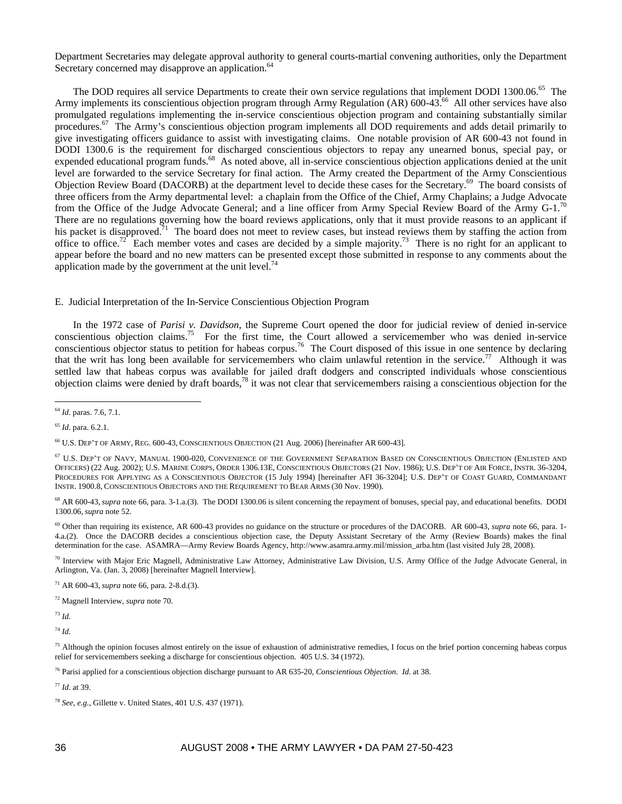Department Secretaries may delegate approval authority to general courts-martial convening authorities, only the Department Secretary concerned may disapprove an application.<sup>64</sup>

The DOD requires all service Departments to create their own service regulations that implement DODI 1300.06.<sup>65</sup> The Army implements its conscientious objection program through Army Regulation (AR) 600-43.<sup>66</sup> All other services have also promulgated regulations implementing the in-service conscientious objection program and containing substantially similar procedures. $^{67}$  The Army's conscientious objection program implements all DOD requirements and adds detail primarily to give investigating officers guidance to assist with investigating claims. One notable provision of AR 600-43 not found in DODI 1300.6 is the requirement for discharged conscientious objectors to repay any unearned bonus, special pay, or expended educational program funds.<sup>68</sup> As noted above, all in-service conscientious objection applications denied at the unit level are forwarded to the service Secretary for final action. The Army created the Department of the Army Conscientious Objection Review Board (DACORB) at the department level to decide these cases for the Secretary.<sup>69</sup> The board consists of three officers from the Army departmental level: a chaplain from the Office of the Chief, Army Chaplains; a Judge Advocate from the Office of the Judge Advocate General; and a line officer from Army Special Review Board of the Army G-1.<sup>70</sup> There are no regulations governing how the board reviews applications, only that it must provide reasons to an applicant if his packet is disapproved.<sup>71</sup> The board does not meet to review cases, but instead reviews them by staffing the action from office to office.<sup>72</sup> Each member votes and cases are decided by a simple majority.<sup>73</sup> There is no right for an applicant to appear before the board and no new matters can be presented except those submitted in response to any comments about the application made by the government at the unit level.<sup>74</sup>

E. Judicial Interpretation of the In-Service Conscientious Objection Program

In the 1972 case of *Parisi v. Davidson*, the Supreme Court opened the door for judicial review of denied in-service conscientious objection claims.75 For the first time, the Court allowed a servicemember who was denied in-service conscientious objector status to petition for habeas corpus.<sup>76</sup> The Court disposed of this issue in one sentence by declaring that the writ has long been available for servicemembers who claim unlawful retention in the service.<sup>77</sup> Although it was settled law that habeas corpus was available for jailed draft dodgers and conscripted individuals whose conscientious objection claims were denied by draft boards, $^{78}$  it was not clear that servicemembers raising a conscientious objection for the

<sup>65</sup> *Id*. para. 6.2.1.

<sup>68</sup> AR 600-43, *supra* note 66, para. 3-1.a.(3). The DODI 1300.06 is silent concerning the repayment of bonuses, special pay, and educational benefits. DODI 1300.06, *supra* note 52.

69 Other than requiring its existence, AR 600-43 provides no guidance on the structure or procedures of the DACORB. AR 600-43, *supra* note 66, para. 1- 4.a.(2). Once the DACORB decides a conscientious objection case, the Deputy Assistant Secretary of the Army (Review Boards) makes the final determination for the case. ASAMRA—Army Review Boards Agency, http://www.asamra.army.mil/mission\_arba.htm (last visited July 28, 2008).

 $70$  Interview with Major Eric Magnell, Administrative Law Attorney, Administrative Law Division, U.S. Army Office of the Judge Advocate General, in Arlington, Va. (Jan. 3, 2008) [hereinafter Magnell Interview].

71 AR 600-43, *supra* note 66, para. 2-8.d.(3).

72 Magnell Interview, *supra* note 70.

<sup>73</sup> *Id*.

<sup>74</sup> *Id*.

<sup>75</sup> Although the opinion focuses almost entirely on the issue of exhaustion of administrative remedies, I focus on the brief portion concerning habeas corpus relief for servicemembers seeking a discharge for conscientious objection. 405 U.S. 34 (1972).

76 Parisi applied for a conscientious objection discharge pursuant to AR 635-20, *Conscientious Objection*. *Id*. at 38.

<sup>77</sup> *Id*. at 39.

 $\overline{a}$ <sup>64</sup> *Id*. paras. 7.6, 7.1.

<sup>66</sup> U.S. DEP'T OF ARMY, REG. 600-43, CONSCIENTIOUS OBJECTION (21 Aug. 2006) [hereinafter AR 600-43].

<sup>67</sup> U.S. DEP'T OF NAVY, MANUAL 1900-020, CONVENIENCE OF THE GOVERNMENT SEPARATION BASED ON CONSCIENTIOUS OBJECTION (ENLISTED AND OFFICERS) (22 Aug. 2002); U.S. MARINE CORPS, ORDER 1306.13E, CONSCIENTIOUS OBJECTORS (21 Nov. 1986); U.S. DEP'T OF AIR FORCE, INSTR. 36-3204, PROCEDURES FOR APPLYING AS A CONSCIENTIOUS OBJECTOR (15 July 1994) [hereinafter AFI 36-3204]; U.S. DEP'T OF COAST GUARD, COMMANDANT INSTR. 1900.8, CONSCIENTIOUS OBJECTORS AND THE REQUIREMENT TO BEAR ARMS (30 Nov. 1990).

<sup>78</sup> *See, e.g.*, Gillette v. United States, 401 U.S. 437 (1971).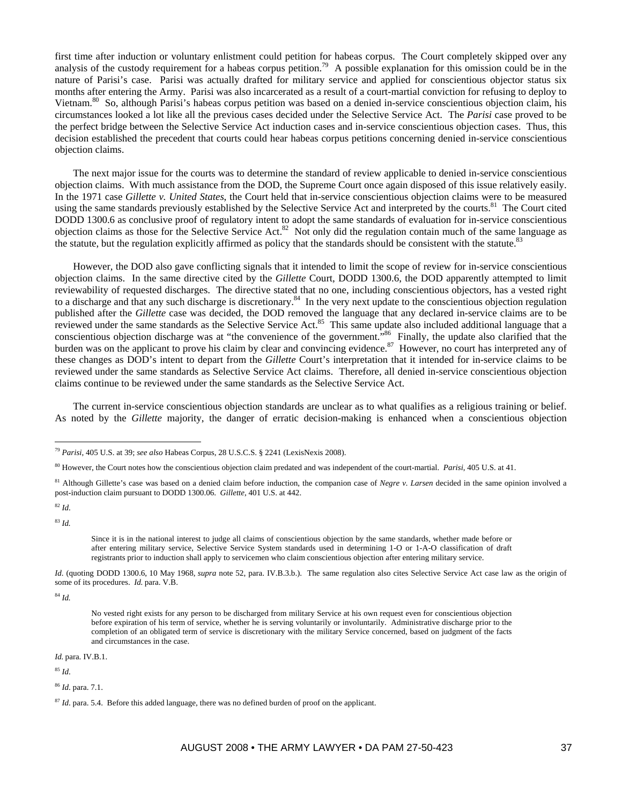first time after induction or voluntary enlistment could petition for habeas corpus. The Court completely skipped over any analysis of the custody requirement for a habeas corpus petition.<sup>79</sup> A possible explanation for this omission could be in the nature of Parisi's case. Parisi was actually drafted for military service and applied for conscientious objector status six months after entering the Army. Parisi was also incarcerated as a result of a court-martial conviction for refusing to deploy to Vietnam.<sup>80</sup> So, although Parisi's habeas corpus petition was based on a denied in-service conscientious objection claim, his circumstances looked a lot like all the previous cases decided under the Selective Service Act. The *Parisi* case proved to be the perfect bridge between the Selective Service Act induction cases and in-service conscientious objection cases. Thus, this decision established the precedent that courts could hear habeas corpus petitions concerning denied in-service conscientious objection claims.

The next major issue for the courts was to determine the standard of review applicable to denied in-service conscientious objection claims. With much assistance from the DOD, the Supreme Court once again disposed of this issue relatively easily. In the 1971 case *Gillette v. United States*, the Court held that in-service conscientious objection claims were to be measured using the same standards previously established by the Selective Service Act and interpreted by the courts.<sup>81</sup> The Court cited DODD 1300.6 as conclusive proof of regulatory intent to adopt the same standards of evaluation for in-service conscientious objection claims as those for the Selective Service Act.<sup>82</sup> Not only did the regulation contain much of the same language as the statute, but the regulation explicitly affirmed as policy that the standards should be consistent with the statute.<sup>83</sup>

However, the DOD also gave conflicting signals that it intended to limit the scope of review for in-service conscientious objection claims. In the same directive cited by the *Gillette* Court, DODD 1300.6, the DOD apparently attempted to limit reviewability of requested discharges. The directive stated that no one, including conscientious objectors, has a vested right to a discharge and that any such discharge is discretionary.<sup>84</sup> In the very next update to the conscientious objection regulation published after the *Gillette* case was decided, the DOD removed the language that any declared in-service claims are to be reviewed under the same standards as the Selective Service Act.<sup>85</sup> This same update also included additional language that a conscientious objection discharge was at "the convenience of the government."<sup>86</sup> Finally, the update also clarified that the burden was on the applicant to prove his claim by clear and convincing evidence.<sup>87</sup> However, no court has interpreted any of these changes as DOD's intent to depart from the *Gillette* Court's interpretation that it intended for in-service claims to be reviewed under the same standards as Selective Service Act claims. Therefore, all denied in-service conscientious objection claims continue to be reviewed under the same standards as the Selective Service Act.

The current in-service conscientious objection standards are unclear as to what qualifies as a religious training or belief. As noted by the *Gillette* majority, the danger of erratic decision-making is enhanced when a conscientious objection

<sup>82</sup> *Id*.

 $\overline{a}$ 

<sup>83</sup> *Id.*

Since it is in the national interest to judge all claims of conscientious objection by the same standards, whether made before or after entering military service, Selective Service System standards used in determining 1-O or 1-A-O classification of draft registrants prior to induction shall apply to servicemen who claim conscientious objection after entering military service.

*Id.* (quoting DODD 1300.6, 10 May 1968, *supra* note 52, para. IV.B.3.b.). The same regulation also cites Selective Service Act case law as the origin of some of its procedures. *Id.* para. V.B.

<sup>84</sup> *Id.*

*Id.* para. IV.B.1.

<sup>85</sup> *Id*.

<sup>86</sup> *Id*. para. 7.1.

<sup>79</sup> *Parisi*, 405 U.S. at 39; *see also* Habeas Corpus, 28 U.S.C.S. § 2241 (LexisNexis 2008).

<sup>80</sup> However, the Court notes how the conscientious objection claim predated and was independent of the court-martial. *Parisi*, 405 U.S. at 41.

<sup>81</sup> Although Gillette's case was based on a denied claim before induction, the companion case of *Negre v. Larsen* decided in the same opinion involved a post-induction claim pursuant to DODD 1300.06. *Gillette*, 401 U.S. at 442.

No vested right exists for any person to be discharged from military Service at his own request even for conscientious objection before expiration of his term of service, whether he is serving voluntarily or involuntarily. Administrative discharge prior to the completion of an obligated term of service is discretionary with the military Service concerned, based on judgment of the facts and circumstances in the case.

<sup>&</sup>lt;sup>87</sup> *Id*. para. 5.4. Before this added language, there was no defined burden of proof on the applicant.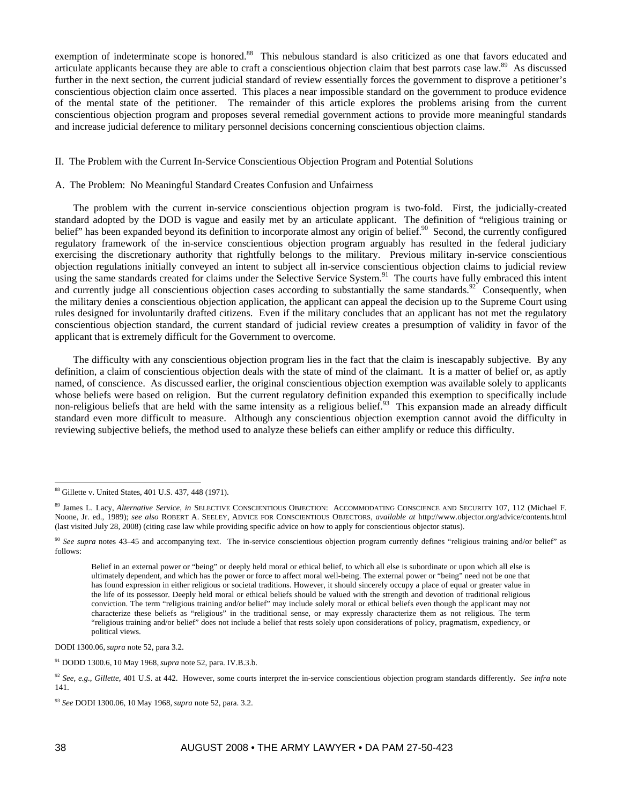exemption of indeterminate scope is honored.<sup>88</sup> This nebulous standard is also criticized as one that favors educated and articulate applicants because they are able to craft a conscientious objection claim that best parrots case law.89 As discussed further in the next section, the current judicial standard of review essentially forces the government to disprove a petitioner's conscientious objection claim once asserted. This places a near impossible standard on the government to produce evidence of the mental state of the petitioner. The remainder of this article explores the problems arising from the current conscientious objection program and proposes several remedial government actions to provide more meaningful standards and increase judicial deference to military personnel decisions concerning conscientious objection claims.

### II. The Problem with the Current In-Service Conscientious Objection Program and Potential Solutions

## A. The Problem: No Meaningful Standard Creates Confusion and Unfairness

The problem with the current in-service conscientious objection program is two-fold. First, the judicially-created standard adopted by the DOD is vague and easily met by an articulate applicant. The definition of "religious training or belief. has been expanded beyond its definition to incorporate almost any origin of belief.<sup>90</sup> Second, the currently configured regulatory framework of the in-service conscientious objection program arguably has resulted in the federal judiciary exercising the discretionary authority that rightfully belongs to the military. Previous military in-service conscientious objection regulations initially conveyed an intent to subject all in-service conscientious objection claims to judicial review using the same standards created for claims under the Selective Service System.<sup>91</sup> The courts have fully embraced this intent and currently judge all conscientious objection cases according to substantially the same standards.<sup>92</sup> Consequently, when the military denies a conscientious objection application, the applicant can appeal the decision up to the Supreme Court using rules designed for involuntarily drafted citizens. Even if the military concludes that an applicant has not met the regulatory conscientious objection standard, the current standard of judicial review creates a presumption of validity in favor of the applicant that is extremely difficult for the Government to overcome.

The difficulty with any conscientious objection program lies in the fact that the claim is inescapably subjective. By any definition, a claim of conscientious objection deals with the state of mind of the claimant. It is a matter of belief or, as aptly named, of conscience. As discussed earlier, the original conscientious objection exemption was available solely to applicants whose beliefs were based on religion. But the current regulatory definition expanded this exemption to specifically include non-religious beliefs that are held with the same intensity as a religious belief.<sup>93</sup> This expansion made an already difficult standard even more difficult to measure. Although any conscientious objection exemption cannot avoid the difficulty in reviewing subjective beliefs, the method used to analyze these beliefs can either amplify or reduce this difficulty.

Belief in an external power or "being" or deeply held moral or ethical belief, to which all else is subordinate or upon which all else is ultimately dependent, and which has the power or force to affect moral well-being. The external power or "being" need not be one that has found expression in either religious or societal traditions. However, it should sincerely occupy a place of equal or greater value in the life of its possessor. Deeply held moral or ethical beliefs should be valued with the strength and devotion of traditional religious conviction. The term "religious training and/or belief" may include solely moral or ethical beliefs even though the applicant may not characterize these beliefs as "religious" in the traditional sense, or may expressly characterize them as not religious. The term "religious training and/or belief" does not include a belief that rests solely upon considerations of policy, pragmatism, expediency, or political views.

DODI 1300.06, *supra* note 52, para 3.2.

91 DODD 1300.6, 10 May 1968, *supra* note 52, para. IV.B.3.b.

<sup>88</sup> Gillette v. United States, 401 U.S. 437, 448 (1971).

<sup>89</sup> James L. Lacy, *Alternative Service*, *in* SELECTIVE CONSCIENTIOUS OBJECTION: ACCOMMODATING CONSCIENCE AND SECURITY 107, 112 (Michael F. Noone, Jr. ed., 1989); *see also* ROBERT A. SEELEY, ADVICE FOR CONSCIENTIOUS OBJECTORS, *available at* http://www.objector.org/advice/contents.html (last visited July 28, 2008) (citing case law while providing specific advice on how to apply for conscientious objector status).

<sup>90</sup> *See supra* notes 43–45 and accompanying text. The in-service conscientious objection program currently defines "religious training and/or belief" as follows:

<sup>92</sup> *See, e.g.*, *Gillette*, 401 U.S. at 442. However, some courts interpret the in-service conscientious objection program standards differently. *See infra* note 141.

<sup>93</sup> *See* DODI 1300.06, 10 May 1968, *supra* note 52, para. 3.2.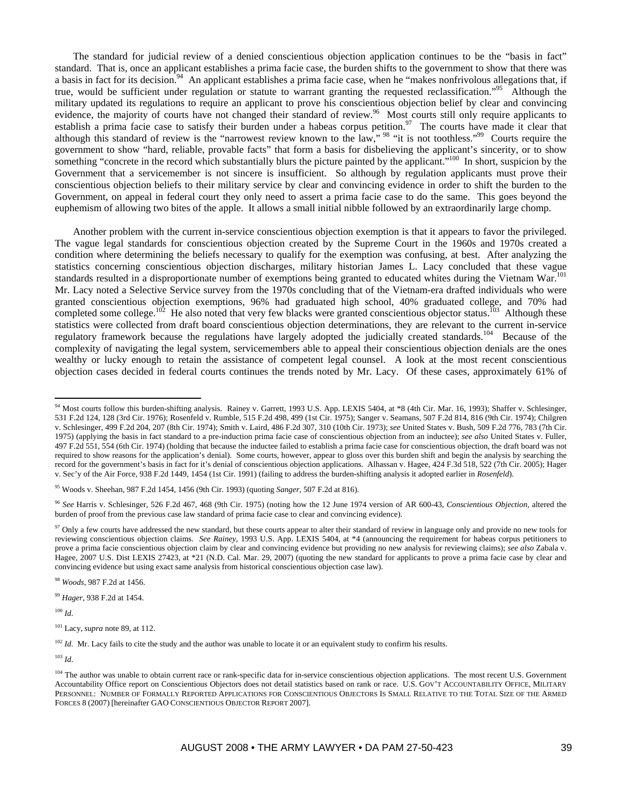The standard for judicial review of a denied conscientious objection application continues to be the "basis in fact" standard. That is, once an applicant establishes a prima facie case, the burden shifts to the government to show that there was a basis in fact for its decision.<sup>94</sup> An applicant establishes a prima facie case, when he "makes nonfrivolous allegations that, if true, would be sufficient under regulation or statute to warrant granting the requested reclassification."<sup>95</sup> Although the military updated its regulations to require an applicant to prove his conscientious objection belief by clear and convincing evidence, the majority of courts have not changed their standard of review.<sup>96</sup> Most courts still only require applicants to establish a prima facie case to satisfy their burden under a habeas corpus petition.<sup>97</sup> The courts have made it clear that although this standard of review is the "narrowest review known to the law," <sup>98</sup> "it is not toothless."<sup>99</sup> Courts require the government to show "hard, reliable, provable facts" that form a basis for disbelieving the applicant's sincerity, or to show something "concrete in the record which substantially blurs the picture painted by the applicant."<sup>100</sup> In short, suspicion by the Government that a servicemember is not sincere is insufficient. So although by regulation applicants must prove their conscientious objection beliefs to their military service by clear and convincing evidence in order to shift the burden to the Government, on appeal in federal court they only need to assert a prima facie case to do the same. This goes beyond the euphemism of allowing two bites of the apple. It allows a small initial nibble followed by an extraordinarily large chomp.

Another problem with the current in-service conscientious objection exemption is that it appears to favor the privileged. The vague legal standards for conscientious objection created by the Supreme Court in the 1960s and 1970s created a condition where determining the beliefs necessary to qualify for the exemption was confusing, at best. After analyzing the statistics concerning conscientious objection discharges, military historian James L. Lacy concluded that these vague standards resulted in a disproportionate number of exemptions being granted to educated whites during the Vietnam War.<sup>101</sup> Mr. Lacy noted a Selective Service survey from the 1970s concluding that of the Vietnam-era drafted individuals who were granted conscientious objection exemptions, 96% had graduated high school, 40% graduated college, and 70% had completed some college.<sup>102</sup> He also noted that very few blacks were granted conscientious objector status.<sup>103</sup> Although these statistics were collected from draft board conscientious objection determinations, they are relevant to the current in-service regulatory framework because the regulations have largely adopted the judicially created standards.<sup>104</sup> Because of the complexity of navigating the legal system, servicemembers able to appeal their conscientious objection denials are the ones wealthy or lucky enough to retain the assistance of competent legal counsel. A look at the most recent conscientious objection cases decided in federal courts continues the trends noted by Mr. Lacy. Of these cases, approximately 61% of

<sup>98</sup> *Woods*, 987 F.2d at 1456.

<sup>99</sup> *Hager*, 938 F.2d at 1454.

<sup>100</sup> *Id*.

 $\overline{a}$ 

<sup>102</sup> *Id*. Mr. Lacy fails to cite the study and the author was unable to locate it or an equivalent study to confirm his results.

<sup>103</sup> *Id*.

<sup>&</sup>lt;sup>94</sup> Most courts follow this burden-shifting analysis. Rainey v. Garrett, 1993 U.S. App. LEXIS 5404, at \*8 (4th Cir. Mar. 16, 1993); Shaffer v. Schlesinger, 531 F.2d 124, 128 (3rd Cir. 1976); Rosenfeld v. Rumble, 515 F.2d 498, 499 (1st Cir. 1975); Sanger v. Seamans, 507 F.2d 814, 816 (9th Cir. 1974); Chilgren v. Schlesinger, 499 F.2d 204, 207 (8th Cir. 1974); Smith v. Laird, 486 F.2d 307, 310 (10th Cir. 1973); *see* United States v. Bush, 509 F.2d 776, 783 (7th Cir. 1975) (applying the basis in fact standard to a pre-induction prima facie case of conscientious objection from an inductee); *see also* United States v. Fuller, 497 F.2d 551, 554 (6th Cir. 1974) (holding that because the inductee failed to establish a prima facie case for conscientious objection, the draft board was not required to show reasons for the application's denial). Some courts, however, appear to gloss over this burden shift and begin the analysis by searching the record for the government's basis in fact for it's denial of conscientious objection applications. Alhassan v. Hagee, 424 F.3d 518, 522 (7th Cir. 2005); Hager v. Sec'y of the Air Force, 938 F.2d 1449, 1454 (1st Cir. 1991) (failing to address the burden-shifting analysis it adopted earlier in *Rosenfeld*).

<sup>95</sup> Woods v. Sheehan, 987 F.2d 1454, 1456 (9th Cir. 1993) (quoting *Sanger*, 507 F.2d at 816).

<sup>96</sup> *See* Harris v. Schlesinger, 526 F.2d 467, 468 (9th Cir. 1975) (noting how the 12 June 1974 version of AR 600-43, *Conscientious Objection*, altered the burden of proof from the previous case law standard of prima facie case to clear and convincing evidence).

<sup>&</sup>lt;sup>97</sup> Only a few courts have addressed the new standard, but these courts appear to alter their standard of review in language only and provide no new tools for reviewing conscientious objection claims. *See Rainey*, 1993 U.S. App. LEXIS 5404, at \*4 (announcing the requirement for habeas corpus petitioners to prove a prima facie conscientious objection claim by clear and convincing evidence but providing no new analysis for reviewing claims); *see also* Zabala v. Hagee, 2007 U.S. Dist LEXIS 27423, at \*21 (N.D. Cal. Mar. 29, 2007) (quoting the new standard for applicants to prove a prima facie case by clear and convincing evidence but using exact same analysis from historical conscientious objection case law).

<sup>101</sup> Lacy, *supra* note 89, at 112.

<sup>&</sup>lt;sup>104</sup> The author was unable to obtain current race or rank-specific data for in-service conscientious objection applications. The most recent U.S. Government Accountability Office report on Conscientious Objectors does not detail statistics based on rank or race. U.S. GOV'T ACCOUNTABILITY OFFICE, MILITARY PERSONNEL: NUMBER OF FORMALLY REPORTED APPLICATIONS FOR CONSCIENTIOUS OBJECTORS IS SMALL RELATIVE TO THE TOTAL SIZE OF THE ARMED FORCES 8 (2007) [hereinafter GAO CONSCIENTIOUS OBJECTOR REPORT 2007].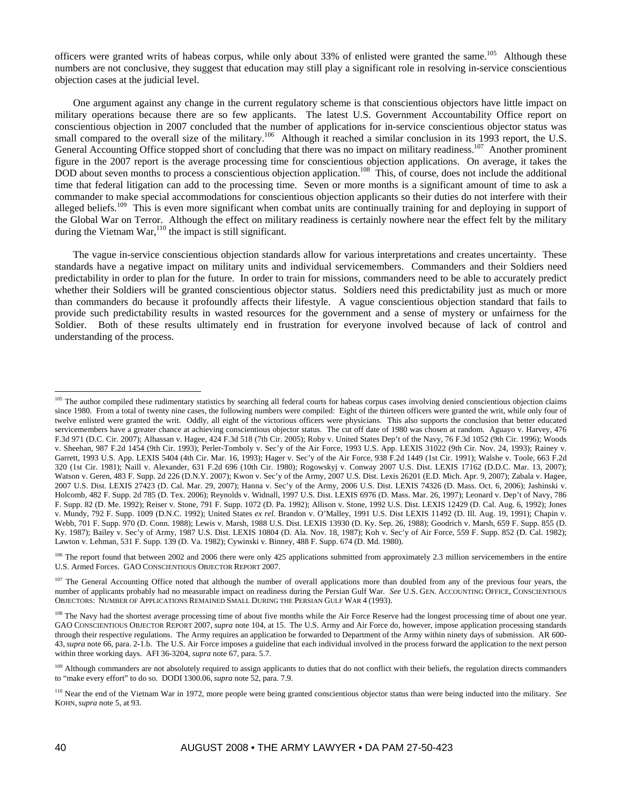officers were granted writs of habeas corpus, while only about 33% of enlisted were granted the same.<sup>105</sup> Although these numbers are not conclusive, they suggest that education may still play a significant role in resolving in-service conscientious objection cases at the judicial level.

One argument against any change in the current regulatory scheme is that conscientious objectors have little impact on military operations because there are so few applicants. The latest U.S. Government Accountability Office report on conscientious objection in 2007 concluded that the number of applications for in-service conscientious objector status was small compared to the overall size of the military.<sup>106</sup> Although it reached a similar conclusion in its 1993 report, the U.S. General Accounting Office stopped short of concluding that there was no impact on military readiness.<sup>107</sup> Another prominent figure in the 2007 report is the average processing time for conscientious objection applications. On average, it takes the DOD about seven months to process a conscientious objection application.<sup>108</sup> This, of course, does not include the additional time that federal litigation can add to the processing time. Seven or more months is a significant amount of time to ask a commander to make special accommodations for conscientious objection applicants so their duties do not interfere with their alleged beliefs.<sup>109</sup> This is even more significant when combat units are continually training for and deploying in support of the Global War on Terror. Although the effect on military readiness is certainly nowhere near the effect felt by the military during the Vietnam War, $^{110}$  the impact is still significant.

The vague in-service conscientious objection standards allow for various interpretations and creates uncertainty. These standards have a negative impact on military units and individual servicemembers. Commanders and their Soldiers need predictability in order to plan for the future. In order to train for missions, commanders need to be able to accurately predict whether their Soldiers will be granted conscientious objector status. Soldiers need this predictability just as much or more than commanders do because it profoundly affects their lifestyle. A vague conscientious objection standard that fails to provide such predictability results in wasted resources for the government and a sense of mystery or unfairness for the Soldier. Both of these results ultimately end in frustration for everyone involved because of lack of control and understanding of the process.

<sup>&</sup>lt;sup>105</sup> The author compiled these rudimentary statistics by searching all federal courts for habeas corpus cases involving denied conscientious objection claims since 1980. From a total of twenty nine cases, the following numbers were compiled: Eight of the thirteen officers were granted the writ, while only four of twelve enlisted were granted the writ. Oddly, all eight of the victorious officers were physicians. This also supports the conclusion that better educated servicemembers have a greater chance at achieving conscientious objector status. The cut off date of 1980 was chosen at random. Aguayo v. Harvey, 476 F.3d 971 (D.C. Cir. 2007); Alhassan v. Hagee, 424 F.3d 518 (7th Cir. 2005); Roby v. United States Dep't of the Navy, 76 F.3d 1052 (9th Cir. 1996); Woods v. Sheehan, 987 F.2d 1454 (9th Cir. 1993); Perler-Tomboly v. Sec'y of the Air Force, 1993 U.S. App. LEXIS 31022 (9th Cir. Nov. 24, 1993); Rainey v. Garrett, 1993 U.S. App. LEXIS 5404 (4th Cir. Mar. 16, 1993); Hager v. Sec'y of the Air Force, 938 F.2d 1449 (1st Cir. 1991); Walshe v. Toole, 663 F.2d 320 (1st Cir. 1981); Naill v. Alexander, 631 F.2d 696 (10th Cir. 1980); Rogowskyj v. Conway 2007 U.S. Dist. LEXIS 17162 (D.D.C. Mar. 13, 2007); Watson v. Geren, 483 F. Supp. 2d 226 (D.N.Y. 2007); Kwon v. Sec'y of the Army, 2007 U.S. Dist. Lexis 26201 (E.D. Mich. Apr. 9, 2007); Zabala v. Hagee, 2007 U.S. Dist. LEXIS 27423 (D. Cal. Mar. 29, 2007); Hanna v. Sec'y of the Army, 2006 U.S. Dist. LEXIS 74326 (D. Mass. Oct. 6, 2006); Jashinski v. Holcomb, 482 F. Supp. 2d 785 (D. Tex. 2006); Reynolds v. Widnall, 1997 U.S. Dist. LEXIS 6976 (D. Mass. Mar. 26, 1997); Leonard v. Dep't of Navy, 786 F. Supp. 82 (D. Me. 1992); Reiser v. Stone, 791 F. Supp. 1072 (D. Pa. 1992); Allison v. Stone, 1992 U.S. Dist. LEXIS 12429 (D. Cal. Aug. 6, 1992); Jones v. Mundy, 792 F. Supp. 1009 (D.N.C. 1992); United States *ex rel.* Brandon v. O'Malley, 1991 U.S. Dist LEXIS 11492 (D. Ill. Aug. 19, 1991); Chapin v. Webb, 701 F. Supp. 970 (D. Conn. 1988); Lewis v. Marsh, 1988 U.S. Dist. LEXIS 13930 (D. Ky. Sep. 26, 1988); Goodrich v. Marsh, 659 F. Supp. 855 (D. Ky. 1987); Bailey v. Sec'y of Army, 1987 U.S. Dist. LEXIS 10804 (D. Ala. Nov. 18, 1987); Koh v. Sec'y of Air Force, 559 F. Supp. 852 (D. Cal. 1982); Lawton v. Lehman, 531 F. Supp. 139 (D. Va. 1982); Cywinski v. Binney, 488 F. Supp. 674 (D. Md. 1980).

<sup>&</sup>lt;sup>106</sup> The report found that between 2002 and 2006 there were only 425 applications submitted from approximately 2.3 million servicemembers in the entire U.S. Armed Forces. GAO CONSCIENTIOUS OBJECTOR REPORT 2007.

<sup>&</sup>lt;sup>107</sup> The General Accounting Office noted that although the number of overall applications more than doubled from any of the previous four years, the number of applicants probably had no measurable impact on readiness during the Persian Gulf War. *See* U.S. GEN. ACCOUNTING OFFICE, CONSCIENTIOUS OBJECTORS: NUMBER OF APPLICATIONS REMAINED SMALL DURING THE PERSIAN GULF WAR 4 (1993).

<sup>&</sup>lt;sup>108</sup> The Navy had the shortest average processing time of about five months while the Air Force Reserve had the longest processing time of about one year. GAO CONSCIENTIOUS OBJECTOR REPORT 2007, *supra* note 104, at 15. The U.S. Army and Air Force do, however, impose application processing standards through their respective regulations. The Army requires an application be forwarded to Department of the Army within ninety days of submission. AR 600- 43, *supra* note 66, para. 2-1.b. The U.S. Air Force imposes a guideline that each individual involved in the process forward the application to the next person within three working days. AFI 36-3204, *supra* note 67, para. 5.7.

<sup>&</sup>lt;sup>109</sup> Although commanders are not absolutely required to assign applicants to duties that do not conflict with their beliefs, the regulation directs commanders to "make every effort" to do so. DODI 1300.06, *supra* note 52, para. 7.9.

<sup>110</sup> Near the end of the Vietnam War in 1972, more people were being granted conscientious objector status than were being inducted into the military. *See* KOHN, *supra* note 5, at 93.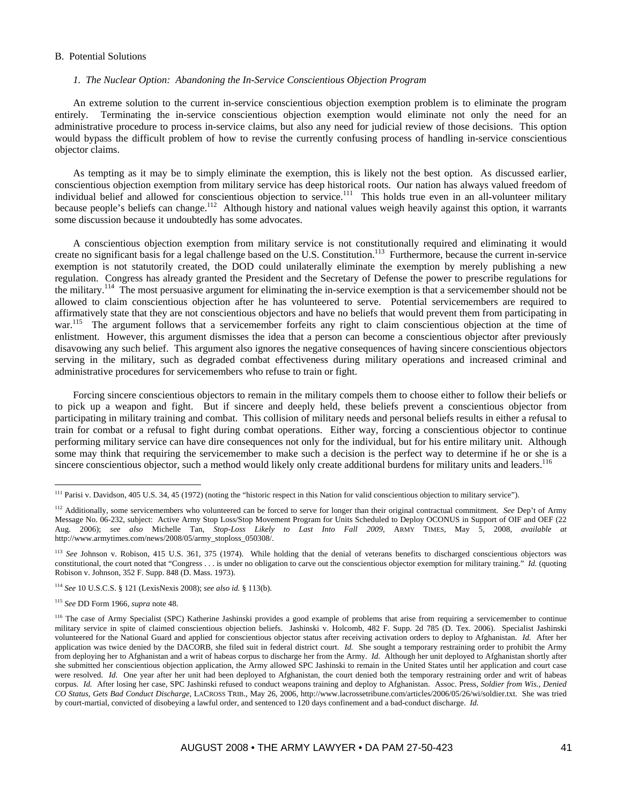### B. Potential Solutions

#### *1. The Nuclear Option: Abandoning the In-Service Conscientious Objection Program*

An extreme solution to the current in-service conscientious objection exemption problem is to eliminate the program entirely. Terminating the in-service conscientious objection exemption would eliminate not only the need for an administrative procedure to process in-service claims, but also any need for judicial review of those decisions. This option would bypass the difficult problem of how to revise the currently confusing process of handling in-service conscientious objector claims.

As tempting as it may be to simply eliminate the exemption, this is likely not the best option. As discussed earlier, conscientious objection exemption from military service has deep historical roots. Our nation has always valued freedom of individual belief and allowed for conscientious objection to service.<sup>111</sup> This holds true even in an all-volunteer military because people's beliefs can change.<sup>112</sup> Although history and national values weigh heavily against this option, it warrants some discussion because it undoubtedly has some advocates.

A conscientious objection exemption from military service is not constitutionally required and eliminating it would create no significant basis for a legal challenge based on the U.S. Constitution.113 Furthermore, because the current in-service exemption is not statutorily created, the DOD could unilaterally eliminate the exemption by merely publishing a new regulation. Congress has already granted the President and the Secretary of Defense the power to prescribe regulations for the military.114 The most persuasive argument for eliminating the in-service exemption is that a servicemember should not be allowed to claim conscientious objection after he has volunteered to serve. Potential servicemembers are required to affirmatively state that they are not conscientious objectors and have no beliefs that would prevent them from participating in war.<sup>115</sup> The argument follows that a servicemember forfeits any right to claim conscientious objection at the time of enlistment. However, this argument dismisses the idea that a person can become a conscientious objector after previously disavowing any such belief. This argument also ignores the negative consequences of having sincere conscientious objectors serving in the military, such as degraded combat effectiveness during military operations and increased criminal and administrative procedures for servicemembers who refuse to train or fight.

Forcing sincere conscientious objectors to remain in the military compels them to choose either to follow their beliefs or to pick up a weapon and fight. But if sincere and deeply held, these beliefs prevent a conscientious objector from participating in military training and combat. This collision of military needs and personal beliefs results in either a refusal to train for combat or a refusal to fight during combat operations. Either way, forcing a conscientious objector to continue performing military service can have dire consequences not only for the individual, but for his entire military unit. Although some may think that requiring the servicemember to make such a decision is the perfect way to determine if he or she is a sincere conscientious objector, such a method would likely only create additional burdens for military units and leaders.<sup>116</sup>

<sup>114</sup> *See* 10 U.S.C.S. § 121 (LexisNexis 2008); *see also id.* § 113(b).

<sup>115</sup> *See* DD Form 1966, *supra* note 48.

<sup>&</sup>lt;sup>111</sup> Parisi v. Davidson, 405 U.S. 34, 45 (1972) (noting the "historic respect in this Nation for valid conscientious objection to military service").

<sup>112</sup> Additionally, some servicemembers who volunteered can be forced to serve for longer than their original contractual commitment. *See* Dep't of Army Message No. 06-232, subject: Active Army Stop Loss/Stop Movement Program for Units Scheduled to Deploy OCONUS in Support of OIF and OEF (22 Aug. 2006); *see also* Michelle Tan, *Stop-Loss Likely to Last Into Fall 2009*, ARMY TIMES, May 5, 2008, *available at*  http://www.armytimes.com/news/2008/05/army\_stoploss\_050308/.

<sup>&</sup>lt;sup>113</sup> See Johnson v. Robison, 415 U.S. 361, 375 (1974). While holding that the denial of veterans benefits to discharged conscientious objectors was constitutional, the court noted that "Congress . . . is under no obligation to carve out the conscientious objector exemption for military training." *Id.* (quoting Robison v. Johnson, 352 F. Supp. 848 (D. Mass. 1973).

<sup>&</sup>lt;sup>116</sup> The case of Army Specialist (SPC) Katherine Jashinski provides a good example of problems that arise from requiring a servicemember to continue military service in spite of claimed conscientious objection beliefs. Jashinski v. Holcomb, 482 F. Supp. 2d 785 (D. Tex. 2006). Specialist Jashinski volunteered for the National Guard and applied for conscientious objector status after receiving activation orders to deploy to Afghanistan. *Id.* After her application was twice denied by the DACORB, she filed suit in federal district court. *Id.* She sought a temporary restraining order to prohibit the Army from deploying her to Afghanistan and a writ of habeas corpus to discharge her from the Army. *Id.* Although her unit deployed to Afghanistan shortly after she submitted her conscientious objection application, the Army allowed SPC Jashinski to remain in the United States until her application and court case were resolved. *Id.* One year after her unit had been deployed to Afghanistan, the court denied both the temporary restraining order and writ of habeas corpus. *Id.* After losing her case, SPC Jashinski refused to conduct weapons training and deploy to Afghanistan. Assoc. Press, *Soldier from Wis., Denied CO Status, Gets Bad Conduct Discharge*, LACROSS TRIB., May 26, 2006, http://www.lacrossetribune.com/articles/2006/05/26/wi/soldier.txt.She was tried by court-martial, convicted of disobeying a lawful order, and sentenced to 120 days confinement and a bad-conduct discharge. *Id.*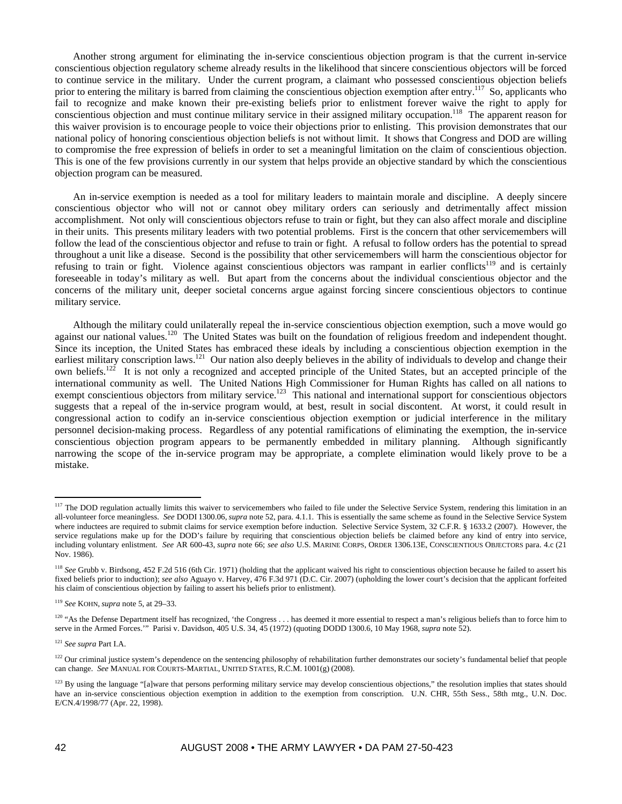Another strong argument for eliminating the in-service conscientious objection program is that the current in-service conscientious objection regulatory scheme already results in the likelihood that sincere conscientious objectors will be forced to continue service in the military. Under the current program, a claimant who possessed conscientious objection beliefs prior to entering the military is barred from claiming the conscientious objection exemption after entry.<sup>117</sup> So, applicants who fail to recognize and make known their pre-existing beliefs prior to enlistment forever waive the right to apply for conscientious objection and must continue military service in their assigned military occupation.118 The apparent reason for this waiver provision is to encourage people to voice their objections prior to enlisting. This provision demonstrates that our national policy of honoring conscientious objection beliefs is not without limit. It shows that Congress and DOD are willing to compromise the free expression of beliefs in order to set a meaningful limitation on the claim of conscientious objection. This is one of the few provisions currently in our system that helps provide an objective standard by which the conscientious objection program can be measured.

An in-service exemption is needed as a tool for military leaders to maintain morale and discipline. A deeply sincere conscientious objector who will not or cannot obey military orders can seriously and detrimentally affect mission accomplishment. Not only will conscientious objectors refuse to train or fight, but they can also affect morale and discipline in their units. This presents military leaders with two potential problems. First is the concern that other servicemembers will follow the lead of the conscientious objector and refuse to train or fight. A refusal to follow orders has the potential to spread throughout a unit like a disease. Second is the possibility that other servicemembers will harm the conscientious objector for refusing to train or fight. Violence against conscientious objectors was rampant in earlier conflicts<sup>119</sup> and is certainly foreseeable in today's military as well. But apart from the concerns about the individual conscientious objector and the concerns of the military unit, deeper societal concerns argue against forcing sincere conscientious objectors to continue military service.

Although the military could unilaterally repeal the in-service conscientious objection exemption, such a move would go against our national values.<sup>120</sup> The United States was built on the foundation of religious freedom and independent thought. Since its inception, the United States has embraced these ideals by including a conscientious objection exemption in the earliest military conscription laws.<sup>121</sup> Our nation also deeply believes in the ability of individuals to develop and change their own beliefs.<sup>122</sup> It is not only a recognized and accepted principle of the United States, but an accepted principle of the international community as well. The United Nations High Commissioner for Human Rights has called on all nations to exempt conscientious objectors from military service.<sup>123</sup> This national and international support for conscientious objectors suggests that a repeal of the in-service program would, at best, result in social discontent. At worst, it could result in congressional action to codify an in-service conscientious objection exemption or judicial interference in the military personnel decision-making process. Regardless of any potential ramifications of eliminating the exemption, the in-service conscientious objection program appears to be permanently embedded in military planning. Although significantly narrowing the scope of the in-service program may be appropriate, a complete elimination would likely prove to be a mistake.

<sup>&</sup>lt;sup>117</sup> The DOD regulation actually limits this waiver to servicemembers who failed to file under the Selective Service System, rendering this limitation in an all-volunteer force meaningless. *See* DODI 1300.06, *supra* note 52, para. 4.1.1. This is essentially the same scheme as found in the Selective Service System where inductees are required to submit claims for service exemption before induction. Selective Service System, 32 C.F.R. § 1633.2 (2007). However, the service regulations make up for the DOD's failure by requiring that conscientious objection beliefs be claimed before any kind of entry into service, including voluntary enlistment. *See* AR 600-43, *supra* note 66; *see also* U.S. MARINE CORPS, ORDER 1306.13E, CONSCIENTIOUS OBJECTORS para. 4.c (21 Nov. 1986).

<sup>&</sup>lt;sup>118</sup> See Grubb v. Birdsong, 452 F.2d 516 (6th Cir. 1971) (holding that the applicant waived his right to conscientious objection because he failed to assert his fixed beliefs prior to induction); *see also* Aguayo v. Harvey, 476 F.3d 971 (D.C. Cir. 2007) (upholding the lower court's decision that the applicant forfeited his claim of conscientious objection by failing to assert his beliefs prior to enlistment).

<sup>119</sup> *See* KOHN, *supra* note 5, at 29–33.

<sup>&</sup>lt;sup>120</sup> "As the Defense Department itself has recognized, 'the Congress . . . has deemed it more essential to respect a man's religious beliefs than to force him to serve in the Armed Forces.'" Parisi v. Davidson, 405 U.S. 34, 45 (1972) (quoting DODD 1300.6, 10 May 1968, *supra* note 52).

<sup>121</sup> *See supra* Part I.A.

<sup>&</sup>lt;sup>122</sup> Our criminal justice system's dependence on the sentencing philosophy of rehabilitation further demonstrates our society's fundamental belief that people can change. *See* MANUAL FOR COURTS-MARTIAL, UNITED STATES, R.C.M. 1001(g) (2008).

 $123$  By using the language "[a]ware that persons performing military service may develop conscientious objections," the resolution implies that states should have an in-service conscientious objection exemption in addition to the exemption from conscription. U.N. CHR, 55th Sess., 58th mtg., U.N. Doc. E/CN.4/1998/77 (Apr. 22, 1998).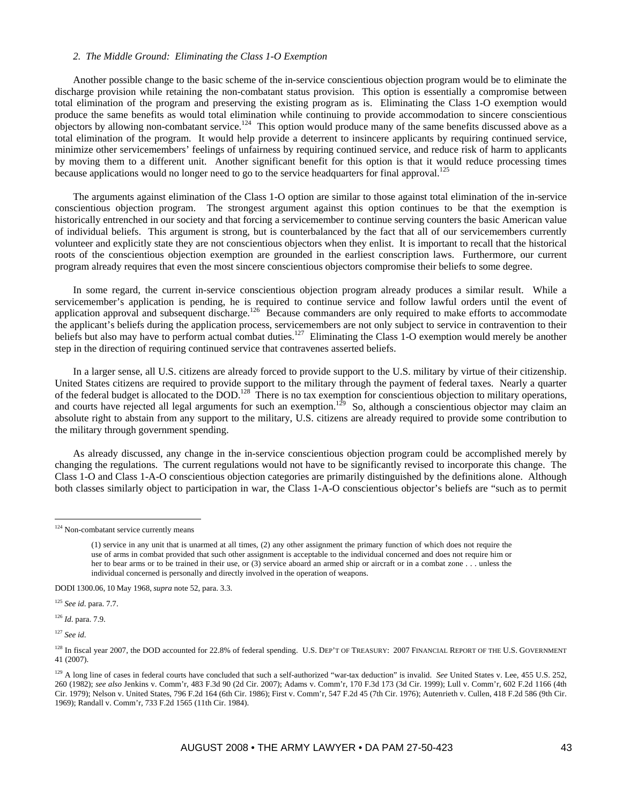### *2. The Middle Ground: Eliminating the Class 1-O Exemption*

Another possible change to the basic scheme of the in-service conscientious objection program would be to eliminate the discharge provision while retaining the non-combatant status provision. This option is essentially a compromise between total elimination of the program and preserving the existing program as is. Eliminating the Class 1-O exemption would produce the same benefits as would total elimination while continuing to provide accommodation to sincere conscientious objectors by allowing non-combatant service.<sup>124</sup> This option would produce many of the same benefits discussed above as a total elimination of the program. It would help provide a deterrent to insincere applicants by requiring continued service, minimize other servicemembers' feelings of unfairness by requiring continued service, and reduce risk of harm to applicants by moving them to a different unit. Another significant benefit for this option is that it would reduce processing times because applications would no longer need to go to the service headquarters for final approval.<sup>125</sup>

The arguments against elimination of the Class 1-O option are similar to those against total elimination of the in-service conscientious objection program. The strongest argument against this option continues to be that the exemption is historically entrenched in our society and that forcing a servicemember to continue serving counters the basic American value of individual beliefs. This argument is strong, but is counterbalanced by the fact that all of our servicemembers currently volunteer and explicitly state they are not conscientious objectors when they enlist. It is important to recall that the historical roots of the conscientious objection exemption are grounded in the earliest conscription laws. Furthermore, our current program already requires that even the most sincere conscientious objectors compromise their beliefs to some degree.

In some regard, the current in-service conscientious objection program already produces a similar result. While a servicemember's application is pending, he is required to continue service and follow lawful orders until the event of application approval and subsequent discharge.<sup>126</sup> Because commanders are only required to make efforts to accommodate the applicant's beliefs during the application process, servicemembers are not only subject to service in contravention to their beliefs but also may have to perform actual combat duties.<sup>127</sup> Eliminating the Class 1-O exemption would merely be another step in the direction of requiring continued service that contravenes asserted beliefs.

In a larger sense, all U.S. citizens are already forced to provide support to the U.S. military by virtue of their citizenship. United States citizens are required to provide support to the military through the payment of federal taxes. Nearly a quarter of the federal budget is allocated to the DOD.<sup>128</sup> There is no tax exemption for conscientious objection to military operations, and courts have rejected all legal arguments for such an exemption.<sup>129</sup> So, although a conscientious objector may claim an absolute right to abstain from any support to the military, U.S. citizens are already required to provide some contribution to the military through government spending.

As already discussed, any change in the in-service conscientious objection program could be accomplished merely by changing the regulations. The current regulations would not have to be significantly revised to incorporate this change. The Class 1-O and Class 1-A-O conscientious objection categories are primarily distinguished by the definitions alone. Although both classes similarly object to participation in war, the Class 1-A-O conscientious objector's beliefs are "such as to permit

DODI 1300.06, 10 May 1968, *supra* note 52, para. 3.3.

<sup>125</sup> *See id*. para. 7.7.

<sup>126</sup> *Id*. para. 7.9.

<sup>127</sup> *See id*.

<sup>&</sup>lt;sup>124</sup> Non-combatant service currently means

<sup>(1)</sup> service in any unit that is unarmed at all times, (2) any other assignment the primary function of which does not require the use of arms in combat provided that such other assignment is acceptable to the individual concerned and does not require him or her to bear arms or to be trained in their use, or (3) service aboard an armed ship or aircraft or in a combat zone . . . unless the individual concerned is personally and directly involved in the operation of weapons.

<sup>&</sup>lt;sup>128</sup> In fiscal year 2007, the DOD accounted for 22.8% of federal spending. U.S. DEP'T OF TREASURY: 2007 FINANCIAL REPORT OF THE U.S. GOVERNMENT 41 (2007).

<sup>&</sup>lt;sup>129</sup> A long line of cases in federal courts have concluded that such a self-authorized "war-tax deduction" is invalid. *See* United States v. Lee, 455 U.S. 252, 260 (1982); *see also* Jenkins v. Comm'r, 483 F.3d 90 (2d Cir. 2007); Adams v. Comm'r, 170 F.3d 173 (3d Cir. 1999); Lull v. Comm'r, 602 F.2d 1166 (4th Cir. 1979); Nelson v. United States, 796 F.2d 164 (6th Cir. 1986); First v. Comm'r, 547 F.2d 45 (7th Cir. 1976); Autenrieth v. Cullen, 418 F.2d 586 (9th Cir. 1969); Randall v. Comm'r, 733 F.2d 1565 (11th Cir. 1984).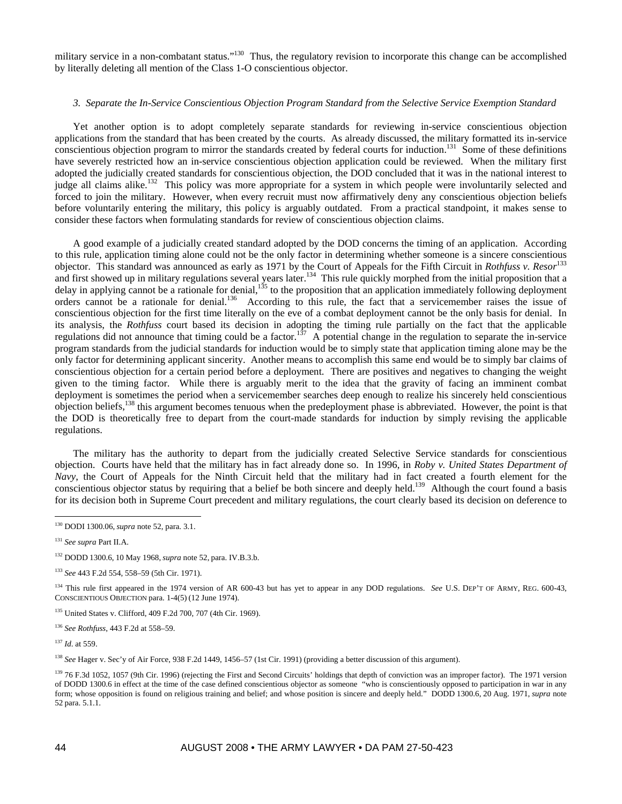military service in a non-combatant status."<sup>130</sup> Thus, the regulatory revision to incorporate this change can be accomplished by literally deleting all mention of the Class 1-O conscientious objector.

## *3. Separate the In-Service Conscientious Objection Program Standard from the Selective Service Exemption Standard*

Yet another option is to adopt completely separate standards for reviewing in-service conscientious objection applications from the standard that has been created by the courts. As already discussed, the military formatted its in-service conscientious objection program to mirror the standards created by federal courts for induction.<sup>131</sup> Some of these definitions have severely restricted how an in-service conscientious objection application could be reviewed. When the military first adopted the judicially created standards for conscientious objection, the DOD concluded that it was in the national interest to judge all claims alike.<sup>132</sup> This policy was more appropriate for a system in which people were involuntarily selected and forced to join the military. However, when every recruit must now affirmatively deny any conscientious objection beliefs before voluntarily entering the military, this policy is arguably outdated. From a practical standpoint, it makes sense to consider these factors when formulating standards for review of conscientious objection claims.

A good example of a judicially created standard adopted by the DOD concerns the timing of an application. According to this rule, application timing alone could not be the only factor in determining whether someone is a sincere conscientious objector. This standard was announced as early as 1971 by the Court of Appeals for the Fifth Circuit in *Rothfuss v. Resor*<sup>133</sup> and first showed up in military regulations several years later.<sup>134</sup> This rule quickly morphed from the initial proposition that a delay in applying cannot be a rationale for denial,<sup>135</sup> to the proposition that an application immediately following deployment orders cannot be a rationale for denial.136 According to this rule, the fact that a servicemember raises the issue of conscientious objection for the first time literally on the eve of a combat deployment cannot be the only basis for denial. In its analysis, the *Rothfuss* court based its decision in adopting the timing rule partially on the fact that the applicable regulations did not announce that timing could be a factor.<sup>137</sup> A potential change in the regulation to separate the in-service program standards from the judicial standards for induction would be to simply state that application timing alone may be the only factor for determining applicant sincerity. Another means to accomplish this same end would be to simply bar claims of conscientious objection for a certain period before a deployment. There are positives and negatives to changing the weight given to the timing factor. While there is arguably merit to the idea that the gravity of facing an imminent combat deployment is sometimes the period when a servicemember searches deep enough to realize his sincerely held conscientious objection beliefs,138 this argument becomes tenuous when the predeployment phase is abbreviated. However, the point is that the DOD is theoretically free to depart from the court-made standards for induction by simply revising the applicable regulations.

The military has the authority to depart from the judicially created Selective Service standards for conscientious objection. Courts have held that the military has in fact already done so. In 1996, in *Roby v. United States Department of Navy*, the Court of Appeals for the Ninth Circuit held that the military had in fact created a fourth element for the conscientious objector status by requiring that a belief be both sincere and deeply held.<sup>139</sup> Although the court found a basis for its decision both in Supreme Court precedent and military regulations, the court clearly based its decision on deference to

<sup>130</sup> DODI 1300.06, *supra* note 52, para. 3.1.

<sup>131</sup> *See supra* Part II.A.

<sup>132</sup> DODD 1300.6, 10 May 1968, *supra* note 52, para. IV.B.3.b.

<sup>133</sup> *See* 443 F.2d 554, 558–59 (5th Cir. 1971).

<sup>&</sup>lt;sup>134</sup> This rule first appeared in the 1974 version of AR 600-43 but has yet to appear in any DOD regulations. *See* U.S. DEP'T OF ARMY, REG. 600-43, CONSCIENTIOUS OBJECTION para. 1-4(5) (12 June 1974).

<sup>135</sup> United States v. Clifford, 409 F.2d 700, 707 (4th Cir. 1969).

<sup>136</sup> *See Rothfuss*, 443 F.2d at 558–59.

<sup>137</sup> *Id*. at 559.

<sup>&</sup>lt;sup>138</sup> *See* Hager v. Sec'y of Air Force, 938 F.2d 1449, 1456–57 (1st Cir. 1991) (providing a better discussion of this argument).

<sup>&</sup>lt;sup>139</sup> 76 F.3d 1052, 1057 (9th Cir. 1996) (rejecting the First and Second Circuits' holdings that depth of conviction was an improper factor). The 1971 version of DODD 1300.6 in effect at the time of the case defined conscientious objector as someone "who is conscientiously opposed to participation in war in any form; whose opposition is found on religious training and belief; and whose position is sincere and deeply held." DODD 1300.6, 20 Aug. 1971, *supra* note 52 para. 5.1.1.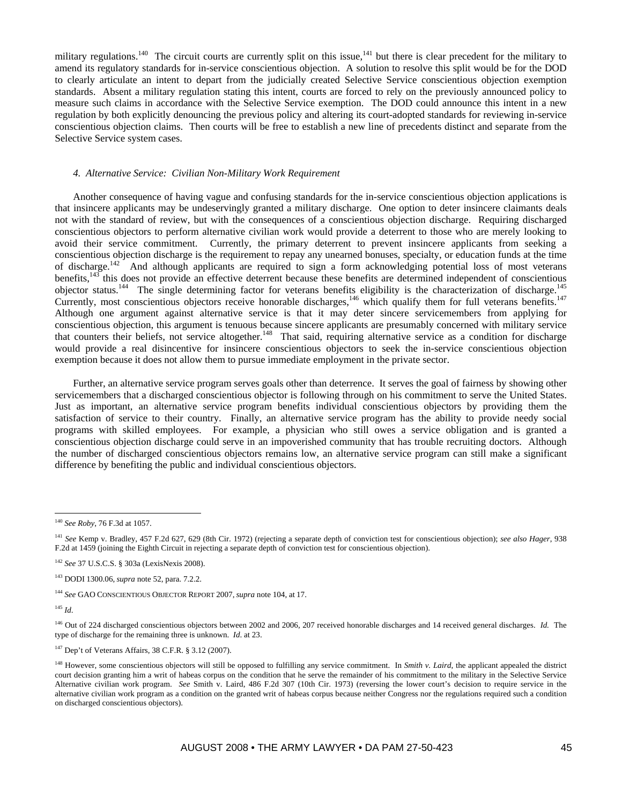military regulations.<sup>140</sup> The circuit courts are currently split on this issue,<sup>141</sup> but there is clear precedent for the military to amend its regulatory standards for in-service conscientious objection. A solution to resolve this split would be for the DOD to clearly articulate an intent to depart from the judicially created Selective Service conscientious objection exemption standards. Absent a military regulation stating this intent, courts are forced to rely on the previously announced policy to measure such claims in accordance with the Selective Service exemption. The DOD could announce this intent in a new regulation by both explicitly denouncing the previous policy and altering its court-adopted standards for reviewing in-service conscientious objection claims. Then courts will be free to establish a new line of precedents distinct and separate from the Selective Service system cases.

#### *4. Alternative Service: Civilian Non-Military Work Requirement*

Another consequence of having vague and confusing standards for the in-service conscientious objection applications is that insincere applicants may be undeservingly granted a military discharge. One option to deter insincere claimants deals not with the standard of review, but with the consequences of a conscientious objection discharge. Requiring discharged conscientious objectors to perform alternative civilian work would provide a deterrent to those who are merely looking to avoid their service commitment. Currently, the primary deterrent to prevent insincere applicants from seeking a conscientious objection discharge is the requirement to repay any unearned bonuses, specialty, or education funds at the time of discharge.<sup>142</sup> And although applicants are required to sign a form acknowledging potential loss of most veterans benefits, $143$  this does not provide an effective deterrent because these benefits are determined independent of conscientious objector status.<sup>144</sup> The single determining factor for veterans benefits eligibility is the characterization of discharge.<sup>145</sup> Currently, most conscientious objectors receive honorable discharges,<sup>146</sup> which qualify them for full veterans benefits.<sup>147</sup> Although one argument against alternative service is that it may deter sincere servicemembers from applying for conscientious objection, this argument is tenuous because sincere applicants are presumably concerned with military service that counters their beliefs, not service altogether.<sup>148</sup> That said, requiring alternative service as a condition for discharge would provide a real disincentive for insincere conscientious objectors to seek the in-service conscientious objection exemption because it does not allow them to pursue immediate employment in the private sector.

Further, an alternative service program serves goals other than deterrence. It serves the goal of fairness by showing other servicemembers that a discharged conscientious objector is following through on his commitment to serve the United States. Just as important, an alternative service program benefits individual conscientious objectors by providing them the satisfaction of service to their country. Finally, an alternative service program has the ability to provide needy social programs with skilled employees. For example, a physician who still owes a service obligation and is granted a conscientious objection discharge could serve in an impoverished community that has trouble recruiting doctors. Although the number of discharged conscientious objectors remains low, an alternative service program can still make a significant difference by benefiting the public and individual conscientious objectors.

<sup>145</sup> *Id*.

<sup>140</sup> *See Roby*, 76 F.3d at 1057.

<sup>141</sup> *See* Kemp v. Bradley, 457 F.2d 627, 629 (8th Cir. 1972) (rejecting a separate depth of conviction test for conscientious objection); *see also Hager*, 938 F.2d at 1459 (joining the Eighth Circuit in rejecting a separate depth of conviction test for conscientious objection).

<sup>142</sup> *See* 37 U.S.C.S. § 303a (LexisNexis 2008).

<sup>143</sup> DODI 1300.06, *supra* note 52, para. 7.2.2.

<sup>144</sup> *See* GAO CONSCIENTIOUS OBJECTOR REPORT 2007, *supra* note 104, at 17.

<sup>146</sup> Out of 224 discharged conscientious objectors between 2002 and 2006, 207 received honorable discharges and 14 received general discharges. *Id.* The type of discharge for the remaining three is unknown. *Id*. at 23.

<sup>147</sup> Dep't of Veterans Affairs, 38 C.F.R. § 3.12 (2007).

<sup>&</sup>lt;sup>148</sup> However, some conscientious objectors will still be opposed to fulfilling any service commitment. In *Smith v. Laird*, the applicant appealed the district court decision granting him a writ of habeas corpus on the condition that he serve the remainder of his commitment to the military in the Selective Service Alternative civilian work program. *See* Smith v. Laird, 486 F.2d 307 (10th Cir. 1973) (reversing the lower court's decision to require service in the alternative civilian work program as a condition on the granted writ of habeas corpus because neither Congress nor the regulations required such a condition on discharged conscientious objectors).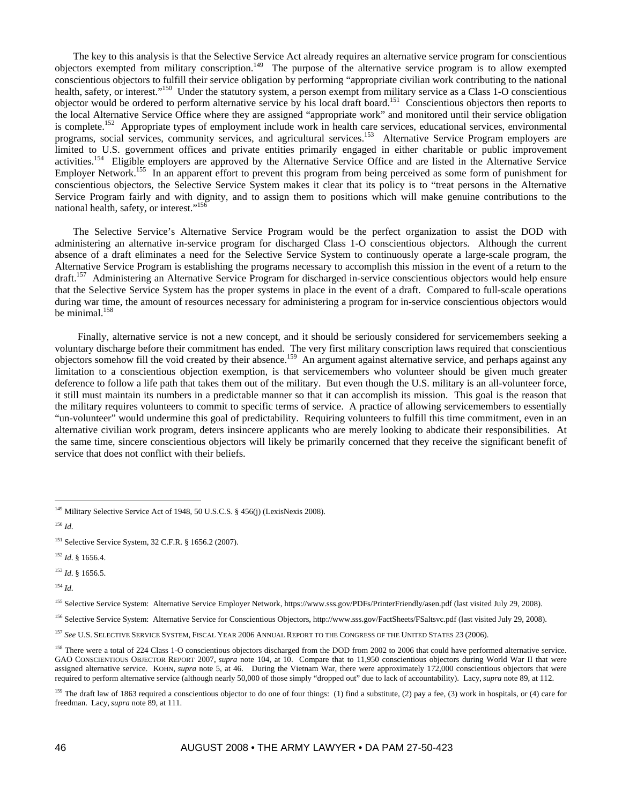The key to this analysis is that the Selective Service Act already requires an alternative service program for conscientious objectors exempted from military conscription.<sup>149</sup> The purpose of the alternative service program is to allow exempted conscientious objectors to fulfill their service obligation by performing "appropriate civilian work contributing to the national health, safety, or interest."150 Under the statutory system, a person exempt from military service as a Class 1-O conscientious objector would be ordered to perform alternative service by his local draft board.<sup>151</sup> Conscientious objectors then reports to the local Alternative Service Office where they are assigned "appropriate work" and monitored until their service obligation is complete.<sup>152</sup> Appropriate types of employment include work in health care services, educational services, environmental programs, social services, community services, and agricultural services.153 Alternative Service Program employers are limited to U.S. government offices and private entities primarily engaged in either charitable or public improvement activities.154 Eligible employers are approved by the Alternative Service Office and are listed in the Alternative Service Employer Network.155 In an apparent effort to prevent this program from being perceived as some form of punishment for conscientious objectors, the Selective Service System makes it clear that its policy is to "treat persons in the Alternative Service Program fairly and with dignity, and to assign them to positions which will make genuine contributions to the national health, safety, or interest."<sup>156</sup>

The Selective Service's Alternative Service Program would be the perfect organization to assist the DOD with administering an alternative in-service program for discharged Class 1-O conscientious objectors. Although the current absence of a draft eliminates a need for the Selective Service System to continuously operate a large-scale program, the Alternative Service Program is establishing the programs necessary to accomplish this mission in the event of a return to the draft.157 Administering an Alternative Service Program for discharged in-service conscientious objectors would help ensure that the Selective Service System has the proper systems in place in the event of a draft. Compared to full-scale operations during war time, the amount of resources necessary for administering a program for in-service conscientious objectors would be minimal.<sup>158</sup>

Finally, alternative service is not a new concept, and it should be seriously considered for servicemembers seeking a voluntary discharge before their commitment has ended. The very first military conscription laws required that conscientious objectors somehow fill the void created by their absence.<sup>159</sup> An argument against alternative service, and perhaps against any limitation to a conscientious objection exemption, is that servicemembers who volunteer should be given much greater deference to follow a life path that takes them out of the military. But even though the U.S. military is an all-volunteer force, it still must maintain its numbers in a predictable manner so that it can accomplish its mission. This goal is the reason that the military requires volunteers to commit to specific terms of service. A practice of allowing servicemembers to essentially "un-volunteer" would undermine this goal of predictability. Requiring volunteers to fulfill this time commitment, even in an alternative civilian work program, deters insincere applicants who are merely looking to abdicate their responsibilities. At the same time, sincere conscientious objectors will likely be primarily concerned that they receive the significant benefit of service that does not conflict with their beliefs.

 $\overline{a}$ 

<sup>153</sup> *Id*. § 1656.5.

<sup>154</sup> *Id*.

155 Selective Service System: Alternative Service Employer Network, https://www.sss.gov/PDFs/PrinterFriendly/asen.pdf (last visited July 29, 2008).

156 Selective Service System: Alternative Service for Conscientious Objectors, http://www.sss.gov/FactSheets/FSaltsvc.pdf (last visited July 29, 2008).

<sup>&</sup>lt;sup>149</sup> Military Selective Service Act of 1948, 50 U.S.C.S. § 456(j) (LexisNexis 2008).

<sup>150</sup> *Id*.

<sup>&</sup>lt;sup>151</sup> Selective Service System, 32 C.F.R. § 1656.2 (2007).

<sup>152</sup> *Id*. § 1656.4.

<sup>157</sup> *See* U.S. SELECTIVE SERVICE SYSTEM, FISCAL YEAR 2006 ANNUAL REPORT TO THE CONGRESS OF THE UNITED STATES 23 (2006).

<sup>&</sup>lt;sup>158</sup> There were a total of 224 Class 1-O conscientious objectors discharged from the DOD from 2002 to 2006 that could have performed alternative service. GAO CONSCIENTIOUS OBJECTOR REPORT 2007, *supra* note 104, at 10. Compare that to 11,950 conscientious objectors during World War II that were assigned alternative service. KOHN, *supra* note 5, at 46. During the Vietnam War, there were approximately 172,000 conscientious objectors that were required to perform alternative service (although nearly 50,000 of those simply "dropped out" due to lack of accountability). Lacy, *supra* note 89, at 112.

<sup>&</sup>lt;sup>159</sup> The draft law of 1863 required a conscientious objector to do one of four things: (1) find a substitute, (2) pay a fee, (3) work in hospitals, or (4) care for freedman. Lacy, *supra* note 89, at 111.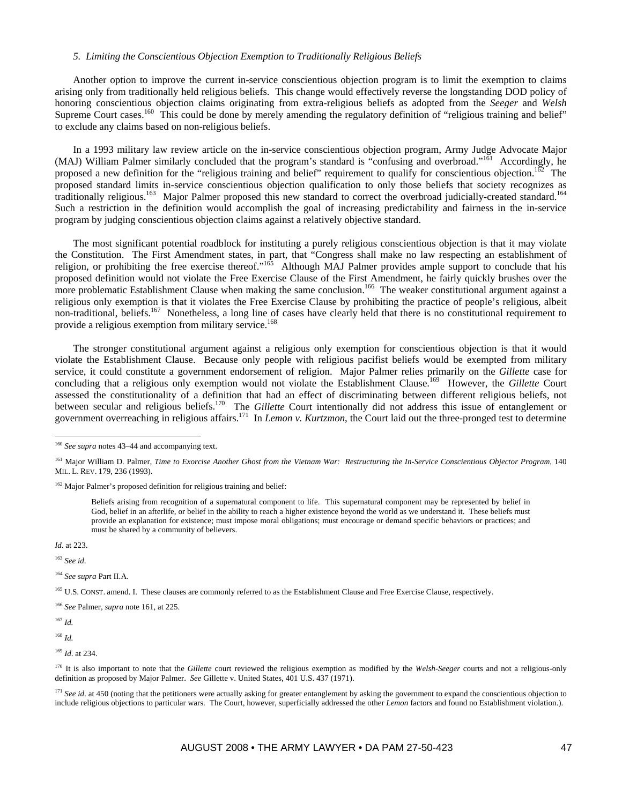## *5. Limiting the Conscientious Objection Exemption to Traditionally Religious Beliefs*

Another option to improve the current in-service conscientious objection program is to limit the exemption to claims arising only from traditionally held religious beliefs. This change would effectively reverse the longstanding DOD policy of honoring conscientious objection claims originating from extra-religious beliefs as adopted from the *Seeger* and *Welsh* Supreme Court cases.<sup>160</sup> This could be done by merely amending the regulatory definition of "religious training and belief" to exclude any claims based on non-religious beliefs.

In a 1993 military law review article on the in-service conscientious objection program, Army Judge Advocate Major (MAJ) William Palmer similarly concluded that the program's standard is "confusing and overbroad."<sup>161</sup> Accordingly, he proposed a new definition for the "religious training and belief" requirement to qualify for conscientious objection.<sup>162</sup> The proposed standard limits in-service conscientious objection qualification to only those beliefs that society recognizes as traditionally religious.<sup>163</sup> Major Palmer proposed this new standard to correct the overbroad judicially-created standard.<sup>164</sup> Such a restriction in the definition would accomplish the goal of increasing predictability and fairness in the in-service program by judging conscientious objection claims against a relatively objective standard.

The most significant potential roadblock for instituting a purely religious conscientious objection is that it may violate the Constitution. The First Amendment states, in part, that "Congress shall make no law respecting an establishment of religion, or prohibiting the free exercise thereof."<sup>165</sup> Although MAJ Palmer provides ample support to conclude that his proposed definition would not violate the Free Exercise Clause of the First Amendment, he fairly quickly brushes over the more problematic Establishment Clause when making the same conclusion.<sup>166</sup> The weaker constitutional argument against a religious only exemption is that it violates the Free Exercise Clause by prohibiting the practice of people's religious, albeit non-traditional, beliefs.<sup>167</sup> Nonetheless, a long line of cases have clearly held that there is no constitutional requirement to provide a religious exemption from military service.<sup>168</sup>

The stronger constitutional argument against a religious only exemption for conscientious objection is that it would violate the Establishment Clause. Because only people with religious pacifist beliefs would be exempted from military service, it could constitute a government endorsement of religion. Major Palmer relies primarily on the *Gillette* case for concluding that a religious only exemption would not violate the Establishment Clause.<sup>169</sup> However, the *Gillette* Court assessed the constitutionality of a definition that had an effect of discriminating between different religious beliefs, not between secular and religious beliefs.170 The *Gillette* Court intentionally did not address this issue of entanglement or government overreaching in religious affairs.171 In *Lemon v. Kurtzmon*, the Court laid out the three-pronged test to determine

<sup>162</sup> Major Palmer's proposed definition for religious training and belief:

Beliefs arising from recognition of a supernatural component to life. This supernatural component may be represented by belief in God, belief in an afterlife, or belief in the ability to reach a higher existence beyond the world as we understand it. These beliefs must provide an explanation for existence; must impose moral obligations; must encourage or demand specific behaviors or practices; and must be shared by a community of believers.

*Id*. at 223.

 $\overline{a}$ 

<sup>163</sup> *See id*.

<sup>164</sup> *See supra* Part II.A.

<sup>165</sup> U.S. CONST. amend. I. These clauses are commonly referred to as the Establishment Clause and Free Exercise Clause, respectively.

<sup>166</sup> *See* Palmer, *supra* note 161, at 225.

 $167$  *Id.* 

<sup>168</sup> *Id.* 

<sup>169</sup> *Id*. at 234.

<sup>170</sup> It is also important to note that the *Gillette* court reviewed the religious exemption as modified by the *Welsh-Seeger* courts and not a religious-only definition as proposed by Major Palmer. *See* Gillette v. United States, 401 U.S. 437 (1971).

<sup>171</sup> *See id.* at 450 (noting that the petitioners were actually asking for greater entanglement by asking the government to expand the conscientious objection to include religious objections to particular wars. The Court, however, superficially addressed the other *Lemon* factors and found no Establishment violation.).

<sup>160</sup> *See supra* notes 43–44 and accompanying text.

<sup>161</sup> Major William D. Palmer, *Time to Exorcise Another Ghost from the Vietnam War: Restructuring the In-Service Conscientious Objector Program*, 140 MIL. L. REV. 179, 236 (1993).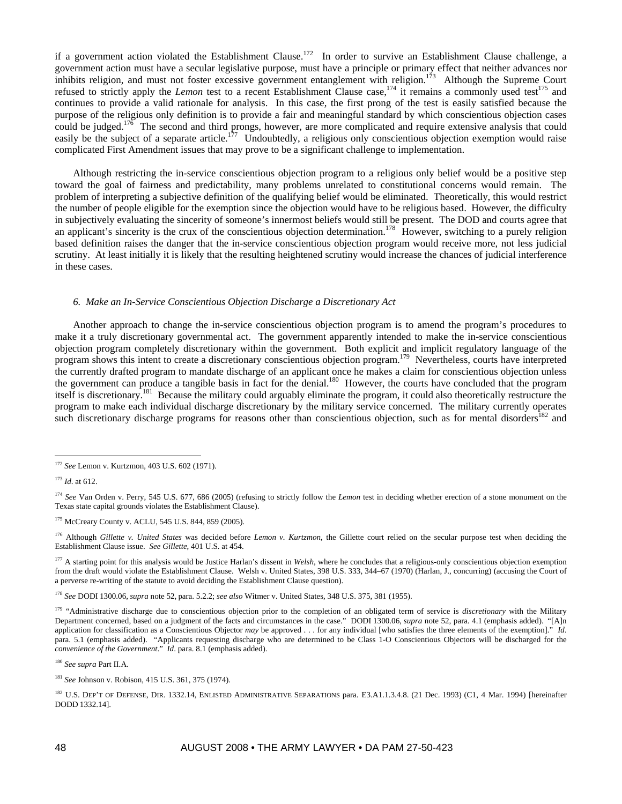if a government action violated the Establishment Clause.<sup>172</sup> In order to survive an Establishment Clause challenge, a government action must have a secular legislative purpose, must have a principle or primary effect that neither advances nor inhibits religion, and must not foster excessive government entanglement with religion.<sup>173</sup> Although the Supreme Court refused to strictly apply the *Lemon* test to a recent Establishment Clause case,<sup>174</sup> it remains a commonly used test<sup>175</sup> and continues to provide a valid rationale for analysis. In this case, the first prong of the test is easily satisfied because the purpose of the religious only definition is to provide a fair and meaningful standard by which conscientious objection cases could be judged.<sup>176</sup> The second and third prongs, however, are more complicated and require extensive analysis that could easily be the subject of a separate article.<sup>177</sup> Undoubtedly, a religious only conscientious objection exemption would raise complicated First Amendment issues that may prove to be a significant challenge to implementation.

Although restricting the in-service conscientious objection program to a religious only belief would be a positive step toward the goal of fairness and predictability, many problems unrelated to constitutional concerns would remain. The problem of interpreting a subjective definition of the qualifying belief would be eliminated. Theoretically, this would restrict the number of people eligible for the exemption since the objection would have to be religious based. However, the difficulty in subjectively evaluating the sincerity of someone's innermost beliefs would still be present. The DOD and courts agree that an applicant's sincerity is the crux of the conscientious objection determination.<sup>178</sup> However, switching to a purely religion based definition raises the danger that the in-service conscientious objection program would receive more, not less judicial scrutiny. At least initially it is likely that the resulting heightened scrutiny would increase the chances of judicial interference in these cases.

#### *6. Make an In-Service Conscientious Objection Discharge a Discretionary Act*

Another approach to change the in-service conscientious objection program is to amend the program's procedures to make it a truly discretionary governmental act. The government apparently intended to make the in-service conscientious objection program completely discretionary within the government. Both explicit and implicit regulatory language of the program shows this intent to create a discretionary conscientious objection program.179 Nevertheless, courts have interpreted the currently drafted program to mandate discharge of an applicant once he makes a claim for conscientious objection unless the government can produce a tangible basis in fact for the denial.<sup>180</sup> However, the courts have concluded that the program itself is discretionary.<sup>181</sup> Because the military could arguably eliminate the program, it could also theoretically restructure the program to make each individual discharge discretionary by the military service concerned. The military currently operates such discretionary discharge programs for reasons other than conscientious objection, such as for mental disorders<sup>182</sup> and

 $\overline{a}$ 

<sup>178</sup> *See* DODI 1300.06, *supra* note 52, para. 5.2.2; *see also* Witmer v. United States, 348 U.S. 375, 381 (1955).

<sup>172</sup> *See* Lemon v. Kurtzmon, 403 U.S. 602 (1971).

<sup>173</sup> *Id*. at 612.

<sup>&</sup>lt;sup>174</sup> *See* Van Orden v. Perry, 545 U.S. 677, 686 (2005) (refusing to strictly follow the *Lemon* test in deciding whether erection of a stone monument on the Texas state capital grounds violates the Establishment Clause).

<sup>&</sup>lt;sup>175</sup> McCreary County v. ACLU, 545 U.S. 844, 859 (2005).

<sup>176</sup> Although *Gillette v. United States* was decided before *Lemon v. Kurtzmon*, the Gillette court relied on the secular purpose test when deciding the Establishment Clause issue. *See Gillette*, 401 U.S. at 454.

<sup>&</sup>lt;sup>177</sup> A starting point for this analysis would be Justice Harlan's dissent in Welsh, where he concludes that a religious-only conscientious objection exemption from the draft would violate the Establishment Clause. Welsh v. United States, 398 U.S. 333, 344–67 (1970) (Harlan, J., concurring) (accusing the Court of a perverse re-writing of the statute to avoid deciding the Establishment Clause question).

<sup>&</sup>lt;sup>179</sup> "Administrative discharge due to conscientious objection prior to the completion of an obligated term of service is *discretionary* with the Military Department concerned, based on a judgment of the facts and circumstances in the case." DODI 1300.06, *supra* note 52, para. 4.1 (emphasis added). "[A]n application for classification as a Conscientious Objector *may* be approved . . . for any individual [who satisfies the three elements of the exemption]." *Id*. para. 5.1 (emphasis added). "Applicants requesting discharge who are determined to be Class 1-O Conscientious Objectors will be discharged for the *convenience of the Government*." *Id*. para. 8.1 (emphasis added).

<sup>180</sup> *See supra* Part II.A.

<sup>181</sup> *See* Johnson v. Robison, 415 U.S. 361, 375 (1974).

<sup>&</sup>lt;sup>182</sup> U.S. DEP'T OF DEFENSE, DIR. 1332.14, ENLISTED ADMINISTRATIVE SEPARATIONS para. E3.A1.1.3.4.8. (21 Dec. 1993) (C1, 4 Mar. 1994) [hereinafter DODD 1332.14].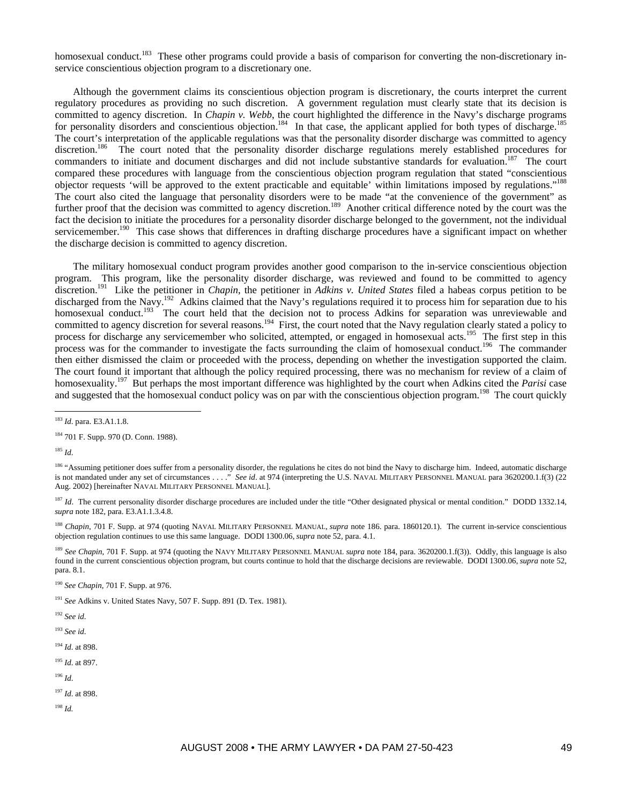homosexual conduct.<sup>183</sup> These other programs could provide a basis of comparison for converting the non-discretionary inservice conscientious objection program to a discretionary one.

Although the government claims its conscientious objection program is discretionary, the courts interpret the current regulatory procedures as providing no such discretion. A government regulation must clearly state that its decision is committed to agency discretion. In *Chapin v. Webb*, the court highlighted the difference in the Navy's discharge programs for personality disorders and conscientious objection.<sup>184</sup> In that case, the applicant applied for both types of discharge.<sup>185</sup> The court's interpretation of the applicable regulations was that the personality disorder discharge was committed to agency discretion.<sup>186</sup> The court noted that the personality disorder discharge regulations merely established procedures for commanders to initiate and document discharges and did not include substantive standards for evaluation.<sup>187</sup> The court compared these procedures with language from the conscientious objection program regulation that stated "conscientious objector requests 'will be approved to the extent practicable and equitable' within limitations imposed by regulations."188 The court also cited the language that personality disorders were to be made "at the convenience of the government" as further proof that the decision was committed to agency discretion.<sup>189</sup> Another critical difference noted by the court was the fact the decision to initiate the procedures for a personality disorder discharge belonged to the government, not the individual servicemember.<sup>190</sup> This case shows that differences in drafting discharge procedures have a significant impact on whether the discharge decision is committed to agency discretion.

The military homosexual conduct program provides another good comparison to the in-service conscientious objection program. This program, like the personality disorder discharge, was reviewed and found to be committed to agency discretion.191 Like the petitioner in *Chapin*, the petitioner in *Adkins v. United States* filed a habeas corpus petition to be discharged from the Navy.<sup>192</sup> Adkins claimed that the Navy's regulations required it to process him for separation due to his homosexual conduct.<sup>193</sup> The court held that the decision not to process Adkins for separation was unreviewable and committed to agency discretion for several reasons.<sup>194</sup> First, the court noted that the Navy regulation clearly stated a policy to process for discharge any servicemember who solicited, attempted, or engaged in homosexual acts.<sup>195</sup> The first step in this process was for the commander to investigate the facts surrounding the claim of homosexual conduct.<sup>196</sup> The commander then either dismissed the claim or proceeded with the process, depending on whether the investigation supported the claim. The court found it important that although the policy required processing, there was no mechanism for review of a claim of homosexuality.197 But perhaps the most important difference was highlighted by the court when Adkins cited the *Parisi* case and suggested that the homosexual conduct policy was on par with the conscientious objection program.<sup>198</sup> The court quickly

<sup>185</sup> *Id*.

 $\overline{a}$ 

<sup>188</sup> *Chapin*, 701 F. Supp. at 974 (quoting NAVAL MILITARY PERSONNEL MANUAL, *supra* note 186. para. 1860120.1). The current in-service conscientious objection regulation continues to use this same language. DODI 1300.06, *supra* note 52, para. 4.1.

<sup>189</sup> See Chapin, 701 F. Supp. at 974 (quoting the NAVY MILITARY PERSONNEL MANUAL *supra* note 184, para. 3620200.1.f(3)). Oddly, this language is also found in the current conscientious objection program, but courts continue to hold that the discharge decisions are reviewable. DODI 1300.06, *supra* note 52, para. 8.1.

<sup>190</sup> *See Chapin*, 701 F. Supp. at 976.

<sup>192</sup> *See id*.

<sup>193</sup> *See id*.

<sup>194</sup> *Id*. at 898.

<sup>195</sup> *Id*. at 897.

<sup>196</sup> *Id*.

<sup>197</sup> *Id*. at 898.

<sup>198</sup> *Id.* 

<sup>183</sup> *Id*. para. E3.A1.1.8.

<sup>184 701</sup> F. Supp. 970 (D. Conn. 1988).

<sup>&</sup>lt;sup>186</sup> "Assuming petitioner does suffer from a personality disorder, the regulations he cites do not bind the Navy to discharge him. Indeed, automatic discharge is not mandated under any set of circumstances . . . ." *See id*. at 974 (interpreting the U.S. NAVAL MILITARY PERSONNEL MANUAL para 3620200.1.f(3) (22 Aug. 2002) [hereinafter NAVAL MILITARY PERSONNEL MANUAL].

<sup>&</sup>lt;sup>187</sup> *Id*. The current personality disorder discharge procedures are included under the title "Other designated physical or mental condition." DODD 1332.14, *supra* note 182, para. E3.A1.1.3.4.8.

<sup>191</sup> *See* Adkins v. United States Navy, 507 F. Supp. 891 (D. Tex. 1981).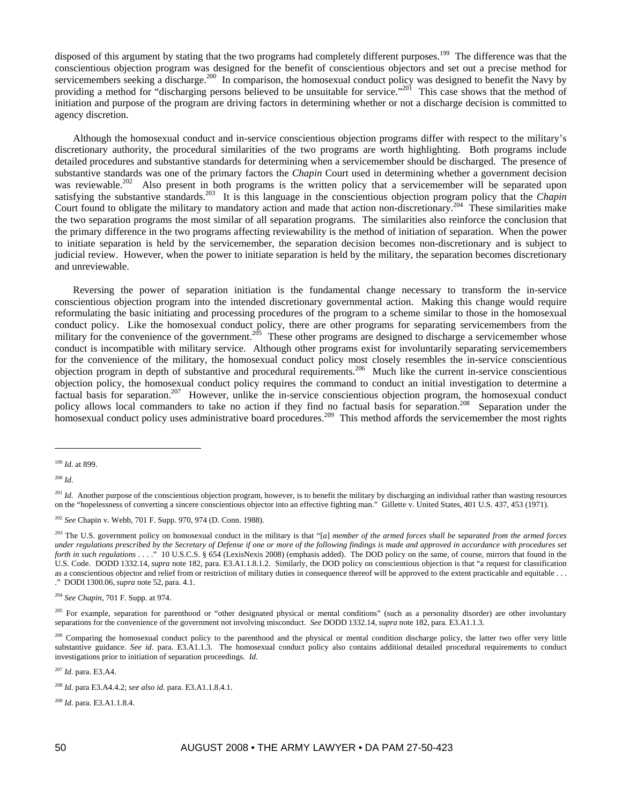disposed of this argument by stating that the two programs had completely different purposes.<sup>199</sup> The difference was that the conscientious objection program was designed for the benefit of conscientious objectors and set out a precise method for servicemembers seeking a discharge.<sup>200</sup> In comparison, the homosexual conduct policy was designed to benefit the Navy by providing a method for "discharging persons believed to be unsuitable for service."<sup>201</sup> This case shows that the method of initiation and purpose of the program are driving factors in determining whether or not a discharge decision is committed to agency discretion.

Although the homosexual conduct and in-service conscientious objection programs differ with respect to the military's discretionary authority, the procedural similarities of the two programs are worth highlighting. Both programs include detailed procedures and substantive standards for determining when a servicemember should be discharged. The presence of substantive standards was one of the primary factors the *Chapin* Court used in determining whether a government decision was reviewable.<sup>202</sup> Also present in both programs is the written policy that a servicemember will be separated upon satisfying the substantive standards.203 It is this language in the conscientious objection program policy that the *Chapin* Court found to obligate the military to mandatory action and made that action non-discretionary.<sup>204</sup> These similarities make the two separation programs the most similar of all separation programs. The similarities also reinforce the conclusion that the primary difference in the two programs affecting reviewability is the method of initiation of separation. When the power to initiate separation is held by the servicemember, the separation decision becomes non-discretionary and is subject to judicial review. However, when the power to initiate separation is held by the military, the separation becomes discretionary and unreviewable.

Reversing the power of separation initiation is the fundamental change necessary to transform the in-service conscientious objection program into the intended discretionary governmental action. Making this change would require reformulating the basic initiating and processing procedures of the program to a scheme similar to those in the homosexual conduct policy. Like the homosexual conduct policy, there are other programs for separating servicemembers from the military for the convenience of the government.<sup>205</sup> These other programs are designed to discharge a servicemember whose conduct is incompatible with military service. Although other programs exist for involuntarily separating servicemembers for the convenience of the military, the homosexual conduct policy most closely resembles the in-service conscientious objection program in depth of substantive and procedural requirements.206 Much like the current in-service conscientious objection policy, the homosexual conduct policy requires the command to conduct an initial investigation to determine a factual basis for separation.<sup>207</sup> However, unlike the in-service conscientious objection program, the homosexual conduct policy allows local commanders to take no action if they find no factual basis for separation.<sup>208</sup> Separation under the homosexual conduct policy uses administrative board procedures.<sup>209</sup> This method affords the servicemember the most rights

 $\overline{a}$ 

<sup>207</sup> *Id*. para. E3.A4.

<sup>209</sup> *Id*. para. E3.A1.1.8.4.

<sup>199</sup> *Id*. at 899.

<sup>200</sup> *Id*.

<sup>&</sup>lt;sup>201</sup> *Id*. Another purpose of the conscientious objection program, however, is to benefit the military by discharging an individual rather than wasting resources on the "hopelessness of converting a sincere conscientious objector into an effective fighting man." Gillette v. United States, 401 U.S. 437, 453 (1971).

<sup>202</sup> *See* Chapin v. Webb, 701 F. Supp. 970, 974 (D. Conn. 1988).

<sup>&</sup>lt;sup>203</sup> The U.S. government policy on homosexual conduct in the military is that "[a] member of the armed forces shall be separated from the armed forces *under regulations prescribed by the Secretary of Defense if one or more of the following findings is made and approved in accordance with procedures set forth in such regulations* . . . " 10 U.S.C.S. § 654 (LexisNexis 2008) (emphasis added). The DOD policy on the same, of course, mirrors that found in the U.S. Code. DODD 1332.14, *supra* note 182, para. E3.A1.1.8.1.2. Similarly, the DOD policy on conscientious objection is that "a request for classification as a conscientious objector and relief from or restriction of military duties in consequence thereof will be approved to the extent practicable and equitable . . . ." DODI 1300.06,*supra* note 52, para. 4.1.

<sup>204</sup> *See Chapin*, 701 F. Supp. at 974.

<sup>&</sup>lt;sup>205</sup> For example, separation for parenthood or "other designated physical or mental conditions" (such as a personality disorder) are other involuntary separations for the convenience of the government not involving misconduct. *See* DODD 1332.14, *supra* note 182, para. E3.A1.1.3.

<sup>&</sup>lt;sup>206</sup> Comparing the homosexual conduct policy to the parenthood and the physical or mental condition discharge policy, the latter two offer very little substantive guidance. See id. para. E3.A1.1.3. The homosexual conduct policy also contains additional detailed procedural requirements to conduct investigations prior to initiation of separation proceedings. *Id*.

<sup>208</sup> *Id*. para E3.A4.4.2; *see also id*. para. E3.A1.1.8.4.1.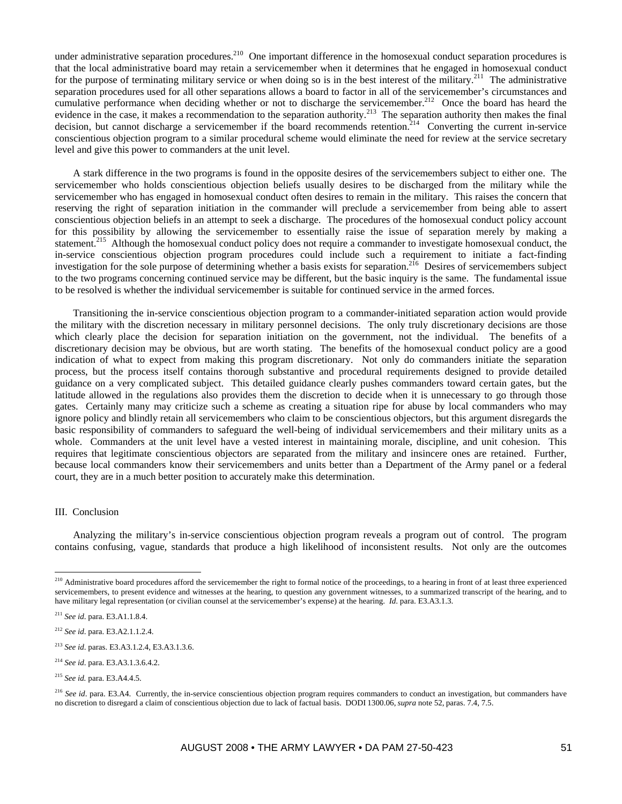under administrative separation procedures.<sup>210</sup> One important difference in the homosexual conduct separation procedures is that the local administrative board may retain a servicemember when it determines that he engaged in homosexual conduct for the purpose of terminating military service or when doing so is in the best interest of the military.<sup>211</sup> The administrative separation procedures used for all other separations allows a board to factor in all of the servicemember's circumstances and cumulative performance when deciding whether or not to discharge the servicemember.<sup>212</sup> Once the board has heard the evidence in the case, it makes a recommendation to the separation authority.<sup>213</sup> The separation authority then makes the final decision, but cannot discharge a servicemember if the board recommends retention.<sup>214</sup> Converting the current in-service conscientious objection program to a similar procedural scheme would eliminate the need for review at the service secretary level and give this power to commanders at the unit level.

A stark difference in the two programs is found in the opposite desires of the servicemembers subject to either one. The servicemember who holds conscientious objection beliefs usually desires to be discharged from the military while the servicemember who has engaged in homosexual conduct often desires to remain in the military. This raises the concern that reserving the right of separation initiation in the commander will preclude a servicemember from being able to assert conscientious objection beliefs in an attempt to seek a discharge. The procedures of the homosexual conduct policy account for this possibility by allowing the servicemember to essentially raise the issue of separation merely by making a statement.<sup>215</sup> Although the homosexual conduct policy does not require a commander to investigate homosexual conduct, the in-service conscientious objection program procedures could include such a requirement to initiate a fact-finding investigation for the sole purpose of determining whether a basis exists for separation.<sup>216</sup> Desires of servicemembers subject to the two programs concerning continued service may be different, but the basic inquiry is the same. The fundamental issue to be resolved is whether the individual servicemember is suitable for continued service in the armed forces.

Transitioning the in-service conscientious objection program to a commander-initiated separation action would provide the military with the discretion necessary in military personnel decisions. The only truly discretionary decisions are those which clearly place the decision for separation initiation on the government, not the individual. The benefits of a discretionary decision may be obvious, but are worth stating. The benefits of the homosexual conduct policy are a good indication of what to expect from making this program discretionary. Not only do commanders initiate the separation process, but the process itself contains thorough substantive and procedural requirements designed to provide detailed guidance on a very complicated subject. This detailed guidance clearly pushes commanders toward certain gates, but the latitude allowed in the regulations also provides them the discretion to decide when it is unnecessary to go through those gates. Certainly many may criticize such a scheme as creating a situation ripe for abuse by local commanders who may ignore policy and blindly retain all servicemembers who claim to be conscientious objectors, but this argument disregards the basic responsibility of commanders to safeguard the well-being of individual servicemembers and their military units as a whole. Commanders at the unit level have a vested interest in maintaining morale, discipline, and unit cohesion. This requires that legitimate conscientious objectors are separated from the military and insincere ones are retained. Further, because local commanders know their servicemembers and units better than a Department of the Army panel or a federal court, they are in a much better position to accurately make this determination.

### III. Conclusion

 $\overline{a}$ 

Analyzing the military's in-service conscientious objection program reveals a program out of control. The program contains confusing, vague, standards that produce a high likelihood of inconsistent results. Not only are the outcomes

<sup>&</sup>lt;sup>210</sup> Administrative board procedures afford the servicemember the right to formal notice of the proceedings, to a hearing in front of at least three experienced servicemembers, to present evidence and witnesses at the hearing, to question any government witnesses, to a summarized transcript of the hearing, and to have military legal representation (or civilian counsel at the servicemember's expense) at the hearing. *Id*. para. E3.A3.1.3.

<sup>211</sup> *See id*. para. E3.A1.1.8.4.

<sup>212</sup> *See id*. para. E3.A2.1.1.2.4.

<sup>213</sup> *See id*. paras. E3.A3.1.2.4, E3.A3.1.3.6.

<sup>214</sup> *See id*. para. E3.A3.1.3.6.4.2.

<sup>215</sup> *See id.* para. E3.A4.4.5.

<sup>&</sup>lt;sup>216</sup> See id. para. E3.A4. Currently, the in-service conscientious objection program requires commanders to conduct an investigation, but commanders have no discretion to disregard a claim of conscientious objection due to lack of factual basis. DODI 1300.06, *supra* note 52, paras. 7.4, 7.5.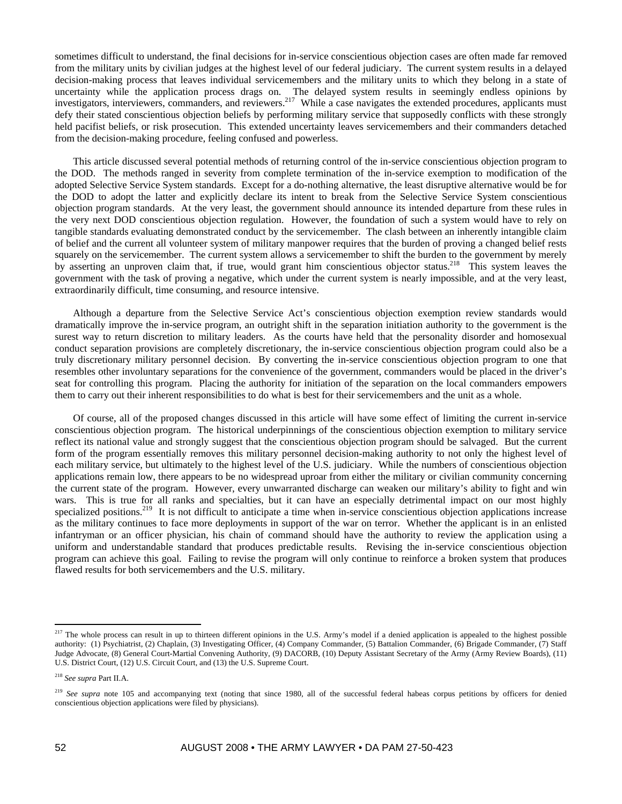sometimes difficult to understand, the final decisions for in-service conscientious objection cases are often made far removed from the military units by civilian judges at the highest level of our federal judiciary. The current system results in a delayed decision-making process that leaves individual servicemembers and the military units to which they belong in a state of uncertainty while the application process drags on. The delayed system results in seemingly endless opinions by investigators, interviewers, commanders, and reviewers.<sup>217</sup> While a case navigates the extended procedures, applicants must defy their stated conscientious objection beliefs by performing military service that supposedly conflicts with these strongly held pacifist beliefs, or risk prosecution. This extended uncertainty leaves servicemembers and their commanders detached from the decision-making procedure, feeling confused and powerless.

This article discussed several potential methods of returning control of the in-service conscientious objection program to the DOD. The methods ranged in severity from complete termination of the in-service exemption to modification of the adopted Selective Service System standards. Except for a do-nothing alternative, the least disruptive alternative would be for the DOD to adopt the latter and explicitly declare its intent to break from the Selective Service System conscientious objection program standards. At the very least, the government should announce its intended departure from these rules in the very next DOD conscientious objection regulation. However, the foundation of such a system would have to rely on tangible standards evaluating demonstrated conduct by the servicemember. The clash between an inherently intangible claim of belief and the current all volunteer system of military manpower requires that the burden of proving a changed belief rests squarely on the servicemember. The current system allows a servicemember to shift the burden to the government by merely by asserting an unproven claim that, if true, would grant him conscientious objector status.<sup>218</sup> This system leaves the government with the task of proving a negative, which under the current system is nearly impossible, and at the very least, extraordinarily difficult, time consuming, and resource intensive.

Although a departure from the Selective Service Act's conscientious objection exemption review standards would dramatically improve the in-service program, an outright shift in the separation initiation authority to the government is the surest way to return discretion to military leaders. As the courts have held that the personality disorder and homosexual conduct separation provisions are completely discretionary, the in-service conscientious objection program could also be a truly discretionary military personnel decision. By converting the in-service conscientious objection program to one that resembles other involuntary separations for the convenience of the government, commanders would be placed in the driver's seat for controlling this program. Placing the authority for initiation of the separation on the local commanders empowers them to carry out their inherent responsibilities to do what is best for their servicemembers and the unit as a whole.

Of course, all of the proposed changes discussed in this article will have some effect of limiting the current in-service conscientious objection program. The historical underpinnings of the conscientious objection exemption to military service reflect its national value and strongly suggest that the conscientious objection program should be salvaged. But the current form of the program essentially removes this military personnel decision-making authority to not only the highest level of each military service, but ultimately to the highest level of the U.S. judiciary. While the numbers of conscientious objection applications remain low, there appears to be no widespread uproar from either the military or civilian community concerning the current state of the program. However, every unwarranted discharge can weaken our military's ability to fight and win wars. This is true for all ranks and specialties, but it can have an especially detrimental impact on our most highly specialized positions.<sup>219</sup> It is not difficult to anticipate a time when in-service conscientious objection applications increase as the military continues to face more deployments in support of the war on terror. Whether the applicant is in an enlisted infantryman or an officer physician, his chain of command should have the authority to review the application using a uniform and understandable standard that produces predictable results. Revising the in-service conscientious objection program can achieve this goal. Failing to revise the program will only continue to reinforce a broken system that produces flawed results for both servicemembers and the U.S. military.

<sup>&</sup>lt;sup>217</sup> The whole process can result in up to thirteen different opinions in the U.S. Army's model if a denied application is appealed to the highest possible authority: (1) Psychiatrist, (2) Chaplain, (3) Investigating Officer, (4) Company Commander, (5) Battalion Commander, (6) Brigade Commander, (7) Staff Judge Advocate, (8) General Court-Martial Convening Authority, (9) DACORB, (10) Deputy Assistant Secretary of the Army (Army Review Boards), (11) U.S. District Court, (12) U.S. Circuit Court, and (13) the U.S. Supreme Court.

<sup>218</sup> *See supra* Part II.A.

<sup>&</sup>lt;sup>219</sup> See supra note 105 and accompanying text (noting that since 1980, all of the successful federal habeas corpus petitions by officers for denied conscientious objection applications were filed by physicians).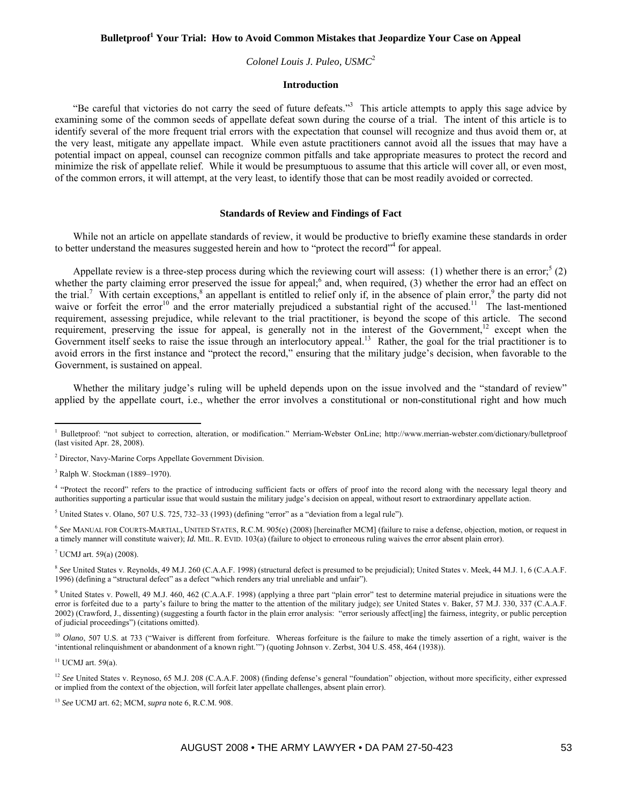# Bulletproof<sup>1</sup> Your Trial: How to Avoid Common Mistakes that Jeopardize Your Case on Appeal

## *Colonel Louis J. Puleo, USMC*<sup>2</sup>

### **Introduction**

"Be careful that victories do not carry the seed of future defeats."<sup>3</sup> This article attempts to apply this sage advice by examining some of the common seeds of appellate defeat sown during the course of a trial. The intent of this article is to identify several of the more frequent trial errors with the expectation that counsel will recognize and thus avoid them or, at the very least, mitigate any appellate impact. While even astute practitioners cannot avoid all the issues that may have a potential impact on appeal, counsel can recognize common pitfalls and take appropriate measures to protect the record and minimize the risk of appellate relief. While it would be presumptuous to assume that this article will cover all, or even most, of the common errors, it will attempt, at the very least, to identify those that can be most readily avoided or corrected.

### **Standards of Review and Findings of Fact**

While not an article on appellate standards of review, it would be productive to briefly examine these standards in order to better understand the measures suggested herein and how to "protect the record"<sup>4</sup> for appeal.

Appellate review is a three-step process during which the reviewing court will assess: (1) whether there is an error;<sup>5</sup> (2) whether the party claiming error preserved the issue for appeal; $<sup>6</sup>$  and, when required, (3) whether the error had an effect on</sup> the trial.<sup>7</sup> With certain exceptions,  $\delta$  an appellant is entitled to relief only if, in the absence of plain error,  $\delta$  the party did not waive or forfeit the error<sup>10</sup> and the error materially prejudiced a substantial right of the accused.<sup>11</sup> The last-mentioned requirement, assessing prejudice, while relevant to the trial practitioner, is beyond the scope of this article. The second requirement, preserving the issue for appeal, is generally not in the interest of the Government,<sup>12</sup> except when the Government itself seeks to raise the issue through an interlocutory appeal.<sup>13</sup> Rather, the goal for the trial practitioner is to avoid errors in the first instance and "protect the record," ensuring that the military judge's decision, when favorable to the Government, is sustained on appeal.

Whether the military judge's ruling will be upheld depends upon on the issue involved and the "standard of review" applied by the appellate court, i.e., whether the error involves a constitutional or non-constitutional right and how much

<sup>6</sup> *See* MANUAL FOR COURTS-MARTIAL, UNITED STATES, R.C.M. 905(e) (2008) [hereinafter MCM] (failure to raise a defense, objection, motion, or request in a timely manner will constitute waiver); *Id.* MIL. R. EVID. 103(a) (failure to object to erroneous ruling waives the error absent plain error).

7 UCMJ art. 59(a) (2008).

 $\overline{a}$ 

<sup>8</sup> See United States v. Reynolds, 49 M.J. 260 (C.A.A.F. 1998) (structural defect is presumed to be prejudicial); United States v. Meek, 44 M.J. 1, 6 (C.A.A.F. 1996) (defining a "structural defect" as a defect "which renders any trial unreliable and unfair").

<sup>9</sup> United States v. Powell, 49 M.J. 460, 462 (C.A.A.F. 1998) (applying a three part "plain error" test to determine material prejudice in situations were the error is forfeited due to a party's failure to bring the matter to the attention of the military judge); *see* United States v. Baker, 57 M.J. 330, 337 (C.A.A.F. 2002) (Crawford, J., dissenting) (suggesting a fourth factor in the plain error analysis: "error seriously affect[ing] the fairness, integrity, or public perception of judicial proceedings") (citations omitted).

<sup>10</sup> *Olano*, 507 U.S. at 733 ("Waiver is different from forfeiture. Whereas forfeiture is the failure to make the timely assertion of a right, waiver is the 'intentional relinquishment or abandonment of a known right.'") (quoting Johnson v. Zerbst, 304 U.S. 458, 464 (1938)).

 $11$  UCMJ art. 59(a).

<sup>&</sup>lt;sup>1</sup> Bulletproof: "not subject to correction, alteration, or modification." Merriam-Webster OnLine; http://www.merrian-webster.com/dictionary/bulletproof (last visited Apr. 28, 2008).

<sup>&</sup>lt;sup>2</sup> Director, Navy-Marine Corps Appellate Government Division.

<sup>3</sup> Ralph W. Stockman (1889–1970).

<sup>&</sup>lt;sup>4</sup> "Protect the record" refers to the practice of introducing sufficient facts or offers of proof into the record along with the necessary legal theory and authorities supporting a particular issue that would sustain the military judge's decision on appeal, without resort to extraordinary appellate action.

<sup>&</sup>lt;sup>5</sup> United States v. Olano, 507 U.S. 725, 732–33 (1993) (defining "error" as a "deviation from a legal rule").

<sup>&</sup>lt;sup>12</sup> See United States v. Reynoso, 65 M.J. 208 (C.A.A.F. 2008) (finding defense's general "foundation" objection, without more specificity, either expressed or implied from the context of the objection, will forfeit later appellate challenges, absent plain error).

<sup>13</sup> *See* UCMJ art. 62; MCM, *supra* note 6, R.C.M. 908.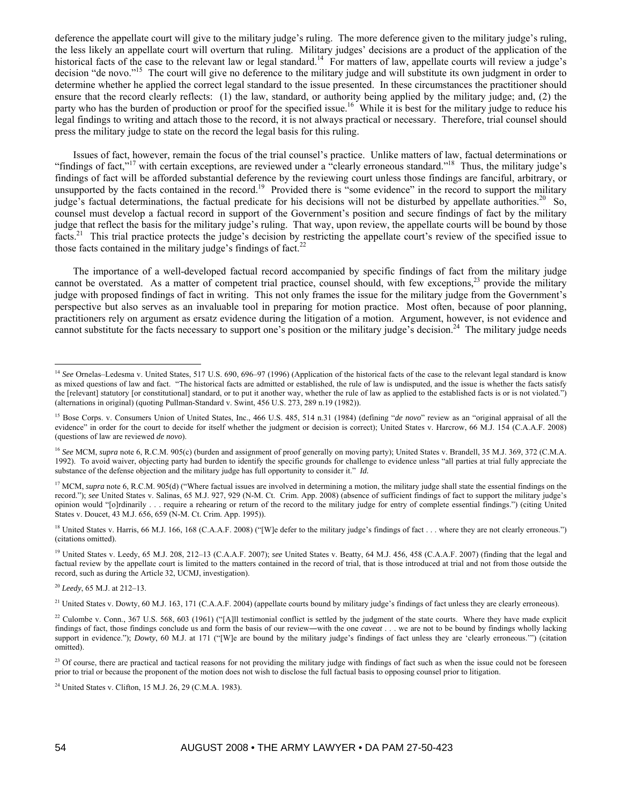deference the appellate court will give to the military judge's ruling. The more deference given to the military judge's ruling, the less likely an appellate court will overturn that ruling. Military judges' decisions are a product of the application of the historical facts of the case to the relevant law or legal standard.<sup>14</sup> For matters of law, appellate courts will review a judge's decision "de novo."<sup>15</sup> The court will give no deference to the military judge and will substitute its own judgment in order to determine whether he applied the correct legal standard to the issue presented. In these circumstances the practitioner should ensure that the record clearly reflects: (1) the law, standard, or authority being applied by the military judge; and, (2) the party who has the burden of production or proof for the specified issue.<sup>16</sup> While it is best for the military judge to reduce his legal findings to writing and attach those to the record, it is not always practical or necessary. Therefore, trial counsel should press the military judge to state on the record the legal basis for this ruling.

Issues of fact, however, remain the focus of the trial counsel's practice. Unlike matters of law, factual determinations or "findings of fact,"<sup>17</sup> with certain exceptions, are reviewed under a "clearly erroneous standard."<sup>18</sup> Thus, the military judge's findings of fact will be afforded substantial deference by the reviewing court unless those findings are fanciful, arbitrary, or unsupported by the facts contained in the record.<sup>19</sup> Provided there is "some evidence" in the record to support the military judge's factual determinations, the factual predicate for his decisions will not be disturbed by appellate authorities.<sup>20</sup> So, counsel must develop a factual record in support of the Government's position and secure findings of fact by the military judge that reflect the basis for the military judge's ruling. That way, upon review, the appellate courts will be bound by those facts.<sup>21</sup> This trial practice protects the judge's decision by restricting the appellate court's review of the specified issue to those facts contained in the military judge's findings of fact.<sup>22</sup>

The importance of a well-developed factual record accompanied by specific findings of fact from the military judge cannot be overstated. As a matter of competent trial practice, counsel should, with few exceptions, $^{23}$  provide the military judge with proposed findings of fact in writing. This not only frames the issue for the military judge from the Government's perspective but also serves as an invaluable tool in preparing for motion practice. Most often, because of poor planning, practitioners rely on argument as ersatz evidence during the litigation of a motion. Argument, however, is not evidence and cannot substitute for the facts necessary to support one's position or the military judge's decision.<sup>24</sup> The military judge needs

<sup>19</sup> United States v. Leedy, 65 M.J. 208, 212-13 (C.A.A.F. 2007); see United States v. Beatty, 64 M.J. 456, 458 (C.A.A.F. 2007) (finding that the legal and factual review by the appellate court is limited to the matters contained in the record of trial, that is those introduced at trial and not from those outside the record, such as during the Article 32, UCMJ, investigation).

<sup>&</sup>lt;sup>14</sup> See Ornelas–Ledesma v. United States, 517 U.S. 690, 696–97 (1996) (Application of the historical facts of the case to the relevant legal standard is know as mixed questions of law and fact. "The historical facts are admitted or established, the rule of law is undisputed, and the issue is whether the facts satisfy the [relevant] statutory [or constitutional] standard, or to put it another way, whether the rule of law as applied to the established facts is or is not violated.") (alternations in original) (quoting Pullman-Standard v. Swint, 456 U.S. 273, 289 n.19 (1982)).

<sup>&</sup>lt;sup>15</sup> Bose Corps. v. Consumers Union of United States, Inc., 466 U.S. 485, 514 n.31 (1984) (defining "*de novo*" review as an "original appraisal of all the evidence" in order for the court to decide for itself whether the judgment or decision is correct); United States v. Harcrow, 66 M.J. 154 (C.A.A.F. 2008) (questions of law are reviewed *de novo*).

<sup>&</sup>lt;sup>16</sup> See MCM, supra note 6, R.C.M. 905(c) (burden and assignment of proof generally on moving party); United States v. Brandell, 35 M.J. 369, 372 (C.M.A. 1992). To avoid waiver, objecting party had burden to identify the specific grounds for challenge to evidence unless "all parties at trial fully appreciate the substance of the defense objection and the military judge has full opportunity to consider it." *Id.*

<sup>&</sup>lt;sup>17</sup> MCM, *supra* note 6, R.C.M. 905(d) ("Where factual issues are involved in determining a motion, the military judge shall state the essential findings on the record."); *see* United States v. Salinas, 65 M.J. 927, 929 (N-M. Ct. Crim. App. 2008) (absence of sufficient findings of fact to support the military judge's opinion would "[o]rdinarily . . . require a rehearing or return of the record to the military judge for entry of complete essential findings.") (citing United States v. Doucet, 43 M.J. 656, 659 (N-M. Ct. Crim. App. 1995)).

<sup>&</sup>lt;sup>18</sup> United States v. Harris, 66 M.J. 166, 168 (C.A.A.F. 2008) ("[W]e defer to the military judge's findings of fact . . . where they are not clearly erroneous.") (citations omitted).

<sup>20</sup> *Leedy*, 65 M.J. at 212–13.

<sup>&</sup>lt;sup>21</sup> United States v. Dowty, 60 M.J. 163, 171 (C.A.A.F. 2004) (appellate courts bound by military judge's findings of fact unless they are clearly erroneous).

<sup>&</sup>lt;sup>22</sup> Culombe v. Conn., 367 U.S. 568, 603 (1961) ("[A]ll testimonial conflict is settled by the judgment of the state courts. Where they have made explicit findings of fact, those findings conclude us and form the basis of our review―with the one *caveat* . . . we are not to be bound by findings wholly lacking support in evidence."); *Dowty*, 60 M.J. at 171 ("[W]e are bound by the military judge's findings of fact unless they are 'clearly erroneous."") (citation omitted).

<sup>&</sup>lt;sup>23</sup> Of course, there are practical and tactical reasons for not providing the military judge with findings of fact such as when the issue could not be foreseen prior to trial or because the proponent of the motion does not wish to disclose the full factual basis to opposing counsel prior to litigation.

<sup>&</sup>lt;sup>24</sup> United States v. Clifton, 15 M.J. 26, 29 (C.M.A. 1983).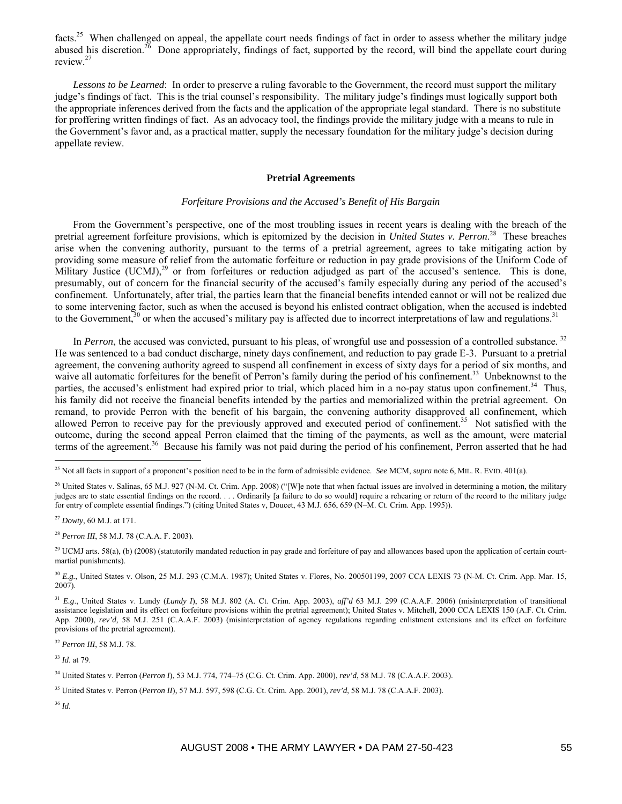facts.<sup>25</sup> When challenged on appeal, the appellate court needs findings of fact in order to assess whether the military judge abused his discretion.<sup>26</sup> Done appropriately, findings of fact, supported by the record, will bind the appellate court during review.27

*Lessons to be Learned*: In order to preserve a ruling favorable to the Government, the record must support the military judge's findings of fact. This is the trial counsel's responsibility. The military judge's findings must logically support both the appropriate inferences derived from the facts and the application of the appropriate legal standard. There is no substitute for proffering written findings of fact. As an advocacy tool, the findings provide the military judge with a means to rule in the Government's favor and, as a practical matter, supply the necessary foundation for the military judge's decision during appellate review.

### **Pretrial Agreements**

## *Forfeiture Provisions and the Accused's Benefit of His Bargain*

From the Government's perspective, one of the most troubling issues in recent years is dealing with the breach of the pretrial agreement forfeiture provisions, which is epitomized by the decision in *United States v. Perron*. 28 These breaches arise when the convening authority, pursuant to the terms of a pretrial agreement, agrees to take mitigating action by providing some measure of relief from the automatic forfeiture or reduction in pay grade provisions of the Uniform Code of Military Justice (UCMJ), $^{29}$  or from forfeitures or reduction adjudged as part of the accused's sentence. This is done, presumably, out of concern for the financial security of the accused's family especially during any period of the accused's confinement. Unfortunately, after trial, the parties learn that the financial benefits intended cannot or will not be realized due to some intervening factor, such as when the accused is beyond his enlisted contract obligation, when the accused is indebted to the Government,<sup>30</sup> or when the accused's military pay is affected due to incorrect interpretations of law and regulations.<sup>31</sup>

In *Perron*, the accused was convicted, pursuant to his pleas, of wrongful use and possession of a controlled substance. <sup>32</sup> He was sentenced to a bad conduct discharge, ninety days confinement, and reduction to pay grade E-3. Pursuant to a pretrial agreement, the convening authority agreed to suspend all confinement in excess of sixty days for a period of six months, and waive all automatic forfeitures for the benefit of Perron's family during the period of his confinement.<sup>33</sup> Unbeknownst to the parties, the accused's enlistment had expired prior to trial, which placed him in a no-pay status upon confinement.<sup>34</sup> Thus, his family did not receive the financial benefits intended by the parties and memorialized within the pretrial agreement. On remand, to provide Perron with the benefit of his bargain, the convening authority disapproved all confinement, which allowed Perron to receive pay for the previously approved and executed period of confinement.<sup>35</sup> Not satisfied with the outcome, during the second appeal Perron claimed that the timing of the payments, as well as the amount, were material terms of the agreement.<sup>36</sup> Because his family was not paid during the period of his confinement, Perron asserted that he had

 $\overline{a}$ 

<sup>28</sup> *Perron III*, 58 M.J. 78 (C.A.A. F. 2003).

<sup>32</sup> *Perron III*, 58 M.J. 78.

<sup>33</sup> *Id*. at 79.

34 United States v. Perron (*Perron I*), 53 M.J. 774, 774–75 (C.G. Ct. Crim. App. 2000), *rev'd*, 58 M.J. 78 (C.A.A.F. 2003).

<sup>25</sup> Not all facts in support of a proponent's position need to be in the form of admissible evidence. *See* MCM, *supra* note 6, MIL. R. EVID. 401(a).

<sup>&</sup>lt;sup>26</sup> United States v. Salinas, 65 M.J. 927 (N-M. Ct. Crim. App. 2008) ("[W]e note that when factual issues are involved in determining a motion, the military judges are to state essential findings on the record. . . . Ordinarily [a failure to do so would] require a rehearing or return of the record to the military judge for entry of complete essential findings.") (citing United States v, Doucet, 43 M.J. 656, 659 (N–M. Ct. Crim. App. 1995)).

<sup>27</sup> *Dowty*, 60 M.J. at 171.

<sup>&</sup>lt;sup>29</sup> UCMJ arts. 58(a), (b) (2008) (statutorily mandated reduction in pay grade and forfeiture of pay and allowances based upon the application of certain courtmartial punishments).

<sup>&</sup>lt;sup>30</sup> *E.g.*, United States v. Olson, 25 M.J. 293 (C.M.A. 1987); United States v. Flores, No. 200501199, 2007 CCA LEXIS 73 (N-M. Ct. Crim. App. Mar. 15, 2007).

<sup>31</sup> *E.g*., United States v. Lundy (*Lundy I*), 58 M.J. 802 (A. Ct. Crim. App. 2003), *aff'd* 63 M.J. 299 (C.A.A.F. 2006) (misinterpretation of transitional assistance legislation and its effect on forfeiture provisions within the pretrial agreement); United States v. Mitchell, 2000 CCA LEXIS 150 (A.F. Ct. Crim. App. 2000),  $rev'd$ , 58 M.J. 251 (C.A.A.F. 2003) (misinterpretation of agency regulations regarding enlistment extensions and its effect on forfeiture provisions of the pretrial agreement).

<sup>35</sup> United States v. Perron (*Perron II*), 57 M.J. 597, 598 (C.G. Ct. Crim. App. 2001), *rev'd*, 58 M.J. 78 (C.A.A.F. 2003).

<sup>36</sup> *Id*.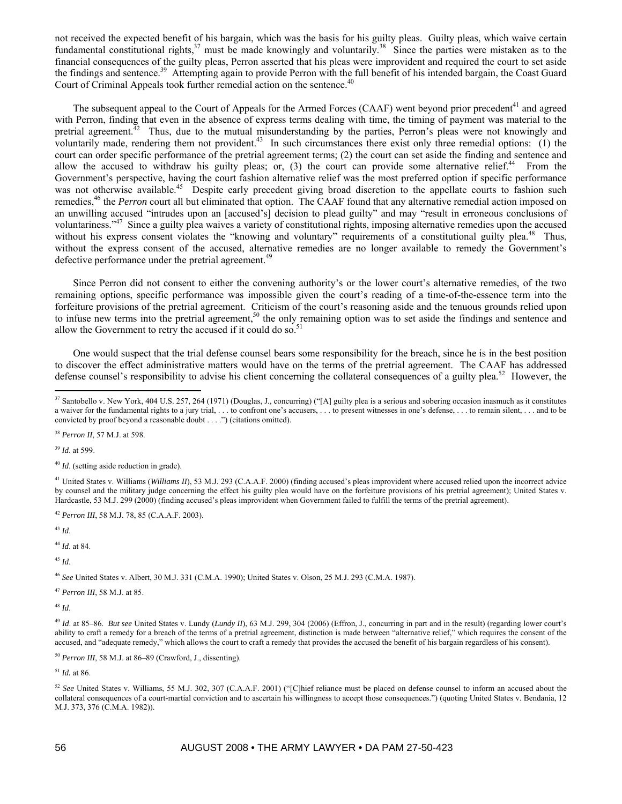not received the expected benefit of his bargain, which was the basis for his guilty pleas. Guilty pleas, which waive certain fundamental constitutional rights, $37$  must be made knowingly and voluntarily.<sup>38</sup> Since the parties were mistaken as to the financial consequences of the guilty pleas, Perron asserted that his pleas were improvident and required the court to set aside the findings and sentence.<sup>39</sup> Attempting again to provide Perron with the full benefit of his intended bargain, the Coast Guard Court of Criminal Appeals took further remedial action on the sentence.<sup>40</sup>

The subsequent appeal to the Court of Appeals for the Armed Forces (CAAF) went beyond prior precedent<sup>41</sup> and agreed with Perron, finding that even in the absence of express terms dealing with time, the timing of payment was material to the pretrial agreement.<sup>42</sup> Thus, due to the mutual misunderstanding by the parties, Perron's pleas were not knowingly and voluntarily made, rendering them not provident.<sup>43</sup> In such circumstances there exist only three remedial options:  $(1)$  the court can order specific performance of the pretrial agreement terms; (2) the court can set aside the finding and sentence and allow the accused to withdraw his guilty pleas; or,  $(3)$  the court can provide some alternative relief.<sup>44</sup> From the Government's perspective, having the court fashion alternative relief was the most preferred option if specific performance was not otherwise available.<sup>45</sup> Despite early precedent giving broad discretion to the appellate courts to fashion such remedies,<sup>46</sup> the *Perron* court all but eliminated that option. The CAAF found that any alternative remedial action imposed on an unwilling accused "intrudes upon an [accused's] decision to plead guilty" and may "result in erroneous conclusions of voluntariness."47 Since a guilty plea waives a variety of constitutional rights, imposing alternative remedies upon the accused without his express consent violates the "knowing and voluntary" requirements of a constitutional guilty plea.<sup>48</sup> Thus, without the express consent of the accused, alternative remedies are no longer available to remedy the Government's defective performance under the pretrial agreement.<sup>49</sup>

Since Perron did not consent to either the convening authority's or the lower court's alternative remedies, of the two remaining options, specific performance was impossible given the court's reading of a time-of-the-essence term into the forfeiture provisions of the pretrial agreement. Criticism of the court's reasoning aside and the tenuous grounds relied upon to infuse new terms into the pretrial agreement,<sup>50</sup> the only remaining option was to set aside the findings and sentence and allow the Government to retry the accused if it could do so.<sup>51</sup>

One would suspect that the trial defense counsel bears some responsibility for the breach, since he is in the best position to discover the effect administrative matters would have on the terms of the pretrial agreement. The CAAF has addressed defense counsel's responsibility to advise his client concerning the collateral consequences of a guilty plea. $52$  However, the

<sup>39</sup> *Id*. at 599.

 $\overline{a}$ 

<sup>42</sup> *Perron III*, 58 M.J. 78, 85 (C.A.A.F. 2003).

<sup>43</sup> *Id*.

<sup>44</sup> *Id*. at 84.

<sup>45</sup> *Id*.

<sup>46</sup> *See* United States v. Albert, 30 M.J. 331 (C.M.A. 1990); United States v. Olson, 25 M.J. 293 (C.M.A. 1987).

<sup>47</sup> *Perron III*, 58 M.J. at 85.

<sup>48</sup> *Id*.

<sup>51</sup> *Id.* at 86.

<sup>&</sup>lt;sup>37</sup> Santobello v. New York, 404 U.S. 257, 264 (1971) (Douglas, J., concurring) ("[A] guilty plea is a serious and sobering occasion inasmuch as it constitutes a waiver for the fundamental rights to a jury trial, . . . to confront one's accusers, . . . to present witnesses in one's defense, . . . to remain silent, . . . and to be convicted by proof beyond a reasonable doubt . . . .") (citations omitted).

<sup>38</sup> *Perron II*, 57 M.J. at 598.

<sup>40</sup> *Id*. (setting aside reduction in grade).

<sup>&</sup>lt;sup>41</sup> United States v. Williams (*Williams II*), 53 M.J. 293 (C.A.A.F. 2000) (finding accused's pleas improvident where accused relied upon the incorrect advice by counsel and the military judge concerning the effect his guilty plea would have on the forfeiture provisions of his pretrial agreement); United States v. Hardcastle, 53 M.J. 299 (2000) (finding accused's pleas improvident when Government failed to fulfill the terms of the pretrial agreement).

<sup>&</sup>lt;sup>49</sup> *Id.* at 85–86. *But see* United States v. Lundy (*Lundy II*), 63 M.J. 299, 304 (2006) (Effron, J., concurring in part and in the result) (regarding lower court's ability to craft a remedy for a breach of the terms of a pretrial agreement, distinction is made between "alternative relief," which requires the consent of the accused, and "adequate remedy," which allows the court to craft a remedy that provides the accused the benefit of his bargain regardless of his consent).

<sup>50</sup> *Perron III*, 58 M.J. at 86–89 (Crawford, J., dissenting).

<sup>52</sup> *See* United States v. Williams, 55 M.J. 302, 307 (C.A.A.F. 2001) ("[C]hief reliance must be placed on defense counsel to inform an accused about the collateral consequences of a court-martial conviction and to ascertain his willingness to accept those consequences.") (quoting United States v. Bendania, 12 M.J. 373, 376 (C.M.A. 1982)).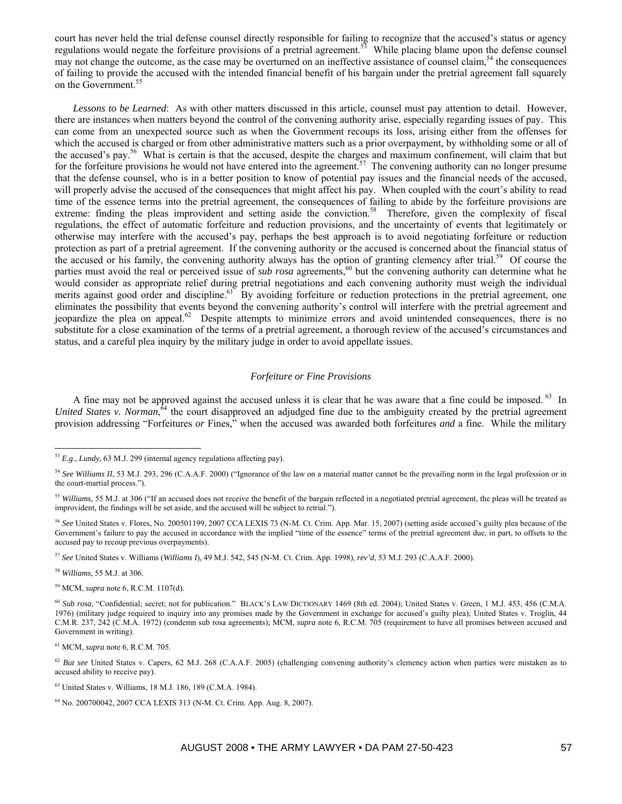court has never held the trial defense counsel directly responsible for failing to recognize that the accused's status or agency regulations would negate the forfeiture provisions of a pretrial agreement.<sup>53</sup> While placing blame upon the defense counsel may not change the outcome, as the case may be overturned on an ineffective assistance of counsel claim,<sup>54</sup> the consequences of failing to provide the accused with the intended financial benefit of his bargain under the pretrial agreement fall squarely on the Government.<sup>55</sup>

*Lessons to be Learned*: As with other matters discussed in this article, counsel must pay attention to detail. However, there are instances when matters beyond the control of the convening authority arise, especially regarding issues of pay. This can come from an unexpected source such as when the Government recoups its loss, arising either from the offenses for which the accused is charged or from other administrative matters such as a prior overpayment, by withholding some or all of the accused's pay.56 What is certain is that the accused, despite the charges and maximum confinement, will claim that but for the forfeiture provisions he would not have entered into the agreement.<sup>57</sup> The convening authority can no longer presume that the defense counsel, who is in a better position to know of potential pay issues and the financial needs of the accused, will properly advise the accused of the consequences that might affect his pay. When coupled with the court's ability to read time of the essence terms into the pretrial agreement, the consequences of failing to abide by the forfeiture provisions are extreme: finding the pleas improvident and setting aside the conviction.<sup>58</sup> Therefore, given the complexity of fiscal regulations, the effect of automatic forfeiture and reduction provisions, and the uncertainty of events that legitimately or otherwise may interfere with the accused's pay, perhaps the best approach is to avoid negotiating forfeiture or reduction protection as part of a pretrial agreement. If the convening authority or the accused is concerned about the financial status of the accused or his family, the convening authority always has the option of granting clemency after trial.<sup>59</sup> Of course the parties must avoid the real or perceived issue of *sub rosa* agreements,<sup>60</sup> but the convening authority can determine what he would consider as appropriate relief during pretrial negotiations and each convening authority must weigh the individual merits against good order and discipline.<sup>61</sup> By avoiding forfeiture or reduction protections in the pretrial agreement, one eliminates the possibility that events beyond the convening authority's control will interfere with the pretrial agreement and jeopardize the plea on appeal.62 Despite attempts to minimize errors and avoid unintended consequences, there is no substitute for a close examination of the terms of a pretrial agreement, a thorough review of the accused's circumstances and status, and a careful plea inquiry by the military judge in order to avoid appellate issues.

## *Forfeiture or Fine Provisions*

A fine may not be approved against the accused unless it is clear that he was aware that a fine could be imposed. <sup>63</sup> In United States v. Norman,<sup>64</sup> the court disapproved an adjudged fine due to the ambiguity created by the pretrial agreement provision addressing "Forfeitures *or* Fines," when the accused was awarded both forfeitures *and* a fine. While the military

<sup>58</sup> *Williams*, 55 M.J. at 306.

 $\overline{a}$ 

59 MCM, *supra* note 6, R.C.M. 1107(d).

<sup>53</sup> *E.g*., *Lundy*, 63 M.J. 299 (internal agency regulations affecting pay).

<sup>&</sup>lt;sup>54</sup> See Williams II, 53 M.J. 293, 296 (C.A.A.F. 2000) ("Ignorance of the law on a material matter cannot be the prevailing norm in the legal profession or in the court-martial process.").

<sup>55</sup> *Williams*, 55 M.J. at 306 ("If an accused does not receive the benefit of the bargain reflected in a negotiated pretrial agreement, the pleas will be treated as improvident, the findings will be set aside, and the accused will be subject to retrial.").

<sup>56</sup> *See* United States v. Flores, No. 200501199, 2007 CCA LEXIS 73 (N-M. Ct. Crim. App. Mar. 15, 2007) (setting aside accused's guilty plea because of the Government's failure to pay the accused in accordance with the implied "time of the essence" terms of the pretrial agreement due, in part, to offsets to the accused pay to recoup previous overpayments).

<sup>57</sup> *See* United States v. Williams (*Williams I*), 49 M.J. 542, 545 (N-M. Ct. Crim. App. 1998), *rev'd*, 53 M.J. 293 (C.A.A.F. 2000).

<sup>60</sup> *Sub rosa*, "Confidential; secret; not for publication." BLACK'S LAW DICTIONARY 1469 (8th ed. 2004); United States v. Green, 1 M.J. 453, 456 (C.M.A. 1976) (military judge required to inquiry into any promises made by the Government in exchange for accused's guilty plea); United States v. Troglin, 44 C.M.R. 237, 242 (C.M.A. 1972) (condemn sub rosa agreements); MCM, *supra* note 6, R.C.M. 705 (requirement to have all promises between accused and Government in writing).

<sup>61</sup> MCM, *supra* note 6, R.C.M. 705.

<sup>&</sup>lt;sup>62</sup> *But see* United States v. Capers, 62 M.J. 268 (C.A.A.F. 2005) (challenging convening authority's clemency action when parties were mistaken as to accused ability to receive pay).

<sup>63</sup> United States v. Williams, 18 M.J. 186, 189 (C.M.A. 1984).

<sup>64</sup> No. 200700042, 2007 CCA LEXIS 313 (N-M. Ct. Crim. App. Aug. 8, 2007).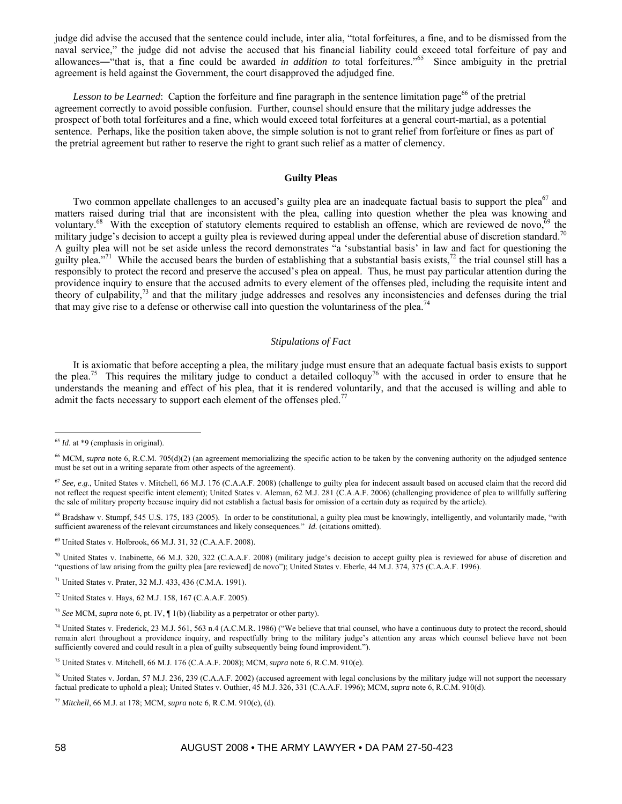judge did advise the accused that the sentence could include, inter alia, "total forfeitures, a fine, and to be dismissed from the naval service," the judge did not advise the accused that his financial liability could exceed total forfeiture of pay and allowances―"that is, that a fine could be awarded *in addition to* total forfeitures."65 Since ambiguity in the pretrial agreement is held against the Government, the court disapproved the adjudged fine.

*Lesson to be Learned*: Caption the forfeiture and fine paragraph in the sentence limitation page<sup>66</sup> of the pretrial agreement correctly to avoid possible confusion. Further, counsel should ensure that the military judge addresses the prospect of both total forfeitures and a fine, which would exceed total forfeitures at a general court-martial, as a potential sentence. Perhaps, like the position taken above, the simple solution is not to grant relief from forfeiture or fines as part of the pretrial agreement but rather to reserve the right to grant such relief as a matter of clemency.

## **Guilty Pleas**

Two common appellate challenges to an accused's guilty plea are an inadequate factual basis to support the plea<sup>67</sup> and matters raised during trial that are inconsistent with the plea, calling into question whether the plea was knowing and voluntary.<sup>68</sup> With the exception of statutory elements required to establish an offense, which are reviewed de novo,<sup>69</sup> the military judge's decision to accept a guilty plea is reviewed during appeal under the deferential abuse of discretion standard.<sup>70</sup> A guilty plea will not be set aside unless the record demonstrates "a 'substantial basis' in law and fact for questioning the guilty plea."<sup>71</sup> While the accused bears the burden of establishing that a substantial basis exists, $\frac{72}{1}$  the trial counsel still has a responsibly to protect the record and preserve the accused's plea on appeal. Thus, he must pay particular attention during the providence inquiry to ensure that the accused admits to every element of the offenses pled, including the requisite intent and theory of culpability,73 and that the military judge addresses and resolves any inconsistencies and defenses during the trial that may give rise to a defense or otherwise call into question the voluntariness of the plea.<sup>74</sup>

### *Stipulations of Fact*

It is axiomatic that before accepting a plea, the military judge must ensure that an adequate factual basis exists to support the plea.<sup>75</sup> This requires the military judge to conduct a detailed colloquy<sup>76</sup> with the accused in order to ensure that he understands the meaning and effect of his plea, that it is rendered voluntarily, and that the accused is willing and able to admit the facts necessary to support each element of the offenses pled.<sup>77</sup>

 $\overline{a}$ 

70 United States v. Inabinette, 66 M.J. 320, 322 (C.A.A.F. 2008) (military judge's decision to accept guilty plea is reviewed for abuse of discretion and "questions of law arising from the guilty plea [are reviewed] de novo"); United States v. Eberle, 44 M.J. 374, 375 (C.A.A.F. 1996).

71 United States v. Prater, 32 M.J. 433, 436 (C.M.A. 1991).

75 United States v. Mitchell, 66 M.J. 176 (C.A.A.F. 2008); MCM, *supra* note 6, R.C.M. 910(e).

<sup>&</sup>lt;sup>65</sup> *Id.* at \*9 (emphasis in original).

<sup>&</sup>lt;sup>66</sup> MCM, *supra* note 6, R.C.M. 705(d)(2) (an agreement memorializing the specific action to be taken by the convening authority on the adjudged sentence must be set out in a writing separate from other aspects of the agreement).

<sup>&</sup>lt;sup>67</sup> See, e.g., United States v. Mitchell, 66 M.J. 176 (C.A.A.F. 2008) (challenge to guilty plea for indecent assault based on accused claim that the record did not reflect the request specific intent element); United States v. Aleman, 62 M.J. 281 (C.A.A.F. 2006) (challenging providence of plea to willfully suffering the sale of military property because inquiry did not establish a factual basis for omission of a certain duty as required by the article).

<sup>&</sup>lt;sup>68</sup> Bradshaw v. Stumpf, 545 U.S. 175, 183 (2005). In order to be constitutional, a guilty plea must be knowingly, intelligently, and voluntarily made, "with sufficient awareness of the relevant circumstances and likely consequences." *Id.* (citations omitted).

<sup>69</sup> United States v. Holbrook, 66 M.J. 31, 32 (C.A.A.F. 2008).

<sup>72</sup> United States v. Hays, 62 M.J. 158, 167 (C.A.A.F. 2005).

<sup>73</sup> *See* MCM, *supra* note 6, pt. IV, ¶ 1(b) (liability as a perpetrator or other party).

<sup>&</sup>lt;sup>74</sup> United States v. Frederick, 23 M.J. 561, 563 n.4 (A.C.M.R. 1986) ("We believe that trial counsel, who have a continuous duty to protect the record, should remain alert throughout a providence inquiry, and respectfully bring to the military judge's attention any areas which counsel believe have not been sufficiently covered and could result in a plea of guilty subsequently being found improvident.").

<sup>&</sup>lt;sup>76</sup> United States v. Jordan, 57 M.J. 236, 239 (C.A.A.F. 2002) (accused agreement with legal conclusions by the military judge will not support the necessary factual predicate to uphold a plea); United States v. Outhier, 45 M.J. 326, 331 (C.A.A.F. 1996); MCM, *supra* note 6, R.C.M. 910(d).

<sup>77</sup> *Mitchell*, 66 M.J. at 178; MCM, *supra* note 6, R.C.M. 910(c), (d).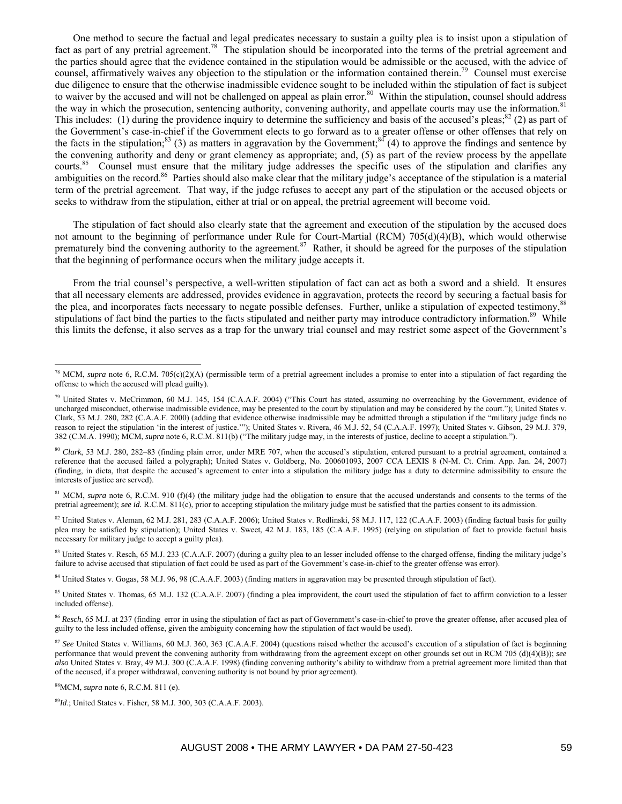One method to secure the factual and legal predicates necessary to sustain a guilty plea is to insist upon a stipulation of fact as part of any pretrial agreement.<sup>78</sup> The stipulation should be incorporated into the terms of the pretrial agreement and the parties should agree that the evidence contained in the stipulation would be admissible or the accused, with the advice of counsel, affirmatively waives any objection to the stipulation or the information contained therein.<sup>79</sup> Counsel must exercise due diligence to ensure that the otherwise inadmissible evidence sought to be included within the stipulation of fact is subject to waiver by the accused and will not be challenged on appeal as plain error.<sup>80</sup> Within the stipulation, counsel should address the way in which the prosecution, sentencing authority, convening authority, and appellate courts may use the information.<sup>81</sup> This includes: (1) during the providence inquiry to determine the sufficiency and basis of the accused's pleas; ${}^{82}$  (2) as part of the Government's case-in-chief if the Government elects to go forward as to a greater offense or other offenses that rely on the facts in the stipulation;<sup>83</sup> (3) as matters in aggravation by the Government;<sup>84</sup> (4) to approve the findings and sentence by the convening authority and deny or grant clemency as appropriate; and, (5) as part of the review process by the appellate courts.<sup>85</sup> Counsel must ensure that the military judge addresses the specific uses of the stipulation and clarifies any ambiguities on the record.<sup>86</sup> Parties should also make clear that the military judge's acceptance of the stipulation is a material term of the pretrial agreement. That way, if the judge refuses to accept any part of the stipulation or the accused objects or seeks to withdraw from the stipulation, either at trial or on appeal, the pretrial agreement will become void.

The stipulation of fact should also clearly state that the agreement and execution of the stipulation by the accused does not amount to the beginning of performance under Rule for Court-Martial (RCM) 705(d)(4)(B), which would otherwise prematurely bind the convening authority to the agreement.<sup>87</sup> Rather, it should be agreed for the purposes of the stipulation that the beginning of performance occurs when the military judge accepts it.

From the trial counsel's perspective, a well-written stipulation of fact can act as both a sword and a shield. It ensures that all necessary elements are addressed, provides evidence in aggravation, protects the record by securing a factual basis for the plea, and incorporates facts necessary to negate possible defenses. Further, unlike a stipulation of expected testimony,<sup>88</sup> stipulations of fact bind the parties to the facts stipulated and neither party may introduce contradictory information.<sup>89</sup> While this limits the defense, it also serves as a trap for the unwary trial counsel and may restrict some aspect of the Government's

<sup>81</sup> MCM, *supra* note 6, R.C.M. 910 (f)(4) (the military judge had the obligation to ensure that the accused understands and consents to the terms of the pretrial agreement); *see id.* R.C.M. 811(c), prior to accepting stipulation the military judge must be satisfied that the parties consent to its admission.

<sup>82</sup> United States v. Aleman, 62 M.J. 281, 283 (C.A.A.F. 2006); United States v. Redlinski, 58 M.J. 117, 122 (C.A.A.F. 2003) (finding factual basis for guilty plea may be satisfied by stipulation); United States v. Sweet, 42 M.J. 183, 185 (C.A.A.F. 1995) (relying on stipulation of fact to provide factual basis necessary for military judge to accept a guilty plea).

83 United States v. Resch, 65 M.J. 233 (C.A.A.F. 2007) (during a guilty plea to an lesser included offense to the charged offense, finding the military judge's failure to advise accused that stipulation of fact could be used as part of the Government's case-in-chief to the greater offense was error).

84 United States v. Gogas, 58 M.J. 96, 98 (C.A.A.F. 2003) (finding matters in aggravation may be presented through stipulation of fact).

<sup>85</sup> United States v. Thomas, 65 M.J. 132 (C.A.A.F. 2007) (finding a plea improvident, the court used the stipulation of fact to affirm conviction to a lesser included offense).

86 Resch, 65 M.J. at 237 (finding error in using the stipulation of fact as part of Government's case-in-chief to prove the greater offense, after accused plea of guilty to the less included offense, given the ambiguity concerning how the stipulation of fact would be used).

88MCM, *supra* note 6, R.C.M. 811 (e).

<sup>&</sup>lt;sup>78</sup> MCM, *supra* note 6, R.C.M. 705(c)(2)(A) (permissible term of a pretrial agreement includes a promise to enter into a stipulation of fact regarding the offense to which the accused will plead guilty).

<sup>&</sup>lt;sup>79</sup> United States v. McCrimmon, 60 M.J. 145, 154 (C.A.A.F. 2004) ("This Court has stated, assuming no overreaching by the Government, evidence of uncharged misconduct, otherwise inadmissible evidence, may be presented to the court by stipulation and may be considered by the court."); United States v. Clark, 53 M.J. 280, 282 (C.A.A.F. 2000) (adding that evidence otherwise inadmissible may be admitted through a stipulation if the "military judge finds no reason to reject the stipulation 'in the interest of justice.'"); United States v. Rivera, 46 M.J. 52, 54 (C.A.A.F. 1997); United States v. Gibson, 29 M.J. 379, 382 (C.M.A. 1990); MCM, *supra* note 6, R.C.M. 811(b) ("The military judge may, in the interests of justice, decline to accept a stipulation.").

<sup>80</sup> *Clark*, 53 M.J. 280, 282–83 (finding plain error, under MRE 707, when the accused's stipulation, entered pursuant to a pretrial agreement, contained a reference that the accused failed a polygraph); United States v. Goldberg, No. 200601093, 2007 CCA LEXIS 8 (N-M. Ct. Crim. App. Jan. 24, 2007) (finding, in dicta, that despite the accused's agreement to enter into a stipulation the military judge has a duty to determine admissibility to ensure the interests of justice are served).

<sup>87</sup> *See* United States v. Williams, 60 M.J. 360, 363 (C.A.A.F. 2004) (questions raised whether the accused's execution of a stipulation of fact is beginning performance that would prevent the convening authority from withdrawing from the agreement except on other grounds set out in RCM 705 (d)(4)(B)); *see also* United States v. Bray, 49 M.J. 300 (C.A.A.F. 1998) (finding convening authority's ability to withdraw from a pretrial agreement more limited than that of the accused, if a proper withdrawal, convening authority is not bound by prior agreement).

<sup>89</sup>*Id*.; United States v. Fisher, 58 M.J. 300, 303 (C.A.A.F. 2003).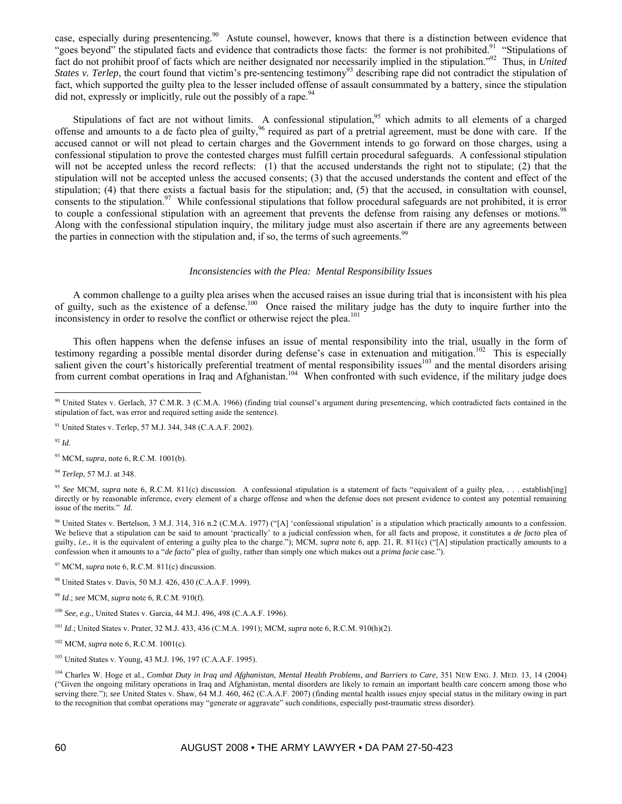case, especially during presentencing.<sup>90</sup> Astute counsel, however, knows that there is a distinction between evidence that "goes beyond" the stipulated facts and evidence that contradicts those facts: the former is not prohibited.<sup>91</sup> "Stipulations of fact do not prohibit proof of facts which are neither designated nor necessarily implied in the stipulation."92 Thus, in *United States v. Terlep*, the court found that victim's pre-sentencing testimony<sup>93</sup> describing rape did not contradict the stipulation of fact, which supported the guilty plea to the lesser included offense of assault consummated by a battery, since the stipulation did not, expressly or implicitly, rule out the possibly of a rape.  $94$ 

Stipulations of fact are not without limits. A confessional stipulation,<sup>95</sup> which admits to all elements of a charged offense and amounts to a de facto plea of guilty,  $96$  required as part of a pretrial agreement, must be done with care. If the accused cannot or will not plead to certain charges and the Government intends to go forward on those charges, using a confessional stipulation to prove the contested charges must fulfill certain procedural safeguards. A confessional stipulation will not be accepted unless the record reflects: (1) that the accused understands the right not to stipulate; (2) that the stipulation will not be accepted unless the accused consents; (3) that the accused understands the content and effect of the stipulation; (4) that there exists a factual basis for the stipulation; and, (5) that the accused, in consultation with counsel, consents to the stipulation.<sup>97</sup> While confessional stipulations that follow procedural safeguards are not prohibited, it is error to couple a confessional stipulation with an agreement that prevents the defense from raising any defenses or motions.<sup>98</sup> Along with the confessional stipulation inquiry, the military judge must also ascertain if there are any agreements between the parties in connection with the stipulation and, if so, the terms of such agreements.<sup>99</sup>

#### *Inconsistencies with the Plea: Mental Responsibility Issues*

A common challenge to a guilty plea arises when the accused raises an issue during trial that is inconsistent with his plea of guilty, such as the existence of a defense.<sup>100</sup> Once raised the military judge has the duty to inquire further into the inconsistency in order to resolve the conflict or otherwise reject the plea.<sup>101</sup>

This often happens when the defense infuses an issue of mental responsibility into the trial, usually in the form of testimony regarding a possible mental disorder during defense's case in extenuation and mitigation.<sup>102</sup> This is especially salient given the court's historically preferential treatment of mental responsibility issues<sup>103</sup> and the mental disorders arising from current combat operations in Iraq and Afghanistan.<sup>104</sup> When confronted with such evidence, if the military judge does

<sup>92</sup> *Id*.

 $\overline{a}$ 

93 MCM, *supra*, note 6, R.C.M. 1001(b).

<sup>94</sup> *Terlep*, 57 M.J. at 348.

<sup>95</sup> *See* MCM, *supra* note 6, R.C.M. 811(c) discussion. A confessional stipulation is a statement of facts "equivalent of a guilty plea, . . . establish[ing] directly or by reasonable inference, every element of a charge offense and when the defense does not present evidence to contest any potential remaining issue of the merits." *Id.* 

96 United States v. Bertelson, 3 M.J. 314, 316 n.2 (C.M.A. 1977) ("[A] 'confessional stipulation' is a stipulation which practically amounts to a confession. We believe that a stipulation can be said to amount 'practically' to a judicial confession when, for all facts and propose, it constitutes a *de facto* plea of guilty, *i.e.*, it is the equivalent of entering a guilty plea to the charge."); MCM, *supra* note 6, app. 21, R. 811(c) ("[A] stipulation practically amounts to a confession when it amounts to a "*de facto*" plea of guilty, rather than simply one which makes out a *prima facie* case.").

97 MCM, *supra* note 6, R.C.M. 811(c) discussion.

98 United States v. Davis, 50 M.J. 426, 430 (C.A.A.F. 1999).

<sup>99</sup> *Id*.; *see* MCM, *supra* note 6, R.C.M. 910(f).

<sup>100</sup> *See, e.g.*, United States v. Garcia, 44 M.J. 496, 498 (C.A.A.F. 1996).

<sup>101</sup> *Id*.; United States v. Prater, 32 M.J. 433, 436 (C.M.A. 1991); MCM, *supra* note 6, R.C.M. 910(h)(2).

102 MCM, *supra* note 6, R.C.M. 1001(c).

<sup>103</sup> United States v. Young, 43 M.J. 196, 197 (C.A.A.F. 1995).

<sup>104</sup> Charles W. Hoge et al., *Combat Duty in Iraq and Afghanistan, Mental Health Problems, and Barriers to Care*, 351 NEW ENG. J. MED. 13, 14 (2004) ("Given the ongoing military operations in Iraq and Afghanistan, mental disorders are likely to remain an important health care concern among those who serving there."); *see* United States v. Shaw, 64 M.J. 460, 462 (C.A.A.F. 2007) (finding mental health issues enjoy special status in the military owing in part to the recognition that combat operations may "generate or aggravate" such conditions, especially post-traumatic stress disorder).

<sup>&</sup>lt;sup>90</sup> United States v. Gerlach, 37 C.M.R. 3 (C.M.A. 1966) (finding trial counsel's argument during presentencing, which contradicted facts contained in the stipulation of fact, was error and required setting aside the sentence).

<sup>&</sup>lt;sup>91</sup> United States v. Terlep, 57 M.J. 344, 348 (C.A.A.F. 2002).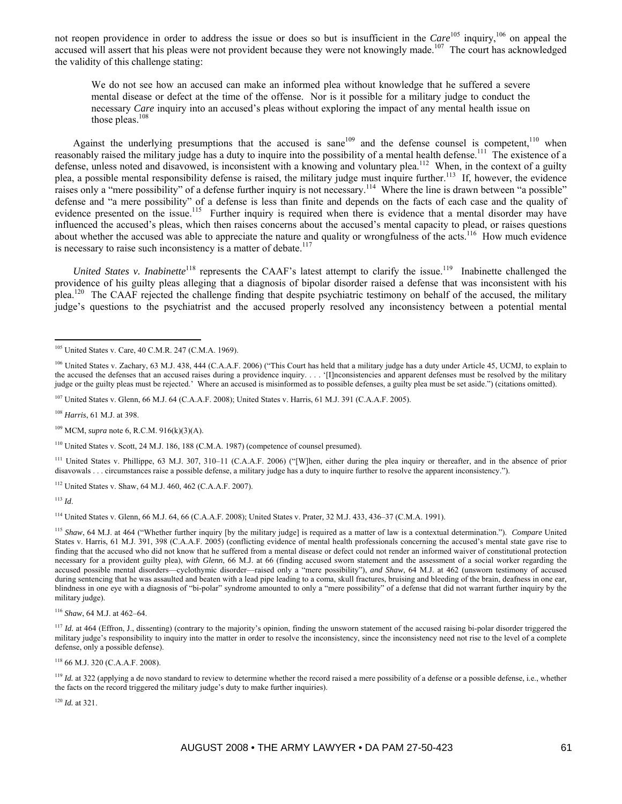not reopen providence in order to address the issue or does so but is insufficient in the *Care*<sup>105</sup> inquiry,<sup>106</sup> on appeal the accused will assert that his pleas were not provident because they were not knowingly made.<sup>107</sup> The court has acknowledged the validity of this challenge stating:

We do not see how an accused can make an informed plea without knowledge that he suffered a severe mental disease or defect at the time of the offense. Nor is it possible for a military judge to conduct the necessary *Care* inquiry into an accused's pleas without exploring the impact of any mental health issue on those pleas. $108$ 

Against the underlying presumptions that the accused is sane<sup>109</sup> and the defense counsel is competent,<sup>110</sup> when reasonably raised the military judge has a duty to inquire into the possibility of a mental health defense.<sup>111</sup> The existence of a defense, unless noted and disavowed, is inconsistent with a knowing and voluntary plea.<sup>112</sup> When, in the context of a guilty plea, a possible mental responsibility defense is raised, the military judge must inquire further.<sup>113</sup> If, however, the evidence raises only a "mere possibility" of a defense further inquiry is not necessary.<sup>114</sup> Where the line is drawn between "a possible" defense and "a mere possibility" of a defense is less than finite and depends on the facts of each case and the quality of evidence presented on the issue.<sup>115</sup> Further inquiry is required when there is evidence that a mental disorder may have influenced the accused's pleas, which then raises concerns about the accused's mental capacity to plead, or raises questions about whether the accused was able to appreciate the nature and quality or wrongfulness of the acts.<sup>116</sup> How much evidence is necessary to raise such inconsistency is a matter of debate.<sup>117</sup>

*United States v. Inabinette*<sup>118</sup> represents the CAAF's latest attempt to clarify the issue.<sup>119</sup> Inabinette challenged the providence of his guilty pleas alleging that a diagnosis of bipolar disorder raised a defense that was inconsistent with his plea.<sup>120</sup> The CAAF rejected the challenge finding that despite psychiatric testimony on behalf of the accused, the military judge's questions to the psychiatrist and the accused properly resolved any inconsistency between a potential mental

107 United States v. Glenn, 66 M.J. 64 (C.A.A.F. 2008); United States v. Harris, 61 M.J. 391 (C.A.A.F. 2005).

<sup>108</sup> *Harris*, 61 M.J. at 398.

109 MCM, *supra* note 6, R.C.M. 916(k)(3)(A).

110 United States v. Scott, 24 M.J. 186, 188 (C.M.A. 1987) (competence of counsel presumed).

111 United States v. Phillippe, 63 M.J. 307, 310–11 (C.A.A.F. 2006) ("[W]hen, either during the plea inquiry or thereafter, and in the absence of prior disavowals . . . circumstances raise a possible defense, a military judge has a duty to inquire further to resolve the apparent inconsistency.").

112 United States v. Shaw, 64 M.J. 460, 462 (C.A.A.F. 2007).

<sup>113</sup> *Id*.

 $\overline{a}$ 

114 United States v. Glenn, 66 M.J. 64, 66 (C.A.A.F. 2008); United States v. Prater*,* 32 M.J. 433, 436–37 (C.M.A. 1991).

<sup>115</sup> *Shaw*, 64 M.J. at 464 ("Whether further inquiry [by the military judge] is required as a matter of law is a contextual determination."). *Compare* United States v. Harris, 61 M.J. 391, 398 (C.A.A.F. 2005) (conflicting evidence of mental health professionals concerning the accused's mental state gave rise to finding that the accused who did not know that he suffered from a mental disease or defect could not render an informed waiver of constitutional protection necessary for a provident guilty plea), *with Glenn*, 66 M.J. at 66 (finding accused sworn statement and the assessment of a social worker regarding the accused possible mental disorders—cyclothymic disorder—raised only a "mere possibility"), *and Shaw*, 64 M.J. at 462 (unsworn testimony of accused during sentencing that he was assaulted and beaten with a lead pipe leading to a coma, skull fractures, bruising and bleeding of the brain, deafness in one ear, blindness in one eye with a diagnosis of "bi-polar" syndrome amounted to only a "mere possibility" of a defense that did not warrant further inquiry by the military judge).

<sup>116</sup> *Shaw*, 64 M.J. at 462–64.

<sup>117</sup> *Id.* at 464 (Effron, J., dissenting) (contrary to the majority's opinion, finding the unsworn statement of the accused raising bi-polar disorder triggered the military judge's responsibility to inquiry into the matter in order to resolve the inconsistency, since the inconsistency need not rise to the level of a complete defense, only a possible defense).

118 66 M.J. 320 (C.A.A.F. 2008).

<sup>119</sup> *Id.* at 322 (applying a de novo standard to review to determine whether the record raised a mere possibility of a defense or a possible defense, i.e., whether the facts on the record triggered the military judge's duty to make further inquiries).

<sup>120</sup> *Id.* at 321.

<sup>105</sup> United States v. Care, 40 C.M.R. 247 (C.M.A. 1969).

<sup>&</sup>lt;sup>106</sup> United States v. Zachary, 63 M.J. 438, 444 (C.A.A.F. 2006) ("This Court has held that a military judge has a duty under Article 45, UCMJ, to explain to the accused the defenses that an accused raises during a providence inquiry. . . . '[I]nconsistencies and apparent defenses must be resolved by the military judge or the guilty pleas must be rejected.' Where an accused is misinformed as to possible defenses, a guilty plea must be set aside.") (citations omitted).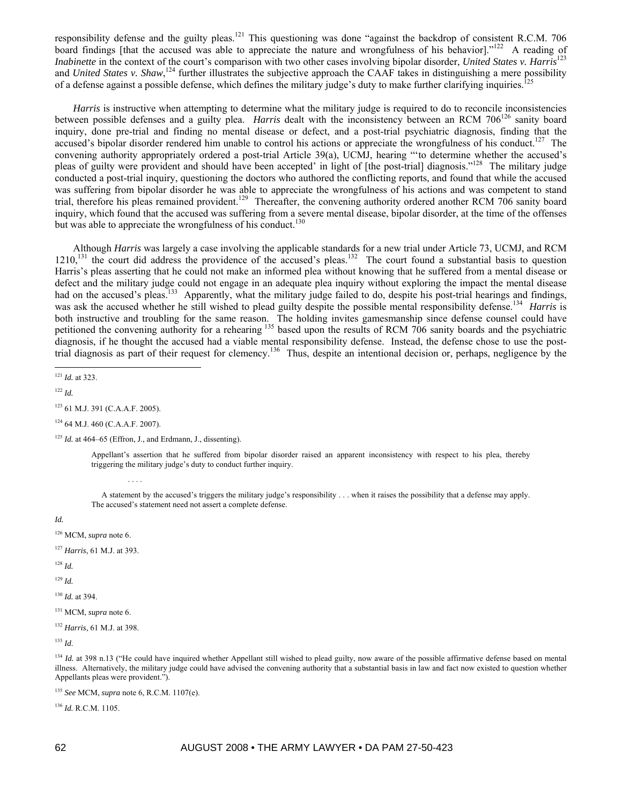responsibility defense and the guilty pleas.<sup>121</sup> This questioning was done "against the backdrop of consistent R.C.M. 706 board findings [that the accused was able to appreciate the nature and wrongfulness of his behavior]."<sup>122</sup> A reading of *Inabinette* in the context of the court's comparison with two other cases involving bipolar disorder, *United States v. Harris*<sup>123</sup> and *United States v. Shaw*,<sup>124</sup> further illustrates the subjective approach the CAAF takes in distinguishing a mere possibility of a defense against a possible defense, which defines the military judge's duty to make further clarifying inquiries.<sup>125</sup>

*Harris* is instructive when attempting to determine what the military judge is required to do to reconcile inconsistencies between possible defenses and a guilty plea. *Harris* dealt with the inconsistency between an RCM 706<sup>126</sup> sanity board inquiry, done pre-trial and finding no mental disease or defect, and a post-trial psychiatric diagnosis, finding that the accused's bipolar disorder rendered him unable to control his actions or appreciate the wrongfulness of his conduct.<sup>127</sup> The convening authority appropriately ordered a post-trial Article 39(a), UCMJ, hearing "'to determine whether the accused's pleas of guilty were provident and should have been accepted' in light of [the post-trial] diagnosis."<sup>128</sup> The military judge conducted a post-trial inquiry, questioning the doctors who authored the conflicting reports, and found that while the accused was suffering from bipolar disorder he was able to appreciate the wrongfulness of his actions and was competent to stand trial, therefore his pleas remained provident.<sup>129</sup> Thereafter, the convening authority ordered another RCM 706 sanity board inquiry, which found that the accused was suffering from a severe mental disease, bipolar disorder, at the time of the offenses but was able to appreciate the wrongfulness of his conduct.<sup>130</sup>

Although *Harris* was largely a case involving the applicable standards for a new trial under Article 73, UCMJ, and RCM  $1210$ ,<sup>131</sup> the court did address the providence of the accused's pleas.<sup>132</sup> The court found a substantial basis to question Harris's pleas asserting that he could not make an informed plea without knowing that he suffered from a mental disease or defect and the military judge could not engage in an adequate plea inquiry without exploring the impact the mental disease had on the accused's pleas.<sup>133</sup> Apparently, what the military judge failed to do, despite his post-trial hearings and findings, was ask the accused whether he still wished to plead guilty despite the possible mental responsibility defense.<sup>134</sup> *Harris* is both instructive and troubling for the same reason. The holding invites gamesmanship since defense counsel could have petitioned the convening authority for a rehearing 135 based upon the results of RCM 706 sanity boards and the psychiatric diagnosis, if he thought the accused had a viable mental responsibility defense. Instead, the defense chose to use the posttrial diagnosis as part of their request for clemency.136 Thus, despite an intentional decision or, perhaps, negligence by the

<sup>122</sup> *Id.*

123 61 M.J. 391 (C.A.A.F. 2005).

124 64 M.J. 460 (C.A.A.F. 2007).

<sup>125</sup> *Id.* at 464–65 (Effron, J., and Erdmann, J., dissenting).

. . . .

Appellant's assertion that he suffered from bipolar disorder raised an apparent inconsistency with respect to his plea, thereby triggering the military judge's duty to conduct further inquiry.

 A statement by the accused's triggers the military judge's responsibility . . . when it raises the possibility that a defense may apply. The accused's statement need not assert a complete defense.

*Id.* 

- 126 MCM, *supra* note 6.
- <sup>127</sup> *Harris*, 61 M.J. at 393.
- <sup>128</sup> *Id.*

<sup>129</sup> *Id.*

<sup>130</sup> *Id.* at 394.

131 MCM, *supra* note 6.

<sup>132</sup> *Harris*, 61 M.J. at 398.

<sup>133</sup> *Id*.

<sup>134</sup> *Id.* at 398 n.13 ("He could have inquired whether Appellant still wished to plead guilty, now aware of the possible affirmative defense based on mental illness. Alternatively, the military judge could have advised the convening authority that a substantial basis in law and fact now existed to question whether Appellants pleas were provident.").

<sup>136</sup> *Id.* R.C.M. 1105.

 $\overline{a}$ <sup>121</sup> *Id.* at 323.

<sup>135</sup> *See* MCM, *supra* note 6, R.C.M. 1107(e).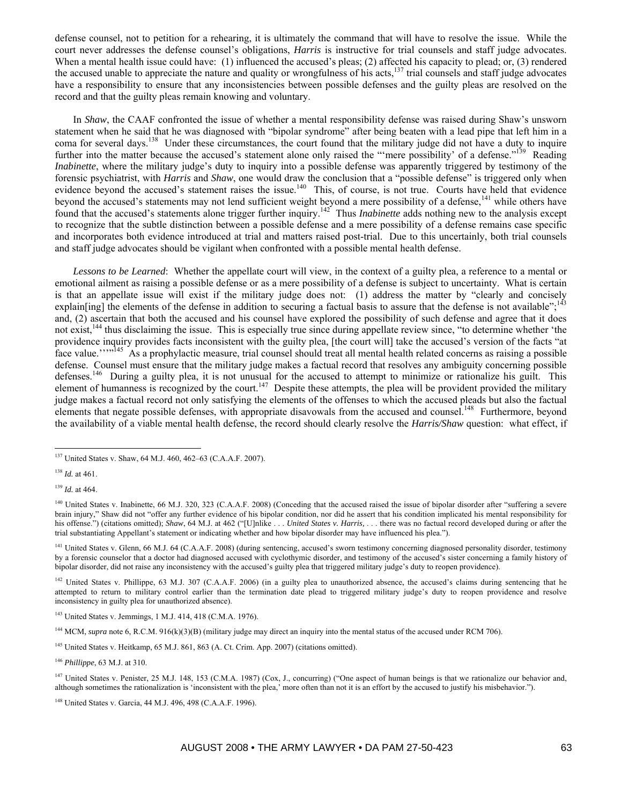defense counsel, not to petition for a rehearing, it is ultimately the command that will have to resolve the issue. While the court never addresses the defense counsel's obligations, *Harris* is instructive for trial counsels and staff judge advocates. When a mental health issue could have: (1) influenced the accused's pleas; (2) affected his capacity to plead; or, (3) rendered the accused unable to appreciate the nature and quality or wrongfulness of his acts,<sup>137</sup> trial counsels and staff judge advocates have a responsibility to ensure that any inconsistencies between possible defenses and the guilty pleas are resolved on the record and that the guilty pleas remain knowing and voluntary.

In *Shaw*, the CAAF confronted the issue of whether a mental responsibility defense was raised during Shaw's unsworn statement when he said that he was diagnosed with "bipolar syndrome" after being beaten with a lead pipe that left him in a coma for several days.<sup>138</sup> Under these circumstances, the court found that the military judge did not have a duty to inquire further into the matter because the accused's statement alone only raised the "mere possibility' of a defense."<sup>139</sup> Reading *Inabinette*, where the military judge's duty to inquiry into a possible defense was apparently triggered by testimony of the forensic psychiatrist, with *Harris* and *Shaw*, one would draw the conclusion that a "possible defense" is triggered only when evidence beyond the accused's statement raises the issue.<sup>140</sup> This, of course, is not true. Courts have held that evidence beyond the accused's statements may not lend sufficient weight beyond a mere possibility of a defense,<sup>141</sup> while others have found that the accused's statements alone trigger further inquiry.142 Thus *Inabinette* adds nothing new to the analysis except to recognize that the subtle distinction between a possible defense and a mere possibility of a defense remains case specific and incorporates both evidence introduced at trial and matters raised post-trial. Due to this uncertainly, both trial counsels and staff judge advocates should be vigilant when confronted with a possible mental health defense.

*Lessons to be Learned*: Whether the appellate court will view, in the context of a guilty plea, a reference to a mental or emotional ailment as raising a possible defense or as a mere possibility of a defense is subject to uncertainty. What is certain is that an appellate issue will exist if the military judge does not: (1) address the matter by "clearly and concisely explain[ing] the elements of the defense in addition to securing a factual basis to assure that the defense is not available";<sup>143</sup> and, (2) ascertain that both the accused and his counsel have explored the possibility of such defense and agree that it does not exist,<sup>144</sup> thus disclaiming the issue. This is especially true since during appellate review since, "to determine whether 'the providence inquiry provides facts inconsistent with the guilty plea, [the court will] take the accused's version of the facts "at face value.''"<sup>145</sup> As a prophylactic measure, trial counsel should treat all mental health related concerns as raising a possible defense. Counsel must ensure that the military judge makes a factual record that resolves any ambiguity concerning possible defenses.<sup>146</sup> During a guilty plea, it is not unusual for the accused to attempt to minimize or rationalize his guilt. This element of humanness is recognized by the court.<sup>147</sup> Despite these attempts, the plea will be provident provided the military judge makes a factual record not only satisfying the elements of the offenses to which the accused pleads but also the factual elements that negate possible defenses, with appropriate disavowals from the accused and counsel.<sup>148</sup> Furthermore, beyond the availability of a viable mental health defense, the record should clearly resolve the *Harris/Shaw* question: what effect, if

 $\overline{a}$ 

<sup>143</sup> United States v. Jemmings, 1 M.J. 414, 418 (C.M.A. 1976).

<sup>144</sup> MCM, *supra* note 6, R.C.M. 916(k)(3)(B) (military judge may direct an inquiry into the mental status of the accused under RCM 706).

<sup>145</sup> United States v. Heitkamp, 65 M.J. 861, 863 (A. Ct. Crim. App. 2007) (citations omitted).

<sup>146</sup> *Phillippe*, 63 M.J. at 310.

<sup>&</sup>lt;sup>137</sup> United States v. Shaw, 64 M.J. 460, 462–63 (C.A.A.F. 2007).

<sup>138</sup> *Id.* at 461.

<sup>139</sup> *Id.* at 464.

<sup>&</sup>lt;sup>140</sup> United States v. Inabinette, 66 M.J. 320, 323 (C.A.A.F. 2008) (Conceding that the accused raised the issue of bipolar disorder after "suffering a severe brain injury," Shaw did not "offer any further evidence of his bipolar condition, nor did he assert that his condition implicated his mental responsibility for his offense.") (citations omitted); *Shaw*, 64 M.J. at 462 ("[U]nlike . . . *United States v. Harris,* . . . there was no factual record developed during or after the trial substantiating Appellant's statement or indicating whether and how bipolar disorder may have influenced his plea.").

<sup>&</sup>lt;sup>141</sup> United States v. Glenn, 66 M.J. 64 (C.A.A.F. 2008) (during sentencing, accused's sworn testimony concerning diagnosed personality disorder, testimony by a forensic counselor that a doctor had diagnosed accused with cyclothymic disorder, and testimony of the accused's sister concerning a family history of bipolar disorder, did not raise any inconsistency with the accused's guilty plea that triggered military judge's duty to reopen providence).

 $142$  United States v. Phillippe, 63 M.J. 307 (C.A.A.F. 2006) (in a guilty plea to unauthorized absence, the accused's claims during sentencing that he attempted to return to military control earlier than the termination date plead to triggered military judge's duty to reopen providence and resolve inconsistency in guilty plea for unauthorized absence).

<sup>&</sup>lt;sup>147</sup> United States v. Penister, 25 M.J. 148, 153 (C.M.A. 1987) (Cox, J., concurring) ("One aspect of human beings is that we rationalize our behavior and, although sometimes the rationalization is 'inconsistent with the plea,' more often than not it is an effort by the accused to justify his misbehavior.").

<sup>&</sup>lt;sup>148</sup> United States v. Garcia, 44 M.J. 496, 498 (C.A.A.F. 1996).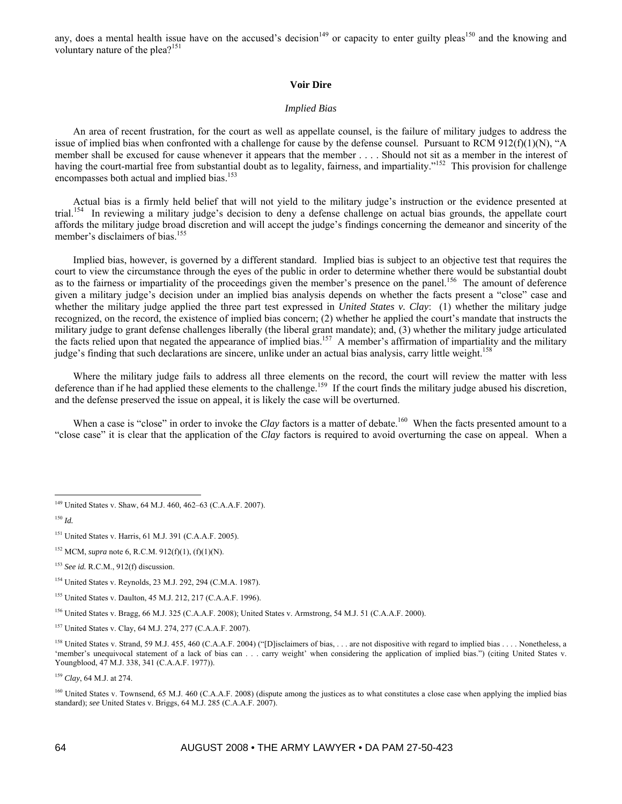any, does a mental health issue have on the accused's decision<sup>149</sup> or capacity to enter guilty pleas<sup>150</sup> and the knowing and voluntary nature of the plea?<sup>151</sup>

### **Voir Dire**

### *Implied Bias*

An area of recent frustration, for the court as well as appellate counsel, is the failure of military judges to address the issue of implied bias when confronted with a challenge for cause by the defense counsel. Pursuant to RCM  $912(f)(1)(N)$ , "A member shall be excused for cause whenever it appears that the member . . . . Should not sit as a member in the interest of having the court-martial free from substantial doubt as to legality, fairness, and impartiality."<sup>152</sup> This provision for challenge encompasses both actual and implied bias.<sup>153</sup>

Actual bias is a firmly held belief that will not yield to the military judge's instruction or the evidence presented at trial.154 In reviewing a military judge's decision to deny a defense challenge on actual bias grounds, the appellate court affords the military judge broad discretion and will accept the judge's findings concerning the demeanor and sincerity of the member's disclaimers of bias.<sup>155</sup>

Implied bias, however, is governed by a different standard. Implied bias is subject to an objective test that requires the court to view the circumstance through the eyes of the public in order to determine whether there would be substantial doubt as to the fairness or impartiality of the proceedings given the member's presence on the panel.<sup>156</sup> The amount of deference given a military judge's decision under an implied bias analysis depends on whether the facts present a "close" case and whether the military judge applied the three part test expressed in *United States v. Clay*: (1) whether the military judge recognized, on the record, the existence of implied bias concern; (2) whether he applied the court's mandate that instructs the military judge to grant defense challenges liberally (the liberal grant mandate); and, (3) whether the military judge articulated the facts relied upon that negated the appearance of implied bias.<sup>157</sup> A member's affirmation of impartiality and the military judge's finding that such declarations are sincere, unlike under an actual bias analysis, carry little weight.<sup>158</sup>

Where the military judge fails to address all three elements on the record, the court will review the matter with less deference than if he had applied these elements to the challenge.<sup>159</sup> If the court finds the military judge abused his discretion, and the defense preserved the issue on appeal, it is likely the case will be overturned.

When a case is "close" in order to invoke the *Clay* factors is a matter of debate.<sup>160</sup> When the facts presented amount to a "close case" it is clear that the application of the *Clay* factors is required to avoid overturning the case on appeal. When a

 $\overline{a}$ 

152 MCM, *supra* note 6, R.C.M. 912(f)(1), (f)(1)(N).

<sup>159</sup> *Clay*, 64 M.J. at 274.

<sup>&</sup>lt;sup>149</sup> United States v. Shaw, 64 M.J. 460, 462–63 (C.A.A.F. 2007).

<sup>150</sup> *Id.*

<sup>151</sup> United States v. Harris, 61 M.J. 391 (C.A.A.F. 2005).

<sup>153</sup> *See id.* R.C.M., 912(f) discussion.

<sup>154</sup> United States v. Reynolds, 23 M.J. 292, 294 (C.M.A. 1987).

<sup>155</sup> United States v. Daulton, 45 M.J. 212, 217 (C.A.A.F. 1996).

<sup>156</sup> United States v. Bragg, 66 M.J. 325 (C.A.A.F. 2008); United States v. Armstrong, 54 M.J. 51 (C.A.A.F. 2000).

<sup>157</sup> United States v. Clay, 64 M.J. 274, 277 (C.A.A.F. 2007).

<sup>&</sup>lt;sup>158</sup> United States v. Strand, 59 M.J. 455, 460 (C.A.A.F. 2004) ("[D]isclaimers of bias, . . . are not dispositive with regard to implied bias . . . . Nonetheless, a 'member's unequivocal statement of a lack of bias can . . . carry weight' when considering the application of implied bias.") (citing United States v. Youngblood, 47 M.J. 338, 341 (C.A.A.F. 1977)).

<sup>&</sup>lt;sup>160</sup> United States v. Townsend, 65 M.J. 460 (C.A.A.F. 2008) (dispute among the justices as to what constitutes a close case when applying the implied bias standard); *see* United States v. Briggs, 64 M.J. 285 (C.A.A.F. 2007).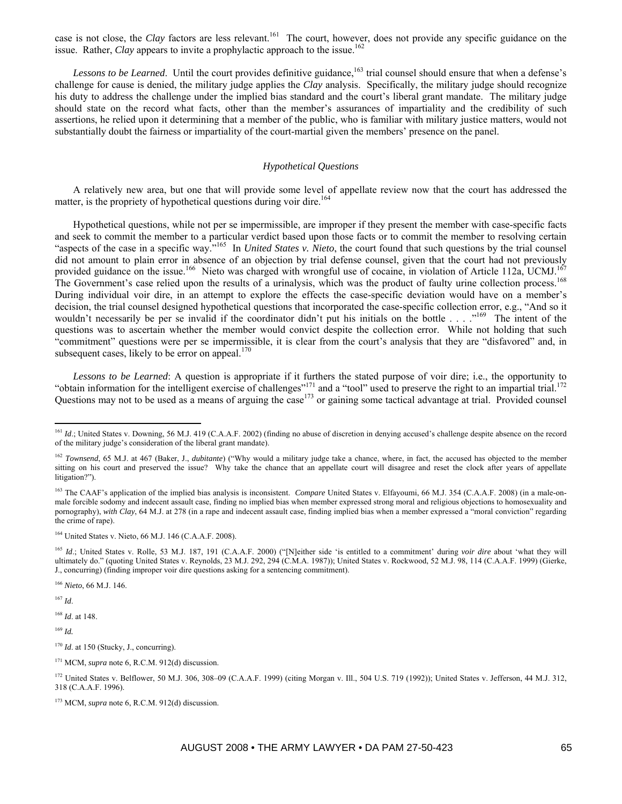case is not close, the *Clay* factors are less relevant.<sup>161</sup> The court, however, does not provide any specific guidance on the issue. Rather, *Clay* appears to invite a prophylactic approach to the issue.<sup>162</sup>

*Lessons to be Learned.* Until the court provides definitive guidance,<sup>163</sup> trial counsel should ensure that when a defense's challenge for cause is denied, the military judge applies the *Clay* analysis. Specifically, the military judge should recognize his duty to address the challenge under the implied bias standard and the court's liberal grant mandate. The military judge should state on the record what facts, other than the member's assurances of impartiality and the credibility of such assertions, he relied upon it determining that a member of the public, who is familiar with military justice matters, would not substantially doubt the fairness or impartiality of the court-martial given the members' presence on the panel.

## *Hypothetical Questions*

A relatively new area, but one that will provide some level of appellate review now that the court has addressed the matter, is the propriety of hypothetical questions during voir dire.<sup>164</sup>

Hypothetical questions, while not per se impermissible, are improper if they present the member with case-specific facts and seek to commit the member to a particular verdict based upon those facts or to commit the member to resolving certain "aspects of the case in a specific way."165 In *United States v. Nieto*, the court found that such questions by the trial counsel did not amount to plain error in absence of an objection by trial defense counsel, given that the court had not previously provided guidance on the issue.<sup>166</sup> Nieto was charged with wrongful use of cocaine, in violation of Article 112a, UCMJ.<sup>16</sup> The Government's case relied upon the results of a urinalysis, which was the product of faulty urine collection process.<sup>168</sup> During individual voir dire, in an attempt to explore the effects the case-specific deviation would have on a member's decision, the trial counsel designed hypothetical questions that incorporated the case-specific collection error, e.g., "And so it wouldn't necessarily be per se invalid if the coordinator didn't put his initials on the bottle . . . ."<sup>169</sup> The intent of the questions was to ascertain whether the member would convict despite the collection error. While not holding that such "commitment" questions were per se impermissible, it is clear from the court's analysis that they are "disfavored" and, in subsequent cases, likely to be error on appeal. $170$ 

*Lessons to be Learned*: A question is appropriate if it furthers the stated purpose of voir dire; i.e., the opportunity to "obtain information for the intelligent exercise of challenges"<sup>171</sup> and a "tool" used to preserve the right to an impartial trial.<sup>172</sup> Questions may not to be used as a means of arguing the case<sup>173</sup> or gaining some tactical advantage at trial. Provided counsel

<sup>166</sup> *Nieto*, 66 M.J. 146.

<sup>167</sup> *Id*.

 $\overline{a}$ 

<sup>168</sup> *Id*. at 148.

<sup>169</sup> *Id.*

<sup>&</sup>lt;sup>161</sup> *Id*.; United States v. Downing, 56 M.J. 419 (C.A.A.F. 2002) (finding no abuse of discretion in denying accused's challenge despite absence on the record of the military judge's consideration of the liberal grant mandate).

<sup>162</sup> *Townsend*, 65 M.J. at 467 (Baker, J., *dubitante*) ("Why would a military judge take a chance, where, in fact, the accused has objected to the member sitting on his court and preserved the issue? Why take the chance that an appellate court will disagree and reset the clock after years of appellate litigation?").

<sup>&</sup>lt;sup>163</sup> The CAAF's application of the implied bias analysis is inconsistent. *Compare* United States v. Elfayoumi, 66 M.J. 354 (C.A.A.F. 2008) (in a male-onmale forcible sodomy and indecent assault case, finding no implied bias when member expressed strong moral and religious objections to homosexuality and pornography), *with Clay*, 64 M.J. at 278 (in a rape and indecent assault case, finding implied bias when a member expressed a "moral conviction" regarding the crime of rape).

<sup>164</sup> United States v. Nieto, 66 M.J. 146 (C.A.A.F. 2008).

<sup>&</sup>lt;sup>165</sup> *Id.*; United States v. Rolle, 53 M.J. 187, 191 (C.A.A.F. 2000) ("[N]either side 'is entitled to a commitment' during *voir dire* about 'what they will ultimately do." (quoting United States v. Reynolds, 23 M.J. 292, 294 (C.M.A. 1987)); United States v. Rockwood, 52 M.J. 98, 114 (C.A.A.F. 1999) (Gierke, J., concurring) (finding improper voir dire questions asking for a sentencing commitment).

<sup>&</sup>lt;sup>170</sup> *Id.* at 150 (Stucky, J., concurring).

<sup>&</sup>lt;sup>171</sup> MCM, *supra* note 6, R.C.M. 912(d) discussion.

<sup>172</sup> United States v. Belflower, 50 M.J. 306, 308–09 (C.A.A.F. 1999) (citing Morgan v. Ill., 504 U.S. 719 (1992)); United States v. Jefferson, 44 M.J. 312, 318 (C.A.A.F. 1996).

<sup>&</sup>lt;sup>173</sup> MCM, *supra* note 6, R.C.M. 912(d) discussion.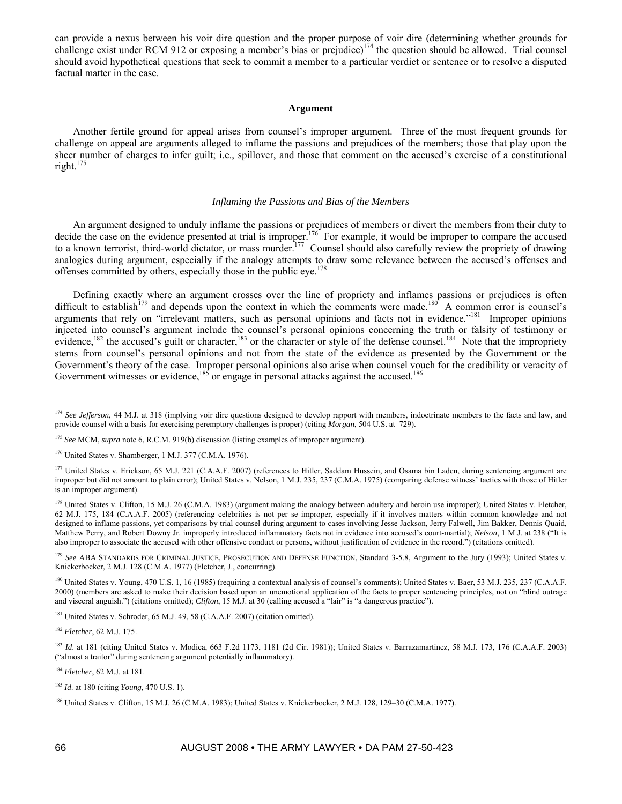can provide a nexus between his voir dire question and the proper purpose of voir dire (determining whether grounds for challenge exist under RCM 912 or exposing a member's bias or prejudice) $174$  the question should be allowed. Trial counsel should avoid hypothetical questions that seek to commit a member to a particular verdict or sentence or to resolve a disputed factual matter in the case.

### **Argument**

Another fertile ground for appeal arises from counsel's improper argument. Three of the most frequent grounds for challenge on appeal are arguments alleged to inflame the passions and prejudices of the members; those that play upon the sheer number of charges to infer guilt; i.e., spillover, and those that comment on the accused's exercise of a constitutional right.175

### *Inflaming the Passions and Bias of the Members*

An argument designed to unduly inflame the passions or prejudices of members or divert the members from their duty to decide the case on the evidence presented at trial is improper.<sup>176</sup> For example, it would be improper to compare the accused to a known terrorist, third-world dictator, or mass murder.<sup>177</sup> Counsel should also carefully review the propriety of drawing analogies during argument, especially if the analogy attempts to draw some relevance between the accused's offenses and offenses committed by others, especially those in the public eye.<sup>178</sup>

Defining exactly where an argument crosses over the line of propriety and inflames passions or prejudices is often difficult to establish<sup>179</sup> and depends upon the context in which the comments were made.<sup>180</sup> A common error is counsel's arguments that rely on "irrelevant matters, such as personal opinions and facts not in evidence."<sup>181</sup> Improper opinions injected into counsel's argument include the counsel's personal opinions concerning the truth or falsity of testimony or evidence,<sup>182</sup> the accused's guilt or character,<sup>183</sup> or the character or style of the defense counsel.<sup>184</sup> Note that the impropriety stems from counsel's personal opinions and not from the state of the evidence as presented by the Government or the Government's theory of the case. Improper personal opinions also arise when counsel vouch for the credibility or veracity of Government witnesses or evidence,<sup>185</sup> or engage in personal attacks against the accused.<sup>186</sup>

<sup>181</sup> United States v. Schroder, 65 M.J. 49, 58 (C.A.A.F. 2007) (citation omitted).

<sup>182</sup> *Fletcher*, 62 M.J. 175.

<sup>184</sup> *Fletcher*, 62 M.J. at 181.

<sup>&</sup>lt;sup>174</sup> *See Jefferson*, 44 M.J. at 318 (implying voir dire questions designed to develop rapport with members, indoctrinate members to the facts and law, and provide counsel with a basis for exercising peremptory challenges is proper) (citing *Morgan*, 504 U.S. at 729).

<sup>175</sup> *See* MCM, *supra* note 6, R.C.M. 919(b) discussion (listing examples of improper argument).

<sup>176</sup> United States v. Shamberger, 1 M.J. 377 (C.M.A. 1976).

<sup>&</sup>lt;sup>177</sup> United States v. Erickson, 65 M.J. 221 (C.A.A.F. 2007) (references to Hitler, Saddam Hussein, and Osama bin Laden, during sentencing argument are improper but did not amount to plain error); United States v. Nelson, 1 M.J. 235, 237 (C.M.A. 1975) (comparing defense witness' tactics with those of Hitler is an improper argument).

<sup>&</sup>lt;sup>178</sup> United States v. Clifton, 15 M.J. 26 (C.M.A. 1983) (argument making the analogy between adultery and heroin use improper); United States v. Fletcher, 62 M.J. 175, 184 (C.A.A.F. 2005) (referencing celebrities is not per se improper, especially if it involves matters within common knowledge and not designed to inflame passions, yet comparisons by trial counsel during argument to cases involving Jesse Jackson, Jerry Falwell, Jim Bakker, Dennis Quaid, Matthew Perry, and Robert Downy Jr. improperly introduced inflammatory facts not in evidence into accused's court-martial); *Nelson*, 1 M.J. at 238 ("It is also improper to associate the accused with other offensive conduct or persons, without justification of evidence in the record.") (citations omitted).

<sup>&</sup>lt;sup>179</sup> See ABA STANDARDS FOR CRIMINAL JUSTICE, PROSECUTION AND DEFENSE FUNCTION, Standard 3-5.8, Argument to the Jury (1993); United States v. Knickerbocker, 2 M.J. 128 (C.M.A. 1977) (Fletcher, J., concurring).

<sup>&</sup>lt;sup>180</sup> United States v. Young, 470 U.S. 1, 16 (1985) (requiring a contextual analysis of counsel's comments); United States v. Baer, 53 M.J. 235, 237 (C.A.A.F. 2000) (members are asked to make their decision based upon an unemotional application of the facts to proper sentencing principles, not on "blind outrage and visceral anguish.") (citations omitted); *Clifton*, 15 M.J. at 30 (calling accused a "lair" is "a dangerous practice").

<sup>&</sup>lt;sup>183</sup> *Id.* at 181 (citing United States v. Modica, 663 F.2d 1173, 1181 (2d Cir. 1981)); United States v. Barrazamartinez, 58 M.J. 173, 176 (C.A.A.F. 2003) ("almost a traitor" during sentencing argument potentially inflammatory).

<sup>185</sup> *Id*. at 180 (citing *Young*, 470 U.S. 1).

<sup>186</sup> United States v. Clifton, 15 M.J. 26 (C.M.A. 1983); United States v. Knickerbocker, 2 M.J. 128, 129–30 (C.M.A. 1977).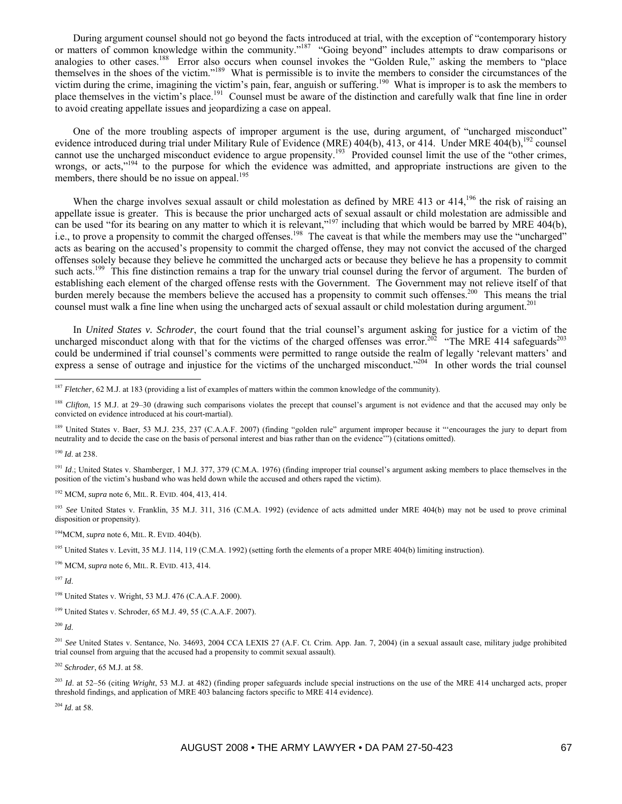During argument counsel should not go beyond the facts introduced at trial, with the exception of "contemporary history or matters of common knowledge within the community."<sup>187</sup> "Going beyond" includes attempts to draw comparisons or analogies to other cases.<sup>188</sup> Error also occurs when counsel invokes the "Golden Rule," asking the members to "place themselves in the shoes of the victim."189 What is permissible is to invite the members to consider the circumstances of the victim during the crime, imagining the victim's pain, fear, anguish or suffering.190 What is improper is to ask the members to place themselves in the victim's place.<sup>191</sup> Counsel must be aware of the distinction and carefully walk that fine line in order to avoid creating appellate issues and jeopardizing a case on appeal.

One of the more troubling aspects of improper argument is the use, during argument, of "uncharged misconduct" evidence introduced during trial under Military Rule of Evidence (MRE)  $404(b)$ , 413, or 414. Under MRE  $404(b)$ ,<sup>192</sup> counsel cannot use the uncharged misconduct evidence to argue propensity.<sup>193</sup> Provided counsel limit the use of the "other crimes, wrongs, or acts,"<sup>194</sup> to the purpose for which the evidence was admitted, and appropriate instructions are given to the members, there should be no issue on appeal.<sup>195</sup>

When the charge involves sexual assault or child molestation as defined by MRE 413 or 414,<sup>196</sup> the risk of raising an appellate issue is greater. This is because the prior uncharged acts of sexual assault or child molestation are admissible and can be used "for its bearing on any matter to which it is relevant,"<sup>197</sup> including that which would be barred by MRE 404(b), i.e., to prove a propensity to commit the charged offenses.<sup>198</sup> The caveat is that while the members may use the "uncharged" acts as bearing on the accused's propensity to commit the charged offense, they may not convict the accused of the charged offenses solely because they believe he committed the uncharged acts or because they believe he has a propensity to commit such acts.<sup>199</sup> This fine distinction remains a trap for the unwary trial counsel during the fervor of argument. The burden of establishing each element of the charged offense rests with the Government. The Government may not relieve itself of that burden merely because the members believe the accused has a propensity to commit such offenses.<sup>200</sup> This means the trial counsel must walk a fine line when using the uncharged acts of sexual assault or child molestation during argument.<sup>201</sup>

In *United States v. Schroder*, the court found that the trial counsel's argument asking for justice for a victim of the uncharged misconduct along with that for the victims of the charged offenses was error.<sup>202</sup> "The MRE 414 safeguards<sup>203</sup> could be undermined if trial counsel's comments were permitted to range outside the realm of legally 'relevant matters' and express a sense of outrage and injustice for the victims of the uncharged misconduct."<sup>204</sup> In other words the trial counsel

<sup>189</sup> United States v. Baer, 53 M.J. 235, 237 (C.A.A.F. 2007) (finding "golden rule" argument improper because it "'encourages the jury to depart from neutrality and to decide the case on the basis of personal interest and bias rather than on the evidence'") (citations omitted).

<sup>190</sup> *Id*. at 238.

 $\overline{a}$ 

<sup>191</sup> *Id.*; United States v. Shamberger, 1 M.J. 377, 379 (C.M.A. 1976) (finding improper trial counsel's argument asking members to place themselves in the position of the victim's husband who was held down while the accused and others raped the victim).

192 MCM, *supra* note 6, MIL. R. EVID. 404, 413, 414.

<sup>193</sup> *See* United States v. Franklin, 35 M.J. 311, 316 (C.M.A. 1992) (evidence of acts admitted under MRE 404(b) may not be used to prove criminal disposition or propensity).

194MCM, *supra* note 6, MIL. R. EVID. 404(b).

<sup>195</sup> United States v. Levitt, 35 M.J. 114, 119 (C.M.A. 1992) (setting forth the elements of a proper MRE 404(b) limiting instruction).

196 MCM, *supra* note 6, MIL. R. EVID. 413, 414.

<sup>197</sup> *Id*.

198 United States v. Wright, 53 M.J. 476 (C.A.A.F. 2000).

199 United States v. Schroder, 65 M.J. 49, 55 (C.A.A.F. 2007).

<sup>200</sup> *Id*.

<sup>201</sup> See United States v. Sentance, No. 34693, 2004 CCA LEXIS 27 (A.F. Ct. Crim. App. Jan. 7, 2004) (in a sexual assault case, military judge prohibited trial counsel from arguing that the accused had a propensity to commit sexual assault).

<sup>202</sup> *Schroder*, 65 M.J. at 58.

<sup>203</sup> *Id.* at 52–56 (citing *Wright*, 53 M.J. at 482) (finding proper safeguards include special instructions on the use of the MRE 414 uncharged acts, proper threshold findings, and application of MRE 403 balancing factors specific to MRE 414 evidence).

<sup>204</sup> *Id*. at 58.

<sup>187</sup> *Fletcher*, 62 M.J. at 183 (providing a list of examples of matters within the common knowledge of the community).

<sup>&</sup>lt;sup>188</sup> *Clifton*, 15 M.J. at 29–30 (drawing such comparisons violates the precept that counsel's argument is not evidence and that the accused may only be convicted on evidence introduced at his court-martial).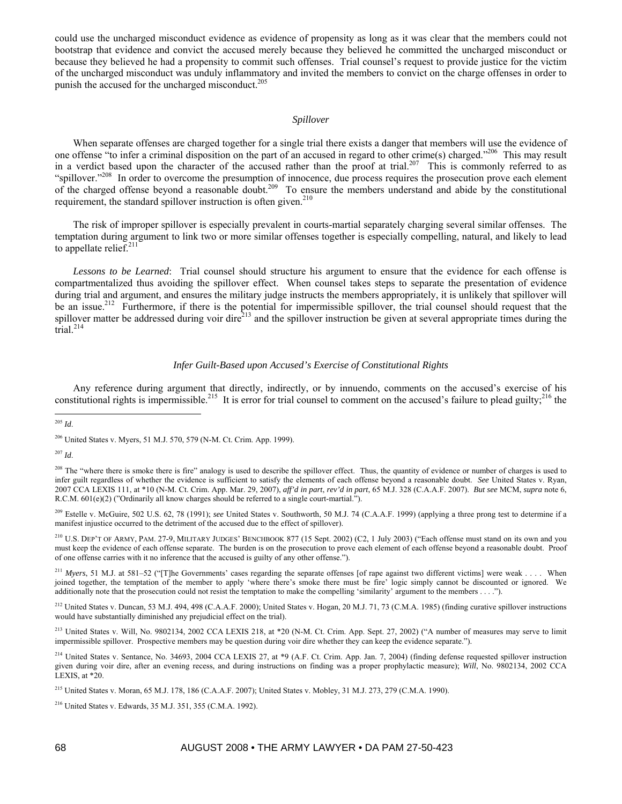could use the uncharged misconduct evidence as evidence of propensity as long as it was clear that the members could not bootstrap that evidence and convict the accused merely because they believed he committed the uncharged misconduct or because they believed he had a propensity to commit such offenses. Trial counsel's request to provide justice for the victim of the uncharged misconduct was unduly inflammatory and invited the members to convict on the charge offenses in order to punish the accused for the uncharged misconduct.<sup>205</sup>

#### *Spillover*

When separate offenses are charged together for a single trial there exists a danger that members will use the evidence of one offense "to infer a criminal disposition on the part of an accused in regard to other crime(s) charged."<sup>206</sup> This may result in a verdict based upon the character of the accused rather than the proof at trial.<sup>207</sup> This is commonly referred to as "spillover."<sup>208</sup> In order to overcome the presumption of innocence, due process requires the prosecution prove each element of the charged offense beyond a reasonable doubt.209 To ensure the members understand and abide by the constitutional requirement, the standard spillover instruction is often given.<sup>210</sup>

The risk of improper spillover is especially prevalent in courts-martial separately charging several similar offenses. The temptation during argument to link two or more similar offenses together is especially compelling, natural, and likely to lead to appellate relief. $211$ 

*Lessons to be Learned*: Trial counsel should structure his argument to ensure that the evidence for each offense is compartmentalized thus avoiding the spillover effect. When counsel takes steps to separate the presentation of evidence during trial and argument, and ensures the military judge instructs the members appropriately, it is unlikely that spillover will be an issue.<sup>212</sup> Furthermore, if there is the potential for impermissible spillover, the trial counsel should request that the spillover matter be addressed during voir dire<sup>213</sup> and the spillover instruction be given at several appropriate times during the  $\text{trial}$ <sup>214</sup>

### *Infer Guilt-Based upon Accused's Exercise of Constitutional Rights*

Any reference during argument that directly, indirectly, or by innuendo, comments on the accused's exercise of his constitutional rights is impermissible.<sup>215</sup> It is error for trial counsel to comment on the accused's failure to plead guilty;<sup>216</sup> the

209 Estelle v. McGuire, 502 U.S. 62, 78 (1991); *see* United States v. Southworth, 50 M.J. 74 (C.A.A.F. 1999) (applying a three prong test to determine if a manifest injustice occurred to the detriment of the accused due to the effect of spillover).

210 U.S. DEP'T OF ARMY, PAM. 27-9, MILITARY JUDGES' BENCHBOOK 877 (15 Sept. 2002) (C2, 1 July 2003) ("Each offense must stand on its own and you must keep the evidence of each offense separate. The burden is on the prosecution to prove each element of each offense beyond a reasonable doubt. Proof of one offense carries with it no inference that the accused is guilty of any other offense.").

<sup>211</sup> Myers, 51 M.J. at 581–52 ("[T]he Governments' cases regarding the separate offenses [of rape against two different victims] were weak . . . . When joined together, the temptation of the member to apply 'where there's smoke there must be fire' logic simply cannot be discounted or ignored. We additionally note that the prosecution could not resist the temptation to make the compelling 'similarity' argument to the members . . . .").

<sup>212</sup> United States v. Duncan, 53 M.J. 494, 498 (C.A.A.F. 2000); United States v. Hogan, 20 M.J. 71, 73 (C.M.A. 1985) (finding curative spillover instructions would have substantially diminished any prejudicial effect on the trial).

<sup>213</sup> United States v. Will, No. 9802134, 2002 CCA LEXIS 218, at \*20 (N-M. Ct. Crim. App. Sept. 27, 2002) ("A number of measures may serve to limit impermissible spillover. Prospective members may be question during voir dire whether they can keep the evidence separate.").

<sup>214</sup> United States v. Sentance, No. 34693, 2004 CCA LEXIS 27, at \*9 (A.F. Ct. Crim. App. Jan. 7, 2004) (finding defense requested spillover instruction given during voir dire, after an evening recess, and during instructions on finding was a proper prophylactic measure); *Will*, No. 9802134, 2002 CCA LEXIS, at \*20.

216 United States v. Edwards, 35 M.J. 351, 355 (C.M.A. 1992).

 $\overline{a}$ <sup>205</sup> *Id*.

<sup>206</sup> United States v. Myers, 51 M.J. 570, 579 (N-M. Ct. Crim. App. 1999).

<sup>207</sup> *Id*.

<sup>&</sup>lt;sup>208</sup> The "where there is smoke there is fire" analogy is used to describe the spillover effect. Thus, the quantity of evidence or number of charges is used to infer guilt regardless of whether the evidence is sufficient to satisfy the elements of each offense beyond a reasonable doubt. *See* United States v. Ryan, 2007 CCA LEXIS 111, at \*10 (N-M. Ct. Crim. App. Mar. 29, 2007), *aff'd in part*, *rev'd in part*, 65 M.J. 328 (C.A.A.F. 2007). *But see* MCM, *supra* note 6, R.C.M. 601(e)(2) ("Ordinarily all know charges should be referred to a single court-martial.").

<sup>&</sup>lt;sup>215</sup> United States v. Moran, 65 M.J. 178, 186 (C.A.A.F. 2007); United States v. Mobley, 31 M.J. 273, 279 (C.M.A. 1990).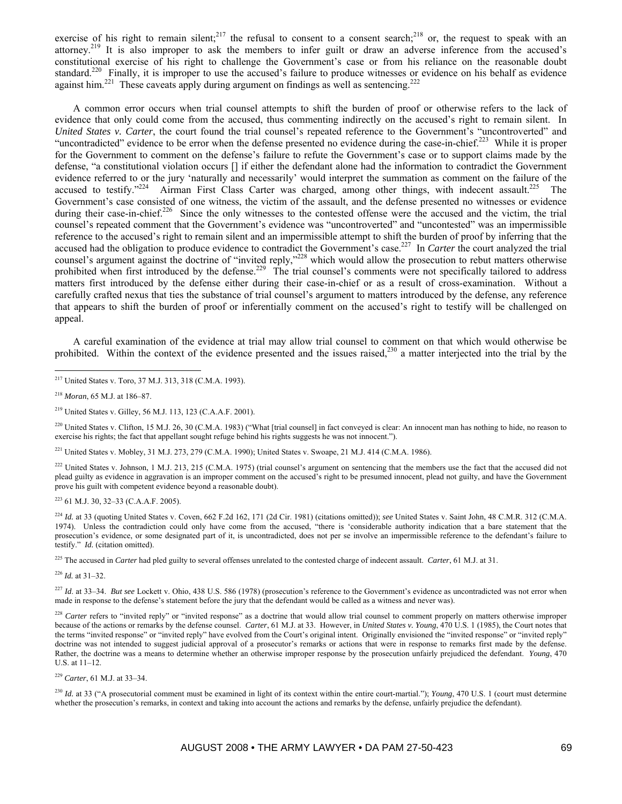exercise of his right to remain silent;<sup>217</sup> the refusal to consent to a consent search;<sup>218</sup> or, the request to speak with an attorney.219 It is also improper to ask the members to infer guilt or draw an adverse inference from the accused's constitutional exercise of his right to challenge the Government's case or from his reliance on the reasonable doubt standard.<sup>220</sup> Finally, it is improper to use the accused's failure to produce witnesses or evidence on his behalf as evidence against him.<sup>221</sup> These caveats apply during argument on findings as well as sentencing.<sup>222</sup>

A common error occurs when trial counsel attempts to shift the burden of proof or otherwise refers to the lack of evidence that only could come from the accused, thus commenting indirectly on the accused's right to remain silent. In *United States v. Carter*, the court found the trial counsel's repeated reference to the Government's "uncontroverted" and "uncontradicted" evidence to be error when the defense presented no evidence during the case-in-chief.<sup>223</sup> While it is proper for the Government to comment on the defense's failure to refute the Government's case or to support claims made by the defense, "a constitutional violation occurs [] if either the defendant alone had the information to contradict the Government evidence referred to or the jury 'naturally and necessarily' would interpret the summation as comment on the failure of the accused to testify." $224$  Airman First Class Carter was charged, among other things, with indecent assault.<sup>225</sup> The Government's case consisted of one witness, the victim of the assault, and the defense presented no witnesses or evidence during their case-in-chief.<sup>226</sup> Since the only witnesses to the contested offense were the accused and the victim, the trial counsel's repeated comment that the Government's evidence was "uncontroverted" and "uncontested" was an impermissible reference to the accused's right to remain silent and an impermissible attempt to shift the burden of proof by inferring that the accused had the obligation to produce evidence to contradict the Government's case.<sup>227</sup> In *Carter* the court analyzed the trial counsel's argument against the doctrine of "invited reply,"<sup>228</sup> which would allow the prosecution to rebut matters otherwise prohibited when first introduced by the defense.<sup>229</sup> The trial counsel's comments were not specifically tailored to address matters first introduced by the defense either during their case-in-chief or as a result of cross-examination. Without a carefully crafted nexus that ties the substance of trial counsel's argument to matters introduced by the defense, any reference that appears to shift the burden of proof or inferentially comment on the accused's right to testify will be challenged on appeal.

A careful examination of the evidence at trial may allow trial counsel to comment on that which would otherwise be prohibited. Within the context of the evidence presented and the issues raised, $230$  a matter interjected into the trial by the

 $\overline{a}$ 

 $^{220}$  United States v. Clifton, 15 M.J. 26, 30 (C.M.A. 1983) ("What [trial counsel] in fact conveyed is clear: An innocent man has nothing to hide, no reason to exercise his rights; the fact that appellant sought refuge behind his rights suggests he was not innocent.").

221 United States v. Mobley, 31 M.J. 273, 279 (C.M.A. 1990); United States v. Swoape, 21 M.J. 414 (C.M.A. 1986).

<sup>222</sup> United States v. Johnson, 1 M.J. 213, 215 (C.M.A. 1975) (trial counsel's argument on sentencing that the members use the fact that the accused did not plead guilty as evidence in aggravation is an improper comment on the accused's right to be presumed innocent, plead not guilty, and have the Government prove his guilt with competent evidence beyond a reasonable doubt).

223 61 M.J. 30, 32–33 (C.A.A.F. 2005).

<sup>224</sup> *Id.* at 33 (quoting United States v. Coven, 662 F.2d 162, 171 (2d Cir. 1981) (citations omitted)); *see* United States v. Saint John, 48 C.M.R. 312 (C.M.A. 1974). Unless the contradiction could only have come from the accused, "there is 'considerable authority indication that a bare statement that the prosecution's evidence, or some designated part of it, is uncontradicted, does not per se involve an impermissible reference to the defendant's failure to testify." *Id.* (citation omitted).

225 The accused in *Carter* had pled guilty to several offenses unrelated to the contested charge of indecent assault. *Carter*, 61 M.J. at 31.

<sup>226</sup> *Id.* at 31–32.

<sup>227</sup> *Id*. at 33–34. *But see* Lockett v. Ohio, 438 U.S. 586 (1978) (prosecution's reference to the Government's evidence as uncontradicted was not error when made in response to the defense's statement before the jury that the defendant would be called as a witness and never was).

<sup>228</sup> Carter refers to "invited reply" or "invited response" as a doctrine that would allow trial counsel to comment properly on matters otherwise improper because of the actions or remarks by the defense counsel. *Carter*, 61 M.J. at 33. However, in *United States v. Young*, 470 U.S. 1 (1985), the Court notes that the terms "invited response" or "invited reply" have evolved from the Court's original intent. Originally envisioned the "invited response" or "invited reply" doctrine was not intended to suggest judicial approval of a prosecutor's remarks or actions that were in response to remarks first made by the defense. Rather, the doctrine was a means to determine whether an otherwise improper response by the prosecution unfairly prejudiced the defendant. *Young*, 470 U.S. at 11–12.

<sup>229</sup> *Carter*, 61 M.J. at 33–34.

<sup>230</sup> *Id.* at 33 ("A prosecutorial comment must be examined in light of its context within the entire court-martial."); *Young*, 470 U.S. 1 (court must determine whether the prosecution's remarks, in context and taking into account the actions and remarks by the defense, unfairly prejudice the defendant).

<sup>217</sup> United States v. Toro, 37 M.J. 313, 318 (C.M.A. 1993).

<sup>218</sup> *Moran*, 65 M.J. at 186–87.

<sup>219</sup> United States v. Gilley, 56 M.J. 113, 123 (C.A.A.F. 2001).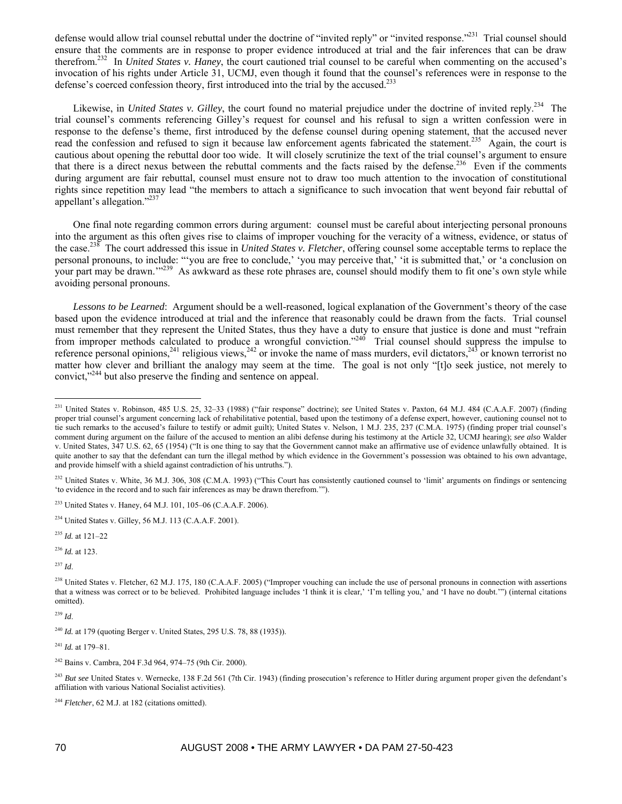defense would allow trial counsel rebuttal under the doctrine of "invited reply" or "invited response."231 Trial counsel should ensure that the comments are in response to proper evidence introduced at trial and the fair inferences that can be draw therefrom.232 In *United States v. Haney*, the court cautioned trial counsel to be careful when commenting on the accused's invocation of his rights under Article 31, UCMJ, even though it found that the counsel's references were in response to the defense's coerced confession theory, first introduced into the trial by the accused.<sup>233</sup>

Likewise, in *United States v. Gilley*, the court found no material prejudice under the doctrine of invited reply.<sup>234</sup> The trial counsel's comments referencing Gilley's request for counsel and his refusal to sign a written confession were in response to the defense's theme, first introduced by the defense counsel during opening statement, that the accused never read the confession and refused to sign it because law enforcement agents fabricated the statement.<sup>235</sup> Again, the court is cautious about opening the rebuttal door too wide. It will closely scrutinize the text of the trial counsel's argument to ensure that there is a direct nexus between the rebuttal comments and the facts raised by the defense.<sup>236</sup> Even if the comments during argument are fair rebuttal, counsel must ensure not to draw too much attention to the invocation of constitutional rights since repetition may lead "the members to attach a significance to such invocation that went beyond fair rebuttal of appellant's allegation."237

One final note regarding common errors during argument: counsel must be careful about interjecting personal pronouns into the argument as this often gives rise to claims of improper vouching for the veracity of a witness, evidence, or status of the case.238 The court addressed this issue in *United States v. Fletcher*, offering counsel some acceptable terms to replace the personal pronouns, to include: "'you are free to conclude,' 'you may perceive that,' 'it is submitted that,' or 'a conclusion on your part may be drawn."<sup>239</sup> As awkward as these rote phrases are, counsel should modify them to fit one's own style while avoiding personal pronouns.

*Lessons to be Learned*: Argument should be a well-reasoned, logical explanation of the Government's theory of the case based upon the evidence introduced at trial and the inference that reasonably could be drawn from the facts. Trial counsel must remember that they represent the United States, thus they have a duty to ensure that justice is done and must "refrain from improper methods calculated to produce a wrongful conviction."<sup>240</sup> Trial counsel should suppress the impulse to reference personal opinions,<sup>241</sup> religious views,<sup>242</sup> or invoke the name of mass murders, evil dictators,<sup>243</sup> or known terrorist no matter how clever and brilliant the analogy may seem at the time. The goal is not only "[t]o seek justice, not merely to convict,"244 but also preserve the finding and sentence on appeal.

<sup>235</sup> *Id.* at 121–22

<sup>236</sup> *Id.* at 123.

<sup>237</sup> *Id*.

 $\overline{a}$ 

<sup>239</sup> *Id*.

<sup>241</sup> *Id.* at 179–81.

<sup>243</sup> *But see* United States v. Wernecke, 138 F.2d 561 (7th Cir. 1943) (finding prosecution's reference to Hitler during argument proper given the defendant's affiliation with various National Socialist activities).

<sup>244</sup> *Fletcher*, 62 M.J. at 182 (citations omitted).

<sup>231</sup> United States v. Robinson, 485 U.S. 25, 32–33 (1988) ("fair response" doctrine); *see* United States v. Paxton, 64 M.J. 484 (C.A.A.F. 2007) (finding proper trial counsel's argument concerning lack of rehabilitative potential, based upon the testimony of a defense expert, however, cautioning counsel not to tie such remarks to the accused's failure to testify or admit guilt); United States v. Nelson, 1 M.J. 235, 237 (C.M.A. 1975) (finding proper trial counsel's comment during argument on the failure of the accused to mention an alibi defense during his testimony at the Article 32, UCMJ hearing); *see also* Walder v. United States, 347 U.S. 62, 65 (1954) ("It is one thing to say that the Government cannot make an affirmative use of evidence unlawfully obtained. It is quite another to say that the defendant can turn the illegal method by which evidence in the Government's possession was obtained to his own advantage, and provide himself with a shield against contradiction of his untruths.").

<sup>&</sup>lt;sup>232</sup> United States v. White, 36 M.J. 306, 308 (C.M.A. 1993) ("This Court has consistently cautioned counsel to 'limit' arguments on findings or sentencing 'to evidence in the record and to such fair inferences as may be drawn therefrom.'").

<sup>233</sup> United States v. Haney, 64 M.J. 101, 105–06 (C.A.A.F. 2006).

<sup>234</sup> United States v. Gilley, 56 M.J. 113 (C.A.A.F. 2001).

 $^{238}$  United States v. Fletcher, 62 M.J. 175, 180 (C.A.A.F. 2005) ("Improper vouching can include the use of personal pronouns in connection with assertions that a witness was correct or to be believed. Prohibited language includes 'I think it is clear,' 'I'm telling you,' and 'I have no doubt.'") (internal citations omitted).

<sup>&</sup>lt;sup>240</sup> *Id.* at 179 (quoting Berger v. United States, 295 U.S. 78, 88 (1935)).

<sup>242</sup> Bains v. Cambra, 204 F.3d 964, 974–75 (9th Cir. 2000).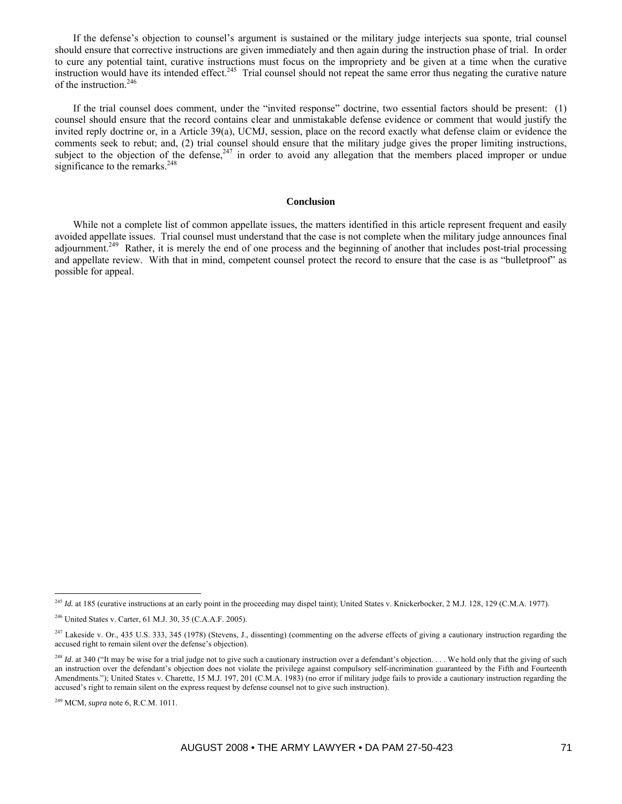If the defense's objection to counsel's argument is sustained or the military judge interjects sua sponte, trial counsel should ensure that corrective instructions are given immediately and then again during the instruction phase of trial. In order to cure any potential taint, curative instructions must focus on the impropriety and be given at a time when the curative instruction would have its intended effect.<sup>245</sup> Trial counsel should not repeat the same error thus negating the curative nature of the instruction.<sup>246</sup>

If the trial counsel does comment, under the "invited response" doctrine, two essential factors should be present: (1) counsel should ensure that the record contains clear and unmistakable defense evidence or comment that would justify the invited reply doctrine or, in a Article 39(a), UCMJ, session, place on the record exactly what defense claim or evidence the comments seek to rebut; and, (2) trial counsel should ensure that the military judge gives the proper limiting instructions, subject to the objection of the defense,  $247$  in order to avoid any allegation that the members placed improper or undue significance to the remarks.<sup>248</sup>

# **Conclusion**

While not a complete list of common appellate issues, the matters identified in this article represent frequent and easily avoided appellate issues. Trial counsel must understand that the case is not complete when the military judge announces final adjournment.<sup>249</sup> Rather, it is merely the end of one process and the beginning of another that includes post-trial processing and appellate review. With that in mind, competent counsel protect the record to ensure that the case is as "bulletproof" as possible for appeal.

 $\overline{a}$ 

<sup>&</sup>lt;sup>245</sup> *Id.* at 185 (curative instructions at an early point in the proceeding may dispel taint); United States v. Knickerbocker, 2 M.J. 128, 129 (C.M.A. 1977).

<sup>246</sup> United States v. Carter, 61 M.J. 30, 35 (C.A.A.F. 2005).

 $247$  Lakeside v. Or., 435 U.S. 333, 345 (1978) (Stevens, J., dissenting) (commenting on the adverse effects of giving a cautionary instruction regarding the accused right to remain silent over the defense's objection).

<sup>&</sup>lt;sup>248</sup> *Id.* at 340 ("It may be wise for a trial judge not to give such a cautionary instruction over a defendant's objection. . . . We hold only that the giving of such an instruction over the defendant's objection does not violate the privilege against compulsory self-incrimination guaranteed by the Fifth and Fourteenth Amendments."); United States v. Charette, 15 M.J. 197, 201 (C.M.A. 1983) (no error if military judge fails to provide a cautionary instruction regarding the accused's right to remain silent on the express request by defense counsel not to give such instruction).

<sup>249</sup> MCM, *supra* note 6, R.C.M. 1011.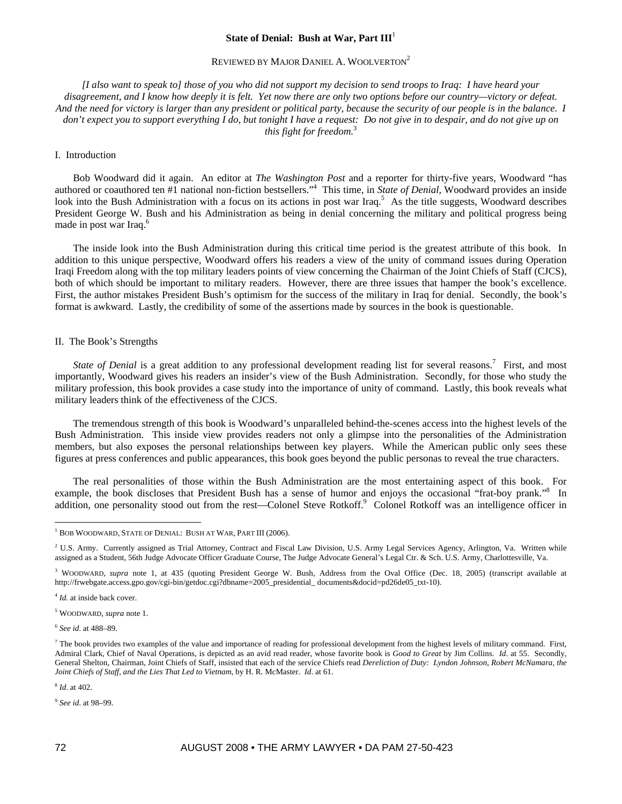#### **State of Denial: Bush at War, Part III**<sup>1</sup>

#### REVIEWED BY MAJOR DANIEL A. WOOLVERTON<sup>2</sup>

*[I also want to speak to] those of you who did not support my decision to send troops to Iraq: I have heard your disagreement, and I know how deeply it is felt. Yet now there are only two options before our country—victory or defeat. And the need for victory is larger than any president or political party, because the security of our people is in the balance. I don't expect you to support everything I do, but tonight I have a request: Do not give in to despair, and do not give up on this fight for freedom.*<sup>3</sup>

#### I. Introduction

Bob Woodward did it again. An editor at *The Washington Post* and a reporter for thirty-five years, Woodward "has authored or coauthored ten #1 national non-fiction bestsellers."4 This time, in *State of Denial,* Woodward provides an inside look into the Bush Administration with a focus on its actions in post war Iraq.<sup>5</sup> As the title suggests, Woodward describes President George W. Bush and his Administration as being in denial concerning the military and political progress being made in post war Iraq.<sup>6</sup>

The inside look into the Bush Administration during this critical time period is the greatest attribute of this book. In addition to this unique perspective, Woodward offers his readers a view of the unity of command issues during Operation Iraqi Freedom along with the top military leaders points of view concerning the Chairman of the Joint Chiefs of Staff (CJCS), both of which should be important to military readers. However, there are three issues that hamper the book's excellence. First, the author mistakes President Bush's optimism for the success of the military in Iraq for denial. Secondly, the book's format is awkward. Lastly, the credibility of some of the assertions made by sources in the book is questionable.

#### II. The Book's Strengths

State of Denial is a great addition to any professional development reading list for several reasons.<sup>7</sup> First, and most importantly, Woodward gives his readers an insider's view of the Bush Administration. Secondly, for those who study the military profession, this book provides a case study into the importance of unity of command. Lastly, this book reveals what military leaders think of the effectiveness of the CJCS.

The tremendous strength of this book is Woodward's unparalleled behind-the-scenes access into the highest levels of the Bush Administration. This inside view provides readers not only a glimpse into the personalities of the Administration members, but also exposes the personal relationships between key players. While the American public only sees these figures at press conferences and public appearances, this book goes beyond the public personas to reveal the true characters.

The real personalities of those within the Bush Administration are the most entertaining aspect of this book. For example, the book discloses that President Bush has a sense of humor and enjoys the occasional "frat-boy prank."<sup>8</sup> In addition, one personality stood out from the rest—Colonel Steve Rotkoff.<sup>9</sup> Colonel Rotkoff was an intelligence officer in

<sup>4</sup> *Id.* at inside back cover.

5 WOODWARD, *supra* note 1.

<sup>6</sup> *See id*. at 488–89.

<sup>8</sup> *Id*. at 402.

<sup>9</sup> *See id*. at 98–99.

 $\overline{a}$ <sup>1</sup> BOB WOODWARD, STATE OF DENIAL: BUSH AT WAR, PART III (2006).

<sup>&</sup>lt;sup>2</sup> U.S. Army. Currently assigned as Trial Attorney, Contract and Fiscal Law Division, U.S. Army Legal Services Agency, Arlington, Va. Written while assigned as a Student, 56th Judge Advocate Officer Graduate Course, The Judge Advocate General's Legal Ctr. & Sch. U.S. Army, Charlottesville, Va.

<sup>&</sup>lt;sup>3</sup> WOODWARD, *supra* note 1, at 435 (quoting President George W. Bush, Address from the Oval Office (Dec. 18, 2005) (transcript available at http://frwebgate.access.gpo.gov/cgi-bin/getdoc.cgi?dbname=2005\_presidential\_ documents&docid=pd26de05\_txt-10).

 $^7$  The book provides two examples of the value and importance of reading for professional development from the highest levels of military command. First, Admiral Clark, Chief of Naval Operations, is depicted as an avid read reader, whose favorite book is *Good to Great* by Jim Collins. *Id*. at 55. Secondly, General Shelton, Chairman, Joint Chiefs of Staff, insisted that each of the service Chiefs read *Dereliction of Duty: Lyndon Johnson, Robert McNamara, the Joint Chiefs of Staff, and the Lies That Led to Vietnam*, by H. R. McMaster. *Id*. at 61.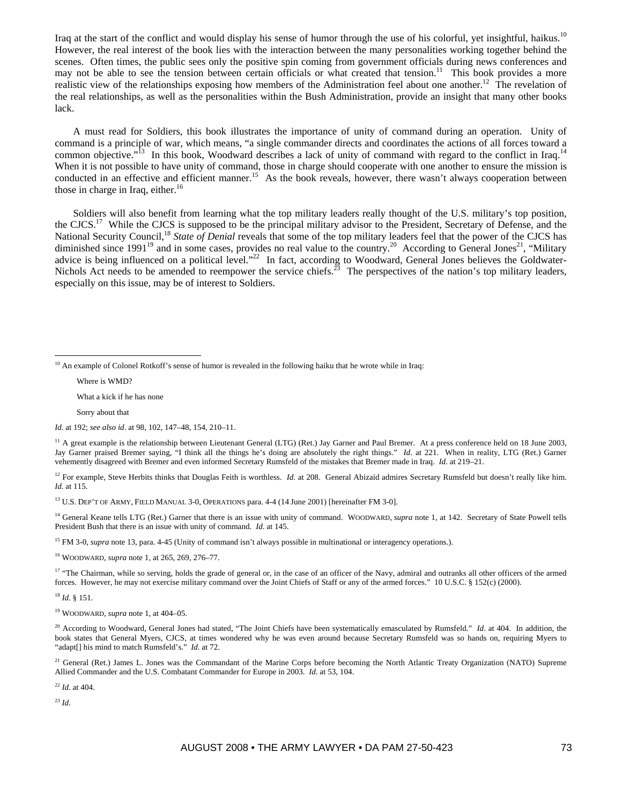Iraq at the start of the conflict and would display his sense of humor through the use of his colorful, yet insightful, haikus.<sup>10</sup> However, the real interest of the book lies with the interaction between the many personalities working together behind the scenes. Often times, the public sees only the positive spin coming from government officials during news conferences and may not be able to see the tension between certain officials or what created that tension.<sup>11</sup> This book provides a more realistic view of the relationships exposing how members of the Administration feel about one another.<sup>12</sup> The revelation of the real relationships, as well as the personalities within the Bush Administration, provide an insight that many other books lack.

A must read for Soldiers, this book illustrates the importance of unity of command during an operation. Unity of command is a principle of war, which means, "a single commander directs and coordinates the actions of all forces toward a common objective."<sup>13</sup> In this book, Woodward describes a lack of unity of command with regard to the conflict in Iraq.<sup>14</sup> When it is not possible to have unity of command, those in charge should cooperate with one another to ensure the mission is conducted in an effective and efficient manner.<sup>15</sup> As the book reveals, however, there wasn't always cooperation between those in charge in Iraq, either. $16$ 

Soldiers will also benefit from learning what the top military leaders really thought of the U.S. military's top position, the CJCS.17 While the CJCS is supposed to be the principal military advisor to the President, Secretary of Defense, and the National Security Council,18 *State of Denial* reveals that some of the top military leaders feel that the power of the CJCS has diminished since  $1991^{19}$  and in some cases, provides no real value to the country.<sup>20</sup> According to General Jones<sup>21</sup>, "Military" advice is being influenced on a political level."<sup>22</sup> In fact, according to Woodward, General Jones believes the Goldwater-Nichols Act needs to be amended to reempower the service chiefs.<sup>23</sup> The perspectives of the nation's top military leaders, especially on this issue, may be of interest to Soldiers.

Where is WMD?

 $\overline{a}$ 

What a kick if he has none

Sorry about that

*Id*. at 192; *see also id*. at 98, 102, 147–48, 154, 210–11.

<sup>11</sup> A great example is the relationship between Lieutenant General (LTG) (Ret.) Jay Garner and Paul Bremer. At a press conference held on 18 June 2003, Jay Garner praised Bremer saying, "I think all the things he's doing are absolutely the right things." *Id*. at 221. When in reality, LTG (Ret.) Garner vehemently disagreed with Bremer and even informed Secretary Rumsfeld of the mistakes that Bremer made in Iraq. *Id*. at 219–21.

<sup>12</sup> For example, Steve Herbits thinks that Douglas Feith is worthless. *Id.* at 208. General Abizaid admires Secretary Rumsfeld but doesn't really like him. *Id*. at 115.

<sup>13</sup> U.S. DEP'T OF ARMY, FIELD MANUAL 3-0, OPERATIONS para. 4-4 (14 June 2001) [hereinafter FM 3-0].

<sup>14</sup> General Keane tells LTG (Ret.) Garner that there is an issue with unity of command. WOODWARD, *supra* note 1, at 142. Secretary of State Powell tells President Bush that there is an issue with unity of command. *Id*. at 145.

<sup>15</sup> FM 3-0, *supra* note 13, para. 4-45 (Unity of command isn't always possible in multinational or interagency operations.).

16 WOODWARD, *supra* note 1*,* at 265, 269, 276–77.

<sup>17</sup> "The Chairman, while so serving, holds the grade of general or, in the case of an officer of the Navy, admiral and outranks all other officers of the armed forces. However, he may not exercise military command over the Joint Chiefs of Staff or any of the armed forces." 10 U.S.C. § 152(c) (2000).

<sup>18</sup> *Id*. § 151.

19 WOODWARD, *supra* note 1, at 404–05.

<sup>20</sup> According to Woodward, General Jones had stated, "The Joint Chiefs have been systematically emasculated by Rumsfeld." *Id.* at 404. In addition, the book states that General Myers, CJCS, at times wondered why he was even around because Secretary Rumsfeld was so hands on, requiring Myers to "adapt[] his mind to match Rumsfeld's." *Id.* at 72.

<sup>21</sup> General (Ret.) James L. Jones was the Commandant of the Marine Corps before becoming the North Atlantic Treaty Organization (NATO) Supreme Allied Commander and the U.S. Combatant Commander for Europe in 2003. *Id*. at 53, 104.

<sup>22</sup> *Id*. at 404.

<sup>23</sup> *Id*.

 $10$  An example of Colonel Rotkoff's sense of humor is revealed in the following haiku that he wrote while in Iraq: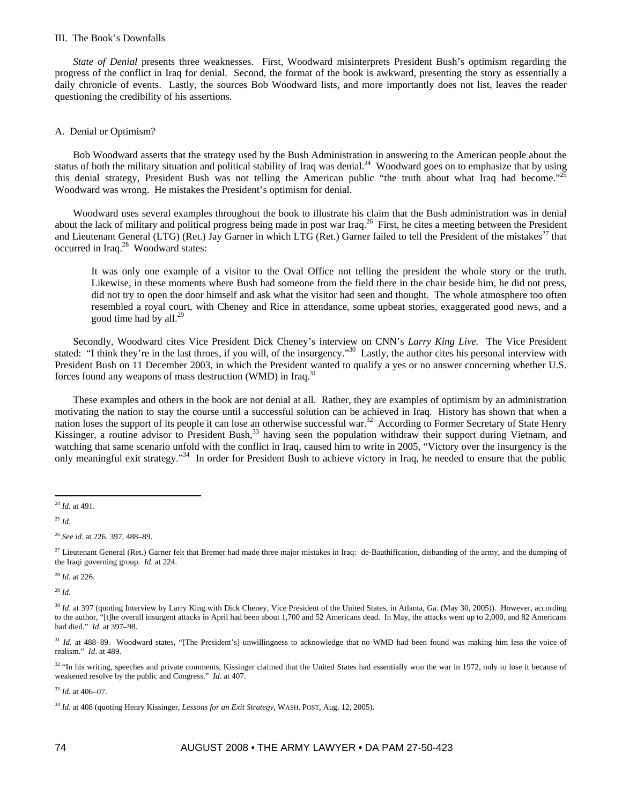#### III. The Book's Downfalls

*State of Denial* presents three weaknesses. First, Woodward misinterprets President Bush's optimism regarding the progress of the conflict in Iraq for denial. Second, the format of the book is awkward, presenting the story as essentially a daily chronicle of events. Lastly, the sources Bob Woodward lists, and more importantly does not list, leaves the reader questioning the credibility of his assertions.

#### A. Denial or Optimism?

Bob Woodward asserts that the strategy used by the Bush Administration in answering to the American people about the Bob Woodward asserts that the strategy used by the Dush Administration in the two-completes on to emphasize that by using status of both the military situation and political stability of Iraq was denial.<sup>24</sup> Woodward goes this denial strategy, President Bush was not telling the American public "the truth about what Iraq had become." Woodward was wrong. He mistakes the President's optimism for denial.

Woodward uses several examples throughout the book to illustrate his claim that the Bush administration was in denial about the lack of military and political progress being made in post war Iraq.<sup>26</sup> First, he cites a meeting between the President and Lieutenant General (LTG) (Ret.) Jay Garner in which LTG (Ret.) Garner failed to tell the President of the mistakes $^{27}$  that occurred in Iraq.<sup>28</sup> Woodward states:

It was only one example of a visitor to the Oval Office not telling the president the whole story or the truth. Likewise, in these moments where Bush had someone from the field there in the chair beside him, he did not press, did not try to open the door himself and ask what the visitor had seen and thought. The whole atmosphere too often resembled a royal court, with Cheney and Rice in attendance, some upbeat stories, exaggerated good news, and a good time had by all. $^{29}$ 

Secondly, Woodward cites Vice President Dick Cheney's interview on CNN's *Larry King Live.* The Vice President stated: "I think they're in the last throes, if you will, of the insurgency."<sup>30</sup> Lastly, the author cites his personal interview with President Bush on 11 December 2003, in which the President wanted to qualify a yes or no answer concerning whether U.S. forces found any weapons of mass destruction (WMD) in Iraq.<sup>3</sup>

These examples and others in the book are not denial at all. Rather, they are examples of optimism by an administration motivating the nation to stay the course until a successful solution can be achieved in Iraq. History has shown that when a nation loses the support of its people it can lose an otherwise successful war.<sup>32</sup> According to Former Secretary of State Henry Kissinger, a routine advisor to President Bush,<sup>33</sup> having seen the population withdraw their support during Vietnam, and watching that same scenario unfold with the conflict in Iraq, caused him to write in 2005, "Victory over the insurgency is the only meaningful exit strategy."<sup>34</sup> In order for President Bush to achieve victory in Iraq, he needed to ensure that the public

<sup>25</sup> *Id*.

<sup>28</sup> *Id*. at 226.

<sup>29</sup> *Id*.

<sup>31</sup> *Id.* at 488–89. Woodward states, "[The President's] unwillingness to acknowledge that no WMD had been found was making him less the voice of realism." *Id*. at 489.

<sup>32</sup> "In his writing, speeches and private comments, Kissinger claimed that the United States had essentially won the war in 1972, only to lose it because of weakened resolve by the public and Congress." *Id*. at 407.

<sup>33</sup> *Id*. at 406–07.

 $\overline{a}$ <sup>24</sup> *Id*. at 491.

<sup>26</sup> *See id*. at 226, 397, 488–89.

<sup>&</sup>lt;sup>27</sup> Lieutenant General (Ret.) Garner felt that Bremer had made three major mistakes in Iraq: de-Baathification, disbanding of the army, and the dumping of the Iraqi governing group. *Id*. at 224.

<sup>&</sup>lt;sup>30</sup> *Id.* at 397 (quoting Interview by Larry King with Dick Cheney, Vice President of the United States, in Atlanta, Ga. (May 30, 2005)). However, according to the author, "[t]he overall insurgent attacks in April had been about 1,700 and 52 Americans dead. In May, the attacks went up to 2,000, and 82 Americans had died." *Id*. at 397–98.

<sup>34</sup> *Id*. at 408 (quoting Henry Kissinger, *Lessons for an Exit Strategy*, WASH. POST, Aug. 12, 2005).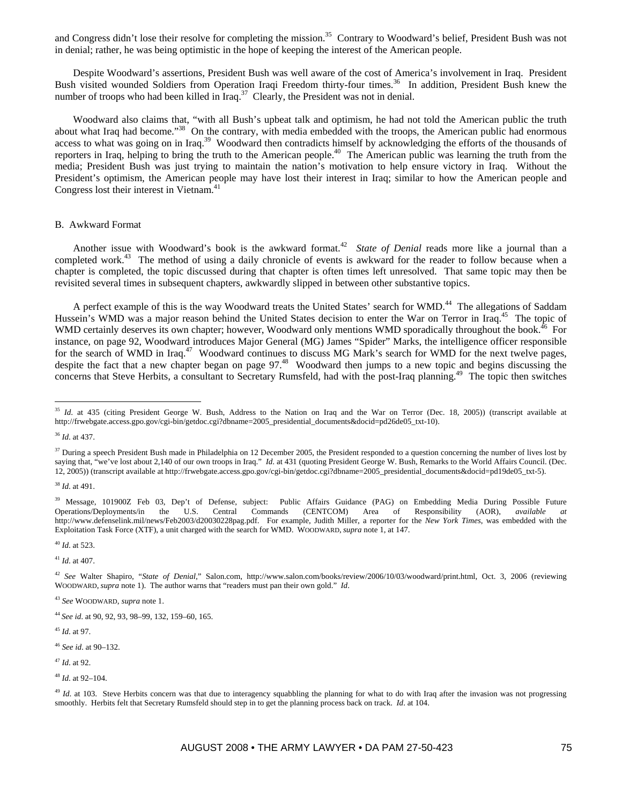and Congress didn't lose their resolve for completing the mission.<sup>35</sup> Contrary to Woodward's belief, President Bush was not in denial; rather, he was being optimistic in the hope of keeping the interest of the American people.

Despite Woodward's assertions, President Bush was well aware of the cost of America's involvement in Iraq. President Bush visited wounded Soldiers from Operation Iraqi Freedom thirty-four times.<sup>36</sup> In addition, President Bush knew the number of troops who had been killed in  $Iraq<sup>37</sup>$  Clearly, the President was not in denial.

Woodward also claims that, "with all Bush's upbeat talk and optimism, he had not told the American public the truth about what Iraq had become."<sup>38</sup> On the contrary, with media embedded with the troops, the American public had enormous access to what was going on in Iraq.<sup>39</sup> Woodward then contradicts himself by acknowledging the efforts of the thousands of reporters in Iraq, helping to bring the truth to the American people.<sup>40</sup> The American public was learning the truth from the media; President Bush was just trying to maintain the nation's motivation to help ensure victory in Iraq. Without the President's optimism, the American people may have lost their interest in Iraq; similar to how the American people and Congress lost their interest in Vietnam.<sup>41</sup>

#### B. Awkward Format

Another issue with Woodward's book is the awkward format.<sup>42</sup> *State of Denial* reads more like a journal than a completed work.<sup>43</sup> The method of using a daily chronicle of events is awkward for the reader to follow because when a chapter is completed, the topic discussed during that chapter is often times left unresolved. That same topic may then be revisited several times in subsequent chapters, awkwardly slipped in between other substantive topics.

A perfect example of this is the way Woodward treats the United States' search for WMD.<sup>44</sup> The allegations of Saddam Hussein's WMD was a major reason behind the United States decision to enter the War on Terror in Iraq.<sup>45</sup> The topic of WMD certainly deserves its own chapter; however, Woodward only mentions WMD sporadically throughout the book.<sup>46</sup> For instance, on page 92, Woodward introduces Major General (MG) James "Spider" Marks, the intelligence officer responsible for the search of WMD in Iraq.<sup>47</sup> Woodward continues to discuss MG Mark's search for WMD for the next twelve pages, despite the fact that a new chapter began on page 97.<sup>48</sup> Woodward then jumps to a new topic and begins discussing the concerns that Steve Herbits, a consultant to Secretary Rumsfeld, had with the post-Iraq planning.49 The topic then switches

 $\overline{a}$ 

<sup>40</sup> *Id*. at 523.

<sup>41</sup> *Id*. at 407.

<sup>45</sup> *Id*. at 97.

<sup>46</sup> *See id*. at 90–132.

<sup>47</sup> *Id*. at 92.

<sup>&</sup>lt;sup>35</sup> *Id.* at 435 (citing President George W. Bush, Address to the Nation on Iraq and the War on Terror (Dec. 18, 2005)) (transcript available at http://frwebgate.access.gpo.gov/cgi-bin/getdoc.cgi?dbname=2005\_presidential\_documents&docid=pd26de05\_txt-10).

<sup>36</sup> *Id*. at 437.

<sup>&</sup>lt;sup>37</sup> During a speech President Bush made in Philadelphia on 12 December 2005, the President responded to a question concerning the number of lives lost by saying that, "we've lost about 2,140 of our own troops in Iraq." *Id*. at 431 (quoting President George W. Bush, Remarks to the World Affairs Council. (Dec. 12, 2005)) (transcript available at http://frwebgate.access.gpo.gov/cgi-bin/getdoc.cgi?dbname=2005\_presidential\_documents&docid=pd19de05\_txt-5).

<sup>38</sup> *Id*. at 491.

<sup>&</sup>lt;sup>39</sup> Message, 101900Z Feb 03, Dep't of Defense, subject: Public Affairs Guidance (PAG) on Embedding Media During Possible Future Operations/Deployments/in the U.S. Central Commands (CENTCOM) Area of Responsibility (AOR), *available at* http://www.defenselink.mil/news/Feb2003/d20030228pag.pdf. For example, Judith Miller, a reporter for the *New York Times*, was embedded with the Exploitation Task Force (XTF), a unit charged with the search for WMD. WOODWARD, *supra* note 1, at 147.

<sup>42</sup> *See* Walter Shapiro, "*State of Denial*," Salon.com, http://www.salon.com/books/review/2006/10/03/woodward/print.html, Oct. 3, 2006 (reviewing WOODWARD, *supra* note 1). The author warns that "readers must pan their own gold." *Id*.

<sup>43</sup> *See* WOODWARD, *supra* note 1.

<sup>44</sup> *See id*. at 90, 92, 93, 98–99, 132, 159–60, 165.

<sup>48</sup> *Id*. at 92–104.

<sup>&</sup>lt;sup>49</sup> *Id.* at 103. Steve Herbits concern was that due to interagency squabbling the planning for what to do with Iraq after the invasion was not progressing smoothly. Herbits felt that Secretary Rumsfeld should step in to get the planning process back on track. *Id*. at 104.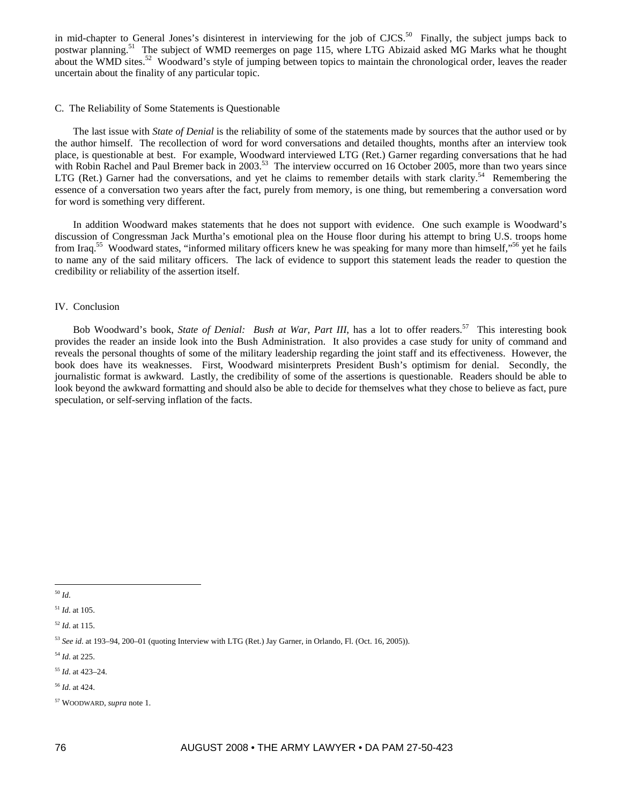in mid-chapter to General Jones's disinterest in interviewing for the job of CJCS.<sup>50</sup> Finally, the subject jumps back to postwar planning.<sup>51</sup> The subject of WMD reemerges on page 115, where LTG Abizaid asked MG Marks what he thought about the WMD sites.<sup>52</sup> Woodward's style of jumping between topics to maintain the chronological order, leaves the reader uncertain about the finality of any particular topic.

#### C. The Reliability of Some Statements is Questionable

The last issue with *State of Denial* is the reliability of some of the statements made by sources that the author used or by the author himself. The recollection of word for word conversations and detailed thoughts, months after an interview took place, is questionable at best. For example, Woodward interviewed LTG (Ret.) Garner regarding conversations that he had with Robin Rachel and Paul Bremer back in 2003.<sup>53</sup> The interview occurred on 16 October 2005, more than two years since LTG (Ret.) Garner had the conversations, and yet he claims to remember details with stark clarity.<sup>54</sup> Remembering the essence of a conversation two years after the fact, purely from memory, is one thing, but remembering a conversation word for word is something very different.

In addition Woodward makes statements that he does not support with evidence. One such example is Woodward's discussion of Congressman Jack Murtha's emotional plea on the House floor during his attempt to bring U.S. troops home from Iraq.<sup>55</sup> Woodward states, "informed military officers knew he was speaking for many more than himself,"<sup>56</sup> yet he fails to name any of the said military officers. The lack of evidence to support this statement leads the reader to question the credibility or reliability of the assertion itself.

#### IV. Conclusion

Bob Woodward's book, *State of Denial: Bush at War, Part III*, has a lot to offer readers.<sup>57</sup> This interesting book provides the reader an inside look into the Bush Administration. It also provides a case study for unity of command and reveals the personal thoughts of some of the military leadership regarding the joint staff and its effectiveness. However, the book does have its weaknesses. First, Woodward misinterprets President Bush's optimism for denial. Secondly, the journalistic format is awkward. Lastly, the credibility of some of the assertions is questionable. Readers should be able to look beyond the awkward formatting and should also be able to decide for themselves what they chose to believe as fact, pure speculation, or self-serving inflation of the facts.

 $\overline{a}$ <sup>50</sup> *Id*.

<sup>51</sup> *Id*. at 105.

- <sup>55</sup> *Id*. at 423–24.
- <sup>56</sup> *Id*. at 424.
- 57 WOODWARD, *supra* note 1.

<sup>52</sup> *Id*. at 115.

<sup>53</sup> *See id*. at 193–94, 200–01 (quoting Interview with LTG (Ret.) Jay Garner, in Orlando, Fl. (Oct. 16, 2005)).

<sup>54</sup> *Id*. at 225.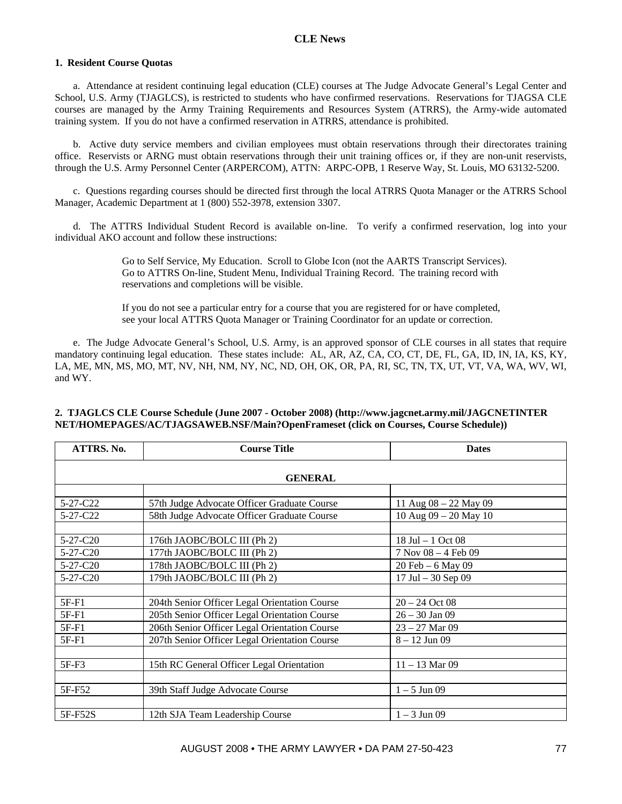# **1. Resident Course Quotas**

a. Attendance at resident continuing legal education (CLE) courses at The Judge Advocate General's Legal Center and School, U.S. Army (TJAGLCS), is restricted to students who have confirmed reservations. Reservations for TJAGSA CLE courses are managed by the Army Training Requirements and Resources System (ATRRS), the Army-wide automated training system. If you do not have a confirmed reservation in ATRRS, attendance is prohibited.

b. Active duty service members and civilian employees must obtain reservations through their directorates training office. Reservists or ARNG must obtain reservations through their unit training offices or, if they are non-unit reservists, through the U.S. Army Personnel Center (ARPERCOM), ATTN: ARPC-OPB, 1 Reserve Way, St. Louis, MO 63132-5200.

c. Questions regarding courses should be directed first through the local ATRRS Quota Manager or the ATRRS School Manager, Academic Department at 1 (800) 552-3978, extension 3307.

d. The ATTRS Individual Student Record is available on-line. To verify a confirmed reservation, log into your individual AKO account and follow these instructions:

> Go to Self Service, My Education. Scroll to Globe Icon (not the AARTS Transcript Services). Go to ATTRS On-line, Student Menu, Individual Training Record. The training record with reservations and completions will be visible.

If you do not see a particular entry for a course that you are registered for or have completed, see your local ATTRS Quota Manager or Training Coordinator for an update or correction.

e. The Judge Advocate General's School, U.S. Army, is an approved sponsor of CLE courses in all states that require mandatory continuing legal education. These states include: AL, AR, AZ, CA, CO, CT, DE, FL, GA, ID, IN, IA, KS, KY, LA, ME, MN, MS, MO, MT, NV, NH, NM, NY, NC, ND, OH, OK, OR, PA, RI, SC, TN, TX, UT, VT, VA, WA, WV, WI, and WY.

| ATTRS. No. | <b>Course Title</b>                           | <b>Dates</b>              |
|------------|-----------------------------------------------|---------------------------|
|            | <b>GENERAL</b>                                |                           |
|            |                                               |                           |
| 5-27-C22   | 57th Judge Advocate Officer Graduate Course   | 11 Aug $08 - 22$ May 09   |
| 5-27-C22   | 58th Judge Advocate Officer Graduate Course   | 10 Aug $09 - 20$ May 10   |
|            |                                               |                           |
| $5-27-C20$ | 176th JAOBC/BOLC III (Ph 2)                   | 18 Jul $-1$ Oct 08        |
| $5-27-C20$ | 177th JAOBC/BOLC III (Ph 2)                   | $7$ Nov $08 - 4$ Feb $09$ |
| $5-27-C20$ | 178th JAOBC/BOLC III (Ph 2)                   | 20 Feb - 6 May 09         |
| 5-27-C20   | 179th JAOBC/BOLC III (Ph 2)                   | 17 Jul $-30$ Sep 09       |
|            |                                               |                           |
| $5F-F1$    | 204th Senior Officer Legal Orientation Course | $20 - 24$ Oct 08          |
| 5F-F1      | 205th Senior Officer Legal Orientation Course | $26 - 30$ Jan 09          |
| $5F-F1$    | 206th Senior Officer Legal Orientation Course | $23 - 27$ Mar 09          |
| 5F-F1      | 207th Senior Officer Legal Orientation Course | $8 - 12$ Jun 09           |
|            |                                               |                           |
| $5F-F3$    | 15th RC General Officer Legal Orientation     | $11 - 13$ Mar 09          |
|            |                                               |                           |
| 5F-F52     | 39th Staff Judge Advocate Course              | $1 - 5$ Jun 09            |
|            |                                               |                           |
| 5F-F52S    | 12th SJA Team Leadership Course               | $1 - 3$ Jun 09            |

# **2. TJAGLCS CLE Course Schedule (June 2007 - October 2008) (http://www.jagcnet.army.mil/JAGCNETINTER NET/HOMEPAGES/AC/TJAGSAWEB.NSF/Main?OpenFrameset (click on Courses, Course Schedule))**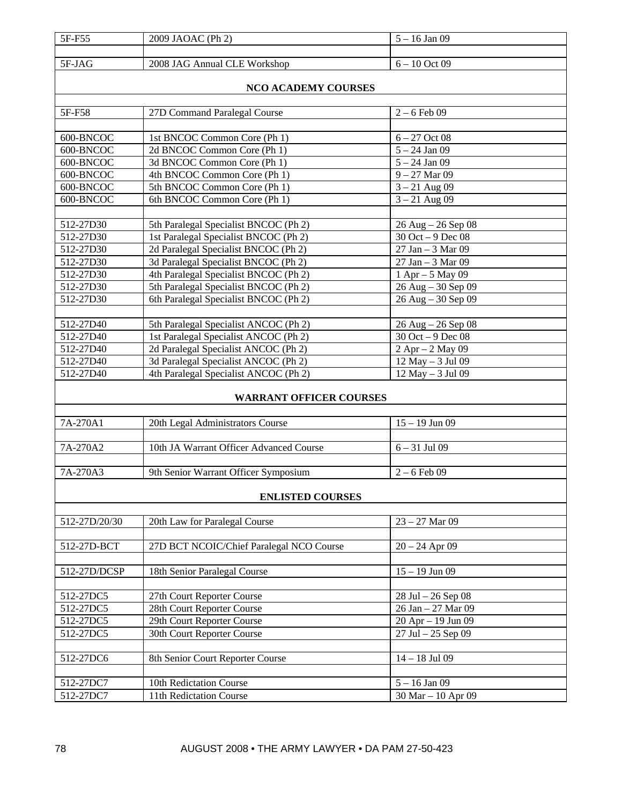| 5F-F55                 | 2009 JAOAC (Ph 2)                                           | $5 - 16$ Jan 09                                |
|------------------------|-------------------------------------------------------------|------------------------------------------------|
|                        |                                                             |                                                |
| 5F-JAG                 | 2008 JAG Annual CLE Workshop                                | $6 - 10$ Oct 09                                |
|                        |                                                             |                                                |
|                        | <b>NCO ACADEMY COURSES</b>                                  |                                                |
|                        |                                                             |                                                |
| 5F-F58                 | 27D Command Paralegal Course                                | $2 - 6$ Feb 09                                 |
|                        |                                                             |                                                |
| 600-BNCOC              | 1st BNCOC Common Core (Ph 1)                                | $6 - 27$ Oct 08                                |
| 600-BNCOC              | 2d BNCOC Common Core (Ph 1)                                 | $5 - 24$ Jan 09                                |
| 600-BNCOC<br>600-BNCOC | 3d BNCOC Common Core (Ph 1)<br>4th BNCOC Common Core (Ph 1) | $5 - 24$ Jan 09<br>$9 - 27$ Mar 09             |
| 600-BNCOC              |                                                             |                                                |
|                        | 5th BNCOC Common Core (Ph 1)                                | $3 - 21$ Aug 09                                |
| 600-BNCOC              | 6th BNCOC Common Core (Ph 1)                                | $3 - 21$ Aug 09                                |
| 512-27D30              | 5th Paralegal Specialist BNCOC (Ph 2)                       |                                                |
| 512-27D30              | 1st Paralegal Specialist BNCOC (Ph 2)                       | $26$ Aug $- 26$ Sep 08<br>$30$ Oct $-9$ Dec 08 |
| 512-27D30              | 2d Paralegal Specialist BNCOC (Ph 2)                        | 27 Jan - 3 Mar $\overline{09}$                 |
| 512-27D30              | 3d Paralegal Specialist BNCOC (Ph 2)                        | 27 Jan - 3 Mar 09                              |
| 512-27D30              | 4th Paralegal Specialist BNCOC (Ph 2)                       | $1$ Apr $-5$ May 09                            |
| 512-27D30              | 5th Paralegal Specialist BNCOC (Ph 2)                       | 26 Aug - 30 Sep 09                             |
| 512-27D30              | 6th Paralegal Specialist BNCOC (Ph 2)                       | 26 Aug - 30 Sep 09                             |
|                        |                                                             |                                                |
| 512-27D40              | 5th Paralegal Specialist ANCOC (Ph 2)                       | $26$ Aug $- 26$ Sep 08                         |
| 512-27D40              | 1st Paralegal Specialist ANCOC (Ph 2)                       | 30 Oct - 9 Dec 08                              |
| 512-27D40              | 2d Paralegal Specialist ANCOC (Ph 2)                        | 2 Apr - 2 May 09                               |
| 512-27D40              | 3d Paralegal Specialist ANCOC (Ph 2)                        | 12 May - 3 Jul 09                              |
| 512-27D40              | 4th Paralegal Specialist ANCOC (Ph 2)                       | 12 May - 3 Jul 09                              |
|                        |                                                             |                                                |
|                        | <b>WARRANT OFFICER COURSES</b>                              |                                                |
|                        |                                                             |                                                |
| 7A-270A1               | 20th Legal Administrators Course                            | $15 - 19$ Jun 09                               |
|                        |                                                             |                                                |
| 7A-270A2               | 10th JA Warrant Officer Advanced Course                     | $6 - 31$ Jul 09                                |
|                        |                                                             |                                                |
| $7A-270A3$             | 9th Senior Warrant Officer Symposium                        | $2 - 6$ Feb 09                                 |
|                        |                                                             |                                                |
|                        | <b>ENLISTED COURSES</b>                                     |                                                |
|                        |                                                             |                                                |
| 512-27D/20/30          | 20th Law for Paralegal Course                               | $23 - 27$ Mar 09                               |
| 512-27D-BCT            | 27D BCT NCOIC/Chief Paralegal NCO Course                    | $20 - 24$ Apr 09                               |
|                        |                                                             |                                                |
| 512-27D/DCSP           | 18th Senior Paralegal Course                                | $15 - 19$ Jun 09                               |
|                        |                                                             |                                                |
| 512-27DC5              | 27th Court Reporter Course                                  | 28 Jul - 26 Sep 08                             |
| 512-27DC5              | 28th Court Reporter Course                                  | 26 Jan - 27 Mar 09                             |
| 512-27DC5              | 29th Court Reporter Course                                  | 20 Apr - 19 Jun 09                             |
| 512-27DC5              | 30th Court Reporter Course                                  | $27$ Jul $-25$ Sep 09                          |
|                        |                                                             |                                                |
| 512-27DC6              | 8th Senior Court Reporter Course                            | $14 - 18$ Jul 09                               |
|                        |                                                             |                                                |
| 512-27DC7              | 10th Redictation Course                                     | $5 - 16$ Jan 09                                |
| 512-27DC7              | 11th Redictation Course                                     | 30 Mar - 10 Apr 09                             |
|                        |                                                             |                                                |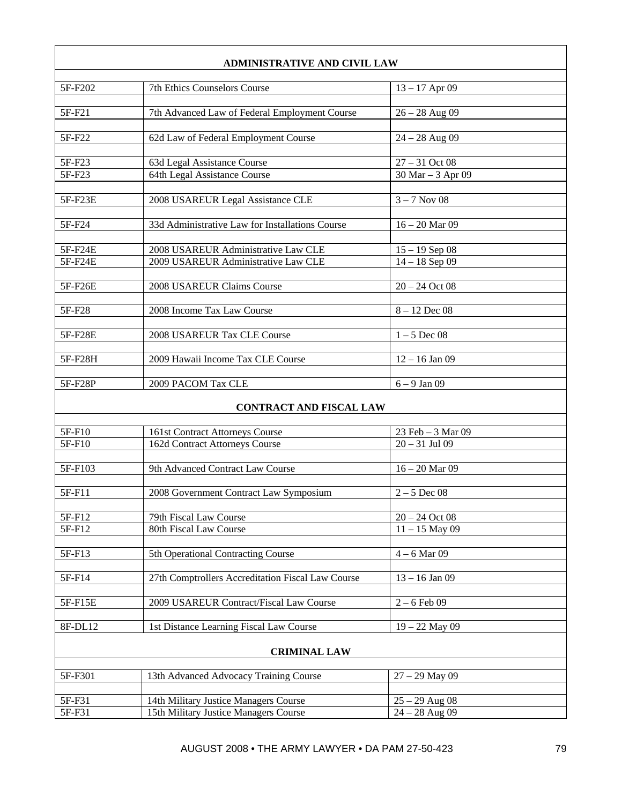| <b>ADMINISTRATIVE AND CIVIL LAW</b> |                                                                                |                                      |
|-------------------------------------|--------------------------------------------------------------------------------|--------------------------------------|
|                                     |                                                                                |                                      |
| 5F-F202                             | 7th Ethics Counselors Course                                                   | $13 - 17$ Apr 09                     |
| 5F-F21                              | 7th Advanced Law of Federal Employment Course                                  | $26 - 28$ Aug 09                     |
|                                     |                                                                                |                                      |
| 5F-F22                              | 62d Law of Federal Employment Course                                           | $24 - 28$ Aug 09                     |
|                                     |                                                                                |                                      |
| 5F-F23                              | 63d Legal Assistance Course                                                    | $27 - 31$ Oct 08                     |
| 5F-F23                              | 64th Legal Assistance Course                                                   | 30 Mar - 3 Apr 09                    |
|                                     |                                                                                |                                      |
| 5F-F23E                             | 2008 USAREUR Legal Assistance CLE                                              | $3 - 7$ Nov 08                       |
| 5F-F24                              | 33d Administrative Law for Installations Course                                | $16 - 20$ Mar 09                     |
|                                     |                                                                                |                                      |
| 5F-F24E                             | 2008 USAREUR Administrative Law CLE                                            | $15 - 19$ Sep 08                     |
| 5F-F24E                             | 2009 USAREUR Administrative Law CLE                                            | $14 - 18$ Sep 09                     |
|                                     |                                                                                |                                      |
| 5F-F26E                             | 2008 USAREUR Claims Course                                                     | $20 - 24$ Oct 08                     |
|                                     |                                                                                |                                      |
| 5F-F28                              | 2008 Income Tax Law Course                                                     | $8 - 12$ Dec 08                      |
|                                     |                                                                                |                                      |
| 5F-F28E                             | 2008 USAREUR Tax CLE Course                                                    | $1 - 5$ Dec 08                       |
| 5F-F28H                             | 2009 Hawaii Income Tax CLE Course                                              | $12 - 16$ Jan 09                     |
|                                     |                                                                                |                                      |
| 5F-F28P                             | 2009 PACOM Tax CLE                                                             | $6 - 9$ Jan 09                       |
|                                     |                                                                                |                                      |
|                                     | <b>CONTRACT AND FISCAL LAW</b>                                                 |                                      |
| 5F-F10                              | 161st Contract Attorneys Course                                                | 23 Feb - 3 Mar 09                    |
| 5F-F10                              | 162d Contract Attorneys Course                                                 | $20 - 31$ Jul 09                     |
|                                     |                                                                                |                                      |
| 5F-F103                             | 9th Advanced Contract Law Course                                               | $16 - 20$ Mar 09                     |
|                                     |                                                                                |                                      |
| 5F-F11                              | 2008 Government Contract Law Symposium                                         | $2 - 5$ Dec 08                       |
|                                     |                                                                                |                                      |
| 5F-F12<br>5F-F12                    | 79th Fiscal Law Course<br>80th Fiscal Law Course                               | $20 - 24$ Oct 08<br>$11 - 15$ May 09 |
|                                     |                                                                                |                                      |
| 5F-F13                              | 5th Operational Contracting Course                                             | $4-6$ Mar 09                         |
|                                     |                                                                                |                                      |
| 5F-F14                              | 27th Comptrollers Accreditation Fiscal Law Course                              | $13 - 16$ Jan 09                     |
|                                     |                                                                                |                                      |
| 5F-F15E                             | 2009 USAREUR Contract/Fiscal Law Course                                        | $2 - 6$ Feb 09                       |
|                                     |                                                                                |                                      |
| 8F-DL12                             | 1st Distance Learning Fiscal Law Course                                        | $19 - 22$ May 09                     |
|                                     | <b>CRIMINAL LAW</b>                                                            |                                      |
|                                     |                                                                                |                                      |
| 5F-F301                             | 13th Advanced Advocacy Training Course                                         | $27 - 29$ May 09                     |
|                                     |                                                                                |                                      |
| 5F-F31<br>5F-F31                    | 14th Military Justice Managers Course<br>15th Military Justice Managers Course | $25 - 29$ Aug 08<br>$24 - 28$ Aug 09 |
|                                     |                                                                                |                                      |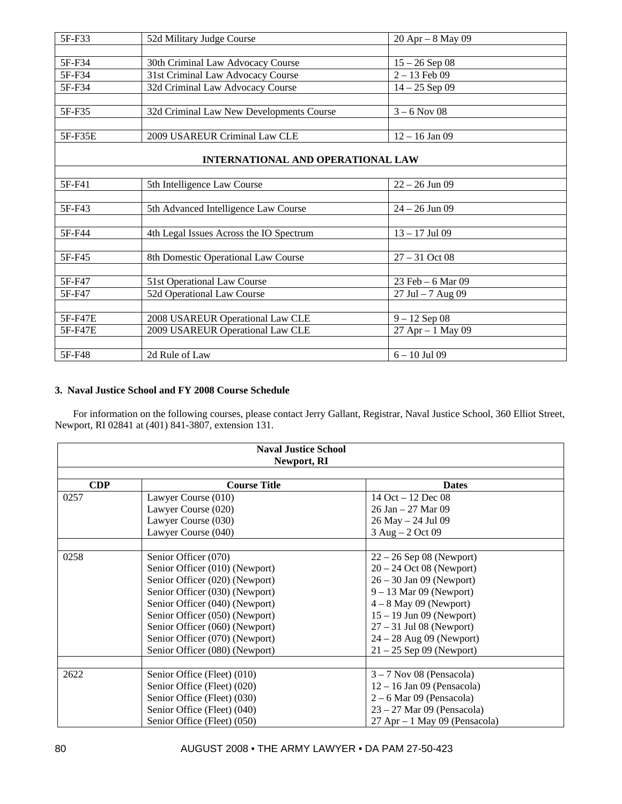| 5F-F33  | 52d Military Judge Course                | 20 Apr - 8 May 09    |
|---------|------------------------------------------|----------------------|
|         |                                          |                      |
| 5F-F34  | 30th Criminal Law Advocacy Course        | $15 - 26$ Sep 08     |
| 5F-F34  | 31st Criminal Law Advocacy Course        | $2 - 13$ Feb 09      |
| 5F-F34  | 32d Criminal Law Advocacy Course         | $14 - 25$ Sep 09     |
|         |                                          |                      |
| 5F-F35  | 32d Criminal Law New Developments Course | $3 - 6$ Nov 08       |
|         |                                          |                      |
| 5F-F35E | 2009 USAREUR Criminal Law CLE            | $12 - 16$ Jan 09     |
|         |                                          |                      |
|         | <b>INTERNATIONAL AND OPERATIONAL LAW</b> |                      |
|         |                                          |                      |
| 5F-F41  | 5th Intelligence Law Course              | $22 - 26$ Jun 09     |
|         |                                          |                      |
| 5F-F43  | 5th Advanced Intelligence Law Course     | $24 - 26$ Jun 09     |
|         |                                          |                      |
| 5F-F44  | 4th Legal Issues Across the IO Spectrum  | $13 - 17$ Jul 09     |
|         |                                          |                      |
| 5F-F45  | 8th Domestic Operational Law Course      | $27 - 31$ Oct 08     |
|         |                                          |                      |
| 5F-F47  | 51st Operational Law Course              | 23 Feb - 6 Mar 09    |
| 5F-F47  | 52d Operational Law Course               | $27$ Jul $-7$ Aug 09 |
|         |                                          |                      |
| 5F-F47E | 2008 USAREUR Operational Law CLE         | $9 - 12$ Sep 08      |
| 5F-F47E | 2009 USAREUR Operational Law CLE         | 27 Apr - 1 May 09    |
|         |                                          |                      |
| 5F-F48  | 2d Rule of Law                           | $6 - 10$ Jul 09      |

# **3. Naval Justice School and FY 2008 Course Schedule**

For information on the following courses, please contact Jerry Gallant, Registrar, Naval Justice School, 360 Elliot Street, Newport, RI 02841 at (401) 841-3807, extension 131.

| <b>Naval Justice School</b><br>Newport, RI |                                |                                  |  |
|--------------------------------------------|--------------------------------|----------------------------------|--|
|                                            |                                |                                  |  |
| <b>CDP</b>                                 | <b>Course Title</b>            | <b>Dates</b>                     |  |
| 0257                                       | Lawyer Course (010)            | 14 Oct $-12$ Dec 08              |  |
|                                            | Lawyer Course (020)            | $26$ Jan $-27$ Mar 09            |  |
|                                            | Lawyer Course (030)            | 26 May - 24 Jul 09               |  |
|                                            | Lawyer Course (040)            | 3 Aug - 2 Oct 09                 |  |
|                                            |                                |                                  |  |
| 0258                                       | Senior Officer (070)           | $22 - 26$ Sep 08 (Newport)       |  |
|                                            | Senior Officer (010) (Newport) | $20 - 24$ Oct 08 (Newport)       |  |
|                                            | Senior Officer (020) (Newport) | $26 - 30$ Jan 09 (Newport)       |  |
|                                            | Senior Officer (030) (Newport) | $9 - 13$ Mar 09 (Newport)        |  |
|                                            | Senior Officer (040) (Newport) | $4-8$ May 09 (Newport)           |  |
|                                            | Senior Officer (050) (Newport) | $15 - 19$ Jun 09 (Newport)       |  |
|                                            | Senior Officer (060) (Newport) | $27 - 31$ Jul 08 (Newport)       |  |
|                                            | Senior Officer (070) (Newport) | $24 - 28$ Aug 09 (Newport)       |  |
|                                            | Senior Officer (080) (Newport) | $21 - 25$ Sep 09 (Newport)       |  |
|                                            |                                |                                  |  |
| 2622                                       | Senior Office (Fleet) (010)    | $3 - 7$ Nov 08 (Pensacola)       |  |
|                                            | Senior Office (Fleet) (020)    | $12 - 16$ Jan 09 (Pensacola)     |  |
|                                            | Senior Office (Fleet) (030)    | $2 - 6$ Mar 09 (Pensacola)       |  |
|                                            | Senior Office (Fleet) (040)    | $23 - 27$ Mar 09 (Pensacola)     |  |
|                                            | Senior Office (Fleet) (050)    | $27$ Apr $-1$ May 09 (Pensacola) |  |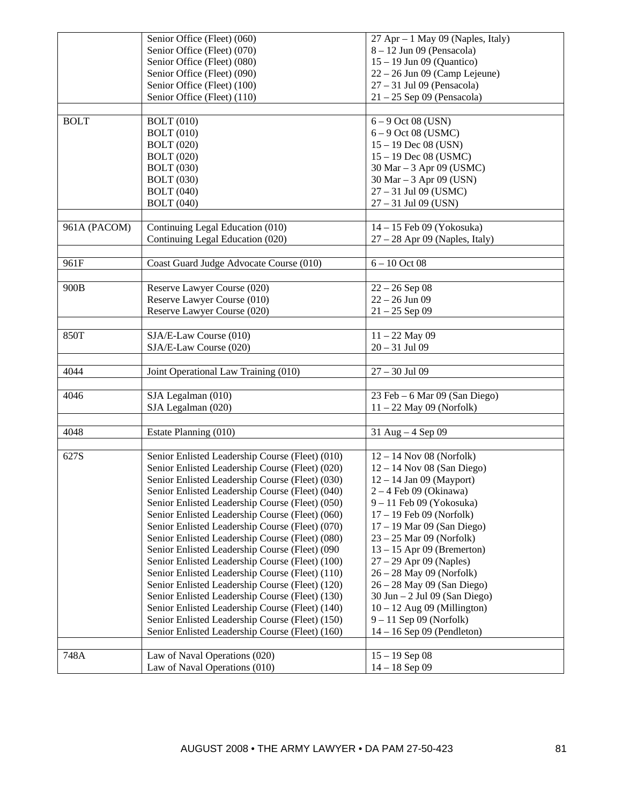|              | Senior Office (Fleet) (060)                     | $27$ Apr $-1$ May 09 (Naples, Italy)            |
|--------------|-------------------------------------------------|-------------------------------------------------|
|              | Senior Office (Fleet) (070)                     | $8 - 12$ Jun 09 (Pensacola)                     |
|              | Senior Office (Fleet) (080)                     | $15 - 19$ Jun 09 (Quantico)                     |
|              | Senior Office (Fleet) (090)                     | $22 - 26$ Jun 09 (Camp Lejeune)                 |
|              | Senior Office (Fleet) (100)                     | $27 - 31$ Jul 09 (Pensacola)                    |
|              | Senior Office (Fleet) (110)                     | $21 - 25$ Sep 09 (Pensacola)                    |
|              |                                                 |                                                 |
| <b>BOLT</b>  | <b>BOLT</b> (010)                               | $6 - 9$ Oct 08 (USN)                            |
|              | <b>BOLT</b> (010)                               | $6 - 9$ Oct 08 (USMC)                           |
|              | <b>BOLT</b> (020)                               | $15 - 19$ Dec 08 (USN)                          |
|              | <b>BOLT</b> (020)                               | $15 - 19$ Dec 08 (USMC)                         |
|              | <b>BOLT</b> (030)                               | 30 Mar – 3 Apr 09 (USMC)                        |
|              | <b>BOLT</b> (030)                               | 30 Mar – 3 Apr 09 (USN)                         |
|              | <b>BOLT</b> (040)                               | 27 - 31 Jul 09 (USMC)                           |
|              | <b>BOLT</b> (040)                               | $27 - 31$ Jul 09 (USN)                          |
|              |                                                 |                                                 |
| 961A (PACOM) | Continuing Legal Education (010)                | $14 - 15$ Feb 09 (Yokosuka)                     |
|              | Continuing Legal Education (020)                | $27 - 28$ Apr 09 (Naples, Italy)                |
|              |                                                 |                                                 |
| 961F         | Coast Guard Judge Advocate Course (010)         | $6 - 10$ Oct 08                                 |
|              |                                                 |                                                 |
| 900B         | Reserve Lawyer Course (020)                     | $22 - 26$ Sep 08                                |
|              | Reserve Lawyer Course (010)                     | $22 - 26$ Jun 09                                |
|              | Reserve Lawyer Course (020)                     | $21 - 25$ Sep 09                                |
|              |                                                 |                                                 |
| 850T         | SJA/E-Law Course (010)                          | $11 - 22$ May 09                                |
|              | SJA/E-Law Course (020)                          | $20 - 31$ Jul 09                                |
|              |                                                 |                                                 |
| 4044         | Joint Operational Law Training (010)            | $27 - 30$ Jul 09                                |
|              |                                                 |                                                 |
| 4046         | SJA Legalman (010)                              | 23 Feb – 6 Mar 09 (San Diego)                   |
|              | SJA Legalman (020)                              | $11 - 22$ May 09 (Norfolk)                      |
|              |                                                 |                                                 |
| 4048         | Estate Planning (010)                           | 31 Aug $-4$ Sep 09                              |
|              |                                                 |                                                 |
| 627S         | Senior Enlisted Leadership Course (Fleet) (010) | $12 - 14$ Nov 08 (Norfolk)                      |
|              |                                                 |                                                 |
|              | Senior Enlisted Leadership Course (Fleet) (020) | $12 - 14$ Nov 08 (San Diego)                    |
|              | Senior Enlisted Leadership Course (Fleet) (030) | $12 - 14$ Jan 09 (Mayport)                      |
|              | Senior Enlisted Leadership Course (Fleet) (040) | $2 - 4$ Feb 09 (Okinawa)                        |
|              | Senior Enlisted Leadership Course (Fleet) (050) | $9 - 11$ Feb 09 (Yokosuka)                      |
|              | Senior Enlisted Leadership Course (Fleet) (060) | $17 - 19$ Feb 09 (Norfolk)                      |
|              | Senior Enlisted Leadership Course (Fleet) (070) | $17 - 19$ Mar 09 (San Diego)                    |
|              | Senior Enlisted Leadership Course (Fleet) (080) | $23 - 25$ Mar 09 (Norfolk)                      |
|              | Senior Enlisted Leadership Course (Fleet) (090  | $13 - 15$ Apr 09 (Bremerton)                    |
|              | Senior Enlisted Leadership Course (Fleet) (100) | $27 - 29$ Apr 09 (Naples)                       |
|              | Senior Enlisted Leadership Course (Fleet) (110) | 26 - 28 May 09 (Norfolk)                        |
|              | Senior Enlisted Leadership Course (Fleet) (120) | $26 - 28$ May 09 (San Diego)                    |
|              | Senior Enlisted Leadership Course (Fleet) (130) | $30 \text{ Jun} - 2 \text{ Jul} 09$ (San Diego) |
|              | Senior Enlisted Leadership Course (Fleet) (140) | $10 - 12$ Aug 09 (Millington)                   |
|              | Senior Enlisted Leadership Course (Fleet) (150) | $9 - 11$ Sep 09 (Norfolk)                       |
|              | Senior Enlisted Leadership Course (Fleet) (160) | $14 - 16$ Sep 09 (Pendleton)                    |
|              |                                                 |                                                 |
| 748A         | Law of Naval Operations (020)                   | $15 - 19$ Sep 08                                |
|              | Law of Naval Operations (010)                   | $14 - 18$ Sep 09                                |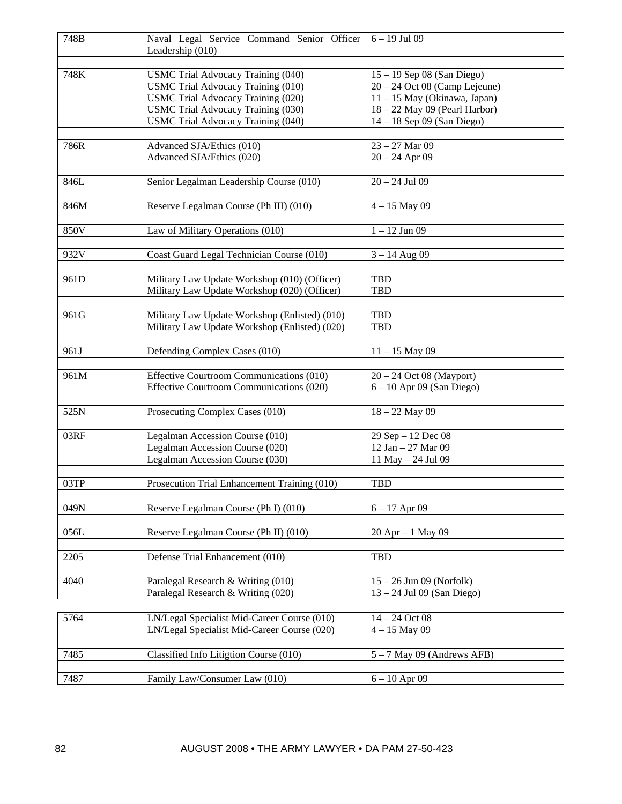| 748B | Naval Legal Service Command Senior Officer<br>Leadership (010)                                                                                                                                                  | $6 - 19$ Jul 09                                                                                                                                                  |
|------|-----------------------------------------------------------------------------------------------------------------------------------------------------------------------------------------------------------------|------------------------------------------------------------------------------------------------------------------------------------------------------------------|
|      |                                                                                                                                                                                                                 |                                                                                                                                                                  |
| 748K | <b>USMC Trial Advocacy Training (040)</b><br><b>USMC Trial Advocacy Training (010)</b><br>USMC Trial Advocacy Training (020)<br><b>USMC Trial Advocacy Training (030)</b><br>USMC Trial Advocacy Training (040) | $15 - 19$ Sep 08 (San Diego)<br>$20 - 24$ Oct 08 (Camp Lejeune)<br>11 - 15 May (Okinawa, Japan)<br>$18 - 22$ May 09 (Pearl Harbor)<br>14 - 18 Sep 09 (San Diego) |
| 786R | Advanced SJA/Ethics (010)<br>Advanced SJA/Ethics (020)                                                                                                                                                          | $23 - 27$ Mar 09<br>$20 - 24$ Apr 09                                                                                                                             |
| 846L | Senior Legalman Leadership Course (010)                                                                                                                                                                         | $20 - 24$ Jul 09                                                                                                                                                 |
| 846M | Reserve Legalman Course (Ph III) (010)                                                                                                                                                                          | $4 - 15$ May 09                                                                                                                                                  |
| 850V | Law of Military Operations (010)                                                                                                                                                                                | $1 - 12$ Jun 09                                                                                                                                                  |
| 932V | Coast Guard Legal Technician Course (010)                                                                                                                                                                       | $3 - 14$ Aug 09                                                                                                                                                  |
| 961D | Military Law Update Workshop (010) (Officer)<br>Military Law Update Workshop (020) (Officer)                                                                                                                    | <b>TBD</b><br><b>TBD</b>                                                                                                                                         |
| 961G | Military Law Update Workshop (Enlisted) (010)<br>Military Law Update Workshop (Enlisted) (020)                                                                                                                  | <b>TBD</b><br><b>TBD</b>                                                                                                                                         |
| 961J | Defending Complex Cases (010)                                                                                                                                                                                   | $11 - 15$ May 09                                                                                                                                                 |
| 961M | Effective Courtroom Communications (010)<br>Effective Courtroom Communications (020)                                                                                                                            | $20 - 24$ Oct 08 (Mayport)<br>$6 - 10$ Apr 09 (San Diego)                                                                                                        |
| 525N | Prosecuting Complex Cases (010)                                                                                                                                                                                 | $18 - 22$ May 09                                                                                                                                                 |
| 03RF | Legalman Accession Course (010)<br>Legalman Accession Course (020)<br>Legalman Accession Course (030)                                                                                                           | 29 Sep - 12 Dec 08<br>12 Jan - 27 Mar 09<br>11 May - 24 Jul 09                                                                                                   |
| 03TP | Prosecution Trial Enhancement Training (010)                                                                                                                                                                    | TBD                                                                                                                                                              |
| 049N | Reserve Legalman Course (Ph I) (010)                                                                                                                                                                            | $6 - 17$ Apr 09                                                                                                                                                  |
| 056L | Reserve Legalman Course (Ph II) (010)                                                                                                                                                                           | $20$ Apr $-1$ May 09                                                                                                                                             |
| 2205 | Defense Trial Enhancement (010)                                                                                                                                                                                 | <b>TBD</b>                                                                                                                                                       |
| 4040 | Paralegal Research & Writing (010)<br>Paralegal Research & Writing (020)                                                                                                                                        | $15 - 26$ Jun 09 (Norfolk)<br>$13 - 24$ Jul 09 (San Diego)                                                                                                       |
| 5764 | LN/Legal Specialist Mid-Career Course (010)                                                                                                                                                                     | $14 - 24$ Oct 08                                                                                                                                                 |

| 5764 | LN/Legal Specialist Mid-Career Course (010)<br>LN/Legal Specialist Mid-Career Course (020) | $14 - 24$ Oct 08<br>$4 - 15$ May 09 |
|------|--------------------------------------------------------------------------------------------|-------------------------------------|
|      |                                                                                            |                                     |
| 7485 | Classified Info Litigtion Course (010)                                                     | $5 - 7$ May 09 (Andrews AFB)        |
|      |                                                                                            |                                     |
| 7487 | Family Law/Consumer Law (010)                                                              | $6 - 10$ Apr 09                     |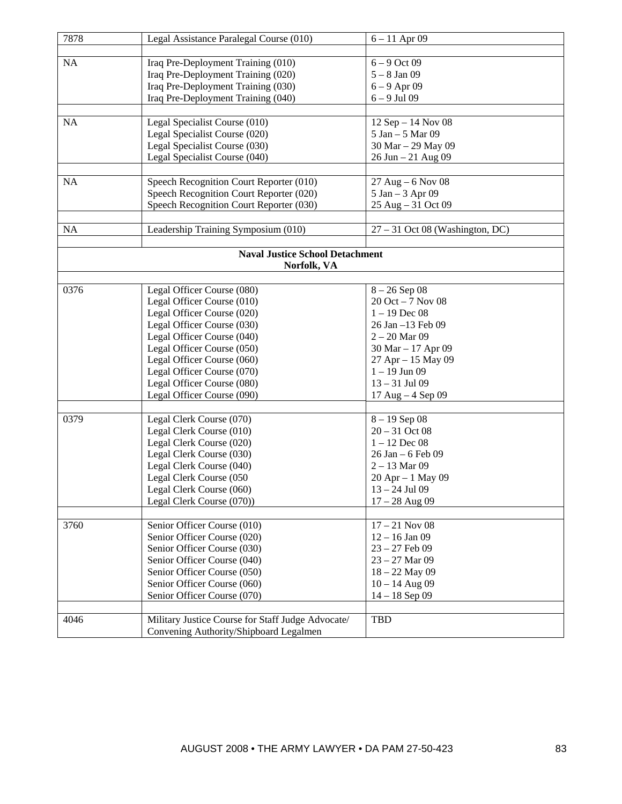| 7878      | Legal Assistance Paralegal Course (010)                    | $6 - 11$ Apr 09                   |
|-----------|------------------------------------------------------------|-----------------------------------|
|           |                                                            |                                   |
| NA        | Iraq Pre-Deployment Training (010)                         | $6 - 9$ Oct 09                    |
|           | Iraq Pre-Deployment Training (020)                         | $5 - 8$ Jan 09                    |
|           | Iraq Pre-Deployment Training (030)                         | $6 - 9$ Apr 09                    |
|           | Iraq Pre-Deployment Training (040)                         | $6 - 9$ Jul 09                    |
|           |                                                            |                                   |
| NA        | Legal Specialist Course (010)                              | $12$ Sep $- 14$ Nov 08            |
|           | Legal Specialist Course (020)                              | 5 Jan - 5 Mar 09                  |
|           | Legal Specialist Course (030)                              | 30 Mar - 29 May 09                |
|           | Legal Specialist Course (040)                              | 26 Jun - 21 Aug 09                |
|           |                                                            |                                   |
| <b>NA</b> | Speech Recognition Court Reporter (010)                    | $27$ Aug $-6$ Nov 08              |
|           | Speech Recognition Court Reporter (020)                    | $5$ Jan $-3$ Apr 09               |
|           | Speech Recognition Court Reporter (030)                    | 25 Aug - 31 Oct 09                |
|           |                                                            |                                   |
| <b>NA</b> | Leadership Training Symposium (010)                        | $27 - 31$ Oct 08 (Washington, DC) |
|           |                                                            |                                   |
|           | <b>Naval Justice School Detachment</b>                     |                                   |
|           | Norfolk, VA                                                |                                   |
|           |                                                            |                                   |
| 0376      | Legal Officer Course (080)                                 | $8 - 26$ Sep 08                   |
|           | Legal Officer Course (010)                                 | $20$ Oct $-7$ Nov 08              |
|           | Legal Officer Course (020)                                 | $1 - 19$ Dec 08                   |
|           | Legal Officer Course (030)                                 | 26 Jan -13 Feb 09                 |
|           | Legal Officer Course (040)                                 | $2 - 20$ Mar 09                   |
|           | Legal Officer Course (050)                                 | 30 Mar - 17 Apr 09                |
|           | Legal Officer Course (060)                                 | 27 Apr - 15 May 09                |
|           | Legal Officer Course (070)                                 | $1 - 19$ Jun 09                   |
|           | Legal Officer Course (080)                                 | $13 - 31$ Jul 09                  |
|           | Legal Officer Course (090)                                 | $17$ Aug $-4$ Sep 09              |
|           |                                                            |                                   |
| 0379      | Legal Clerk Course (070)                                   | $8 - 19$ Sep 08                   |
|           | Legal Clerk Course (010)                                   | $20 - 31$ Oct 08                  |
|           | Legal Clerk Course (020)                                   | $1 - 12$ Dec 08                   |
|           | Legal Clerk Course (030)                                   | $26$ Jan $-6$ Feb 09              |
|           | Legal Clerk Course (040)                                   | $2 - 13$ Mar 09                   |
|           | Legal Clerk Course (050                                    | 20 Apr - 1 May 09                 |
|           | Legal Clerk Course (060)                                   | $13 - 24$ Jul 09                  |
|           | Legal Clerk Course (070))                                  | $17 - 28$ Aug 09                  |
| 3760      |                                                            | $17 - 21$ Nov 08                  |
|           | Senior Officer Course (010)<br>Senior Officer Course (020) | $12 - 16$ Jan 09                  |
|           | Senior Officer Course (030)                                | $23 - 27$ Feb 09                  |
|           | Senior Officer Course (040)                                | $23 - 27$ Mar 09                  |
|           | Senior Officer Course (050)                                | $18 - 22$ May 09                  |
|           | Senior Officer Course (060)                                | $10 - 14$ Aug 09                  |
|           | Senior Officer Course (070)                                | $14 - 18$ Sep 09                  |
|           |                                                            |                                   |
| 4046      | Military Justice Course for Staff Judge Advocate/          | <b>TBD</b>                        |
|           | Convening Authority/Shipboard Legalmen                     |                                   |
|           |                                                            |                                   |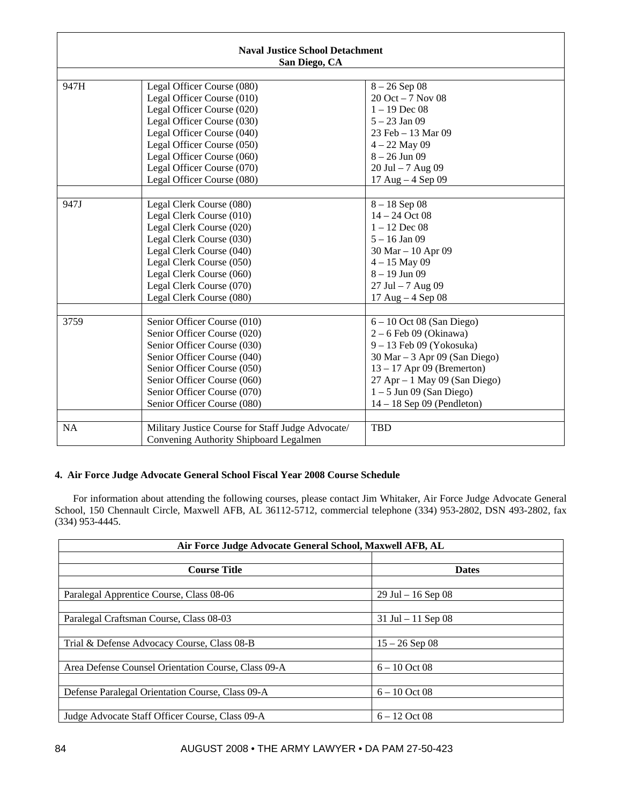| <b>Naval Justice School Detachment</b><br>San Diego, CA |                                                   |                                     |
|---------------------------------------------------------|---------------------------------------------------|-------------------------------------|
|                                                         |                                                   |                                     |
| 947H                                                    | Legal Officer Course (080)                        | $8 - 26$ Sep 08                     |
|                                                         | Legal Officer Course (010)                        | $20$ Oct $-7$ Nov 08                |
|                                                         | Legal Officer Course (020)                        | $1 - 19$ Dec 08                     |
|                                                         | Legal Officer Course (030)                        | $5 - 23$ Jan 09                     |
|                                                         | Legal Officer Course (040)                        | 23 Feb - 13 Mar 09                  |
|                                                         | Legal Officer Course (050)                        | $4 - 22$ May 09                     |
|                                                         | Legal Officer Course (060)                        | $8 - 26$ Jun 09                     |
|                                                         | Legal Officer Course (070)                        | $20$ Jul $-7$ Aug 09                |
|                                                         | Legal Officer Course (080)                        | $17 \text{ Aug} - 4 \text{ Sep} 09$ |
|                                                         |                                                   |                                     |
| 947J                                                    | Legal Clerk Course (080)                          | $8 - 18$ Sep 08                     |
|                                                         | Legal Clerk Course (010)                          | $14 - 24$ Oct 08                    |
|                                                         | Legal Clerk Course (020)                          | $1 - 12$ Dec 08                     |
|                                                         | Legal Clerk Course (030)                          | $5 - 16$ Jan 09                     |
|                                                         | Legal Clerk Course (040)                          | 30 Mar - 10 Apr 09                  |
|                                                         | Legal Clerk Course (050)                          | $4 - 15$ May 09                     |
|                                                         | Legal Clerk Course (060)                          | $8 - 19$ Jun 09                     |
|                                                         | Legal Clerk Course (070)                          | $27$ Jul $-7$ Aug 09                |
|                                                         | Legal Clerk Course (080)                          | 17 Aug - 4 Sep 08                   |
|                                                         |                                                   |                                     |
| 3759                                                    | Senior Officer Course (010)                       | $6 - 10$ Oct 08 (San Diego)         |
|                                                         | Senior Officer Course (020)                       | $2-6$ Feb 09 (Okinawa)              |
|                                                         | Senior Officer Course (030)                       | 9 - 13 Feb 09 (Yokosuka)            |
|                                                         | Senior Officer Course (040)                       | $30$ Mar $-3$ Apr 09 (San Diego)    |
|                                                         | Senior Officer Course (050)                       | $13 - 17$ Apr 09 (Bremerton)        |
|                                                         | Senior Officer Course (060)                       | $27$ Apr $-1$ May 09 (San Diego)    |
|                                                         | Senior Officer Course (070)                       | $1 - 5$ Jun 09 (San Diego)          |
|                                                         | Senior Officer Course (080)                       | $14 - 18$ Sep 09 (Pendleton)        |
|                                                         |                                                   |                                     |
| <b>NA</b>                                               | Military Justice Course for Staff Judge Advocate/ | <b>TBD</b>                          |
|                                                         | Convening Authority Shipboard Legalmen            |                                     |

# **4. Air Force Judge Advocate General School Fiscal Year 2008 Course Schedule**

For information about attending the following courses, please contact Jim Whitaker, Air Force Judge Advocate General School, 150 Chennault Circle, Maxwell AFB, AL 36112-5712, commercial telephone (334) 953-2802, DSN 493-2802, fax (334) 953-4445.

| Air Force Judge Advocate General School, Maxwell AFB, AL |                       |  |
|----------------------------------------------------------|-----------------------|--|
|                                                          |                       |  |
| <b>Course Title</b>                                      | <b>Dates</b>          |  |
|                                                          |                       |  |
| Paralegal Apprentice Course, Class 08-06                 | $29$ Jul $-16$ Sep 08 |  |
|                                                          |                       |  |
| Paralegal Craftsman Course, Class 08-03                  | $31$ Jul $-11$ Sep 08 |  |
|                                                          |                       |  |
| Trial & Defense Advocacy Course, Class 08-B              | $15 - 26$ Sep 08      |  |
|                                                          |                       |  |
| Area Defense Counsel Orientation Course, Class 09-A      | $6 - 10$ Oct 08       |  |
|                                                          |                       |  |
| Defense Paralegal Orientation Course, Class 09-A         | $6 - 10$ Oct 08       |  |
|                                                          |                       |  |
| Judge Advocate Staff Officer Course, Class 09-A          | $6 - 12$ Oct 08       |  |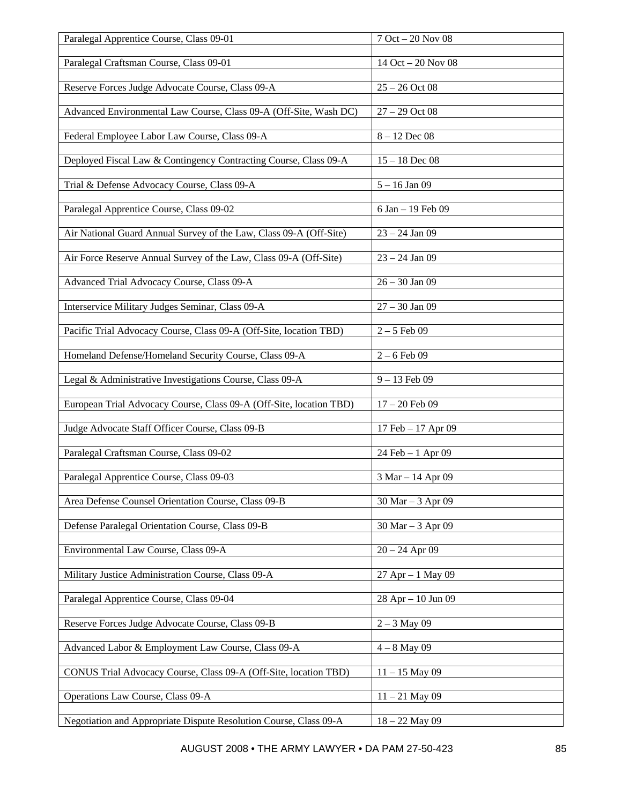| Paralegal Apprentice Course, Class 09-01                            | $7$ Oct $-$ 20 Nov $08$ |
|---------------------------------------------------------------------|-------------------------|
|                                                                     |                         |
| Paralegal Craftsman Course, Class 09-01                             | 14 Oct - 20 Nov 08      |
| Reserve Forces Judge Advocate Course, Class 09-A                    | $25 - 26$ Oct 08        |
| Advanced Environmental Law Course, Class 09-A (Off-Site, Wash DC)   | $27 - 29$ Oct 08        |
| Federal Employee Labor Law Course, Class 09-A                       | $8 - 12$ Dec 08         |
| Deployed Fiscal Law & Contingency Contracting Course, Class 09-A    | $15 - 18$ Dec 08        |
| Trial & Defense Advocacy Course, Class 09-A                         | $5 - 16$ Jan 09         |
|                                                                     |                         |
| Paralegal Apprentice Course, Class 09-02                            | 6 Jan - 19 Feb 09       |
| Air National Guard Annual Survey of the Law, Class 09-A (Off-Site)  | $23 - 24$ Jan 09        |
| Air Force Reserve Annual Survey of the Law, Class 09-A (Off-Site)   | $23 - 24$ Jan 09        |
| Advanced Trial Advocacy Course, Class 09-A                          | $26 - 30$ Jan 09        |
| Interservice Military Judges Seminar, Class 09-A                    | $27 - 30$ Jan 09        |
| Pacific Trial Advocacy Course, Class 09-A (Off-Site, location TBD)  | $2 - 5$ Feb 09          |
| Homeland Defense/Homeland Security Course, Class 09-A               | $2 - 6$ Feb 09          |
|                                                                     |                         |
| Legal & Administrative Investigations Course, Class 09-A            | $9 - 13$ Feb 09         |
| European Trial Advocacy Course, Class 09-A (Off-Site, location TBD) | $17 - 20$ Feb 09        |
| Judge Advocate Staff Officer Course, Class 09-B                     | 17 Feb – 17 Apr 09      |
| Paralegal Craftsman Course, Class 09-02                             | 24 Feb - 1 Apr 09       |
| Paralegal Apprentice Course, Class 09-03                            | 3 Mar – 14 Apr 09       |
| Area Defense Counsel Orientation Course, Class 09-B                 | 30 Mar - 3 Apr 09       |
| Defense Paralegal Orientation Course, Class 09-B                    | $30$ Mar $- 3$ Apr 09   |
|                                                                     |                         |
| Environmental Law Course, Class 09-A                                | $20 - 24$ Apr 09        |
| Military Justice Administration Course, Class 09-A                  | $27$ Apr $-1$ May 09    |
| Paralegal Apprentice Course, Class 09-04                            | $28$ Apr $-10$ Jun 09   |
| Reserve Forces Judge Advocate Course, Class 09-B                    | $2 - 3$ May 09          |
| Advanced Labor & Employment Law Course, Class 09-A                  | $4 - 8$ May 09          |
| CONUS Trial Advocacy Course, Class 09-A (Off-Site, location TBD)    | $11 - 15$ May 09        |
| Operations Law Course, Class 09-A                                   | $11 - 21$ May 09        |
| Negotiation and Appropriate Dispute Resolution Course, Class 09-A   | $18 - 22$ May 09        |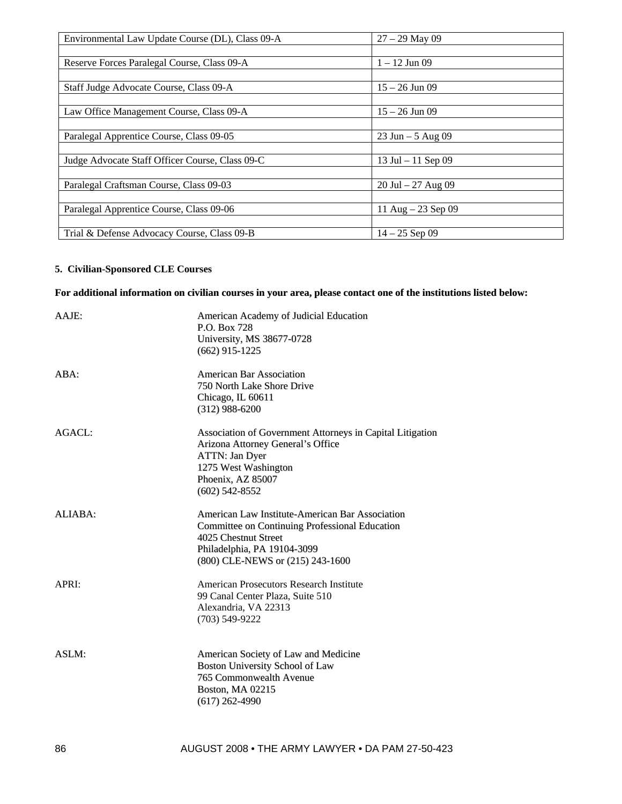| Environmental Law Update Course (DL), Class 09-A | $27 - 29$ May 09      |
|--------------------------------------------------|-----------------------|
|                                                  |                       |
| Reserve Forces Paralegal Course, Class 09-A      | $1 - 12$ Jun 09       |
|                                                  |                       |
| Staff Judge Advocate Course, Class 09-A          | $15 - 26$ Jun 09      |
|                                                  |                       |
| Law Office Management Course, Class 09-A         | $15 - 26$ Jun 09      |
|                                                  |                       |
| Paralegal Apprentice Course, Class 09-05         | $23$ Jun $-5$ Aug 09  |
|                                                  |                       |
| Judge Advocate Staff Officer Course, Class 09-C  | 13 Jul $-11$ Sep 09   |
|                                                  |                       |
| Paralegal Craftsman Course, Class 09-03          | $20$ Jul $-27$ Aug 09 |
|                                                  |                       |
| Paralegal Apprentice Course, Class 09-06         | 11 Aug $-23$ Sep 09   |
|                                                  |                       |
| Trial & Defense Advocacy Course, Class 09-B      | $14 - 25$ Sep 09      |

# **5. Civilian-Sponsored CLE Courses**

# For additional information on civilian courses in your area, please contact one of the institutions listed below:

| American Academy of Judicial Education<br>P.O. Box 728<br>University, MS 38677-0728 |
|-------------------------------------------------------------------------------------|
| $(662)$ 915-1225                                                                    |
| <b>American Bar Association</b><br>750 North Lake Shore Drive                       |
| Chicago, IL 60611                                                                   |
| $(312)$ 988-6200                                                                    |
| Association of Government Attorneys in Capital Litigation                           |
| Arizona Attorney General's Office                                                   |
| ATTN: Jan Dyer                                                                      |
| 1275 West Washington<br>Phoenix, AZ 85007                                           |
| $(602)$ 542-8552                                                                    |
| American Law Institute-American Bar Association                                     |
| <b>Committee on Continuing Professional Education</b>                               |
| 4025 Chestnut Street                                                                |
| Philadelphia, PA 19104-3099                                                         |
| (800) CLE-NEWS or (215) 243-1600                                                    |
| American Prosecutors Research Institute                                             |
| 99 Canal Center Plaza, Suite 510                                                    |
| Alexandria, VA 22313                                                                |
| $(703)$ 549-9222                                                                    |
| American Society of Law and Medicine                                                |
| Boston University School of Law                                                     |
| 765 Commonwealth Avenue                                                             |
| Boston, MA 02215                                                                    |
| $(617)$ 262-4990                                                                    |
|                                                                                     |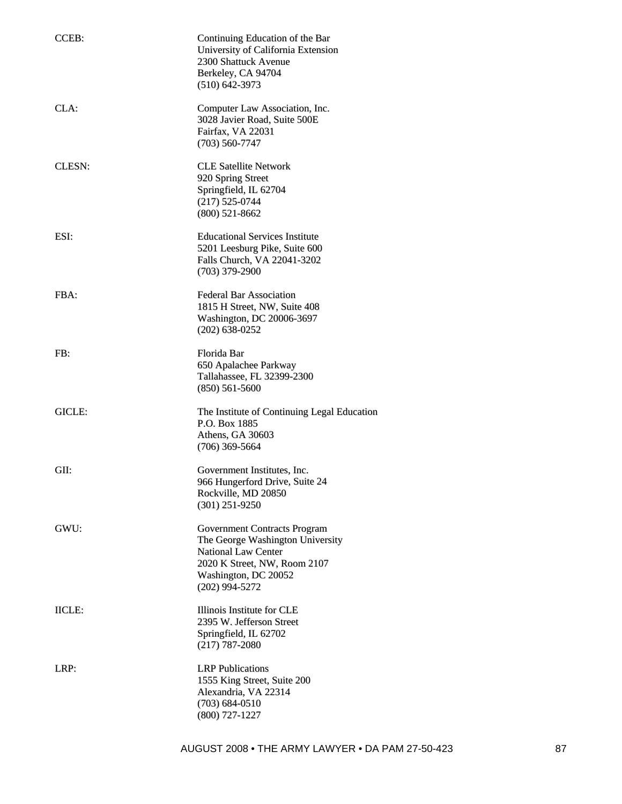| CCEB:         | Continuing Education of the Bar<br>University of California Extension<br>2300 Shattuck Avenue<br>Berkeley, CA 94704<br>$(510)$ 642-3973                                           |
|---------------|-----------------------------------------------------------------------------------------------------------------------------------------------------------------------------------|
| CLA:          | Computer Law Association, Inc.<br>3028 Javier Road, Suite 500E<br>Fairfax, VA 22031<br>$(703) 560 - 7747$                                                                         |
| <b>CLESN:</b> | <b>CLE Satellite Network</b><br>920 Spring Street<br>Springfield, IL 62704<br>$(217)$ 525-0744<br>$(800)$ 521-8662                                                                |
| ESI:          | <b>Educational Services Institute</b><br>5201 Leesburg Pike, Suite 600<br>Falls Church, VA 22041-3202<br>$(703)$ 379-2900                                                         |
| FBA:          | <b>Federal Bar Association</b><br>1815 H Street, NW, Suite 408<br>Washington, DC 20006-3697<br>$(202)$ 638-0252                                                                   |
| FB:           | Florida Bar<br>650 Apalachee Parkway<br>Tallahassee, FL 32399-2300<br>$(850) 561 - 5600$                                                                                          |
| GICLE:        | The Institute of Continuing Legal Education<br>P.O. Box 1885<br>Athens, GA 30603<br>$(706)$ 369-5664                                                                              |
| GII:          | Government Institutes, Inc.<br>966 Hungerford Drive, Suite 24<br>Rockville, MD 20850<br>$(301)$ 251-9250                                                                          |
| GWU:          | <b>Government Contracts Program</b><br>The George Washington University<br><b>National Law Center</b><br>2020 K Street, NW, Room 2107<br>Washington, DC 20052<br>$(202)$ 994-5272 |
| <b>IICLE:</b> | Illinois Institute for CLE<br>2395 W. Jefferson Street<br>Springfield, IL 62702<br>$(217)$ 787-2080                                                                               |
| LRP:          | <b>LRP</b> Publications<br>1555 King Street, Suite 200<br>Alexandria, VA 22314<br>$(703) 684 - 0510$<br>$(800)$ 727-1227                                                          |

AUGUST 2008 • THE ARMY LAWYER • DA PAM 27-50-423 87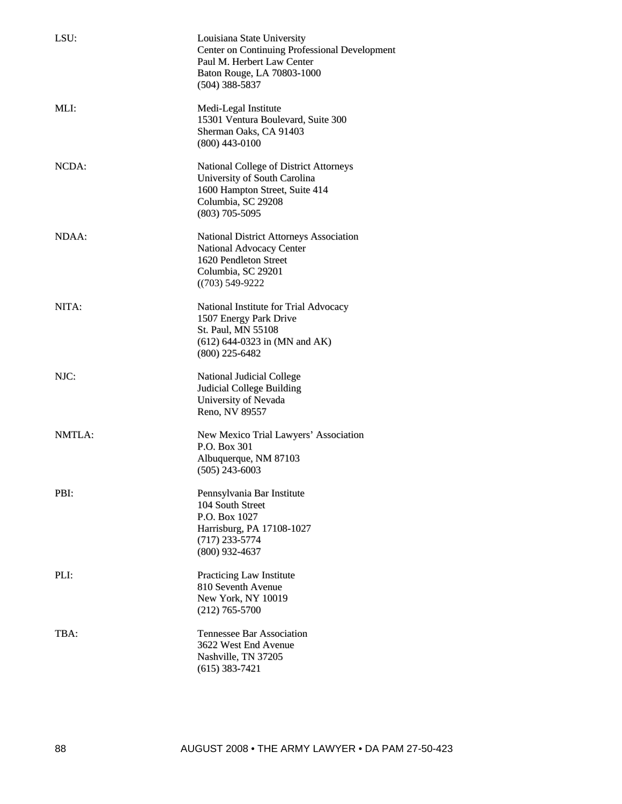| LSU:   | Louisiana State University<br><b>Center on Continuing Professional Development</b><br>Paul M. Herbert Law Center<br>Baton Rouge, LA 70803-1000<br>$(504)$ 388-5837 |
|--------|--------------------------------------------------------------------------------------------------------------------------------------------------------------------|
| MLI:   | Medi-Legal Institute<br>15301 Ventura Boulevard, Suite 300<br>Sherman Oaks, CA 91403<br>$(800)$ 443-0100                                                           |
| NCDA:  | <b>National College of District Attorneys</b><br>University of South Carolina<br>1600 Hampton Street, Suite 414<br>Columbia, SC 29208<br>$(803)$ 705-5095          |
| NDAA:  | <b>National District Attorneys Association</b><br>National Advocacy Center<br>1620 Pendleton Street<br>Columbia, SC 29201<br>$((703) 549 - 9222)$                  |
| NITA:  | National Institute for Trial Advocacy<br>1507 Energy Park Drive<br>St. Paul, MN 55108<br>$(612)$ 644-0323 in (MN and AK)<br>$(800)$ 225-6482                       |
| NJC:   | National Judicial College<br><b>Judicial College Building</b><br>University of Nevada<br>Reno, NV 89557                                                            |
| NMTLA: | New Mexico Trial Lawyers' Association<br>P.O. Box 301<br>Albuquerque, NM 87103<br>$(505)$ 243-6003                                                                 |
| PBI:   | Pennsylvania Bar Institute<br>104 South Street<br>P.O. Box 1027<br>Harrisburg, PA 17108-1027<br>$(717)$ 233-5774<br>$(800)$ 932-4637                               |
| PLI:   | Practicing Law Institute<br>810 Seventh Avenue<br>New York, NY 10019<br>$(212)$ 765-5700                                                                           |
| TBA:   | <b>Tennessee Bar Association</b><br>3622 West End Avenue<br>Nashville, TN 37205<br>$(615)$ 383-7421                                                                |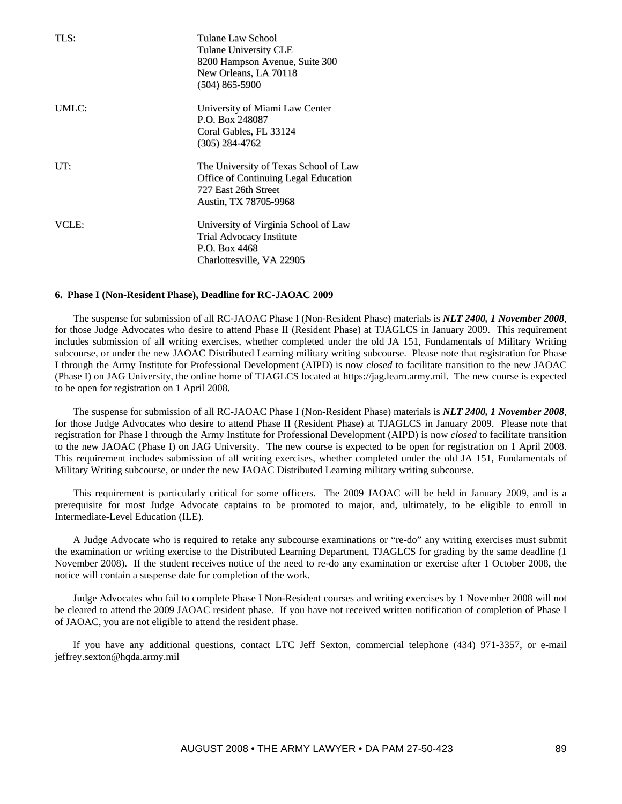| TLS:  | Tulane Law School<br>Tulane University CLE<br>8200 Hampson Avenue, Suite 300<br>New Orleans, LA 70118<br>$(504)$ 865-5900             |
|-------|---------------------------------------------------------------------------------------------------------------------------------------|
| UMLC: | University of Miami Law Center<br>P.O. Box 248087<br>Coral Gables, FL 33124<br>$(305)$ 284-4762                                       |
| UT:   | The University of Texas School of Law<br><b>Office of Continuing Legal Education</b><br>727 East 26th Street<br>Austin, TX 78705-9968 |
| VCLE: | University of Virginia School of Law<br>Trial Advocacy Institute<br>P.O. Box 4468<br>Charlottesville, VA 22905                        |

#### **6. Phase I (Non-Resident Phase), Deadline for RC-JAOAC 2009**

The suspense for submission of all RC-JAOAC Phase I (Non-Resident Phase) materials is *NLT 2400, 1 November 2008*, for those Judge Advocates who desire to attend Phase II (Resident Phase) at TJAGLCS in January 2009. This requirement includes submission of all writing exercises, whether completed under the old JA 151, Fundamentals of Military Writing subcourse, or under the new JAOAC Distributed Learning military writing subcourse. Please note that registration for Phase I through the Army Institute for Professional Development (AIPD) is now *closed* to facilitate transition to the new JAOAC (Phase I) on JAG University, the online home of TJAGLCS located at https://jag.learn.army.mil. The new course is expected to be open for registration on 1 April 2008.

The suspense for submission of all RC-JAOAC Phase I (Non-Resident Phase) materials is *NLT 2400, 1 November 2008*, for those Judge Advocates who desire to attend Phase II (Resident Phase) at TJAGLCS in January 2009. Please note that registration for Phase I through the Army Institute for Professional Development (AIPD) is now *closed* to facilitate transition to the new JAOAC (Phase I) on JAG University. The new course is expected to be open for registration on 1 April 2008. This requirement includes submission of all writing exercises, whether completed under the old JA 151, Fundamentals of Military Writing subcourse, or under the new JAOAC Distributed Learning military writing subcourse.

This requirement is particularly critical for some officers. The 2009 JAOAC will be held in January 2009, and is a prerequisite for most Judge Advocate captains to be promoted to major, and, ultimately, to be eligible to enroll in Intermediate-Level Education (ILE).

A Judge Advocate who is required to retake any subcourse examinations or "re-do" any writing exercises must submit the examination or writing exercise to the Distributed Learning Department, TJAGLCS for grading by the same deadline (1 November 2008). If the student receives notice of the need to re-do any examination or exercise after 1 October 2008, the notice will contain a suspense date for completion of the work.

Judge Advocates who fail to complete Phase I Non-Resident courses and writing exercises by 1 November 2008 will not be cleared to attend the 2009 JAOAC resident phase. If you have not received written notification of completion of Phase I of JAOAC, you are not eligible to attend the resident phase.

If you have any additional questions, contact LTC Jeff Sexton, commercial telephone (434) 971-3357, or e-mail jeffrey.sexton@hqda.army.mil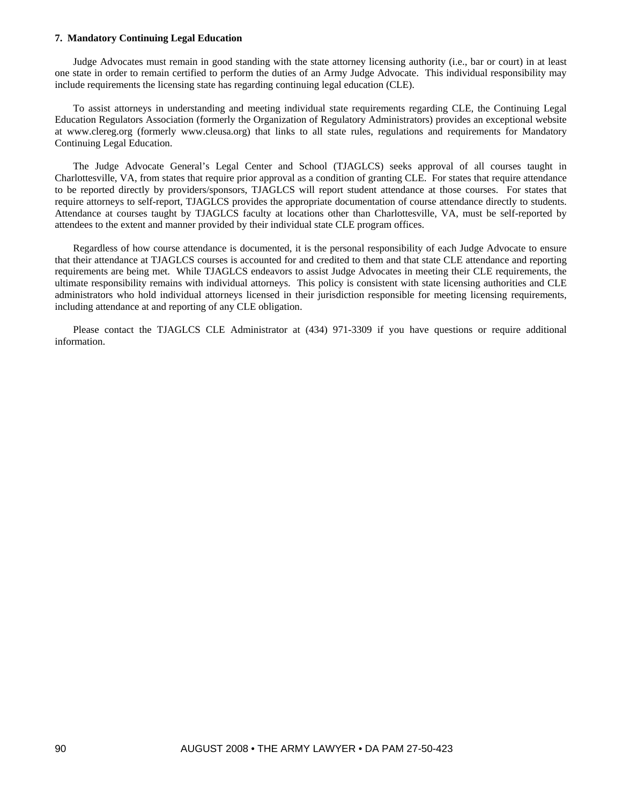#### **7. Mandatory Continuing Legal Education**

Judge Advocates must remain in good standing with the state attorney licensing authority (i.e., bar or court) in at least one state in order to remain certified to perform the duties of an Army Judge Advocate. This individual responsibility may include requirements the licensing state has regarding continuing legal education (CLE).

To assist attorneys in understanding and meeting individual state requirements regarding CLE, the Continuing Legal Education Regulators Association (formerly the Organization of Regulatory Administrators) provides an exceptional website at www.clereg.org (formerly www.cleusa.org) that links to all state rules, regulations and requirements for Mandatory Continuing Legal Education.

The Judge Advocate General's Legal Center and School (TJAGLCS) seeks approval of all courses taught in Charlottesville, VA, from states that require prior approval as a condition of granting CLE. For states that require attendance to be reported directly by providers/sponsors, TJAGLCS will report student attendance at those courses. For states that require attorneys to self-report, TJAGLCS provides the appropriate documentation of course attendance directly to students. Attendance at courses taught by TJAGLCS faculty at locations other than Charlottesville, VA, must be self-reported by attendees to the extent and manner provided by their individual state CLE program offices.

Regardless of how course attendance is documented, it is the personal responsibility of each Judge Advocate to ensure that their attendance at TJAGLCS courses is accounted for and credited to them and that state CLE attendance and reporting requirements are being met. While TJAGLCS endeavors to assist Judge Advocates in meeting their CLE requirements, the ultimate responsibility remains with individual attorneys. This policy is consistent with state licensing authorities and CLE administrators who hold individual attorneys licensed in their jurisdiction responsible for meeting licensing requirements, including attendance at and reporting of any CLE obligation.

Please contact the TJAGLCS CLE Administrator at (434) 971-3309 if you have questions or require additional information.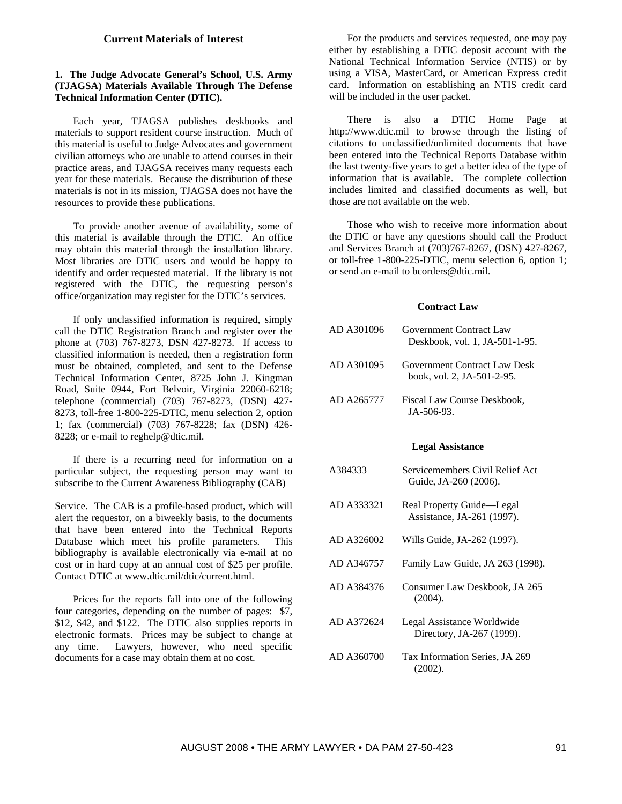## **Current Materials of Interest**

# **1. The Judge Advocate General's School, U.S. Army (TJAGSA) Materials Available Through The Defense Technical Information Center (DTIC).**

Each year, TJAGSA publishes deskbooks and materials to support resident course instruction. Much of this material is useful to Judge Advocates and government civilian attorneys who are unable to attend courses in their practice areas, and TJAGSA receives many requests each year for these materials. Because the distribution of these materials is not in its mission, TJAGSA does not have the resources to provide these publications.

To provide another avenue of availability, some of this material is available through the DTIC. An office may obtain this material through the installation library. Most libraries are DTIC users and would be happy to identify and order requested material. If the library is not registered with the DTIC, the requesting person's office/organization may register for the DTIC's services.

If only unclassified information is required, simply call the DTIC Registration Branch and register over the phone at (703) 767-8273, DSN 427-8273. If access to classified information is needed, then a registration form must be obtained, completed, and sent to the Defense Technical Information Center, 8725 John J. Kingman Road, Suite 0944, Fort Belvoir, Virginia 22060-6218; telephone (commercial) (703) 767-8273, (DSN) 427- 8273, toll-free 1-800-225-DTIC, menu selection 2, option 1; fax (commercial) (703) 767-8228; fax (DSN) 426- 8228; or e-mail to reghelp@dtic.mil.

If there is a recurring need for information on a particular subject, the requesting person may want to subscribe to the Current Awareness Bibliography (CAB)

Service. The CAB is a profile-based product, which will alert the requestor, on a biweekly basis, to the documents that have been entered into the Technical Reports Database which meet his profile parameters. This bibliography is available electronically via e-mail at no cost or in hard copy at an annual cost of \$25 per profile. Contact DTIC at www.dtic.mil/dtic/current.html.

Prices for the reports fall into one of the following four categories, depending on the number of pages: \$7, \$12, \$42, and \$122. The DTIC also supplies reports in electronic formats. Prices may be subject to change at any time. Lawyers, however, who need specific documents for a case may obtain them at no cost.

For the products and services requested, one may pay either by establishing a DTIC deposit account with the National Technical Information Service (NTIS) or by using a VISA, MasterCard, or American Express credit card. Information on establishing an NTIS credit card will be included in the user packet.

There is also a DTIC Home Page at http://www.dtic.mil to browse through the listing of citations to unclassified/unlimited documents that have been entered into the Technical Reports Database within the last twenty-five years to get a better idea of the type of information that is available. The complete collection includes limited and classified documents as well, but those are not available on the web.

Those who wish to receive more information about the DTIC or have any questions should call the Product and Services Branch at (703)767-8267, (DSN) 427-8267, or toll-free 1-800-225-DTIC, menu selection 6, option 1; or send an e-mail to bcorders@dtic.mil.

#### **Contract Law**

| AD A301096 | Government Contract Law<br>Deskbook, vol. 1, JA-501-1-95.  |
|------------|------------------------------------------------------------|
| AD A301095 | Government Contract Law Desk<br>book, vol. 2, JA-501-2-95. |
| AD A265777 | Fiscal Law Course Deskbook,<br>$IA - 506 - 93$ .           |
|            | <b>Legal Assistance</b>                                    |

- A384333 Servicemembers Civil Relief Act Guide, JA-260 (2006).
- AD A333321 Real Property Guide—Legal Assistance, JA-261 (1997).
- AD A326002 Wills Guide, JA-262 (1997).
- AD A346757 Family Law Guide, JA 263 (1998).
- AD A384376 Consumer Law Deskbook, JA 265 (2004).
- AD A372624 Legal Assistance Worldwide Directory, JA-267 (1999).
- AD A360700 Tax Information Series, JA 269 (2002).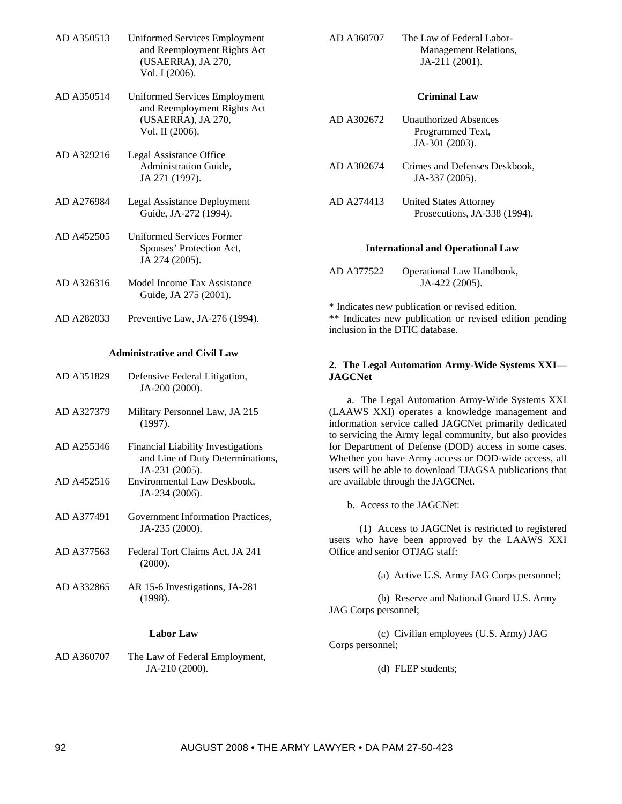| AD A350513 | <b>Uniformed Services Employment</b><br>and Reemployment Rights Act<br>(USAERRA), JA 270,<br>Vol. I (2006).  |
|------------|--------------------------------------------------------------------------------------------------------------|
| AD A350514 | <b>Uniformed Services Employment</b><br>and Reemployment Rights Act<br>(USAERRA), JA 270,<br>Vol. II (2006). |
| AD A329216 | Legal Assistance Office<br><b>Administration Guide,</b><br>JA 271 (1997).                                    |
| AD A276984 | <b>Legal Assistance Deployment</b><br>Guide, JA-272 (1994).                                                  |
| AD A452505 | Uniformed Services Former<br>Spouses' Protection Act,<br>JA 274 (2005).                                      |
| AD A326316 | Model Income Tax Assistance<br>Guide, JA 275 (2001).                                                         |
| AD A282033 | Preventive Law, JA-276 (1994).                                                                               |
|            | Administrative and Civil Law                                                                                 |

#### **Administrative and Civil Law**

- AD A351829 Defensive Federal Litigation, JA-200 (2000).
- AD A327379 Military Personnel Law, JA 215 (1997).
- AD A255346 Financial Liability Investigations and Line of Duty Determinations, JA-231 (2005). AD A452516 Environmental Law Deskbook,
- JA-234 (2006).
- AD A377491 Government Information Practices, JA-235 (2000).
- AD A377563 Federal Tort Claims Act, JA 241 (2000).
- AD A332865 AR 15-6 Investigations, JA-281 (1998).

#### **Labor Law**

AD A360707 The Law of Federal Employment, JA-210 (2000).

| AD A360707 | The Law of Federal Labor-    |
|------------|------------------------------|
|            | <b>Management Relations,</b> |
|            | $JA-211(2001)$ .             |

# **Criminal Law**

| AD A302672 | <b>Unauthorized Absences</b><br>Programmed Text,<br>JA-301 (2003). |
|------------|--------------------------------------------------------------------|
| AD A302674 | Crimes and Defenses Deskbook,<br>JA-337 (2005).                    |
| AD A274413 | United States Attorney<br>Prosecutions, JA-338 (1994).             |

#### **International and Operational Law**

AD A377522 Operational Law Handbook, JA-422 (2005).

\* Indicates new publication or revised edition. \*\* Indicates new publication or revised edition pending inclusion in the DTIC database.

# **2. The Legal Automation Army-Wide Systems XXI— JAGCNet**

a. The Legal Automation Army-Wide Systems XXI (LAAWS XXI) operates a knowledge management and information service called JAGCNet primarily dedicated to servicing the Army legal community, but also provides for Department of Defense (DOD) access in some cases. Whether you have Army access or DOD-wide access, all users will be able to download TJAGSA publications that are available through the JAGCNet.

b. Access to the JAGCNet:

(1) Access to JAGCNet is restricted to registered users who have been approved by the LAAWS XXI Office and senior OTJAG staff:

(a) Active U.S. Army JAG Corps personnel;

(b) Reserve and National Guard U.S. Army JAG Corps personnel;

(c) Civilian employees (U.S. Army) JAG Corps personnel;

(d) FLEP students;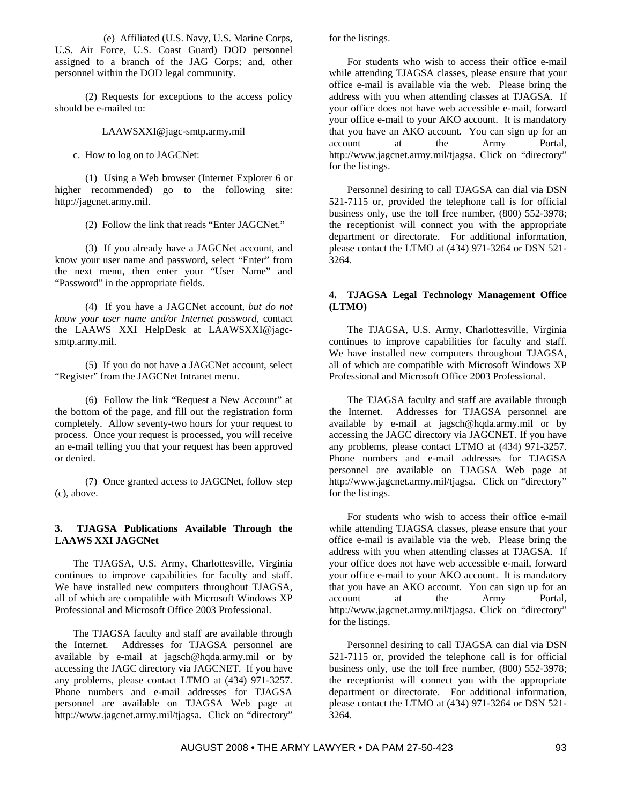(e) Affiliated (U.S. Navy, U.S. Marine Corps, U.S. Air Force, U.S. Coast Guard) DOD personnel assigned to a branch of the JAG Corps; and, other personnel within the DOD legal community.

(2) Requests for exceptions to the access policy should be e-mailed to:

LAAWSXXI@jagc-smtp.army.mil

c. How to log on to JAGCNet:

(1) Using a Web browser (Internet Explorer 6 or higher recommended) go to the following site: http://jagcnet.army.mil.

(2) Follow the link that reads "Enter JAGCNet."

(3) If you already have a JAGCNet account, and know your user name and password, select "Enter" from the next menu, then enter your "User Name" and "Password" in the appropriate fields.

(4) If you have a JAGCNet account, *but do not know your user name and/or Internet password*, contact the LAAWS XXI HelpDesk at LAAWSXXI@jagcsmtp.army.mil.

(5) If you do not have a JAGCNet account, select "Register" from the JAGCNet Intranet menu.

(6) Follow the link "Request a New Account" at the bottom of the page, and fill out the registration form completely. Allow seventy-two hours for your request to process. Once your request is processed, you will receive an e-mail telling you that your request has been approved or denied.

(7) Once granted access to JAGCNet, follow step (c), above.

# **3. TJAGSA Publications Available Through the LAAWS XXI JAGCNet**

The TJAGSA, U.S. Army, Charlottesville, Virginia continues to improve capabilities for faculty and staff. We have installed new computers throughout TJAGSA, all of which are compatible with Microsoft Windows XP Professional and Microsoft Office 2003 Professional.

The TJAGSA faculty and staff are available through the Internet. Addresses for TJAGSA personnel are available by e-mail at jagsch@hqda.army.mil or by accessing the JAGC directory via JAGCNET. If you have any problems, please contact LTMO at (434) 971-3257. Phone numbers and e-mail addresses for TJAGSA personnel are available on TJAGSA Web page at http://www.jagcnet.army.mil/tjagsa. Click on "directory"

for the listings.

For students who wish to access their office e-mail while attending TJAGSA classes, please ensure that your office e-mail is available via the web. Please bring the address with you when attending classes at TJAGSA. If your office does not have web accessible e-mail, forward your office e-mail to your AKO account. It is mandatory that you have an AKO account. You can sign up for an account at the Army Portal, http://www.jagcnet.army.mil/tjagsa. Click on "directory" for the listings.

Personnel desiring to call TJAGSA can dial via DSN 521-7115 or, provided the telephone call is for official business only, use the toll free number, (800) 552-3978; the receptionist will connect you with the appropriate department or directorate. For additional information, please contact the LTMO at (434) 971-3264 or DSN 521- 3264.

# **4. TJAGSA Legal Technology Management Office (LTMO)**

The TJAGSA, U.S. Army, Charlottesville, Virginia continues to improve capabilities for faculty and staff. We have installed new computers throughout TJAGSA, all of which are compatible with Microsoft Windows XP Professional and Microsoft Office 2003 Professional.

The TJAGSA faculty and staff are available through the Internet. Addresses for TJAGSA personnel are available by e-mail at jagsch@hqda.army.mil or by accessing the JAGC directory via JAGCNET. If you have any problems, please contact LTMO at (434) 971-3257. Phone numbers and e-mail addresses for TJAGSA personnel are available on TJAGSA Web page at http://www.jagcnet.army.mil/tjagsa. Click on "directory" for the listings.

For students who wish to access their office e-mail while attending TJAGSA classes, please ensure that your office e-mail is available via the web. Please bring the address with you when attending classes at TJAGSA. If your office does not have web accessible e-mail, forward your office e-mail to your AKO account. It is mandatory that you have an AKO account. You can sign up for an account at the Army Portal, http://www.jagcnet.army.mil/tjagsa. Click on "directory" for the listings.

Personnel desiring to call TJAGSA can dial via DSN 521-7115 or, provided the telephone call is for official business only, use the toll free number, (800) 552-3978; the receptionist will connect you with the appropriate department or directorate. For additional information, please contact the LTMO at (434) 971-3264 or DSN 521- 3264.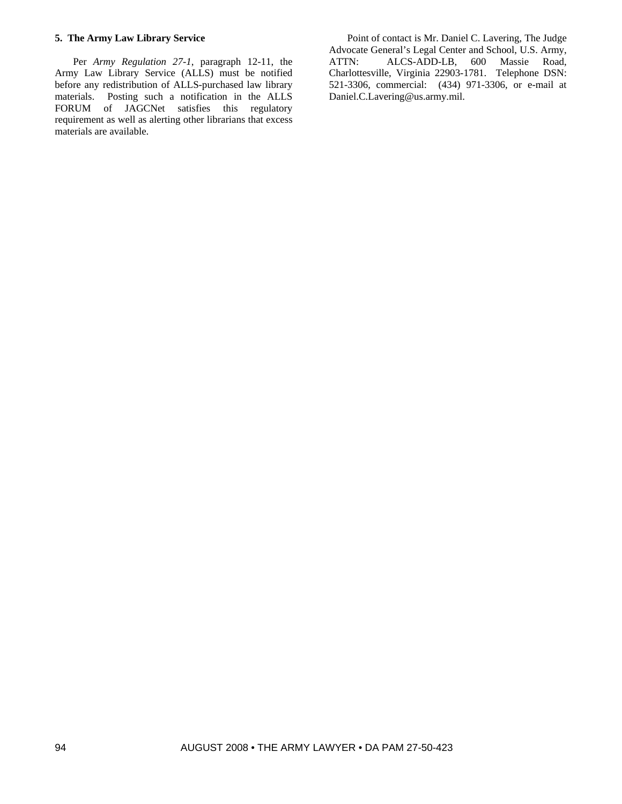# **5. The Army Law Library Service**

Per *Army Regulation 27-1*, paragraph 12-11, the Army Law Library Service (ALLS) must be notified before any redistribution of ALLS-purchased law library materials. Posting such a notification in the ALLS FORUM of JAGCNet satisfies this regulatory requirement as well as alerting other librarians that excess materials are available.

Point of contact is Mr. Daniel C. Lavering, The Judge Advocate General's Legal Center and School, U.S. Army, ATTN: ALCS-ADD-LB, 600 Massie Road, Charlottesville, Virginia 22903-1781. Telephone DSN: 521-3306, commercial: (434) 971-3306, or e-mail at Daniel.C.Lavering@us.army.mil.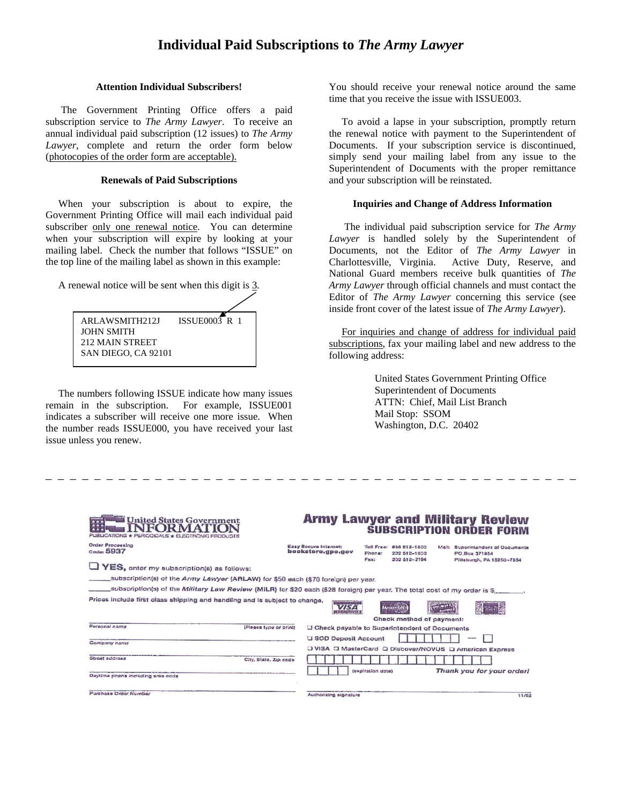#### **Attention Individual Subscribers!**

 The Government Printing Office offers a paid subscription service to *The Army Lawyer*. To receive an annual individual paid subscription (12 issues) to *The Army Lawyer*, complete and return the order form below (photocopies of the order form are acceptable).

#### **Renewals of Paid Subscriptions**

 When your subscription is about to expire, the Government Printing Office will mail each individual paid subscriber only one renewal notice. You can determine when your subscription will expire by looking at your mailing label. Check the number that follows "ISSUE" on the top line of the mailing label as shown in this example:

A renewal notice will be sent when this digit is 3.

| ARLAWSMITH212J      | <b>ISSUE0003 R 1</b> |
|---------------------|----------------------|
| <b>JOHN SMITH</b>   |                      |
| 212 MAIN STREET     |                      |
| SAN DIEGO, CA 92101 |                      |

 The numbers following ISSUE indicate how many issues remain in the subscription. For example, ISSUE001 indicates a subscriber will receive one more issue. When the number reads ISSUE000, you have received your last issue unless you renew.

You should receive your renewal notice around the same time that you receive the issue with ISSUE003.

 To avoid a lapse in your subscription, promptly return the renewal notice with payment to the Superintendent of Documents. If your subscription service is discontinued, simply send your mailing label from any issue to the Superintendent of Documents with the proper remittance and your subscription will be reinstated.

#### **Inquiries and Change of Address Information**

 The individual paid subscription service for *The Army Lawyer* is handled solely by the Superintendent of Documents, not the Editor of *The Army Lawyer* in Charlottesville, Virginia. Active Duty, Reserve, and National Guard members receive bulk quantities of *The Army Lawyer* through official channels and must contact the Editor of *The Army Lawyer* concerning this service (see inside front cover of the latest issue of *The Army Lawyer*).

 For inquiries and change of address for individual paid subscriptions, fax your mailing label and new address to the following address:

> United States Government Printing Office Superintendent of Documents ATTN: Chief, Mail List Branch Mail Stop: SSOM Washington, D.C. 20402

| <b>United States Government</b><br>PUBLICATIONS * PERIODICALS * ELECTRONIC PRODUCTS                                       |                        | <b>Army Lawyer and Millitary Review</b>                                          |                   |                                                         |  |                                            | <b>SUBSCRIPTION ORDER FORM</b>   |
|---------------------------------------------------------------------------------------------------------------------------|------------------------|----------------------------------------------------------------------------------|-------------------|---------------------------------------------------------|--|--------------------------------------------|----------------------------------|
| <b>Order Processing</b><br>$C_{\text{odor}}$ 5937                                                                         |                        | Easy Secure Internat:<br>bookstore.gpo.gov                                       | Phone:<br>Pax:    | Tall Free: 856 512-1800<br>202 512-1800<br>202 512-2104 |  | PO Box 371954<br>Piltsburgh, PA 15250-7954 | Mal: Superintendent of Occuments |
| YES, enter my subscription(s) as follows:                                                                                 |                        |                                                                                  |                   |                                                         |  |                                            |                                  |
| subscription(s) of the Army Lawyer (ARLAW) for \$50 each (\$70 foreign) per year.                                         |                        |                                                                                  |                   |                                                         |  |                                            |                                  |
| subscription(s) of the Military Law Review (MILR) for \$20 each (\$28 foreign) per year. The total cost of my order is \$ |                        |                                                                                  |                   |                                                         |  |                                            |                                  |
| Prices Include first class shipping and handling and is subject to change.                                                |                        | VISA<br><b>SECOND PROPERTY</b>                                                   |                   | Check method of payment:                                |  |                                            |                                  |
| Personal name                                                                                                             | (Plasse type or print) | U Check payable to Superintendent of Documents                                   |                   |                                                         |  |                                            |                                  |
| Company name                                                                                                              |                        | U SOD Deposit Account<br>□ VISA □ MasterCard □ Discover/NOVUS □ American Express |                   |                                                         |  |                                            |                                  |
| Street eddrass                                                                                                            | City, State, Zip code  |                                                                                  |                   |                                                         |  |                                            |                                  |
| Daytime phone including area code                                                                                         |                        |                                                                                  | (expiration date) |                                                         |  |                                            | Thank you for your order!        |
| Purchase Order Number                                                                                                     |                        | Authorizing signature                                                            |                   |                                                         |  |                                            | 11/02                            |

– – – – – – – – – – – – – – – – – – – – – – – – – – – – – – – – – – – – – – – – – – – –